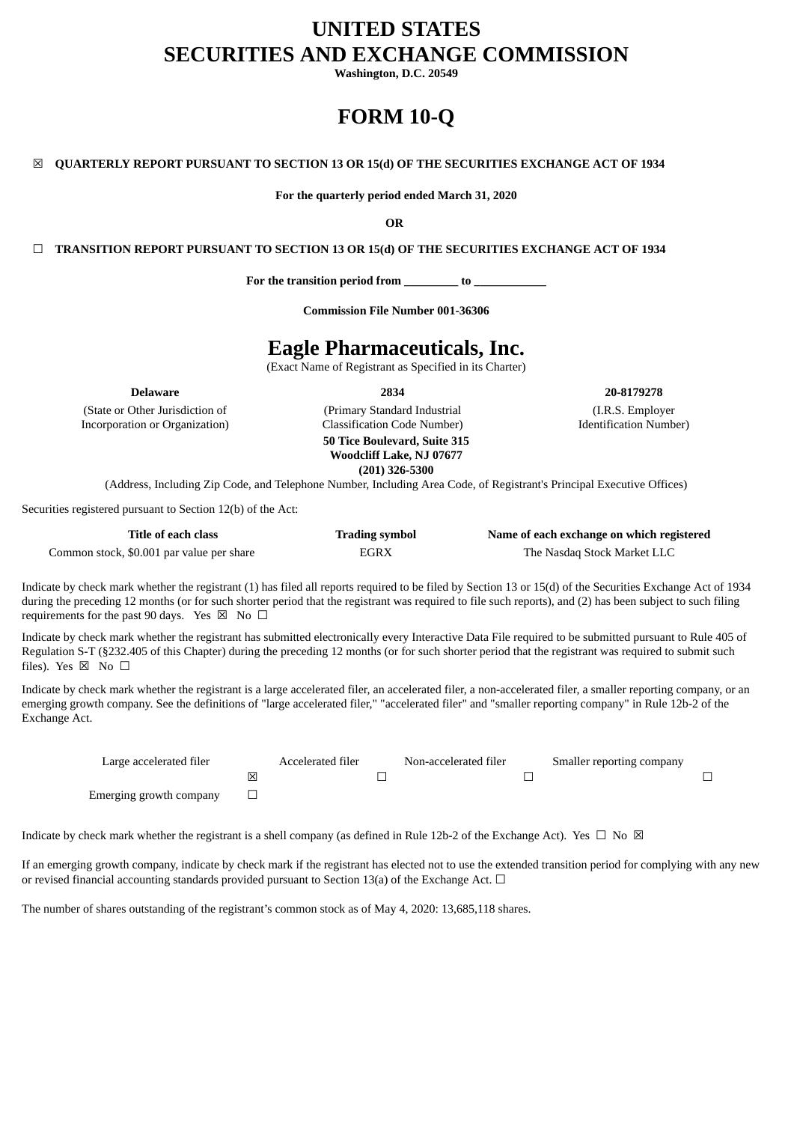# **UNITED STATES SECURITIES AND EXCHANGE COMMISSION**

**Washington, D.C. 20549**

# **FORM 10-Q**

### ☒ **QUARTERLY REPORT PURSUANT TO SECTION 13 OR 15(d) OF THE SECURITIES EXCHANGE ACT OF 1934**

**For the quarterly period ended March 31, 2020**

**OR**

☐ **TRANSITION REPORT PURSUANT TO SECTION 13 OR 15(d) OF THE SECURITIES EXCHANGE ACT OF 1934**

**For the transition period from \_\_\_\_\_\_\_\_\_ to \_\_\_\_\_\_\_\_\_\_\_\_**

**Commission File Number 001-36306**

# **Eagle Pharmaceuticals, Inc.**

(Exact Name of Registrant as Specified in its Charter)

(State or Other Jurisdiction of Incorporation or Organization) (Primary Standard Industrial Classification Code Number) **50 Tice Boulevard, Suite 315 Woodcliff Lake, NJ 07677**

**Delaware 2834 20-8179278**

(I.R.S. Employer Identification Number)

**(201) 326-5300**

(Address, Including Zip Code, and Telephone Number, Including Area Code, of Registrant's Principal Executive Offices)

Securities registered pursuant to Section 12(b) of the Act:

| Title of each class                       | <b>Trading symbol</b> | Name of each exchange on which registered |
|-------------------------------------------|-----------------------|-------------------------------------------|
| Common stock, \$0.001 par value per share | EGRX                  | The Nasdag Stock Market LLC               |

Indicate by check mark whether the registrant (1) has filed all reports required to be filed by Section 13 or 15(d) of the Securities Exchange Act of 1934 during the preceding 12 months (or for such shorter period that the registrant was required to file such reports), and (2) has been subject to such filing requirements for the past 90 days. Yes  $\boxtimes$  No  $\Box$ 

Indicate by check mark whether the registrant has submitted electronically every Interactive Data File required to be submitted pursuant to Rule 405 of Regulation S-T (§232.405 of this Chapter) during the preceding 12 months (or for such shorter period that the registrant was required to submit such files). Yes  $\boxtimes$  No  $\square$ 

Indicate by check mark whether the registrant is a large accelerated filer, an accelerated filer, a non-accelerated filer, a smaller reporting company, or an emerging growth company. See the definitions of "large accelerated filer," "accelerated filer" and "smaller reporting company" in Rule 12b-2 of the Exchange Act.

| Large accelerated filer |   | Accelerated filer | Non-accelerated filer | Smaller reporting company |  |
|-------------------------|---|-------------------|-----------------------|---------------------------|--|
|                         | ⋉ |                   |                       |                           |  |
| Emerging growth company |   |                   |                       |                           |  |

Indicate by check mark whether the registrant is a shell company (as defined in Rule 12b-2 of the Exchange Act). Yes  $\Box$  No  $\boxtimes$ 

If an emerging growth company, indicate by check mark if the registrant has elected not to use the extended transition period for complying with any new or revised financial accounting standards provided pursuant to Section 13(a) of the Exchange Act.  $\Box$ 

The number of shares outstanding of the registrant's common stock as of May 4, 2020: 13,685,118 shares.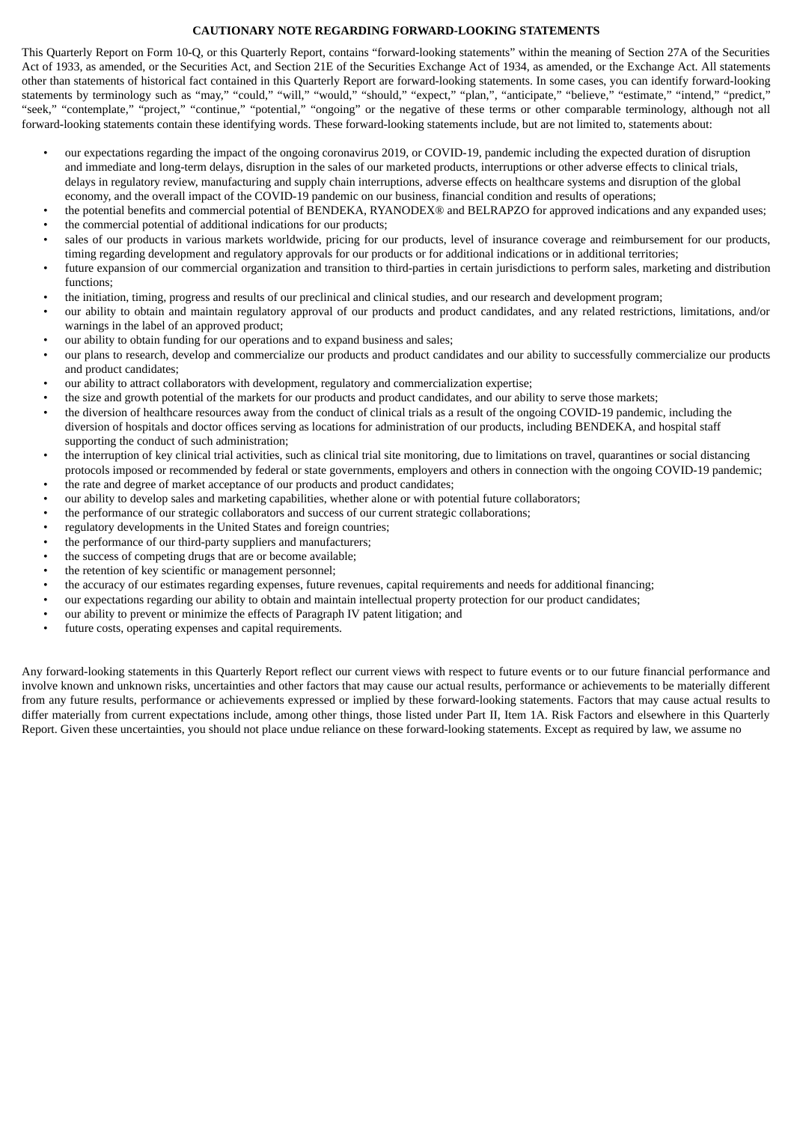### **CAUTIONARY NOTE REGARDING FORWARD-LOOKING STATEMENTS**

This Quarterly Report on Form 10-Q, or this Quarterly Report, contains "forward-looking statements" within the meaning of Section 27A of the Securities Act of 1933, as amended, or the Securities Act, and Section 21E of the Securities Exchange Act of 1934, as amended, or the Exchange Act. All statements other than statements of historical fact contained in this Quarterly Report are forward-looking statements. In some cases, you can identify forward-looking statements by terminology such as "may," "could," "will," "would," "should," "expect," "plan,", "anticipate," "believe," "estimate," "intend," "predict," "seek," "contemplate," "project," "continue," "potential," "ongoing" or the negative of these terms or other comparable terminology, although not all forward-looking statements contain these identifying words. These forward-looking statements include, but are not limited to, statements about:

- our expectations regarding the impact of the ongoing coronavirus 2019, or COVID-19, pandemic including the expected duration of disruption and immediate and long-term delays, disruption in the sales of our marketed products, interruptions or other adverse effects to clinical trials, delays in regulatory review, manufacturing and supply chain interruptions, adverse effects on healthcare systems and disruption of the global economy, and the overall impact of the COVID-19 pandemic on our business, financial condition and results of operations;
- the potential benefits and commercial potential of BENDEKA, RYANODEX® and BELRAPZO for approved indications and any expanded uses;
- the commercial potential of additional indications for our products;
- sales of our products in various markets worldwide, pricing for our products, level of insurance coverage and reimbursement for our products, timing regarding development and regulatory approvals for our products or for additional indications or in additional territories;
- future expansion of our commercial organization and transition to third-parties in certain jurisdictions to perform sales, marketing and distribution functions;
- the initiation, timing, progress and results of our preclinical and clinical studies, and our research and development program;
- our ability to obtain and maintain regulatory approval of our products and product candidates, and any related restrictions, limitations, and/or warnings in the label of an approved product;
- our ability to obtain funding for our operations and to expand business and sales;
- our plans to research, develop and commercialize our products and product candidates and our ability to successfully commercialize our products and product candidates;
- our ability to attract collaborators with development, regulatory and commercialization expertise;
- the size and growth potential of the markets for our products and product candidates, and our ability to serve those markets;
- the diversion of healthcare resources away from the conduct of clinical trials as a result of the ongoing COVID-19 pandemic, including the diversion of hospitals and doctor offices serving as locations for administration of our products, including BENDEKA, and hospital staff supporting the conduct of such administration;
- the interruption of key clinical trial activities, such as clinical trial site monitoring, due to limitations on travel, quarantines or social distancing protocols imposed or recommended by federal or state governments, employers and others in connection with the ongoing COVID-19 pandemic;
- the rate and degree of market acceptance of our products and product candidates;
- our ability to develop sales and marketing capabilities, whether alone or with potential future collaborators;
- the performance of our strategic collaborators and success of our current strategic collaborations;
- regulatory developments in the United States and foreign countries;
- the performance of our third-party suppliers and manufacturers;
- the success of competing drugs that are or become available;
- the retention of key scientific or management personnel;
- the accuracy of our estimates regarding expenses, future revenues, capital requirements and needs for additional financing;
- our expectations regarding our ability to obtain and maintain intellectual property protection for our product candidates;
- our ability to prevent or minimize the effects of Paragraph IV patent litigation; and
- future costs, operating expenses and capital requirements.

Any forward-looking statements in this Quarterly Report reflect our current views with respect to future events or to our future financial performance and involve known and unknown risks, uncertainties and other factors that may cause our actual results, performance or achievements to be materially different from any future results, performance or achievements expressed or implied by these forward-looking statements. Factors that may cause actual results to differ materially from current expectations include, among other things, those listed under Part II, Item 1A. Risk Factors and elsewhere in this Quarterly Report. Given these uncertainties, you should not place undue reliance on these forward-looking statements. Except as required by law, we assume no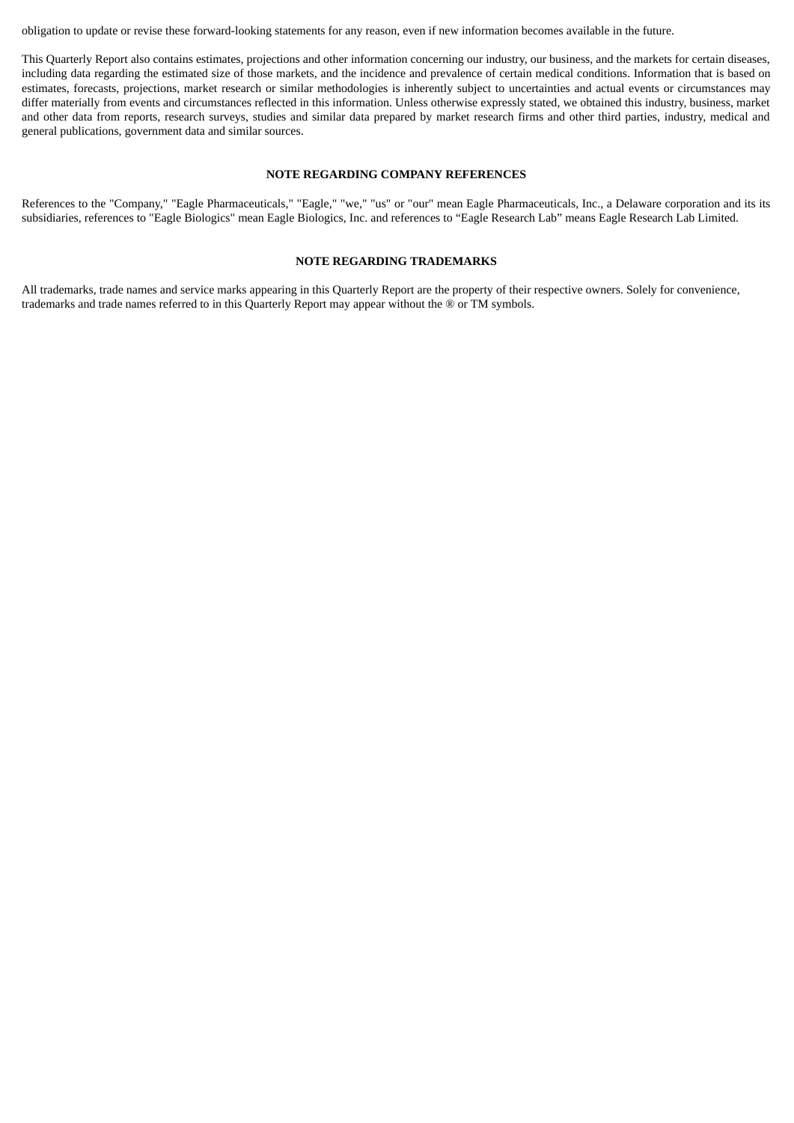obligation to update or revise these forward-looking statements for any reason, even if new information becomes available in the future.

This Quarterly Report also contains estimates, projections and other information concerning our industry, our business, and the markets for certain diseases, including data regarding the estimated size of those markets, and the incidence and prevalence of certain medical conditions. Information that is based on estimates, forecasts, projections, market research or similar methodologies is inherently subject to uncertainties and actual events or circumstances may differ materially from events and circumstances reflected in this information. Unless otherwise expressly stated, we obtained this industry, business, market and other data from reports, research surveys, studies and similar data prepared by market research firms and other third parties, industry, medical and general publications, government data and similar sources.

#### **NOTE REGARDING COMPANY REFERENCES**

References to the "Company," "Eagle Pharmaceuticals," "Eagle," "we," "us" or "our" mean Eagle Pharmaceuticals, Inc., a Delaware corporation and its its subsidiaries, references to "Eagle Biologics" mean Eagle Biologics, Inc. and references to "Eagle Research Lab" means Eagle Research Lab Limited.

#### **NOTE REGARDING TRADEMARKS**

All trademarks, trade names and service marks appearing in this Quarterly Report are the property of their respective owners. Solely for convenience, trademarks and trade names referred to in this Quarterly Report may appear without the ® or TM symbols.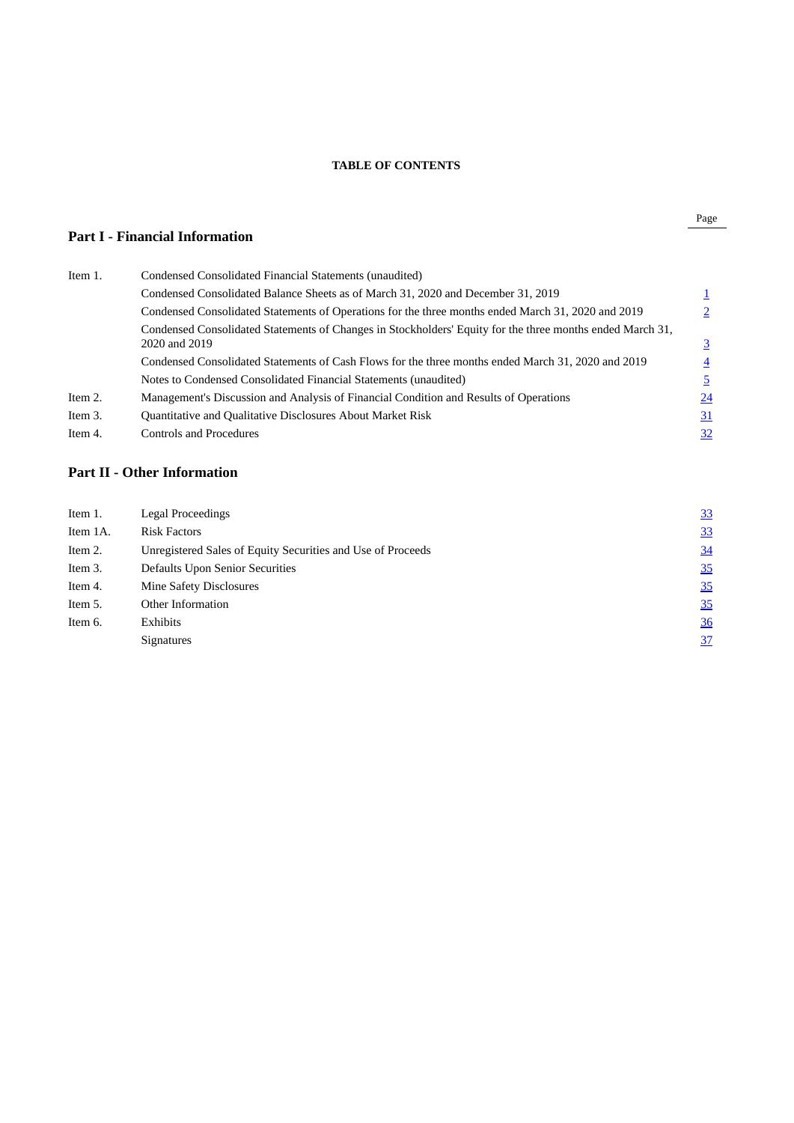# **TABLE OF CONTENTS**

# **Part I - Financial Information**

| Item 1. | Condensed Consolidated Financial Statements (unaudited)                                                                    |                 |
|---------|----------------------------------------------------------------------------------------------------------------------------|-----------------|
|         | Condensed Consolidated Balance Sheets as of March 31, 2020 and December 31, 2019                                           |                 |
|         | Condensed Consolidated Statements of Operations for the three months ended March 31, 2020 and 2019                         | $\overline{2}$  |
|         | Condensed Consolidated Statements of Changes in Stockholders' Equity for the three months ended March 31,<br>2020 and 2019 | 3               |
|         | Condensed Consolidated Statements of Cash Flows for the three months ended March 31, 2020 and 2019                         | 4               |
|         | Notes to Condensed Consolidated Financial Statements (unaudited)                                                           | $5\overline{a}$ |
| Item 2. | Management's Discussion and Analysis of Financial Condition and Results of Operations                                      | 24              |
| Item 3. | Quantitative and Qualitative Disclosures About Market Risk                                                                 | <u>31</u>       |
| Item 4. | <b>Controls and Procedures</b>                                                                                             | <u>32</u>       |

# **Part II - Other Information**

| Item 1.  | Legal Proceedings                                           | 33 |
|----------|-------------------------------------------------------------|----|
| Item 1A. | <b>Risk Factors</b>                                         | 33 |
| Item 2.  | Unregistered Sales of Equity Securities and Use of Proceeds | 34 |
| Item 3.  | Defaults Upon Senior Securities                             | 35 |
| Item 4.  | Mine Safety Disclosures                                     | 35 |
| Item 5.  | Other Information                                           | 35 |
| Item 6.  | Exhibits                                                    | 36 |
|          | <b>Signatures</b>                                           | 37 |
|          |                                                             |    |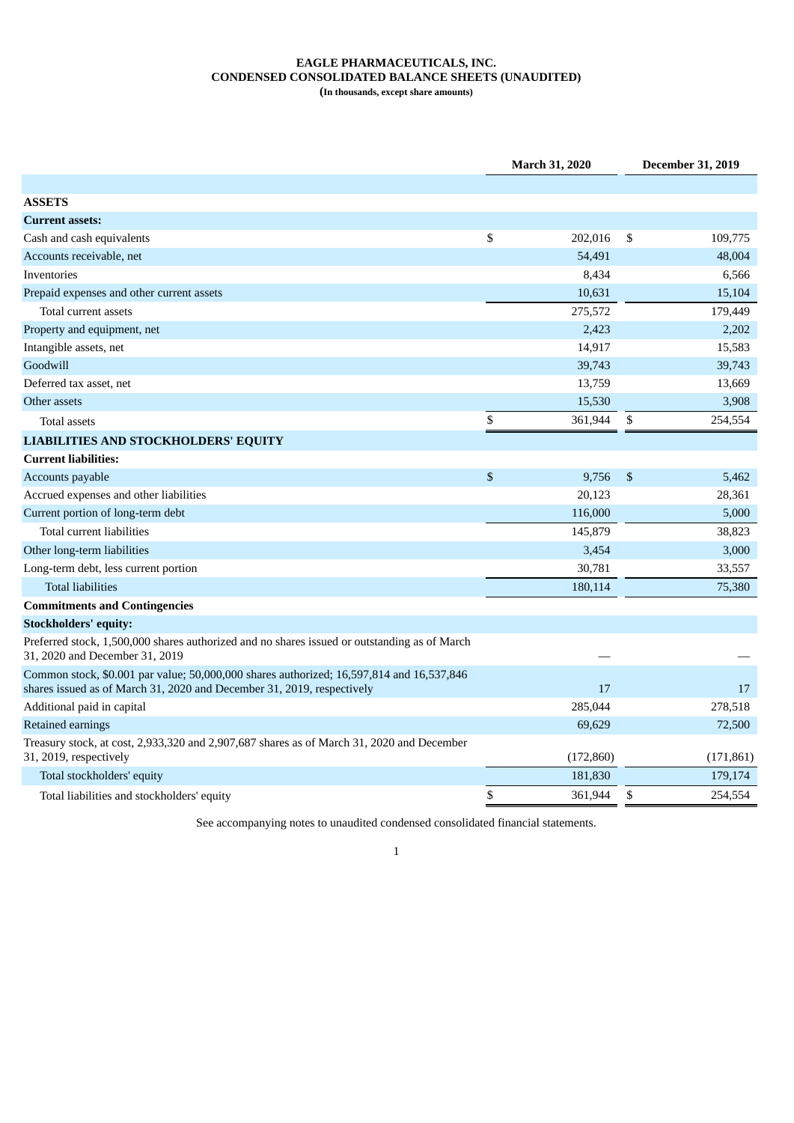# **EAGLE PHARMACEUTICALS, INC. CONDENSED CONSOLIDATED BALANCE SHEETS (UNAUDITED)**

**(In thousands, except share amounts)**

<span id="page-4-0"></span>

|                                                                                                                                                                    | <b>March 31, 2020</b> |            | <b>December 31, 2019</b> |            |
|--------------------------------------------------------------------------------------------------------------------------------------------------------------------|-----------------------|------------|--------------------------|------------|
|                                                                                                                                                                    |                       |            |                          |            |
| <b>ASSETS</b>                                                                                                                                                      |                       |            |                          |            |
| <b>Current assets:</b>                                                                                                                                             |                       |            |                          |            |
| Cash and cash equivalents                                                                                                                                          | \$                    | 202,016    | \$                       | 109,775    |
| Accounts receivable, net                                                                                                                                           |                       | 54,491     |                          | 48,004     |
| Inventories                                                                                                                                                        |                       | 8,434      |                          | 6,566      |
| Prepaid expenses and other current assets                                                                                                                          |                       | 10,631     |                          | 15,104     |
| Total current assets                                                                                                                                               |                       | 275,572    |                          | 179,449    |
| Property and equipment, net                                                                                                                                        |                       | 2,423      |                          | 2,202      |
| Intangible assets, net                                                                                                                                             |                       | 14,917     |                          | 15,583     |
| Goodwill                                                                                                                                                           |                       | 39,743     |                          | 39,743     |
| Deferred tax asset, net                                                                                                                                            |                       | 13,759     |                          | 13,669     |
| Other assets                                                                                                                                                       |                       | 15,530     |                          | 3,908      |
| <b>Total assets</b>                                                                                                                                                | \$                    | 361,944    | \$                       | 254,554    |
| <b>LIABILITIES AND STOCKHOLDERS' EQUITY</b>                                                                                                                        |                       |            |                          |            |
| <b>Current liabilities:</b>                                                                                                                                        |                       |            |                          |            |
| Accounts payable                                                                                                                                                   | $\$$                  | 9,756      | \$                       | 5,462      |
| Accrued expenses and other liabilities                                                                                                                             |                       | 20,123     |                          | 28,361     |
| Current portion of long-term debt                                                                                                                                  |                       | 116,000    |                          | 5,000      |
| Total current liabilities                                                                                                                                          |                       | 145,879    |                          | 38,823     |
| Other long-term liabilities                                                                                                                                        |                       | 3,454      |                          | 3,000      |
| Long-term debt, less current portion                                                                                                                               |                       | 30,781     |                          | 33,557     |
| <b>Total liabilities</b>                                                                                                                                           |                       | 180,114    |                          | 75,380     |
| <b>Commitments and Contingencies</b>                                                                                                                               |                       |            |                          |            |
| <b>Stockholders' equity:</b>                                                                                                                                       |                       |            |                          |            |
| Preferred stock, 1,500,000 shares authorized and no shares issued or outstanding as of March<br>31, 2020 and December 31, 2019                                     |                       |            |                          |            |
| Common stock, \$0.001 par value; 50,000,000 shares authorized; 16,597,814 and 16,537,846<br>shares issued as of March 31, 2020 and December 31, 2019, respectively |                       | 17         |                          | 17         |
| Additional paid in capital                                                                                                                                         |                       | 285,044    |                          | 278,518    |
| Retained earnings                                                                                                                                                  |                       | 69,629     |                          | 72,500     |
| Treasury stock, at cost, 2,933,320 and 2,907,687 shares as of March 31, 2020 and December<br>31, 2019, respectively                                                |                       | (172, 860) |                          | (171, 861) |
| Total stockholders' equity                                                                                                                                         |                       | 181,830    |                          | 179,174    |
| Total liabilities and stockholders' equity                                                                                                                         | \$                    | 361,944    | \$                       | 254,554    |

See accompanying notes to unaudited condensed consolidated financial statements.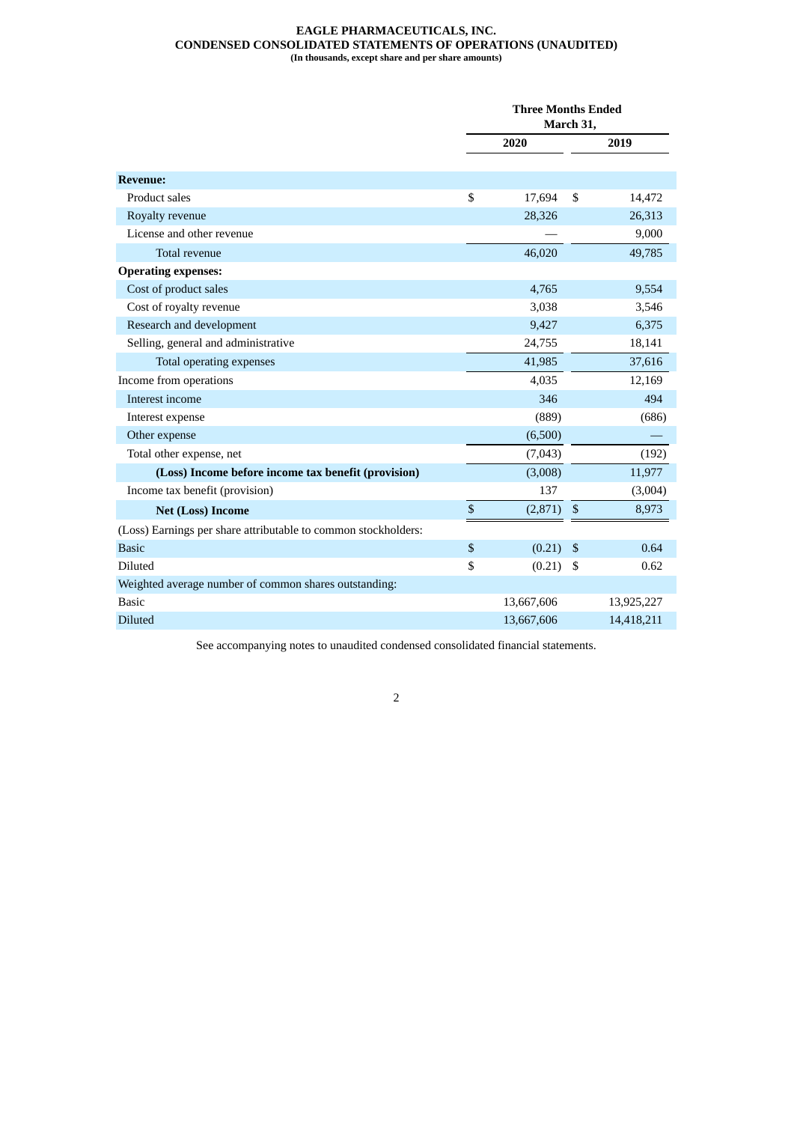#### **EAGLE PHARMACEUTICALS, INC. CONDENSED CONSOLIDATED STATEMENTS OF OPERATIONS (UNAUDITED) (In thousands, except share and per share amounts)**

<span id="page-5-0"></span>

|                                                                | <b>Three Months Ended</b><br>March 31, |            |               |            |
|----------------------------------------------------------------|----------------------------------------|------------|---------------|------------|
|                                                                |                                        | 2020       |               | 2019       |
|                                                                |                                        |            |               |            |
| <b>Revenue:</b>                                                |                                        |            |               |            |
| <b>Product sales</b>                                           | \$                                     | 17,694     | \$            | 14,472     |
| Royalty revenue                                                |                                        | 28,326     |               | 26,313     |
| License and other revenue                                      |                                        |            |               | 9,000      |
| <b>Total revenue</b>                                           |                                        | 46,020     |               | 49,785     |
| <b>Operating expenses:</b>                                     |                                        |            |               |            |
| Cost of product sales                                          |                                        | 4,765      |               | 9,554      |
| Cost of royalty revenue                                        |                                        | 3,038      |               | 3,546      |
| Research and development                                       |                                        | 9,427      |               | 6,375      |
| Selling, general and administrative                            |                                        | 24,755     |               | 18,141     |
| Total operating expenses                                       |                                        | 41,985     |               | 37,616     |
| Income from operations                                         |                                        | 4,035      |               | 12,169     |
| Interest income                                                |                                        | 346        |               | 494        |
| Interest expense                                               |                                        | (889)      |               | (686)      |
| Other expense                                                  |                                        | (6,500)    |               |            |
| Total other expense, net                                       |                                        | (7,043)    |               | (192)      |
| (Loss) Income before income tax benefit (provision)            |                                        | (3,008)    |               | 11,977     |
| Income tax benefit (provision)                                 |                                        | 137        |               | (3,004)    |
| <b>Net (Loss) Income</b>                                       | \$                                     | (2,871)    | \$            | 8,973      |
| (Loss) Earnings per share attributable to common stockholders: |                                        |            |               |            |
| <b>Basic</b>                                                   | \$                                     | (0.21)     | $\mathcal{S}$ | 0.64       |
| <b>Diluted</b>                                                 | \$                                     | (0.21)     | \$            | 0.62       |
| Weighted average number of common shares outstanding:          |                                        |            |               |            |
| <b>Basic</b>                                                   |                                        | 13,667,606 |               | 13,925,227 |
| <b>Diluted</b>                                                 |                                        | 13,667,606 |               | 14,418,211 |

See accompanying notes to unaudited condensed consolidated financial statements.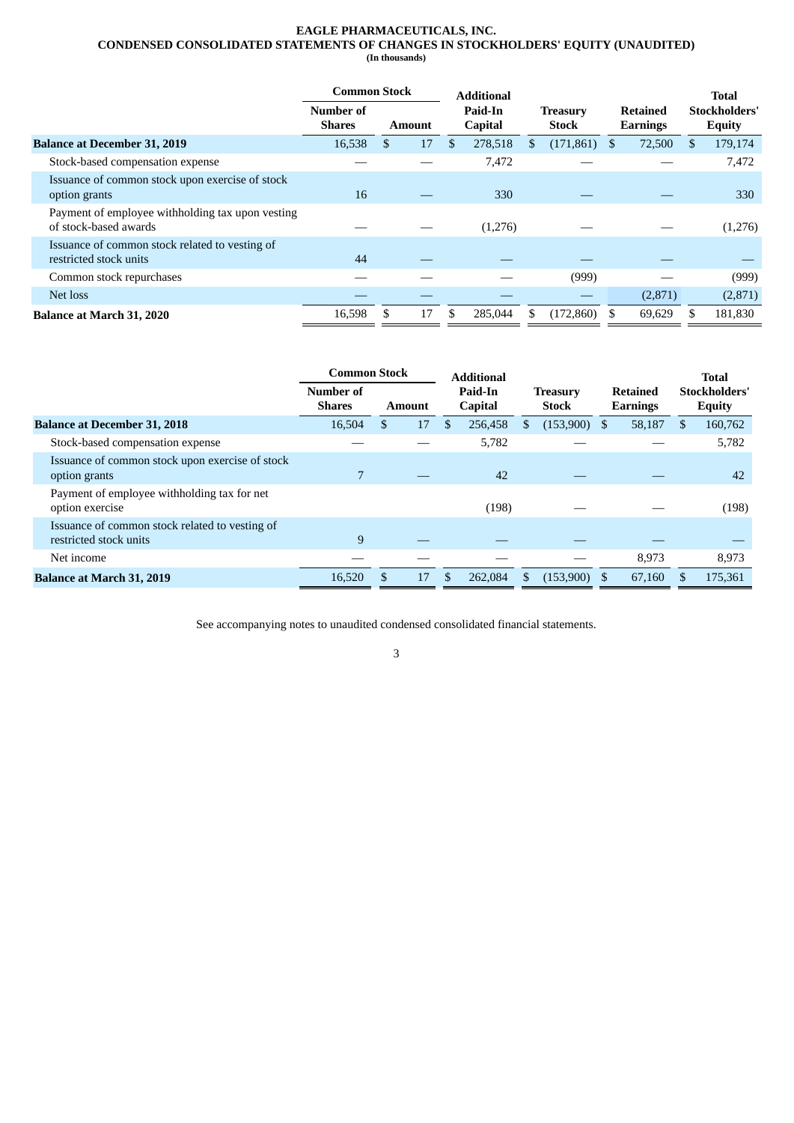### **EAGLE PHARMACEUTICALS, INC.**

#### **CONDENSED CONSOLIDATED STATEMENTS OF CHANGES IN STOCKHOLDERS' EQUITY (UNAUDITED)**

**(In thousands)**

<span id="page-6-0"></span>

|                                                                           | <b>Common Stock</b>        |     |        | <b>Additional</b> |                           |   |                                 |                             |     | <b>Total</b>                          |
|---------------------------------------------------------------------------|----------------------------|-----|--------|-------------------|---------------------------|---|---------------------------------|-----------------------------|-----|---------------------------------------|
|                                                                           | Number of<br><b>Shares</b> |     | Amount |                   | Paid-In<br><b>Capital</b> |   | <b>Treasury</b><br><b>Stock</b> | Retained<br><b>Earnings</b> |     | <b>Stockholders'</b><br><b>Equity</b> |
| <b>Balance at December 31, 2019</b>                                       | 16,538                     | \$. | 17     | S                 | 278,518                   | S | (171, 861)                      | \$<br>72,500                | \$. | 179,174                               |
| Stock-based compensation expense                                          |                            |     |        |                   | 7,472                     |   |                                 |                             |     | 7,472                                 |
| Issuance of common stock upon exercise of stock<br>option grants          | 16                         |     |        |                   | 330                       |   |                                 |                             |     | <b>330</b>                            |
| Payment of employee withholding tax upon vesting<br>of stock-based awards |                            |     |        |                   | (1,276)                   |   |                                 |                             |     | (1,276)                               |
| Issuance of common stock related to vesting of<br>restricted stock units  | 44                         |     |        |                   |                           |   |                                 |                             |     |                                       |
| Common stock repurchases                                                  |                            |     |        |                   |                           |   | (999)                           |                             |     | (999)                                 |
| Net loss                                                                  |                            |     |        |                   |                           |   |                                 | (2,871)                     |     | (2,871)                               |
| <b>Balance at March 31, 2020</b>                                          | 16,598                     |     | 17     | \$                | 285,044                   | S | (172,860)                       | 69,629                      |     | 181,830                               |

|                                                                          | <b>Common Stock</b>        |           | <b>Additional</b>         |                                 |                                    | <b>Total</b>                   |
|--------------------------------------------------------------------------|----------------------------|-----------|---------------------------|---------------------------------|------------------------------------|--------------------------------|
|                                                                          | Number of<br><b>Shares</b> | Amount    | Paid-In<br><b>Capital</b> | <b>Treasury</b><br><b>Stock</b> | <b>Retained</b><br><b>Earnings</b> | Stockholders'<br><b>Equity</b> |
| <b>Balance at December 31, 2018</b>                                      | 16,504                     | 17<br>S   | 256,458<br>\$.            | (153,900)<br>S                  | 58,187<br>- \$                     | 160,762<br>\$                  |
| Stock-based compensation expense                                         |                            |           | 5,782                     |                                 |                                    | 5,782                          |
| Issuance of common stock upon exercise of stock<br>option grants         | 7                          |           | 42                        |                                 |                                    | 42                             |
| Payment of employee withholding tax for net<br>option exercise           |                            |           | (198)                     |                                 |                                    | (198)                          |
| Issuance of common stock related to vesting of<br>restricted stock units | 9                          |           |                           |                                 |                                    |                                |
| Net income                                                               |                            |           |                           |                                 | 8,973                              | 8,973                          |
| <b>Balance at March 31, 2019</b>                                         | 16,520                     | 17<br>\$. | \$.<br>262,084            | (153,900)<br>\$.                | 67,160<br>- \$                     | 175,361                        |

See accompanying notes to unaudited condensed consolidated financial statements.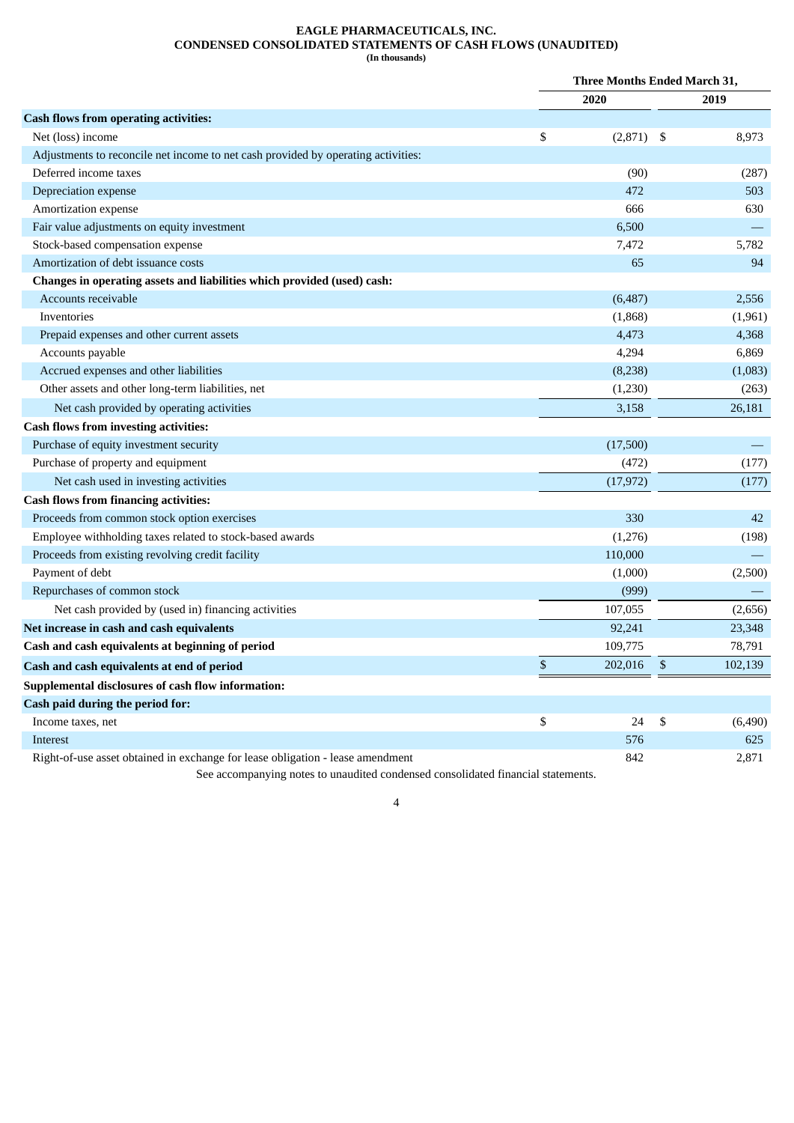#### **EAGLE PHARMACEUTICALS, INC. CONDENSED CONSOLIDATED STATEMENTS OF CASH FLOWS (UNAUDITED) (In thousands)**

<span id="page-7-0"></span>

|                                                                                   |      | <b>Three Months Ended March 31,</b> |    |         |
|-----------------------------------------------------------------------------------|------|-------------------------------------|----|---------|
|                                                                                   |      | 2020                                |    | 2019    |
| <b>Cash flows from operating activities:</b>                                      |      |                                     |    |         |
| Net (loss) income                                                                 | \$   | $(2,871)$ \$                        |    | 8,973   |
| Adjustments to reconcile net income to net cash provided by operating activities: |      |                                     |    |         |
| Deferred income taxes                                                             |      | (90)                                |    | (287)   |
| Depreciation expense                                                              |      | 472                                 |    | 503     |
| Amortization expense                                                              |      | 666                                 |    | 630     |
| Fair value adjustments on equity investment                                       |      | 6,500                               |    |         |
| Stock-based compensation expense                                                  |      | 7,472                               |    | 5,782   |
| Amortization of debt issuance costs                                               |      | 65                                  |    | 94      |
| Changes in operating assets and liabilities which provided (used) cash:           |      |                                     |    |         |
| Accounts receivable                                                               |      | (6, 487)                            |    | 2,556   |
| Inventories                                                                       |      | (1,868)                             |    | (1,961) |
| Prepaid expenses and other current assets                                         |      | 4,473                               |    | 4,368   |
| Accounts payable                                                                  |      | 4,294                               |    | 6,869   |
| Accrued expenses and other liabilities                                            |      | (8,238)                             |    | (1,083) |
| Other assets and other long-term liabilities, net                                 |      | (1,230)                             |    | (263)   |
| Net cash provided by operating activities                                         |      | 3,158                               |    | 26,181  |
| <b>Cash flows from investing activities:</b>                                      |      |                                     |    |         |
| Purchase of equity investment security                                            |      | (17,500)                            |    |         |
| Purchase of property and equipment                                                |      | (472)                               |    | (177)   |
| Net cash used in investing activities                                             |      | (17, 972)                           |    | (177)   |
| <b>Cash flows from financing activities:</b>                                      |      |                                     |    |         |
| Proceeds from common stock option exercises                                       |      | 330                                 |    | 42      |
| Employee withholding taxes related to stock-based awards                          |      | (1,276)                             |    | (198)   |
| Proceeds from existing revolving credit facility                                  |      | 110,000                             |    |         |
| Payment of debt                                                                   |      | (1,000)                             |    | (2,500) |
| Repurchases of common stock                                                       |      | (999)                               |    |         |
| Net cash provided by (used in) financing activities                               |      | 107,055                             |    | (2,656) |
| Net increase in cash and cash equivalents                                         |      | 92,241                              |    | 23,348  |
| Cash and cash equivalents at beginning of period                                  |      | 109,775                             |    | 78,791  |
| Cash and cash equivalents at end of period                                        | $\$$ | 202,016                             | \$ | 102,139 |
| Supplemental disclosures of cash flow information:                                |      |                                     |    |         |
| Cash paid during the period for:                                                  |      |                                     |    |         |
| Income taxes, net                                                                 | \$   | 24                                  | \$ | (6,490) |
| Interest                                                                          |      | 576                                 |    | 625     |
| Right-of-use asset obtained in exchange for lease obligation - lease amendment    |      | 842                                 |    | 2,871   |

See accompanying notes to unaudited condensed consolidated financial statements.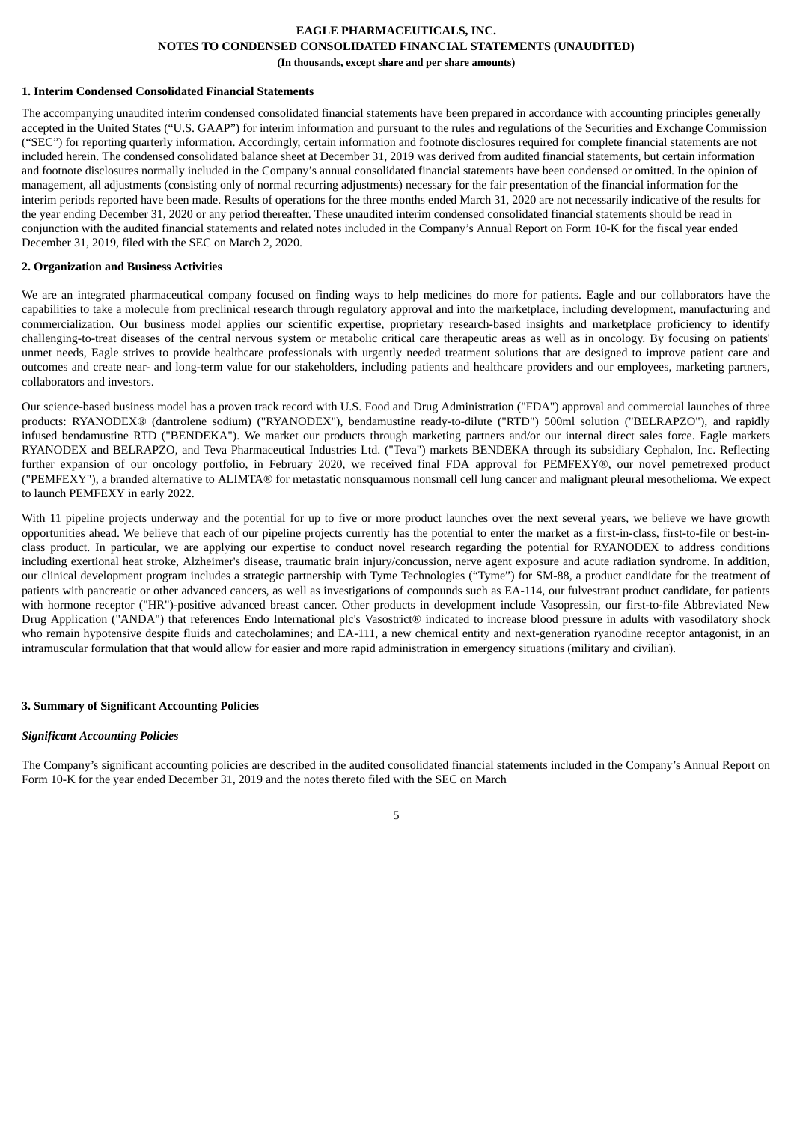# **EAGLE PHARMACEUTICALS, INC.**

**NOTES TO CONDENSED CONSOLIDATED FINANCIAL STATEMENTS (UNAUDITED)**

**(In thousands, except share and per share amounts)**

#### <span id="page-8-0"></span>**1. Interim Condensed Consolidated Financial Statements**

The accompanying unaudited interim condensed consolidated financial statements have been prepared in accordance with accounting principles generally accepted in the United States ("U.S. GAAP") for interim information and pursuant to the rules and regulations of the Securities and Exchange Commission ("SEC") for reporting quarterly information. Accordingly, certain information and footnote disclosures required for complete financial statements are not included herein. The condensed consolidated balance sheet at December 31, 2019 was derived from audited financial statements, but certain information and footnote disclosures normally included in the Company's annual consolidated financial statements have been condensed or omitted. In the opinion of management, all adjustments (consisting only of normal recurring adjustments) necessary for the fair presentation of the financial information for the interim periods reported have been made. Results of operations for the three months ended March 31, 2020 are not necessarily indicative of the results for the year ending December 31, 2020 or any period thereafter. These unaudited interim condensed consolidated financial statements should be read in conjunction with the audited financial statements and related notes included in the Company's Annual Report on Form 10-K for the fiscal year ended December 31, 2019, filed with the SEC on March 2, 2020.

#### **2. Organization and Business Activities**

We are an integrated pharmaceutical company focused on finding ways to help medicines do more for patients. Eagle and our collaborators have the capabilities to take a molecule from preclinical research through regulatory approval and into the marketplace, including development, manufacturing and commercialization. Our business model applies our scientific expertise, proprietary research-based insights and marketplace proficiency to identify challenging-to-treat diseases of the central nervous system or metabolic critical care therapeutic areas as well as in oncology. By focusing on patients' unmet needs, Eagle strives to provide healthcare professionals with urgently needed treatment solutions that are designed to improve patient care and outcomes and create near- and long-term value for our stakeholders, including patients and healthcare providers and our employees, marketing partners, collaborators and investors.

Our science-based business model has a proven track record with U.S. Food and Drug Administration ("FDA") approval and commercial launches of three products: RYANODEX® (dantrolene sodium) ("RYANODEX"), bendamustine ready-to-dilute ("RTD") 500ml solution ("BELRAPZO"), and rapidly infused bendamustine RTD ("BENDEKA"). We market our products through marketing partners and/or our internal direct sales force. Eagle markets RYANODEX and BELRAPZO, and Teva Pharmaceutical Industries Ltd. ("Teva") markets BENDEKA through its subsidiary Cephalon, Inc. Reflecting further expansion of our oncology portfolio, in February 2020, we received final FDA approval for PEMFEXY®, our novel pemetrexed product ("PEMFEXY"), a branded alternative to ALIMTA® for metastatic nonsquamous nonsmall cell lung cancer and malignant pleural mesothelioma. We expect to launch PEMFEXY in early 2022.

With 11 pipeline projects underway and the potential for up to five or more product launches over the next several years, we believe we have growth opportunities ahead. We believe that each of our pipeline projects currently has the potential to enter the market as a first-in-class, first-to-file or best-inclass product. In particular, we are applying our expertise to conduct novel research regarding the potential for RYANODEX to address conditions including exertional heat stroke, Alzheimer's disease, traumatic brain injury/concussion, nerve agent exposure and acute radiation syndrome. In addition, our clinical development program includes a strategic partnership with Tyme Technologies ("Tyme") for SM-88, a product candidate for the treatment of patients with pancreatic or other advanced cancers, as well as investigations of compounds such as EA-114, our fulvestrant product candidate, for patients with hormone receptor ("HR")-positive advanced breast cancer. Other products in development include Vasopressin, our first-to-file Abbreviated New Drug Application ("ANDA") that references Endo International plc's Vasostrict® indicated to increase blood pressure in adults with vasodilatory shock who remain hypotensive despite fluids and catecholamines; and EA-111, a new chemical entity and next-generation ryanodine receptor antagonist, in an intramuscular formulation that that would allow for easier and more rapid administration in emergency situations (military and civilian).

### **3. Summary of Significant Accounting Policies**

#### *Significant Accounting Policies*

The Company's significant accounting policies are described in the audited consolidated financial statements included in the Company's Annual Report on Form 10-K for the year ended December 31, 2019 and the notes thereto filed with the SEC on March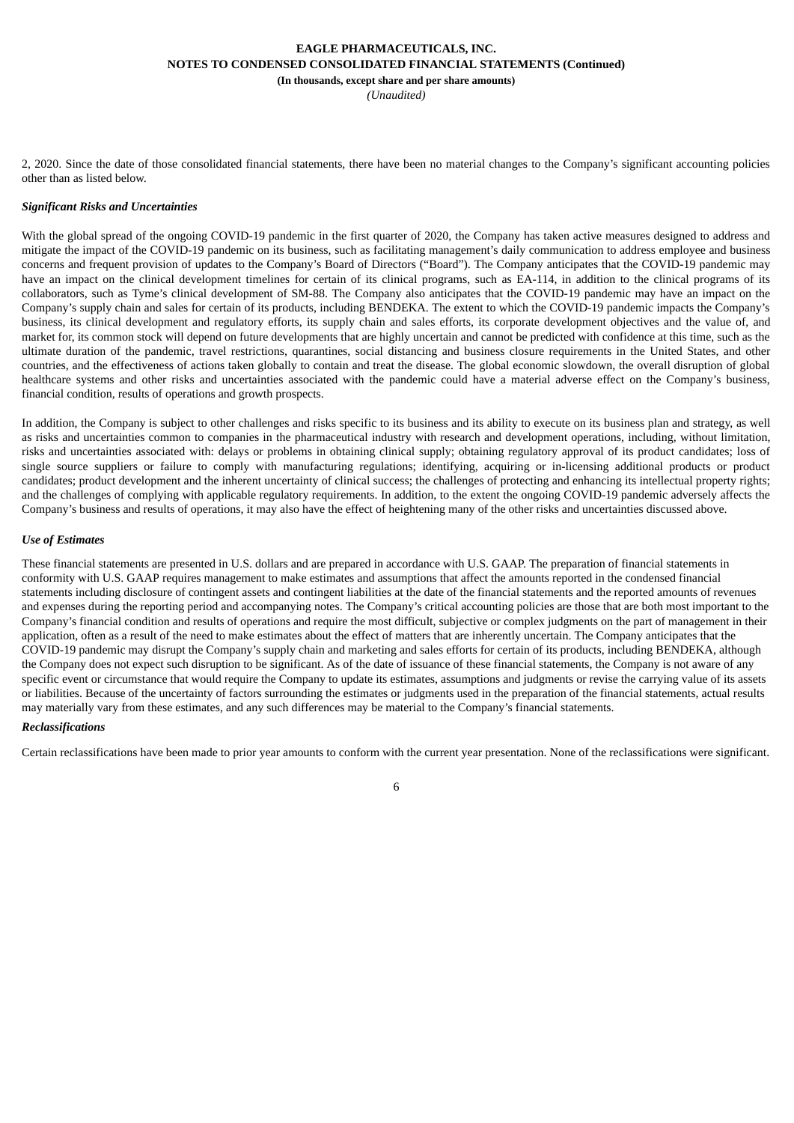**(In thousands, except share and per share amounts)**

*(Unaudited)*

2, 2020. Since the date of those consolidated financial statements, there have been no material changes to the Company's significant accounting policies other than as listed below.

### *Significant Risks and Uncertainties*

With the global spread of the ongoing COVID-19 pandemic in the first quarter of 2020, the Company has taken active measures designed to address and mitigate the impact of the COVID-19 pandemic on its business, such as facilitating management's daily communication to address employee and business concerns and frequent provision of updates to the Company's Board of Directors ("Board"). The Company anticipates that the COVID-19 pandemic may have an impact on the clinical development timelines for certain of its clinical programs, such as EA-114, in addition to the clinical programs of its collaborators, such as Tyme's clinical development of SM-88. The Company also anticipates that the COVID-19 pandemic may have an impact on the Company's supply chain and sales for certain of its products, including BENDEKA. The extent to which the COVID-19 pandemic impacts the Company's business, its clinical development and regulatory efforts, its supply chain and sales efforts, its corporate development objectives and the value of, and market for, its common stock will depend on future developments that are highly uncertain and cannot be predicted with confidence at this time, such as the ultimate duration of the pandemic, travel restrictions, quarantines, social distancing and business closure requirements in the United States, and other countries, and the effectiveness of actions taken globally to contain and treat the disease. The global economic slowdown, the overall disruption of global healthcare systems and other risks and uncertainties associated with the pandemic could have a material adverse effect on the Company's business, financial condition, results of operations and growth prospects.

In addition, the Company is subject to other challenges and risks specific to its business and its ability to execute on its business plan and strategy, as well as risks and uncertainties common to companies in the pharmaceutical industry with research and development operations, including, without limitation, risks and uncertainties associated with: delays or problems in obtaining clinical supply; obtaining regulatory approval of its product candidates; loss of single source suppliers or failure to comply with manufacturing regulations; identifying, acquiring or in-licensing additional products or product candidates; product development and the inherent uncertainty of clinical success; the challenges of protecting and enhancing its intellectual property rights; and the challenges of complying with applicable regulatory requirements. In addition, to the extent the ongoing COVID-19 pandemic adversely affects the Company's business and results of operations, it may also have the effect of heightening many of the other risks and uncertainties discussed above.

### *Use of Estimates*

These financial statements are presented in U.S. dollars and are prepared in accordance with U.S. GAAP. The preparation of financial statements in conformity with U.S. GAAP requires management to make estimates and assumptions that affect the amounts reported in the condensed financial statements including disclosure of contingent assets and contingent liabilities at the date of the financial statements and the reported amounts of revenues and expenses during the reporting period and accompanying notes. The Company's critical accounting policies are those that are both most important to the Company's financial condition and results of operations and require the most difficult, subjective or complex judgments on the part of management in their application, often as a result of the need to make estimates about the effect of matters that are inherently uncertain. The Company anticipates that the COVID-19 pandemic may disrupt the Company's supply chain and marketing and sales efforts for certain of its products, including BENDEKA, although the Company does not expect such disruption to be significant. As of the date of issuance of these financial statements, the Company is not aware of any specific event or circumstance that would require the Company to update its estimates, assumptions and judgments or revise the carrying value of its assets or liabilities. Because of the uncertainty of factors surrounding the estimates or judgments used in the preparation of the financial statements, actual results may materially vary from these estimates, and any such differences may be material to the Company's financial statements.

#### *Reclassifications*

Certain reclassifications have been made to prior year amounts to conform with the current year presentation. None of the reclassifications were significant.

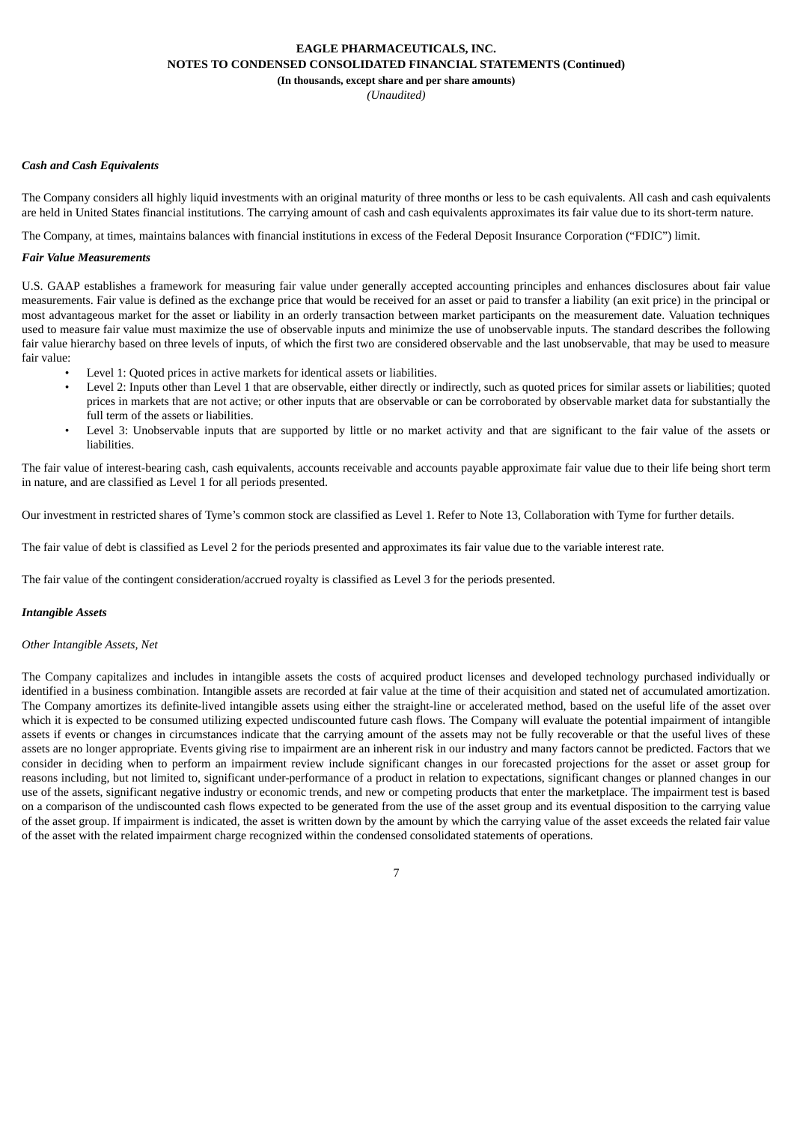**(In thousands, except share and per share amounts)**

# *(Unaudited)*

### *Cash and Cash Equivalents*

The Company considers all highly liquid investments with an original maturity of three months or less to be cash equivalents. All cash and cash equivalents are held in United States financial institutions. The carrying amount of cash and cash equivalents approximates its fair value due to its short-term nature.

The Company, at times, maintains balances with financial institutions in excess of the Federal Deposit Insurance Corporation ("FDIC") limit.

#### *Fair Value Measurements*

U.S. GAAP establishes a framework for measuring fair value under generally accepted accounting principles and enhances disclosures about fair value measurements. Fair value is defined as the exchange price that would be received for an asset or paid to transfer a liability (an exit price) in the principal or most advantageous market for the asset or liability in an orderly transaction between market participants on the measurement date. Valuation techniques used to measure fair value must maximize the use of observable inputs and minimize the use of unobservable inputs. The standard describes the following fair value hierarchy based on three levels of inputs, of which the first two are considered observable and the last unobservable, that may be used to measure fair value:

- Level 1: Quoted prices in active markets for identical assets or liabilities.
- Level 2: Inputs other than Level 1 that are observable, either directly or indirectly, such as quoted prices for similar assets or liabilities; quoted prices in markets that are not active; or other inputs that are observable or can be corroborated by observable market data for substantially the full term of the assets or liabilities.
- Level 3: Unobservable inputs that are supported by little or no market activity and that are significant to the fair value of the assets or liabilities.

The fair value of interest-bearing cash, cash equivalents, accounts receivable and accounts payable approximate fair value due to their life being short term in nature, and are classified as Level 1 for all periods presented.

Our investment in restricted shares of Tyme's common stock are classified as Level 1. Refer to Note 13, Collaboration with Tyme for further details.

The fair value of debt is classified as Level 2 for the periods presented and approximates its fair value due to the variable interest rate.

The fair value of the contingent consideration/accrued royalty is classified as Level 3 for the periods presented.

#### *Intangible Assets*

#### *Other Intangible Assets, Net*

The Company capitalizes and includes in intangible assets the costs of acquired product licenses and developed technology purchased individually or identified in a business combination. Intangible assets are recorded at fair value at the time of their acquisition and stated net of accumulated amortization. The Company amortizes its definite-lived intangible assets using either the straight-line or accelerated method, based on the useful life of the asset over which it is expected to be consumed utilizing expected undiscounted future cash flows. The Company will evaluate the potential impairment of intangible assets if events or changes in circumstances indicate that the carrying amount of the assets may not be fully recoverable or that the useful lives of these assets are no longer appropriate. Events giving rise to impairment are an inherent risk in our industry and many factors cannot be predicted. Factors that we consider in deciding when to perform an impairment review include significant changes in our forecasted projections for the asset or asset group for reasons including, but not limited to, significant under-performance of a product in relation to expectations, significant changes or planned changes in our use of the assets, significant negative industry or economic trends, and new or competing products that enter the marketplace. The impairment test is based on a comparison of the undiscounted cash flows expected to be generated from the use of the asset group and its eventual disposition to the carrying value of the asset group. If impairment is indicated, the asset is written down by the amount by which the carrying value of the asset exceeds the related fair value of the asset with the related impairment charge recognized within the condensed consolidated statements of operations.

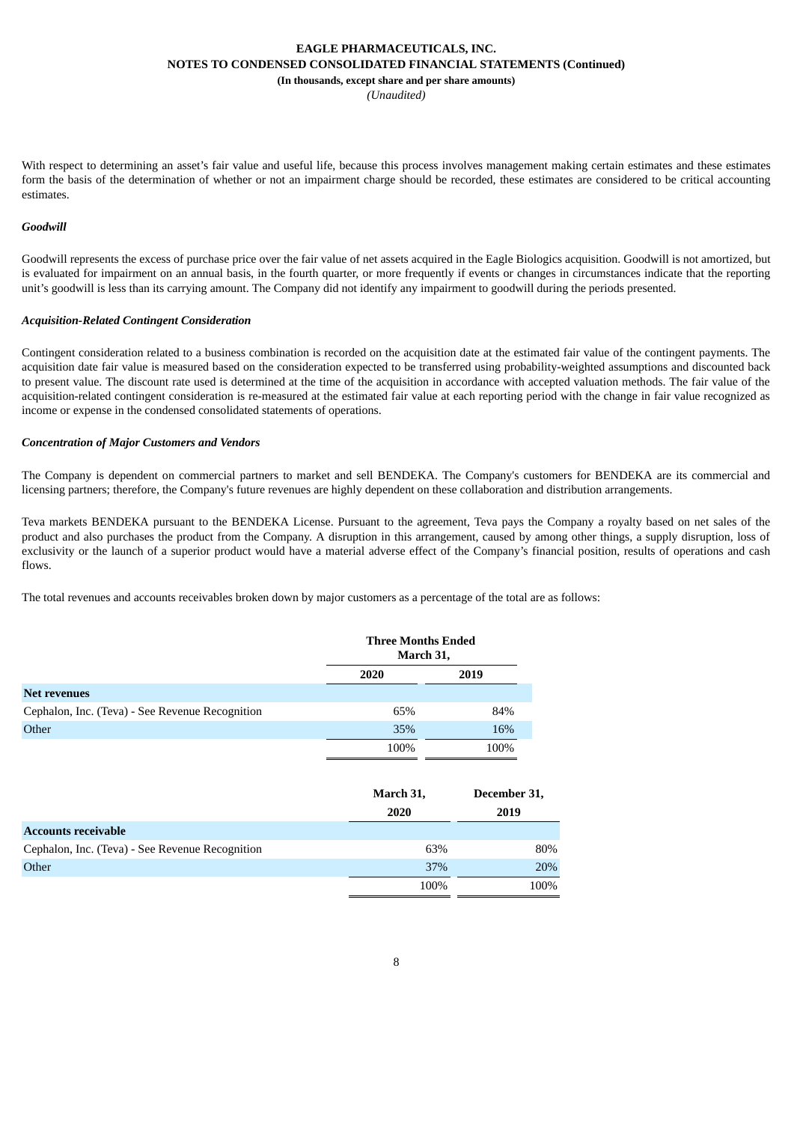**(In thousands, except share and per share amounts)**

*(Unaudited)*

With respect to determining an asset's fair value and useful life, because this process involves management making certain estimates and these estimates form the basis of the determination of whether or not an impairment charge should be recorded, these estimates are considered to be critical accounting estimates.

#### *Goodwill*

Goodwill represents the excess of purchase price over the fair value of net assets acquired in the Eagle Biologics acquisition. Goodwill is not amortized, but is evaluated for impairment on an annual basis, in the fourth quarter, or more frequently if events or changes in circumstances indicate that the reporting unit's goodwill is less than its carrying amount. The Company did not identify any impairment to goodwill during the periods presented.

#### *Acquisition-Related Contingent Consideration*

Contingent consideration related to a business combination is recorded on the acquisition date at the estimated fair value of the contingent payments. The acquisition date fair value is measured based on the consideration expected to be transferred using probability-weighted assumptions and discounted back to present value. The discount rate used is determined at the time of the acquisition in accordance with accepted valuation methods. The fair value of the acquisition-related contingent consideration is re-measured at the estimated fair value at each reporting period with the change in fair value recognized as income or expense in the condensed consolidated statements of operations.

### *Concentration of Major Customers and Vendors*

The Company is dependent on commercial partners to market and sell BENDEKA. The Company's customers for BENDEKA are its commercial and licensing partners; therefore, the Company's future revenues are highly dependent on these collaboration and distribution arrangements.

Teva markets BENDEKA pursuant to the BENDEKA License. Pursuant to the agreement, Teva pays the Company a royalty based on net sales of the product and also purchases the product from the Company. A disruption in this arrangement, caused by among other things, a supply disruption, loss of exclusivity or the launch of a superior product would have a material adverse effect of the Company's financial position, results of operations and cash flows.

The total revenues and accounts receivables broken down by major customers as a percentage of the total are as follows:

|                                                 | <b>Three Months Ended</b><br>March 31, |      |
|-------------------------------------------------|----------------------------------------|------|
|                                                 | <b>2020</b>                            | 2019 |
| <b>Net revenues</b>                             |                                        |      |
| Cephalon, Inc. (Teva) - See Revenue Recognition | 65%                                    | 84%  |
| Other                                           | 35%                                    | 16%  |
|                                                 | 100%                                   | 100% |

|                                                 | March 31,<br>2020 | December 31,<br>2019 |
|-------------------------------------------------|-------------------|----------------------|
| <b>Accounts receivable</b>                      |                   |                      |
| Cephalon, Inc. (Teva) - See Revenue Recognition | 63%               | 80%                  |
| Other                                           | 37%               | 20%                  |
|                                                 | 100%              | 100%                 |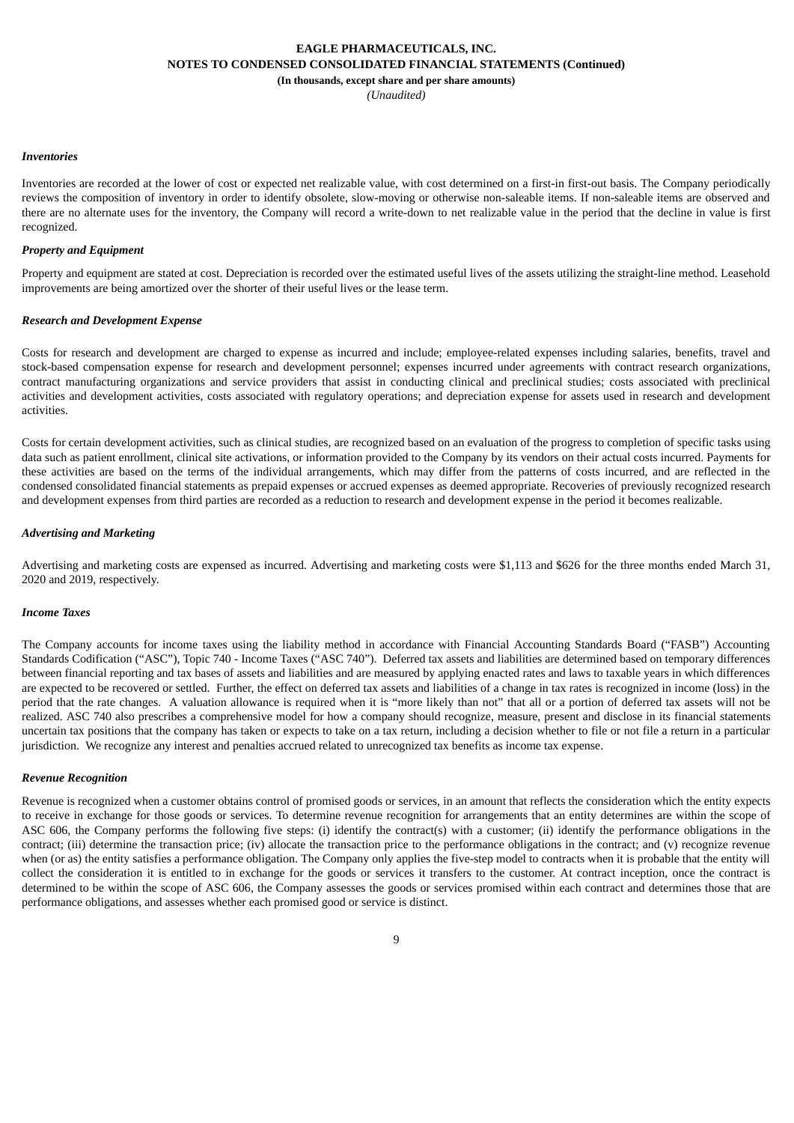**(In thousands, except share and per share amounts)**

*(Unaudited)*

#### *Inventories*

Inventories are recorded at the lower of cost or expected net realizable value, with cost determined on a first-in first-out basis. The Company periodically reviews the composition of inventory in order to identify obsolete, slow-moving or otherwise non-saleable items. If non-saleable items are observed and there are no alternate uses for the inventory, the Company will record a write-down to net realizable value in the period that the decline in value is first recognized.

#### *Property and Equipment*

Property and equipment are stated at cost. Depreciation is recorded over the estimated useful lives of the assets utilizing the straight-line method. Leasehold improvements are being amortized over the shorter of their useful lives or the lease term.

#### *Research and Development Expense*

Costs for research and development are charged to expense as incurred and include; employee-related expenses including salaries, benefits, travel and stock-based compensation expense for research and development personnel; expenses incurred under agreements with contract research organizations, contract manufacturing organizations and service providers that assist in conducting clinical and preclinical studies; costs associated with preclinical activities and development activities, costs associated with regulatory operations; and depreciation expense for assets used in research and development activities.

Costs for certain development activities, such as clinical studies, are recognized based on an evaluation of the progress to completion of specific tasks using data such as patient enrollment, clinical site activations, or information provided to the Company by its vendors on their actual costs incurred. Payments for these activities are based on the terms of the individual arrangements, which may differ from the patterns of costs incurred, and are reflected in the condensed consolidated financial statements as prepaid expenses or accrued expenses as deemed appropriate. Recoveries of previously recognized research and development expenses from third parties are recorded as a reduction to research and development expense in the period it becomes realizable.

#### *Advertising and Marketing*

Advertising and marketing costs are expensed as incurred. Advertising and marketing costs were \$1,113 and \$626 for the three months ended March 31, 2020 and 2019, respectively.

#### *Income Taxes*

The Company accounts for income taxes using the liability method in accordance with Financial Accounting Standards Board ("FASB") Accounting Standards Codification ("ASC"), Topic 740 - Income Taxes ("ASC 740"). Deferred tax assets and liabilities are determined based on temporary differences between financial reporting and tax bases of assets and liabilities and are measured by applying enacted rates and laws to taxable years in which differences are expected to be recovered or settled. Further, the effect on deferred tax assets and liabilities of a change in tax rates is recognized in income (loss) in the period that the rate changes. A valuation allowance is required when it is "more likely than not" that all or a portion of deferred tax assets will not be realized. ASC 740 also prescribes a comprehensive model for how a company should recognize, measure, present and disclose in its financial statements uncertain tax positions that the company has taken or expects to take on a tax return, including a decision whether to file or not file a return in a particular jurisdiction. We recognize any interest and penalties accrued related to unrecognized tax benefits as income tax expense.

#### *Revenue Recognition*

Revenue is recognized when a customer obtains control of promised goods or services, in an amount that reflects the consideration which the entity expects to receive in exchange for those goods or services. To determine revenue recognition for arrangements that an entity determines are within the scope of ASC 606, the Company performs the following five steps: (i) identify the contract(s) with a customer; (ii) identify the performance obligations in the contract; (iii) determine the transaction price; (iv) allocate the transaction price to the performance obligations in the contract; and (v) recognize revenue when (or as) the entity satisfies a performance obligation. The Company only applies the five-step model to contracts when it is probable that the entity will collect the consideration it is entitled to in exchange for the goods or services it transfers to the customer. At contract inception, once the contract is determined to be within the scope of ASC 606, the Company assesses the goods or services promised within each contract and determines those that are performance obligations, and assesses whether each promised good or service is distinct.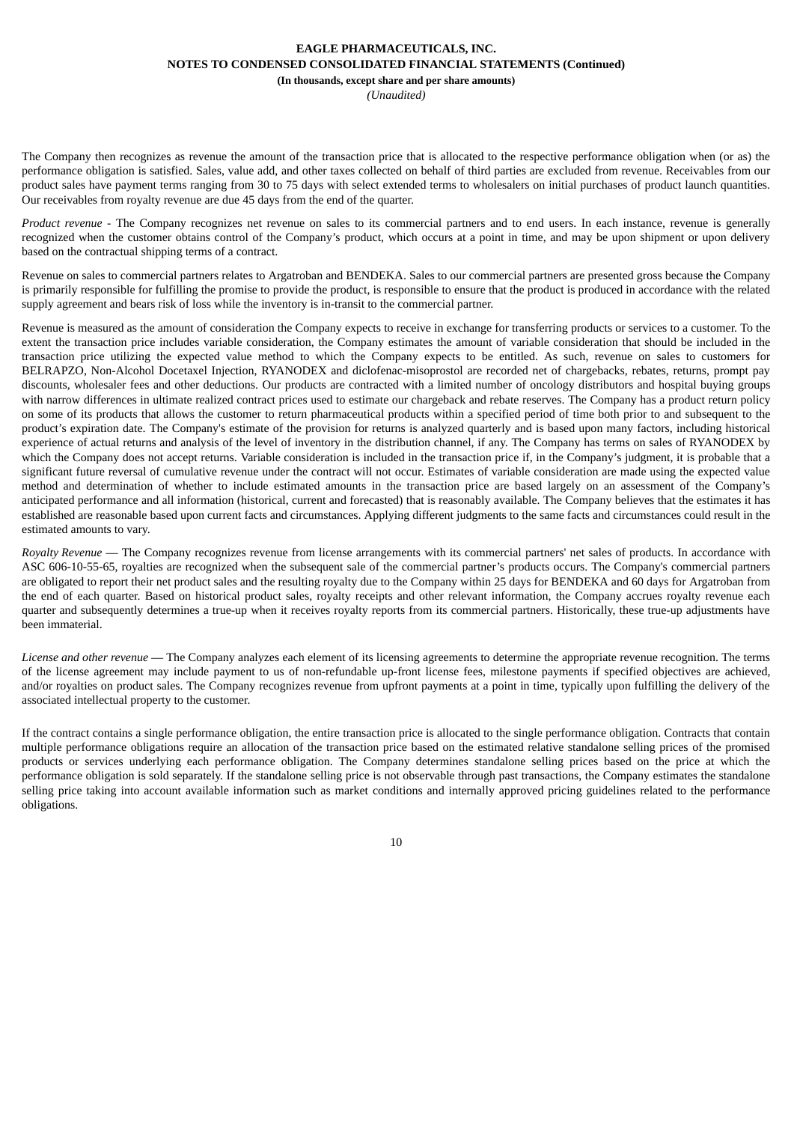**(In thousands, except share and per share amounts)**

*(Unaudited)*

The Company then recognizes as revenue the amount of the transaction price that is allocated to the respective performance obligation when (or as) the performance obligation is satisfied. Sales, value add, and other taxes collected on behalf of third parties are excluded from revenue. Receivables from our product sales have payment terms ranging from 30 to 75 days with select extended terms to wholesalers on initial purchases of product launch quantities. Our receivables from royalty revenue are due 45 days from the end of the quarter.

*Product revenue* - The Company recognizes net revenue on sales to its commercial partners and to end users. In each instance, revenue is generally recognized when the customer obtains control of the Company's product, which occurs at a point in time, and may be upon shipment or upon delivery based on the contractual shipping terms of a contract.

Revenue on sales to commercial partners relates to Argatroban and BENDEKA. Sales to our commercial partners are presented gross because the Company is primarily responsible for fulfilling the promise to provide the product, is responsible to ensure that the product is produced in accordance with the related supply agreement and bears risk of loss while the inventory is in-transit to the commercial partner.

Revenue is measured as the amount of consideration the Company expects to receive in exchange for transferring products or services to a customer. To the extent the transaction price includes variable consideration, the Company estimates the amount of variable consideration that should be included in the transaction price utilizing the expected value method to which the Company expects to be entitled. As such, revenue on sales to customers for BELRAPZO, Non-Alcohol Docetaxel Injection, RYANODEX and diclofenac-misoprostol are recorded net of chargebacks, rebates, returns, prompt pay discounts, wholesaler fees and other deductions. Our products are contracted with a limited number of oncology distributors and hospital buying groups with narrow differences in ultimate realized contract prices used to estimate our chargeback and rebate reserves. The Company has a product return policy on some of its products that allows the customer to return pharmaceutical products within a specified period of time both prior to and subsequent to the product's expiration date. The Company's estimate of the provision for returns is analyzed quarterly and is based upon many factors, including historical experience of actual returns and analysis of the level of inventory in the distribution channel, if any. The Company has terms on sales of RYANODEX by which the Company does not accept returns. Variable consideration is included in the transaction price if, in the Company's judgment, it is probable that a significant future reversal of cumulative revenue under the contract will not occur. Estimates of variable consideration are made using the expected value method and determination of whether to include estimated amounts in the transaction price are based largely on an assessment of the Company's anticipated performance and all information (historical, current and forecasted) that is reasonably available. The Company believes that the estimates it has established are reasonable based upon current facts and circumstances. Applying different judgments to the same facts and circumstances could result in the estimated amounts to vary.

*Royalty Revenue* — The Company recognizes revenue from license arrangements with its commercial partners' net sales of products. In accordance with ASC 606-10-55-65, royalties are recognized when the subsequent sale of the commercial partner's products occurs. The Company's commercial partners are obligated to report their net product sales and the resulting royalty due to the Company within 25 days for BENDEKA and 60 days for Argatroban from the end of each quarter. Based on historical product sales, royalty receipts and other relevant information, the Company accrues royalty revenue each quarter and subsequently determines a true-up when it receives royalty reports from its commercial partners. Historically, these true-up adjustments have been immaterial.

*License and other revenue* — The Company analyzes each element of its licensing agreements to determine the appropriate revenue recognition. The terms of the license agreement may include payment to us of non-refundable up-front license fees, milestone payments if specified objectives are achieved, and/or royalties on product sales. The Company recognizes revenue from upfront payments at a point in time, typically upon fulfilling the delivery of the associated intellectual property to the customer.

If the contract contains a single performance obligation, the entire transaction price is allocated to the single performance obligation. Contracts that contain multiple performance obligations require an allocation of the transaction price based on the estimated relative standalone selling prices of the promised products or services underlying each performance obligation. The Company determines standalone selling prices based on the price at which the performance obligation is sold separately. If the standalone selling price is not observable through past transactions, the Company estimates the standalone selling price taking into account available information such as market conditions and internally approved pricing guidelines related to the performance obligations.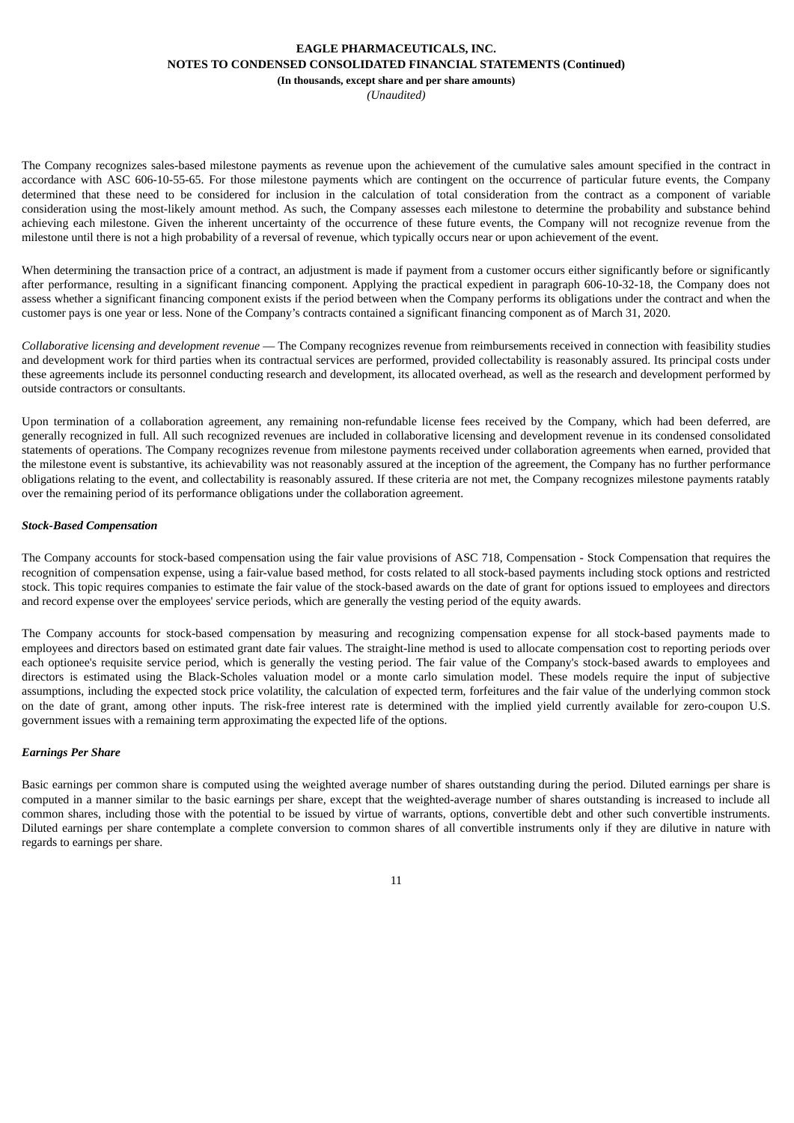**(In thousands, except share and per share amounts)**

*(Unaudited)*

The Company recognizes sales-based milestone payments as revenue upon the achievement of the cumulative sales amount specified in the contract in accordance with ASC 606-10-55-65. For those milestone payments which are contingent on the occurrence of particular future events, the Company determined that these need to be considered for inclusion in the calculation of total consideration from the contract as a component of variable consideration using the most-likely amount method. As such, the Company assesses each milestone to determine the probability and substance behind achieving each milestone. Given the inherent uncertainty of the occurrence of these future events, the Company will not recognize revenue from the milestone until there is not a high probability of a reversal of revenue, which typically occurs near or upon achievement of the event.

When determining the transaction price of a contract, an adjustment is made if payment from a customer occurs either significantly before or significantly after performance, resulting in a significant financing component. Applying the practical expedient in paragraph 606-10-32-18, the Company does not assess whether a significant financing component exists if the period between when the Company performs its obligations under the contract and when the customer pays is one year or less. None of the Company's contracts contained a significant financing component as of March 31, 2020.

*Collaborative licensing and development revenue* — The Company recognizes revenue from reimbursements received in connection with feasibility studies and development work for third parties when its contractual services are performed, provided collectability is reasonably assured. Its principal costs under these agreements include its personnel conducting research and development, its allocated overhead, as well as the research and development performed by outside contractors or consultants.

Upon termination of a collaboration agreement, any remaining non-refundable license fees received by the Company, which had been deferred, are generally recognized in full. All such recognized revenues are included in collaborative licensing and development revenue in its condensed consolidated statements of operations. The Company recognizes revenue from milestone payments received under collaboration agreements when earned, provided that the milestone event is substantive, its achievability was not reasonably assured at the inception of the agreement, the Company has no further performance obligations relating to the event, and collectability is reasonably assured. If these criteria are not met, the Company recognizes milestone payments ratably over the remaining period of its performance obligations under the collaboration agreement.

#### *Stock-Based Compensation*

The Company accounts for stock-based compensation using the fair value provisions of ASC 718, Compensation - Stock Compensation that requires the recognition of compensation expense, using a fair-value based method, for costs related to all stock-based payments including stock options and restricted stock. This topic requires companies to estimate the fair value of the stock-based awards on the date of grant for options issued to employees and directors and record expense over the employees' service periods, which are generally the vesting period of the equity awards.

The Company accounts for stock-based compensation by measuring and recognizing compensation expense for all stock-based payments made to employees and directors based on estimated grant date fair values. The straight-line method is used to allocate compensation cost to reporting periods over each optionee's requisite service period, which is generally the vesting period. The fair value of the Company's stock-based awards to employees and directors is estimated using the Black-Scholes valuation model or a monte carlo simulation model. These models require the input of subjective assumptions, including the expected stock price volatility, the calculation of expected term, forfeitures and the fair value of the underlying common stock on the date of grant, among other inputs. The risk-free interest rate is determined with the implied yield currently available for zero-coupon U.S. government issues with a remaining term approximating the expected life of the options.

### *Earnings Per Share*

Basic earnings per common share is computed using the weighted average number of shares outstanding during the period. Diluted earnings per share is computed in a manner similar to the basic earnings per share, except that the weighted-average number of shares outstanding is increased to include all common shares, including those with the potential to be issued by virtue of warrants, options, convertible debt and other such convertible instruments. Diluted earnings per share contemplate a complete conversion to common shares of all convertible instruments only if they are dilutive in nature with regards to earnings per share.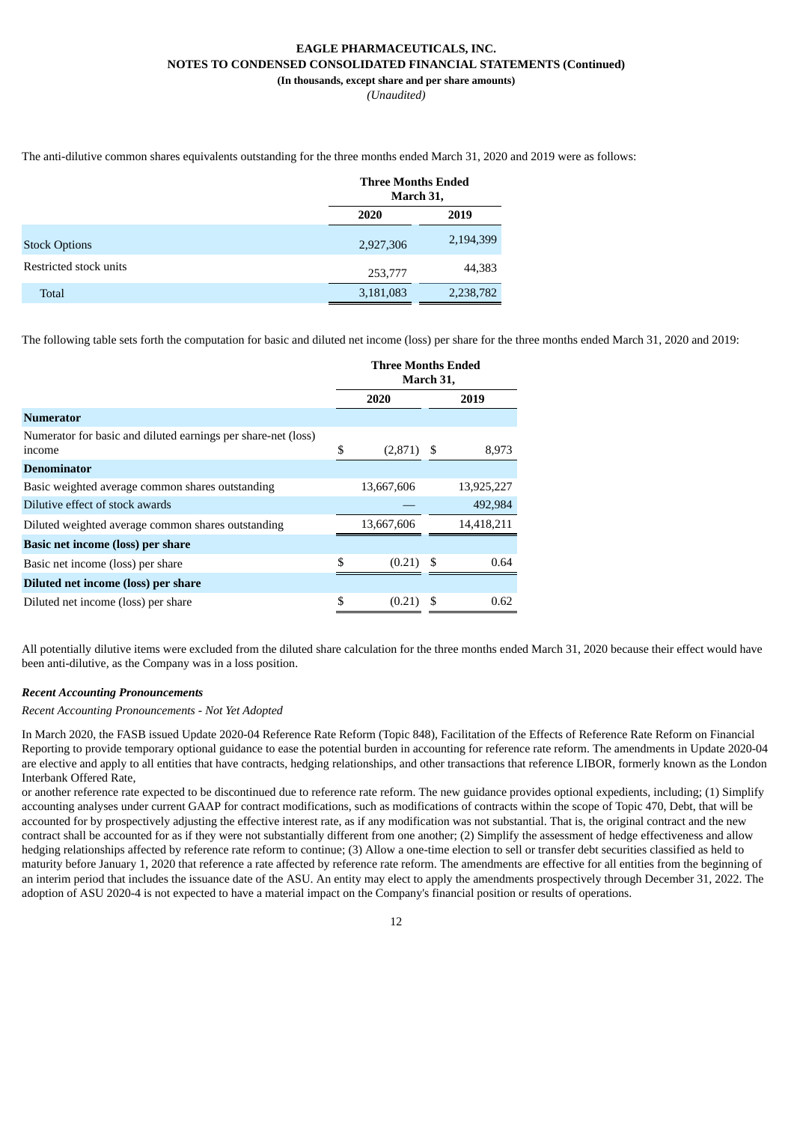**(In thousands, except share and per share amounts)**

*(Unaudited)*

The anti-dilutive common shares equivalents outstanding for the three months ended March 31, 2020 and 2019 were as follows:

|                        | <b>Three Months Ended</b> | March 31, |
|------------------------|---------------------------|-----------|
|                        | 2020                      | 2019      |
| <b>Stock Options</b>   | 2,927,306                 | 2,194,399 |
| Restricted stock units | 253,777                   | 44,383    |
| <b>Total</b>           | 3,181,083                 | 2,238,782 |

The following table sets forth the computation for basic and diluted net income (loss) per share for the three months ended March 31, 2020 and 2019:

|                                                                         | <b>Three Months Ended</b><br>March 31, |            |     |            |  |
|-------------------------------------------------------------------------|----------------------------------------|------------|-----|------------|--|
|                                                                         |                                        | 2020       |     | 2019       |  |
| <b>Numerator</b>                                                        |                                        |            |     |            |  |
| Numerator for basic and diluted earnings per share-net (loss)<br>income | \$                                     | (2,871)    | S   | 8,973      |  |
| <b>Denominator</b>                                                      |                                        |            |     |            |  |
| Basic weighted average common shares outstanding                        |                                        | 13,667,606 |     | 13,925,227 |  |
| Dilutive effect of stock awards                                         |                                        |            |     | 492,984    |  |
| Diluted weighted average common shares outstanding                      |                                        | 13,667,606 |     | 14,418,211 |  |
| <b>Basic net income (loss) per share</b>                                |                                        |            |     |            |  |
| Basic net income (loss) per share                                       | \$                                     | (0.21)     | \$. | 0.64       |  |
| Diluted net income (loss) per share                                     |                                        |            |     |            |  |
| Diluted net income (loss) per share                                     | \$                                     | (0.21)     |     | 0.62       |  |

All potentially dilutive items were excluded from the diluted share calculation for the three months ended March 31, 2020 because their effect would have been anti-dilutive, as the Company was in a loss position.

### *Recent Accounting Pronouncements*

*Recent Accounting Pronouncements - Not Yet Adopted*

In March 2020, the FASB issued Update 2020-04 Reference Rate Reform (Topic 848), Facilitation of the Effects of Reference Rate Reform on Financial Reporting to provide temporary optional guidance to ease the potential burden in accounting for reference rate reform. The amendments in Update 2020-04 are elective and apply to all entities that have contracts, hedging relationships, and other transactions that reference LIBOR, formerly known as the London Interbank Offered Rate,

or another reference rate expected to be discontinued due to reference rate reform. The new guidance provides optional expedients, including; (1) Simplify accounting analyses under current GAAP for contract modifications, such as modifications of contracts within the scope of Topic 470, Debt, that will be accounted for by prospectively adjusting the effective interest rate, as if any modification was not substantial. That is, the original contract and the new contract shall be accounted for as if they were not substantially different from one another; (2) Simplify the assessment of hedge effectiveness and allow hedging relationships affected by reference rate reform to continue; (3) Allow a one-time election to sell or transfer debt securities classified as held to maturity before January 1, 2020 that reference a rate affected by reference rate reform. The amendments are effective for all entities from the beginning of an interim period that includes the issuance date of the ASU. An entity may elect to apply the amendments prospectively through December 31, 2022. The adoption of ASU 2020-4 is not expected to have a material impact on the Company's financial position or results of operations.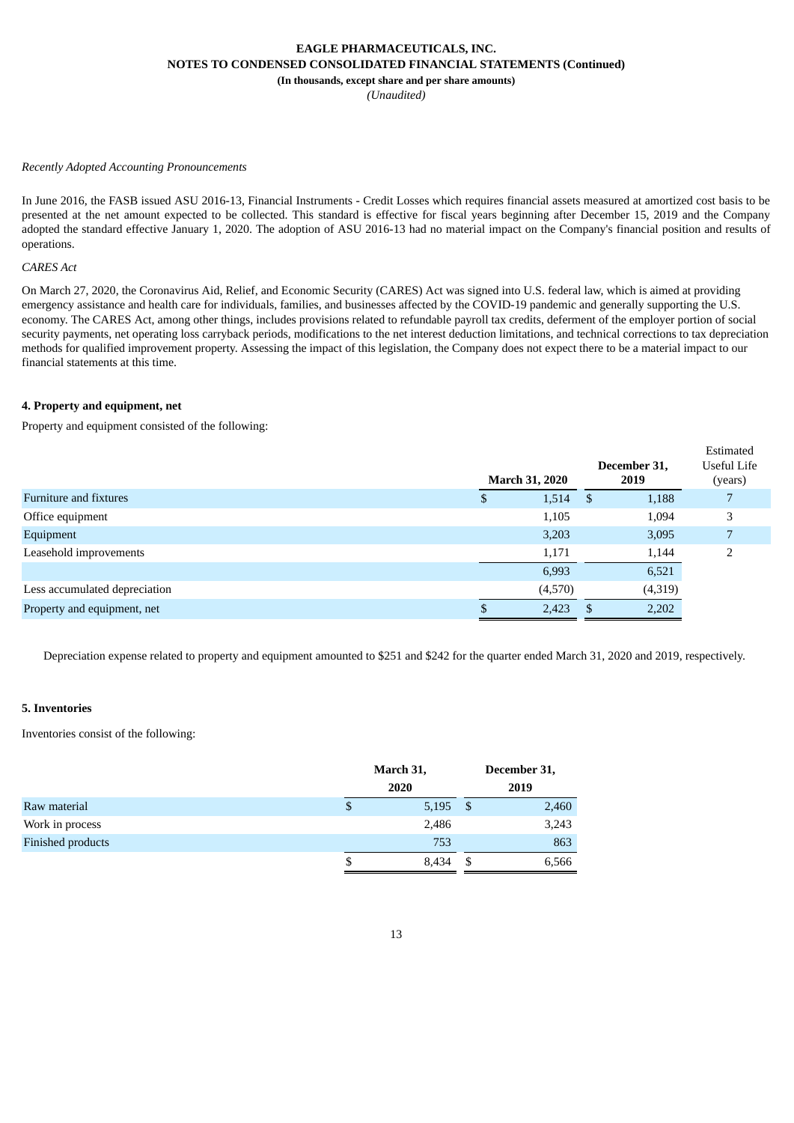**(In thousands, except share and per share amounts)**

*(Unaudited)*

#### *Recently Adopted Accounting Pronouncements*

In June 2016, the FASB issued ASU 2016-13, Financial Instruments - Credit Losses which requires financial assets measured at amortized cost basis to be presented at the net amount expected to be collected. This standard is effective for fiscal years beginning after December 15, 2019 and the Company adopted the standard effective January 1, 2020. The adoption of ASU 2016-13 had no material impact on the Company's financial position and results of operations.

#### *CARES Act*

On March 27, 2020, the Coronavirus Aid, Relief, and Economic Security (CARES) Act was signed into U.S. federal law, which is aimed at providing emergency assistance and health care for individuals, families, and businesses affected by the COVID-19 pandemic and generally supporting the U.S. economy. The CARES Act, among other things, includes provisions related to refundable payroll tax credits, deferment of the employer portion of social security payments, net operating loss carryback periods, modifications to the net interest deduction limitations, and technical corrections to tax depreciation methods for qualified improvement property. Assessing the impact of this legislation, the Company does not expect there to be a material impact to our financial statements at this time.

### **4. Property and equipment, net**

Property and equipment consisted of the following:

|                               |    | <b>March 31, 2020</b> | December 31,<br>2019 |         | Estimated<br>Useful Life<br>(years) |
|-------------------------------|----|-----------------------|----------------------|---------|-------------------------------------|
| Furniture and fixtures        | S. | 1,514                 | - \$                 | 1,188   |                                     |
| Office equipment              |    | 1,105                 |                      | 1,094   | 3                                   |
| Equipment                     |    | 3,203                 |                      | 3,095   |                                     |
| Leasehold improvements        |    | 1,171                 |                      | 1,144   | C.                                  |
|                               |    | 6,993                 |                      | 6,521   |                                     |
| Less accumulated depreciation |    | (4,570)               |                      | (4,319) |                                     |
| Property and equipment, net   |    | 2,423                 |                      | 2,202   |                                     |
|                               |    |                       |                      |         |                                     |

Depreciation expense related to property and equipment amounted to \$251 and \$242 for the quarter ended March 31, 2020 and 2019, respectively.

# **5. Inventories**

Inventories consist of the following:

|                          | March 31,        | December 31, |       |  |
|--------------------------|------------------|--------------|-------|--|
|                          | 2020             |              | 2019  |  |
| Raw material             | \$<br>$5,195$ \$ |              | 2,460 |  |
| Work in process          | 2,486            |              | 3,243 |  |
| <b>Finished products</b> | 753              |              | 863   |  |
|                          | \$<br>8,434      | .S           | 6,566 |  |
|                          |                  |              |       |  |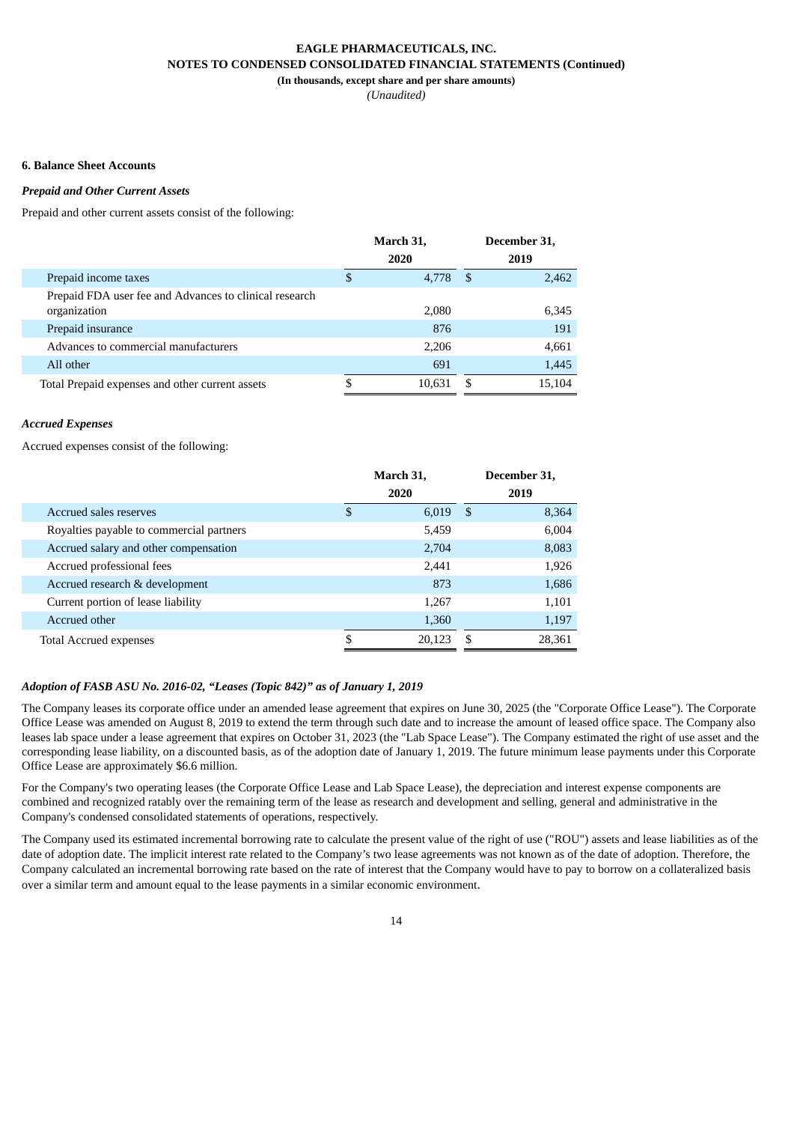### **EAGLE PHARMACEUTICALS, INC. NOTES TO CONDENSED CONSOLIDATED FINANCIAL STATEMENTS (Continued) (In thousands, except share and per share amounts)**

*(Unaudited)*

### **6. Balance Sheet Accounts**

### *Prepaid and Other Current Assets*

Prepaid and other current assets consist of the following:

|                                                                        | March 31,<br>2020 |        |      | December 31,<br>2019 |  |  |
|------------------------------------------------------------------------|-------------------|--------|------|----------------------|--|--|
| Prepaid income taxes                                                   | S.                | 4.778  | - \$ | 2,462                |  |  |
| Prepaid FDA user fee and Advances to clinical research<br>organization |                   | 2,080  |      | 6,345                |  |  |
| Prepaid insurance                                                      |                   | 876    |      | 191                  |  |  |
| Advances to commercial manufacturers                                   |                   | 2,206  |      | 4,661                |  |  |
| All other                                                              |                   | 691    |      | 1,445                |  |  |
| Total Prepaid expenses and other current assets                        | S                 | 10,631 | S    | 15,104               |  |  |

### *Accrued Expenses*

Accrued expenses consist of the following:

|                                          | March 31, | December 31, |  |  |
|------------------------------------------|-----------|--------------|--|--|
|                                          | 2020      | 2019         |  |  |
| Accrued sales reserves<br>S              | 6,019     | -\$<br>8,364 |  |  |
| Royalties payable to commercial partners | 5,459     | 6,004        |  |  |
| Accrued salary and other compensation    | 2,704     | 8,083        |  |  |
| Accrued professional fees                | 2,441     | 1,926        |  |  |
| Accrued research & development           | 873       | 1,686        |  |  |
| Current portion of lease liability       | 1,267     | 1,101        |  |  |
| Accrued other                            | 1,360     | 1,197        |  |  |
| <b>Total Accrued expenses</b>            | 20,123    | 28,361<br>-S |  |  |

### *Adoption of FASB ASU No. 2016-02, "Leases (Topic 842)" as of January 1, 2019*

The Company leases its corporate office under an amended lease agreement that expires on June 30, 2025 (the "Corporate Office Lease"). The Corporate Office Lease was amended on August 8, 2019 to extend the term through such date and to increase the amount of leased office space. The Company also leases lab space under a lease agreement that expires on October 31, 2023 (the "Lab Space Lease"). The Company estimated the right of use asset and the corresponding lease liability, on a discounted basis, as of the adoption date of January 1, 2019. The future minimum lease payments under this Corporate Office Lease are approximately \$6.6 million.

For the Company's two operating leases (the Corporate Office Lease and Lab Space Lease), the depreciation and interest expense components are combined and recognized ratably over the remaining term of the lease as research and development and selling, general and administrative in the Company's condensed consolidated statements of operations, respectively.

The Company used its estimated incremental borrowing rate to calculate the present value of the right of use ("ROU") assets and lease liabilities as of the date of adoption date. The implicit interest rate related to the Company's two lease agreements was not known as of the date of adoption. Therefore, the Company calculated an incremental borrowing rate based on the rate of interest that the Company would have to pay to borrow on a collateralized basis over a similar term and amount equal to the lease payments in a similar economic environment.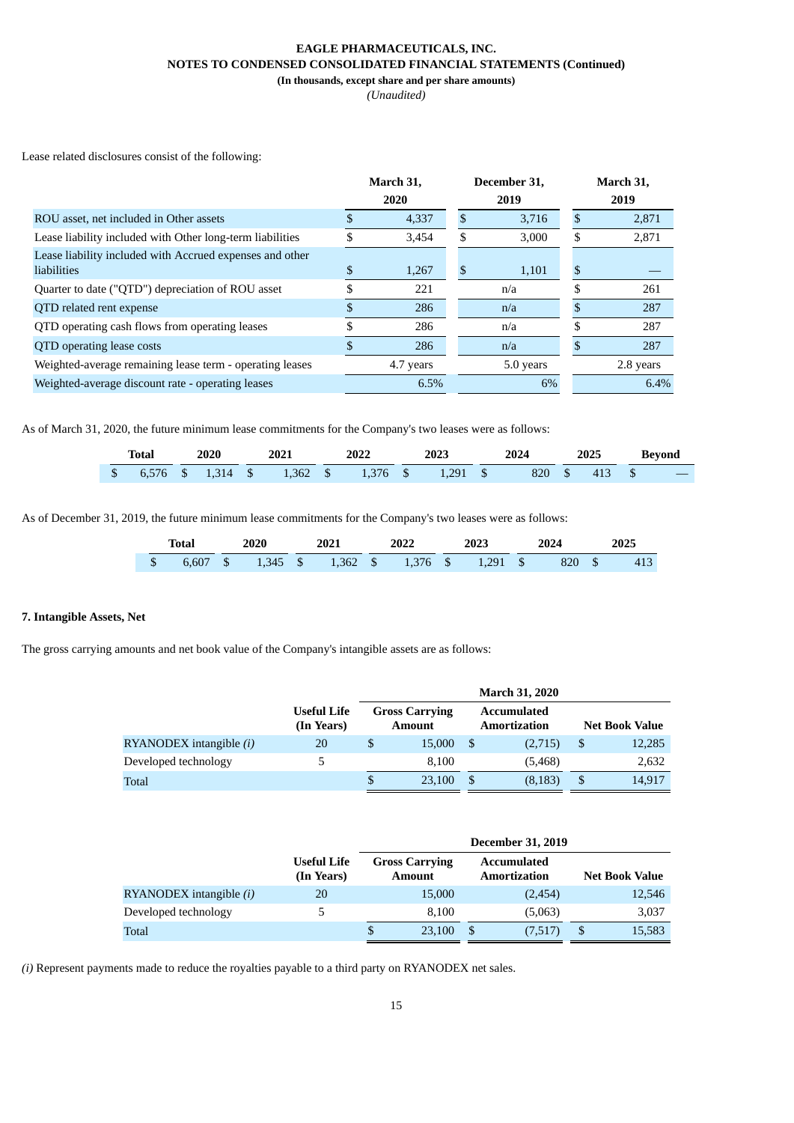### **EAGLE PHARMACEUTICALS, INC. NOTES TO CONDENSED CONSOLIDATED FINANCIAL STATEMENTS (Continued) (In thousands, except share and per share amounts)**

*(Unaudited)*

Lease related disclosures consist of the following:

| March 31,<br>December 31. |  |           |   | March 31, |
|---------------------------|--|-----------|---|-----------|
| 2020                      |  | 2019      |   | 2019      |
| 4,337                     |  | 3,716     |   | 2,871     |
| 3,454                     |  | 3,000     | S | 2,871     |
| 1,267                     |  | 1,101     |   |           |
| 221                       |  | n/a       |   | 261       |
| 286                       |  | n/a       |   | 287       |
| 286                       |  | n/a       |   | 287       |
| 286                       |  | n/a       |   | 287       |
| 4.7 years                 |  | 5.0 years |   | 2.8 years |
| 6.5%                      |  | 6%        |   | 6.4%      |
|                           |  |           |   |           |

As of March 31, 2020, the future minimum lease commitments for the Company's two leases were as follows:

|          | <b>Total</b> | 2020 | 2021 | 2022 | 2023                                         | 2024  | 2025 | Bevond                |
|----------|--------------|------|------|------|----------------------------------------------|-------|------|-----------------------|
| $\sim$ S |              |      |      |      | 6.576 \$ 1.314 \$ 1.362 \$ 1.376 \$ 1.291 \$ | 820 S |      | $413 \quad S \quad -$ |

As of December 31, 2019, the future minimum lease commitments for the Company's two leases were as follows:

| Total | 2020 | 2021 |  | 2022                                         |  | 2023 |  | 2024   | 2025 |
|-------|------|------|--|----------------------------------------------|--|------|--|--------|------|
| \$    |      |      |  | 6,607 \$ 1,345 \$ 1,362 \$ 1,376 \$ 1,291 \$ |  |      |  | 820 \$ | 413  |

### **7. Intangible Assets, Net**

The gross carrying amounts and net book value of the Company's intangible assets are as follows:

|                             |                                                                     | <b>March 31, 2020</b> |        |                                    |          |                       |        |  |  |
|-----------------------------|---------------------------------------------------------------------|-----------------------|--------|------------------------------------|----------|-----------------------|--------|--|--|
|                             | Useful Life<br><b>Gross Carrying</b><br>(In Years)<br><b>Amount</b> |                       |        | Accumulated<br><b>Amortization</b> |          | <b>Net Book Value</b> |        |  |  |
| $RYANODEX$ intangible $(i)$ | 20                                                                  | S.                    | 15,000 | -S                                 | (2,715)  | \$                    | 12,285 |  |  |
| Developed technology        |                                                                     |                       | 8.100  |                                    | (5,468)  |                       | 2,632  |  |  |
| Total                       |                                                                     | \$                    | 23,100 | <sup>\$</sup>                      | (8, 183) | \$                    | 14,917 |  |  |

|                                |                           | <b>December 31, 2019</b> |                                        |    |                                    |  |                       |  |  |
|--------------------------------|---------------------------|--------------------------|----------------------------------------|----|------------------------------------|--|-----------------------|--|--|
|                                | Useful Life<br>(In Years) |                          | <b>Gross Carrying</b><br><b>Amount</b> |    | Accumulated<br><b>Amortization</b> |  | <b>Net Book Value</b> |  |  |
| RYANODEX intangible <i>(i)</i> | 20                        |                          | 15,000                                 |    | (2,454)                            |  | 12,546                |  |  |
| Developed technology           |                           |                          | 8.100                                  |    | (5,063)                            |  | 3,037                 |  |  |
| <b>Total</b>                   |                           | \$                       | 23,100                                 | -S | (7,517)                            |  | 15,583                |  |  |

*(i)* Represent payments made to reduce the royalties payable to a third party on RYANODEX net sales.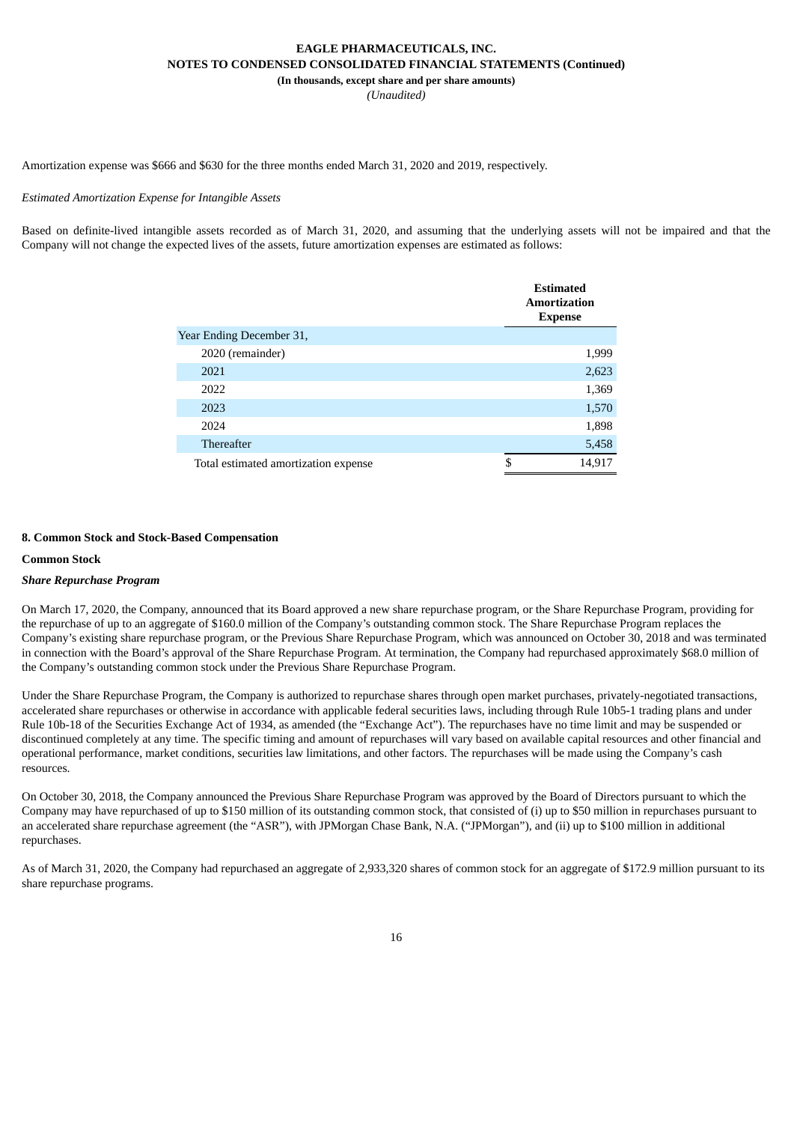**(In thousands, except share and per share amounts)**

*(Unaudited)*

Amortization expense was \$666 and \$630 for the three months ended March 31, 2020 and 2019, respectively.

#### *Estimated Amortization Expense for Intangible Assets*

Based on definite-lived intangible assets recorded as of March 31, 2020, and assuming that the underlying assets will not be impaired and that the Company will not change the expected lives of the assets, future amortization expenses are estimated as follows:

|                                      | <b>Estimated</b><br><b>Amortization</b><br><b>Expense</b> |        |
|--------------------------------------|-----------------------------------------------------------|--------|
| Year Ending December 31,             |                                                           |        |
| 2020 (remainder)                     |                                                           | 1,999  |
| 2021                                 |                                                           | 2,623  |
| 2022                                 |                                                           | 1,369  |
| 2023                                 |                                                           | 1,570  |
| 2024                                 |                                                           | 1,898  |
| <b>Thereafter</b>                    |                                                           | 5,458  |
| Total estimated amortization expense | \$                                                        | 14,917 |

#### **8. Common Stock and Stock-Based Compensation**

#### **Common Stock**

#### *Share Repurchase Program*

On March 17, 2020, the Company, announced that its Board approved a new share repurchase program, or the Share Repurchase Program, providing for the repurchase of up to an aggregate of \$160.0 million of the Company's outstanding common stock. The Share Repurchase Program replaces the Company's existing share repurchase program, or the Previous Share Repurchase Program, which was announced on October 30, 2018 and was terminated in connection with the Board's approval of the Share Repurchase Program. At termination, the Company had repurchased approximately \$68.0 million of the Company's outstanding common stock under the Previous Share Repurchase Program.

Under the Share Repurchase Program, the Company is authorized to repurchase shares through open market purchases, privately-negotiated transactions, accelerated share repurchases or otherwise in accordance with applicable federal securities laws, including through Rule 10b5-1 trading plans and under Rule 10b-18 of the Securities Exchange Act of 1934, as amended (the "Exchange Act"). The repurchases have no time limit and may be suspended or discontinued completely at any time. The specific timing and amount of repurchases will vary based on available capital resources and other financial and operational performance, market conditions, securities law limitations, and other factors. The repurchases will be made using the Company's cash resources.

On October 30, 2018, the Company announced the Previous Share Repurchase Program was approved by the Board of Directors pursuant to which the Company may have repurchased of up to \$150 million of its outstanding common stock, that consisted of (i) up to \$50 million in repurchases pursuant to an accelerated share repurchase agreement (the "ASR"), with JPMorgan Chase Bank, N.A. ("JPMorgan"), and (ii) up to \$100 million in additional repurchases.

As of March 31, 2020, the Company had repurchased an aggregate of 2,933,320 shares of common stock for an aggregate of \$172.9 million pursuant to its share repurchase programs.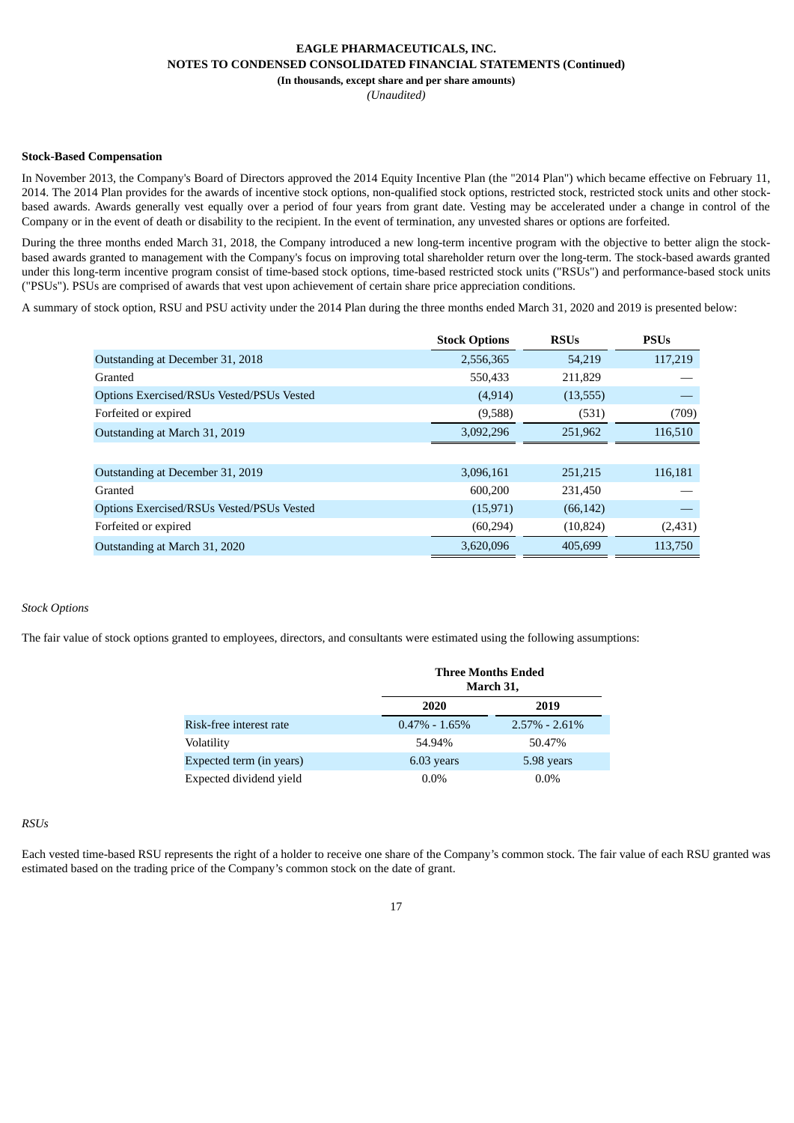**(In thousands, except share and per share amounts)**

*(Unaudited)*

### **Stock-Based Compensation**

In November 2013, the Company's Board of Directors approved the 2014 Equity Incentive Plan (the "2014 Plan") which became effective on February 11, 2014. The 2014 Plan provides for the awards of incentive stock options, non-qualified stock options, restricted stock, restricted stock units and other stockbased awards. Awards generally vest equally over a period of four years from grant date. Vesting may be accelerated under a change in control of the Company or in the event of death or disability to the recipient. In the event of termination, any unvested shares or options are forfeited.

During the three months ended March 31, 2018, the Company introduced a new long-term incentive program with the objective to better align the stockbased awards granted to management with the Company's focus on improving total shareholder return over the long-term. The stock-based awards granted under this long-term incentive program consist of time-based stock options, time-based restricted stock units ("RSUs") and performance-based stock units ("PSUs"). PSUs are comprised of awards that vest upon achievement of certain share price appreciation conditions.

A summary of stock option, RSU and PSU activity under the 2014 Plan during the three months ended March 31, 2020 and 2019 is presented below:

|                                           | <b>Stock Options</b> | <b>RSUs</b> | <b>PSUs</b> |
|-------------------------------------------|----------------------|-------------|-------------|
| Outstanding at December 31, 2018          | 2,556,365            | 54,219      | 117,219     |
| Granted                                   | 550,433              | 211,829     |             |
| Options Exercised/RSUs Vested/PSUs Vested | (4, 914)             | (13, 555)   |             |
| Forfeited or expired                      | (9,588)              | (531)       | (709)       |
| Outstanding at March 31, 2019             | 3,092,296            | 251,962     | 116,510     |
|                                           |                      |             |             |
| Outstanding at December 31, 2019          | 3,096,161            | 251,215     | 116,181     |
| Granted                                   | 600,200              | 231,450     |             |
| Options Exercised/RSUs Vested/PSUs Vested | (15, 971)            | (66, 142)   |             |
| Forfeited or expired                      | (60, 294)            | (10, 824)   | (2, 431)    |
| Outstanding at March 31, 2020             | 3,620,096            | 405,699     | 113,750     |

### *Stock Options*

The fair value of stock options granted to employees, directors, and consultants were estimated using the following assumptions:

|                          |                   | <b>Three Months Ended</b><br>March 31, |  |  |  |  |  |
|--------------------------|-------------------|----------------------------------------|--|--|--|--|--|
|                          | 2020              | 2019                                   |  |  |  |  |  |
| Risk-free interest rate  | $0.47\% - 1.65\%$ | $2.57\% - 2.61\%$                      |  |  |  |  |  |
| Volatility               | 54.94%            | 50.47%                                 |  |  |  |  |  |
| Expected term (in years) | 6.03 years        | 5.98 years                             |  |  |  |  |  |
| Expected dividend yield  | $0.0\%$           | $0.0\%$                                |  |  |  |  |  |

### *RSUs*

Each vested time-based RSU represents the right of a holder to receive one share of the Company's common stock. The fair value of each RSU granted was estimated based on the trading price of the Company's common stock on the date of grant.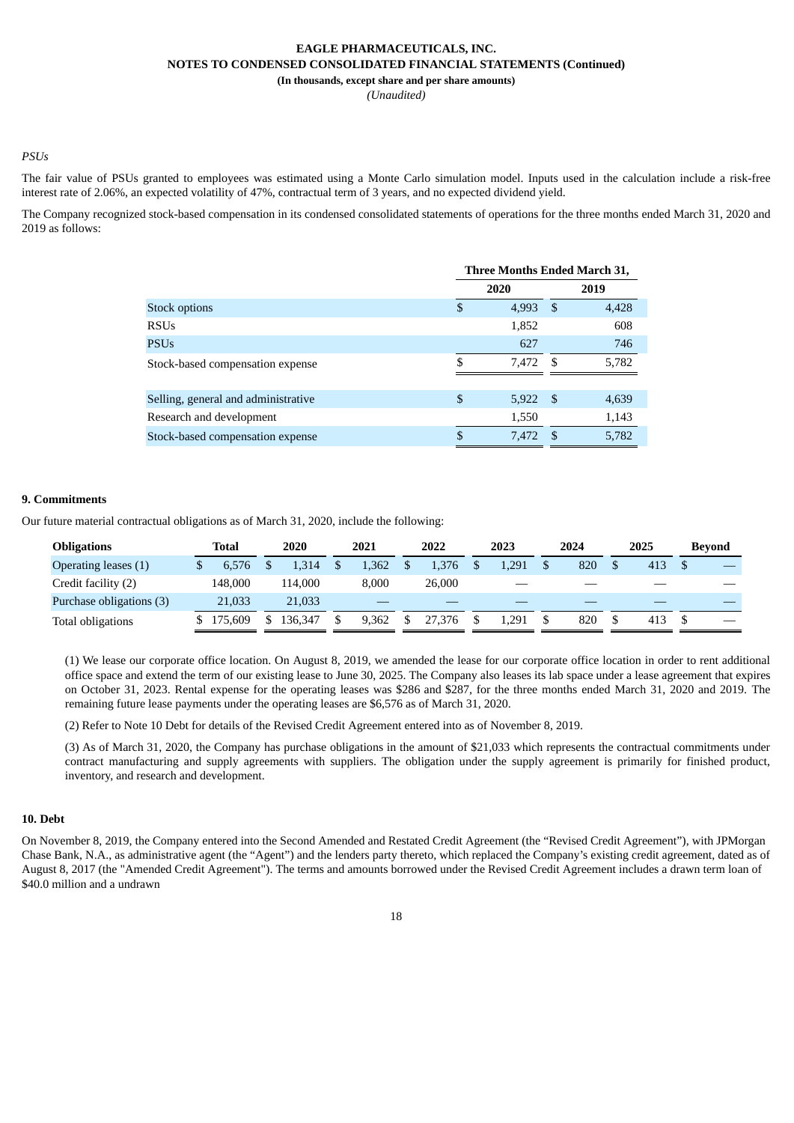**(In thousands, except share and per share amounts)**

*(Unaudited)*

#### *PSUs*

The fair value of PSUs granted to employees was estimated using a Monte Carlo simulation model. Inputs used in the calculation include a risk-free interest rate of 2.06%, an expected volatility of 47%, contractual term of 3 years, and no expected dividend yield.

The Company recognized stock-based compensation in its condensed consolidated statements of operations for the three months ended March 31, 2020 and 2019 as follows:

|                                     | <b>Three Months Ended March 31,</b> |       |     |       |  |  |  |
|-------------------------------------|-------------------------------------|-------|-----|-------|--|--|--|
|                                     | 2020                                |       |     | 2019  |  |  |  |
| <b>Stock options</b>                | \$                                  | 4,993 | \$. | 4,428 |  |  |  |
| <b>RSUs</b>                         |                                     | 1,852 |     | 608   |  |  |  |
| <b>PSUs</b>                         |                                     | 627   |     | 746   |  |  |  |
| Stock-based compensation expense    | S.                                  | 7,472 | ß.  | 5,782 |  |  |  |
|                                     |                                     |       |     |       |  |  |  |
| Selling, general and administrative | \$                                  | 5,922 | -S  | 4,639 |  |  |  |
| Research and development            |                                     | 1,550 |     | 1,143 |  |  |  |
| Stock-based compensation expense    | S                                   | 7,472 | S   | 5,782 |  |  |  |

### **9. Commitments**

Our future material contractual obligations as of March 31, 2020, include the following:

| <b>Obligations</b>       | Total   |   | 2020    | 2021  | 2022   | 2023  | 2024 | 2025 | Bevond |
|--------------------------|---------|---|---------|-------|--------|-------|------|------|--------|
| Operating leases (1)     | 6.576   |   | 1.314   | 1.362 | 1.376  | 1.291 | 820  | 413  |        |
| Credit facility (2)      | 148.000 |   | 114,000 | 8.000 | 26.000 |       |      |      |        |
| Purchase obligations (3) | 21,033  |   | 21,033  |       |        |       |      |      |        |
| Total obligations        | 175,609 | S | 136.347 | 9.362 | 27,376 | .291  | 820  | 413  |        |

(1) We lease our corporate office location. On August 8, 2019, we amended the lease for our corporate office location in order to rent additional office space and extend the term of our existing lease to June 30, 2025. The Company also leases its lab space under a lease agreement that expires on October 31, 2023. Rental expense for the operating leases was \$286 and \$287, for the three months ended March 31, 2020 and 2019. The remaining future lease payments under the operating leases are \$6,576 as of March 31, 2020.

(2) Refer to Note 10 Debt for details of the Revised Credit Agreement entered into as of November 8, 2019.

(3) As of March 31, 2020, the Company has purchase obligations in the amount of \$21,033 which represents the contractual commitments under contract manufacturing and supply agreements with suppliers. The obligation under the supply agreement is primarily for finished product, inventory, and research and development.

### **10. Debt**

On November 8, 2019, the Company entered into the Second Amended and Restated Credit Agreement (the "Revised Credit Agreement"), with JPMorgan Chase Bank, N.A., as administrative agent (the "Agent") and the lenders party thereto, which replaced the Company's existing credit agreement, dated as of August 8, 2017 (the "Amended Credit Agreement"). The terms and amounts borrowed under the Revised Credit Agreement includes a drawn term loan of \$40.0 million and a undrawn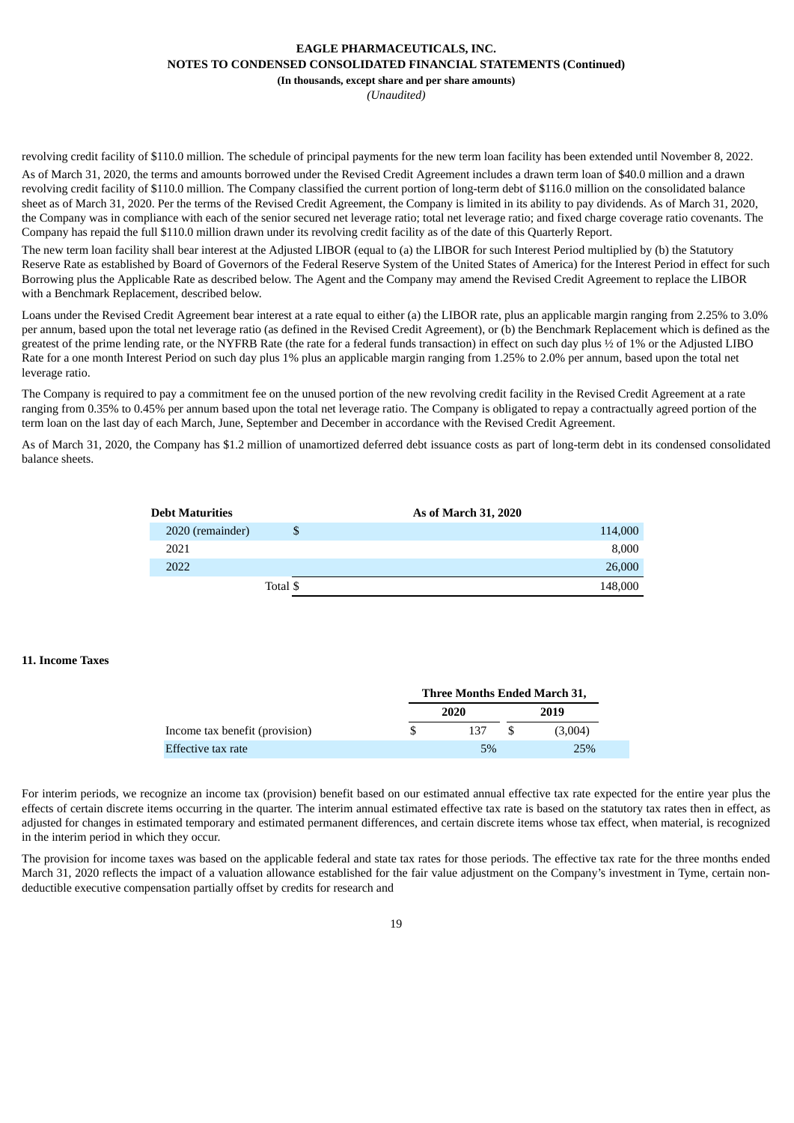**(In thousands, except share and per share amounts)**

*(Unaudited)*

revolving credit facility of \$110.0 million. The schedule of principal payments for the new term loan facility has been extended until November 8, 2022.

As of March 31, 2020, the terms and amounts borrowed under the Revised Credit Agreement includes a drawn term loan of \$40.0 million and a drawn revolving credit facility of \$110.0 million. The Company classified the current portion of long-term debt of \$116.0 million on the consolidated balance sheet as of March 31, 2020. Per the terms of the Revised Credit Agreement, the Company is limited in its ability to pay dividends. As of March 31, 2020, the Company was in compliance with each of the senior secured net leverage ratio; total net leverage ratio; and fixed charge coverage ratio covenants. The Company has repaid the full \$110.0 million drawn under its revolving credit facility as of the date of this Quarterly Report.

The new term loan facility shall bear interest at the Adjusted LIBOR (equal to (a) the LIBOR for such Interest Period multiplied by (b) the Statutory Reserve Rate as established by Board of Governors of the Federal Reserve System of the United States of America) for the Interest Period in effect for such Borrowing plus the Applicable Rate as described below. The Agent and the Company may amend the Revised Credit Agreement to replace the LIBOR with a Benchmark Replacement, described below.

Loans under the Revised Credit Agreement bear interest at a rate equal to either (a) the LIBOR rate, plus an applicable margin ranging from 2.25% to 3.0% per annum, based upon the total net leverage ratio (as defined in the Revised Credit Agreement), or (b) the Benchmark Replacement which is defined as the greatest of the prime lending rate, or the NYFRB Rate (the rate for a federal funds transaction) in effect on such day plus ½ of 1% or the Adjusted LIBO Rate for a one month Interest Period on such day plus 1% plus an applicable margin ranging from 1.25% to 2.0% per annum, based upon the total net leverage ratio.

The Company is required to pay a commitment fee on the unused portion of the new revolving credit facility in the Revised Credit Agreement at a rate ranging from 0.35% to 0.45% per annum based upon the total net leverage ratio. The Company is obligated to repay a contractually agreed portion of the term loan on the last day of each March, June, September and December in accordance with the Revised Credit Agreement.

As of March 31, 2020, the Company has \$1.2 million of unamortized deferred debt issuance costs as part of long-term debt in its condensed consolidated balance sheets.

| Debt Maturities  |          | As of March 31, 2020 |
|------------------|----------|----------------------|
| 2020 (remainder) | \$.      | 114,000              |
| 2021             |          | 8,000                |
| 2022             |          | 26,000               |
|                  | Total \$ | 148,000              |

#### **11. Income Taxes**

|                                | Three Months Ended March 31, |      |  |         |  |  |  |  |
|--------------------------------|------------------------------|------|--|---------|--|--|--|--|
|                                |                              | 2020 |  | 2019    |  |  |  |  |
| Income tax benefit (provision) |                              | 137  |  | (3,004) |  |  |  |  |
| Effective tax rate             |                              | 25%  |  |         |  |  |  |  |

For interim periods, we recognize an income tax (provision) benefit based on our estimated annual effective tax rate expected for the entire year plus the effects of certain discrete items occurring in the quarter. The interim annual estimated effective tax rate is based on the statutory tax rates then in effect, as adjusted for changes in estimated temporary and estimated permanent differences, and certain discrete items whose tax effect, when material, is recognized in the interim period in which they occur.

The provision for income taxes was based on the applicable federal and state tax rates for those periods. The effective tax rate for the three months ended March 31, 2020 reflects the impact of a valuation allowance established for the fair value adjustment on the Company's investment in Tyme, certain nondeductible executive compensation partially offset by credits for research and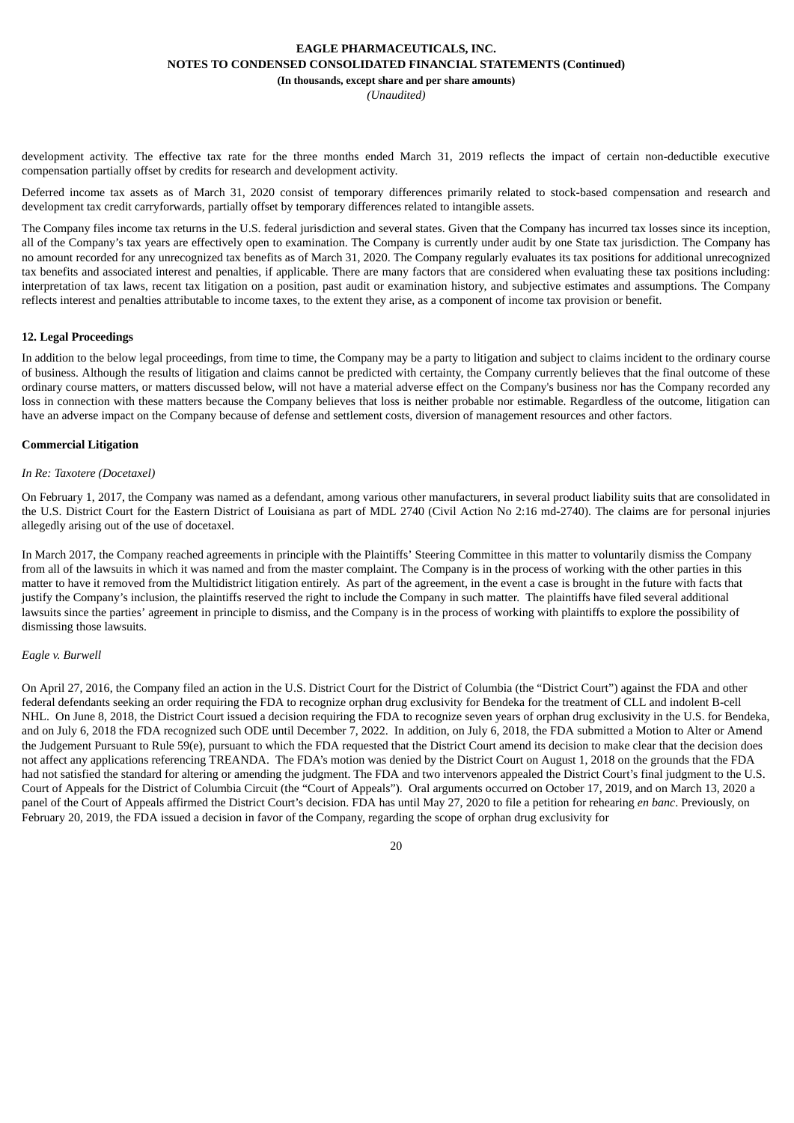**(In thousands, except share and per share amounts)**

*(Unaudited)*

development activity. The effective tax rate for the three months ended March 31, 2019 reflects the impact of certain non-deductible executive compensation partially offset by credits for research and development activity.

Deferred income tax assets as of March 31, 2020 consist of temporary differences primarily related to stock-based compensation and research and development tax credit carryforwards, partially offset by temporary differences related to intangible assets.

The Company files income tax returns in the U.S. federal jurisdiction and several states. Given that the Company has incurred tax losses since its inception, all of the Company's tax years are effectively open to examination. The Company is currently under audit by one State tax jurisdiction. The Company has no amount recorded for any unrecognized tax benefits as of March 31, 2020. The Company regularly evaluates its tax positions for additional unrecognized tax benefits and associated interest and penalties, if applicable. There are many factors that are considered when evaluating these tax positions including: interpretation of tax laws, recent tax litigation on a position, past audit or examination history, and subjective estimates and assumptions. The Company reflects interest and penalties attributable to income taxes, to the extent they arise, as a component of income tax provision or benefit.

#### **12. Legal Proceedings**

In addition to the below legal proceedings, from time to time, the Company may be a party to litigation and subject to claims incident to the ordinary course of business. Although the results of litigation and claims cannot be predicted with certainty, the Company currently believes that the final outcome of these ordinary course matters, or matters discussed below, will not have a material adverse effect on the Company's business nor has the Company recorded any loss in connection with these matters because the Company believes that loss is neither probable nor estimable. Regardless of the outcome, litigation can have an adverse impact on the Company because of defense and settlement costs, diversion of management resources and other factors.

### **Commercial Litigation**

#### *In Re: Taxotere (Docetaxel)*

On February 1, 2017, the Company was named as a defendant, among various other manufacturers, in several product liability suits that are consolidated in the U.S. District Court for the Eastern District of Louisiana as part of MDL 2740 (Civil Action No 2:16 md-2740). The claims are for personal injuries allegedly arising out of the use of docetaxel.

In March 2017, the Company reached agreements in principle with the Plaintiffs' Steering Committee in this matter to voluntarily dismiss the Company from all of the lawsuits in which it was named and from the master complaint. The Company is in the process of working with the other parties in this matter to have it removed from the Multidistrict litigation entirely. As part of the agreement, in the event a case is brought in the future with facts that justify the Company's inclusion, the plaintiffs reserved the right to include the Company in such matter. The plaintiffs have filed several additional lawsuits since the parties' agreement in principle to dismiss, and the Company is in the process of working with plaintiffs to explore the possibility of dismissing those lawsuits.

#### *Eagle v. Burwell*

On April 27, 2016, the Company filed an action in the U.S. District Court for the District of Columbia (the "District Court") against the FDA and other federal defendants seeking an order requiring the FDA to recognize orphan drug exclusivity for Bendeka for the treatment of CLL and indolent B-cell NHL. On June 8, 2018, the District Court issued a decision requiring the FDA to recognize seven years of orphan drug exclusivity in the U.S. for Bendeka, and on July 6, 2018 the FDA recognized such ODE until December 7, 2022. In addition, on July 6, 2018, the FDA submitted a Motion to Alter or Amend the Judgement Pursuant to Rule 59(e), pursuant to which the FDA requested that the District Court amend its decision to make clear that the decision does not affect any applications referencing TREANDA. The FDA's motion was denied by the District Court on August 1, 2018 on the grounds that the FDA had not satisfied the standard for altering or amending the judgment. The FDA and two intervenors appealed the District Court's final judgment to the U.S. Court of Appeals for the District of Columbia Circuit (the "Court of Appeals"). Oral arguments occurred on October 17, 2019, and on March 13, 2020 a panel of the Court of Appeals affirmed the District Court's decision. FDA has until May 27, 2020 to file a petition for rehearing *en banc*. Previously, on February 20, 2019, the FDA issued a decision in favor of the Company, regarding the scope of orphan drug exclusivity for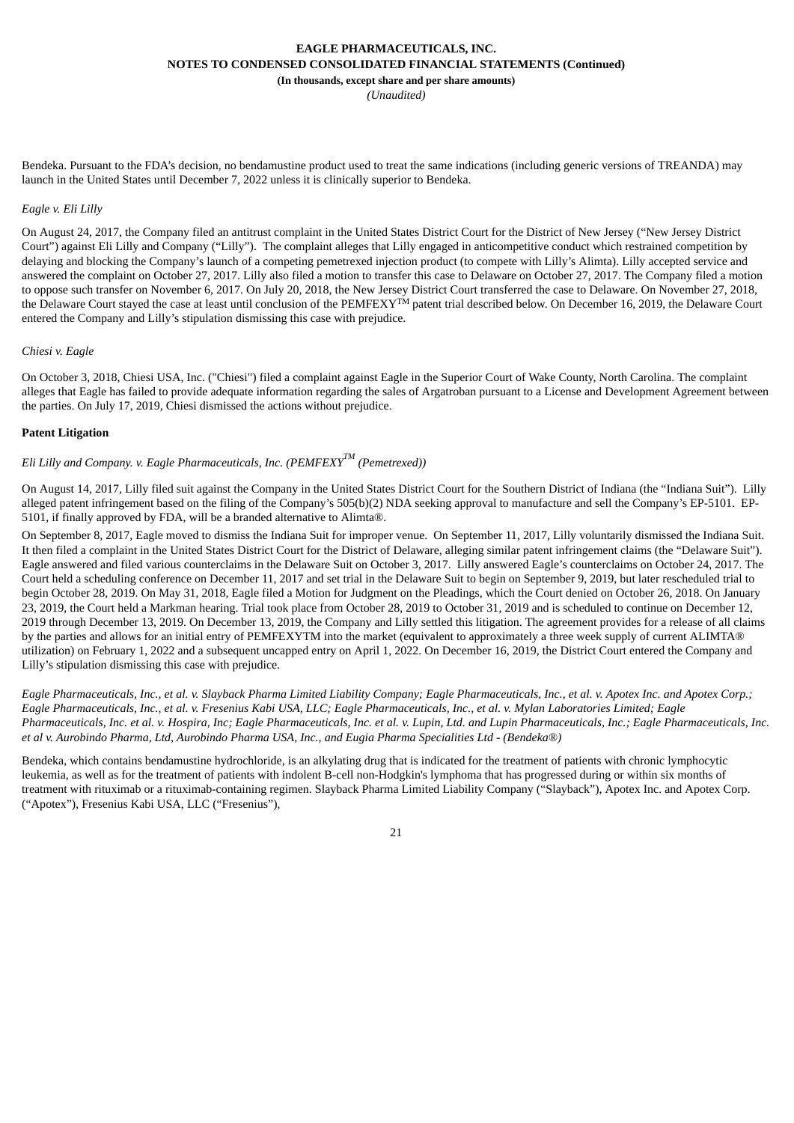**(In thousands, except share and per share amounts)**

*(Unaudited)*

Bendeka. Pursuant to the FDA's decision, no bendamustine product used to treat the same indications (including generic versions of TREANDA) may launch in the United States until December 7, 2022 unless it is clinically superior to Bendeka.

### *Eagle v. Eli Lilly*

On August 24, 2017, the Company filed an antitrust complaint in the United States District Court for the District of New Jersey ("New Jersey District Court") against Eli Lilly and Company ("Lilly"). The complaint alleges that Lilly engaged in anticompetitive conduct which restrained competition by delaying and blocking the Company's launch of a competing pemetrexed injection product (to compete with Lilly's Alimta). Lilly accepted service and answered the complaint on October 27, 2017. Lilly also filed a motion to transfer this case to Delaware on October 27, 2017. The Company filed a motion to oppose such transfer on November 6, 2017. On July 20, 2018, the New Jersey District Court transferred the case to Delaware. On November 27, 2018, the Delaware Court stayed the case at least until conclusion of the PEMFEXY<sup>TM</sup> patent trial described below. On December 16, 2019, the Delaware Court entered the Company and Lilly's stipulation dismissing this case with prejudice.

#### *Chiesi v. Eagle*

On October 3, 2018, Chiesi USA, Inc. ("Chiesi") filed a complaint against Eagle in the Superior Court of Wake County, North Carolina. The complaint alleges that Eagle has failed to provide adequate information regarding the sales of Argatroban pursuant to a License and Development Agreement between the parties. On July 17, 2019, Chiesi dismissed the actions without prejudice.

### **Patent Litigation**

# *Eli Lilly and Company. v. Eagle Pharmaceuticals, Inc. (PEMFEXY TM (Pemetrexed))*

On August 14, 2017, Lilly filed suit against the Company in the United States District Court for the Southern District of Indiana (the "Indiana Suit"). Lilly alleged patent infringement based on the filing of the Company's 505(b)(2) NDA seeking approval to manufacture and sell the Company's EP-5101. EP-5101, if finally approved by FDA, will be a branded alternative to Alimta®.

On September 8, 2017, Eagle moved to dismiss the Indiana Suit for improper venue. On September 11, 2017, Lilly voluntarily dismissed the Indiana Suit. It then filed a complaint in the United States District Court for the District of Delaware, alleging similar patent infringement claims (the "Delaware Suit"). Eagle answered and filed various counterclaims in the Delaware Suit on October 3, 2017. Lilly answered Eagle's counterclaims on October 24, 2017. The Court held a scheduling conference on December 11, 2017 and set trial in the Delaware Suit to begin on September 9, 2019, but later rescheduled trial to begin October 28, 2019. On May 31, 2018, Eagle filed a Motion for Judgment on the Pleadings, which the Court denied on October 26, 2018. On January 23, 2019, the Court held a Markman hearing. Trial took place from October 28, 2019 to October 31, 2019 and is scheduled to continue on December 12, 2019 through December 13, 2019. On December 13, 2019, the Company and Lilly settled this litigation. The agreement provides for a release of all claims by the parties and allows for an initial entry of PEMFEXYTM into the market (equivalent to approximately a three week supply of current ALIMTA® utilization) on February 1, 2022 and a subsequent uncapped entry on April 1, 2022. On December 16, 2019, the District Court entered the Company and Lilly's stipulation dismissing this case with prejudice.

Eagle Pharmaceuticals, Inc., et al. v. Slayback Pharma Limited Liability Company; Eagle Pharmaceuticals, Inc., et al. v. Apotex Inc. and Apotex Corp.; Eagle Pharmaceuticals, Inc., et al. v. Fresenius Kabi USA, LLC; Eagle Pharmaceuticals, Inc., et al. v. Mylan Laboratories Limited; Eagle Pharmaceuticals, Inc. et al. v. Hospira, Inc; Eagle Pharmaceuticals, Inc. et al. v. Lupin, Ltd. and Lupin Pharmaceuticals, Inc.; Eagle Pharmaceuticals, Inc. et al v. Aurobindo Pharma, Ltd, Aurobindo Pharma USA, Inc., and Eugia Pharma Specialities Ltd - (Bendeka®)

Bendeka, which contains bendamustine hydrochloride, is an alkylating drug that is indicated for the treatment of patients with chronic lymphocytic leukemia, as well as for the treatment of patients with indolent B-cell non-Hodgkin's lymphoma that has progressed during or within six months of treatment with rituximab or a rituximab-containing regimen. Slayback Pharma Limited Liability Company ("Slayback"), Apotex Inc. and Apotex Corp. ("Apotex"), Fresenius Kabi USA, LLC ("Fresenius"),

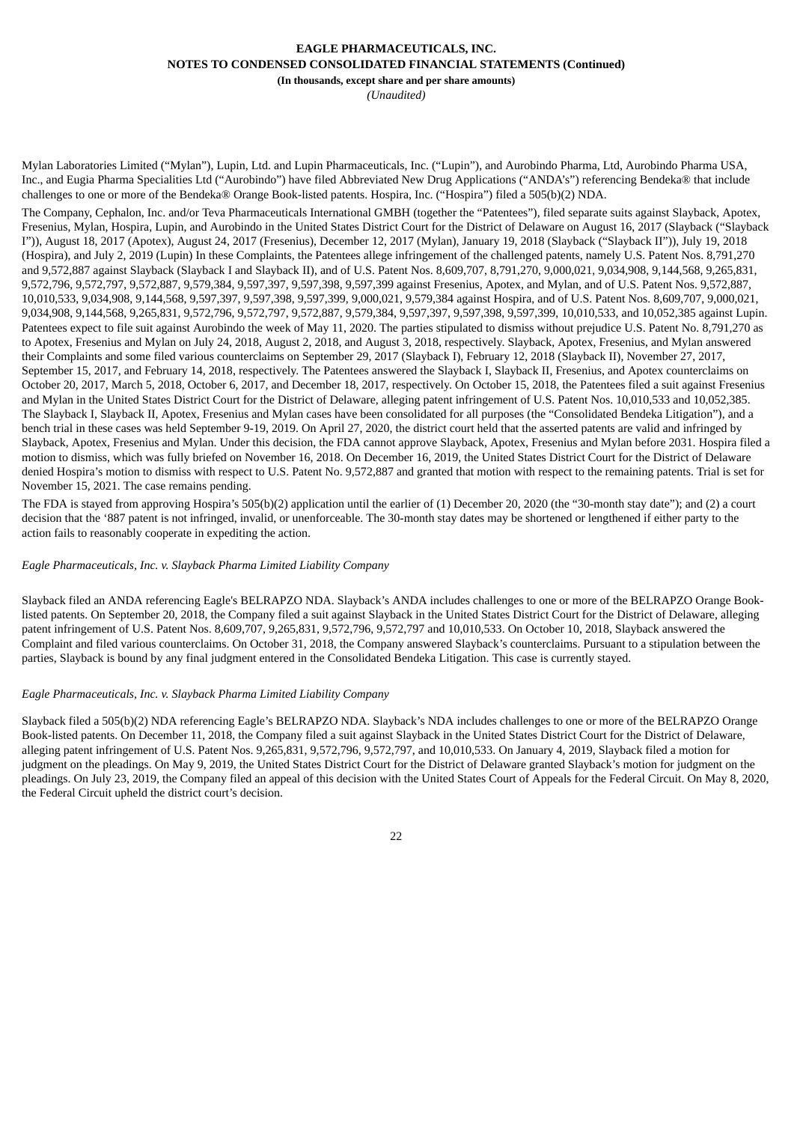**(In thousands, except share and per share amounts)**

*(Unaudited)*

Mylan Laboratories Limited ("Mylan"), Lupin, Ltd. and Lupin Pharmaceuticals, Inc. ("Lupin"), and Aurobindo Pharma, Ltd, Aurobindo Pharma USA, Inc., and Eugia Pharma Specialities Ltd ("Aurobindo") have filed Abbreviated New Drug Applications ("ANDA's") referencing Bendeka® that include challenges to one or more of the Bendeka® Orange Book-listed patents. Hospira, Inc. ("Hospira") filed a 505(b)(2) NDA.

The Company, Cephalon, Inc. and/or Teva Pharmaceuticals International GMBH (together the "Patentees"), filed separate suits against Slayback, Apotex, Fresenius, Mylan, Hospira, Lupin, and Aurobindo in the United States District Court for the District of Delaware on August 16, 2017 (Slayback ("Slayback I")), August 18, 2017 (Apotex), August 24, 2017 (Fresenius), December 12, 2017 (Mylan), January 19, 2018 (Slayback ("Slayback II")), July 19, 2018 (Hospira), and July 2, 2019 (Lupin) In these Complaints, the Patentees allege infringement of the challenged patents, namely U.S. Patent Nos. 8,791,270 and 9,572,887 against Slayback (Slayback I and Slayback II), and of U.S. Patent Nos. 8,609,707, 8,791,270, 9,000,021, 9,034,908, 9,144,568, 9,265,831, 9,572,796, 9,572,797, 9,572,887, 9,579,384, 9,597,397, 9,597,398, 9,597,399 against Fresenius, Apotex, and Mylan, and of U.S. Patent Nos. 9,572,887, 10,010,533, 9,034,908, 9,144,568, 9,597,397, 9,597,398, 9,597,399, 9,000,021, 9,579,384 against Hospira, and of U.S. Patent Nos. 8,609,707, 9,000,021, 9,034,908, 9,144,568, 9,265,831, 9,572,796, 9,572,797, 9,572,887, 9,579,384, 9,597,397, 9,597,398, 9,597,399, 10,010,533, and 10,052,385 against Lupin. Patentees expect to file suit against Aurobindo the week of May 11, 2020. The parties stipulated to dismiss without prejudice U.S. Patent No. 8,791,270 as to Apotex, Fresenius and Mylan on July 24, 2018, August 2, 2018, and August 3, 2018, respectively. Slayback, Apotex, Fresenius, and Mylan answered their Complaints and some filed various counterclaims on September 29, 2017 (Slayback I), February 12, 2018 (Slayback II), November 27, 2017, September 15, 2017, and February 14, 2018, respectively. The Patentees answered the Slayback I, Slayback II, Fresenius, and Apotex counterclaims on October 20, 2017, March 5, 2018, October 6, 2017, and December 18, 2017, respectively. On October 15, 2018, the Patentees filed a suit against Fresenius and Mylan in the United States District Court for the District of Delaware, alleging patent infringement of U.S. Patent Nos. 10,010,533 and 10,052,385. The Slayback I, Slayback II, Apotex, Fresenius and Mylan cases have been consolidated for all purposes (the "Consolidated Bendeka Litigation"), and a bench trial in these cases was held September 9-19, 2019. On April 27, 2020, the district court held that the asserted patents are valid and infringed by Slayback, Apotex, Fresenius and Mylan. Under this decision, the FDA cannot approve Slayback, Apotex, Fresenius and Mylan before 2031. Hospira filed a motion to dismiss, which was fully briefed on November 16, 2018. On December 16, 2019, the United States District Court for the District of Delaware denied Hospira's motion to dismiss with respect to U.S. Patent No. 9,572,887 and granted that motion with respect to the remaining patents. Trial is set for November 15, 2021. The case remains pending.

The FDA is stayed from approving Hospira's 505(b)(2) application until the earlier of (1) December 20, 2020 (the "30-month stay date"); and (2) a court decision that the '887 patent is not infringed, invalid, or unenforceable. The 30-month stay dates may be shortened or lengthened if either party to the action fails to reasonably cooperate in expediting the action.

#### *Eagle Pharmaceuticals, Inc. v. Slayback Pharma Limited Liability Company*

Slayback filed an ANDA referencing Eagle's BELRAPZO NDA. Slayback's ANDA includes challenges to one or more of the BELRAPZO Orange Booklisted patents. On September 20, 2018, the Company filed a suit against Slayback in the United States District Court for the District of Delaware, alleging patent infringement of U.S. Patent Nos. 8,609,707, 9,265,831, 9,572,796, 9,572,797 and 10,010,533. On October 10, 2018, Slayback answered the Complaint and filed various counterclaims. On October 31, 2018, the Company answered Slayback's counterclaims. Pursuant to a stipulation between the parties, Slayback is bound by any final judgment entered in the Consolidated Bendeka Litigation. This case is currently stayed.

### *Eagle Pharmaceuticals, Inc. v. Slayback Pharma Limited Liability Company*

Slayback filed a 505(b)(2) NDA referencing Eagle's BELRAPZO NDA. Slayback's NDA includes challenges to one or more of the BELRAPZO Orange Book-listed patents. On December 11, 2018, the Company filed a suit against Slayback in the United States District Court for the District of Delaware, alleging patent infringement of U.S. Patent Nos. 9,265,831, 9,572,796, 9,572,797, and 10,010,533. On January 4, 2019, Slayback filed a motion for judgment on the pleadings. On May 9, 2019, the United States District Court for the District of Delaware granted Slayback's motion for judgment on the pleadings. On July 23, 2019, the Company filed an appeal of this decision with the United States Court of Appeals for the Federal Circuit. On May 8, 2020, the Federal Circuit upheld the district court's decision.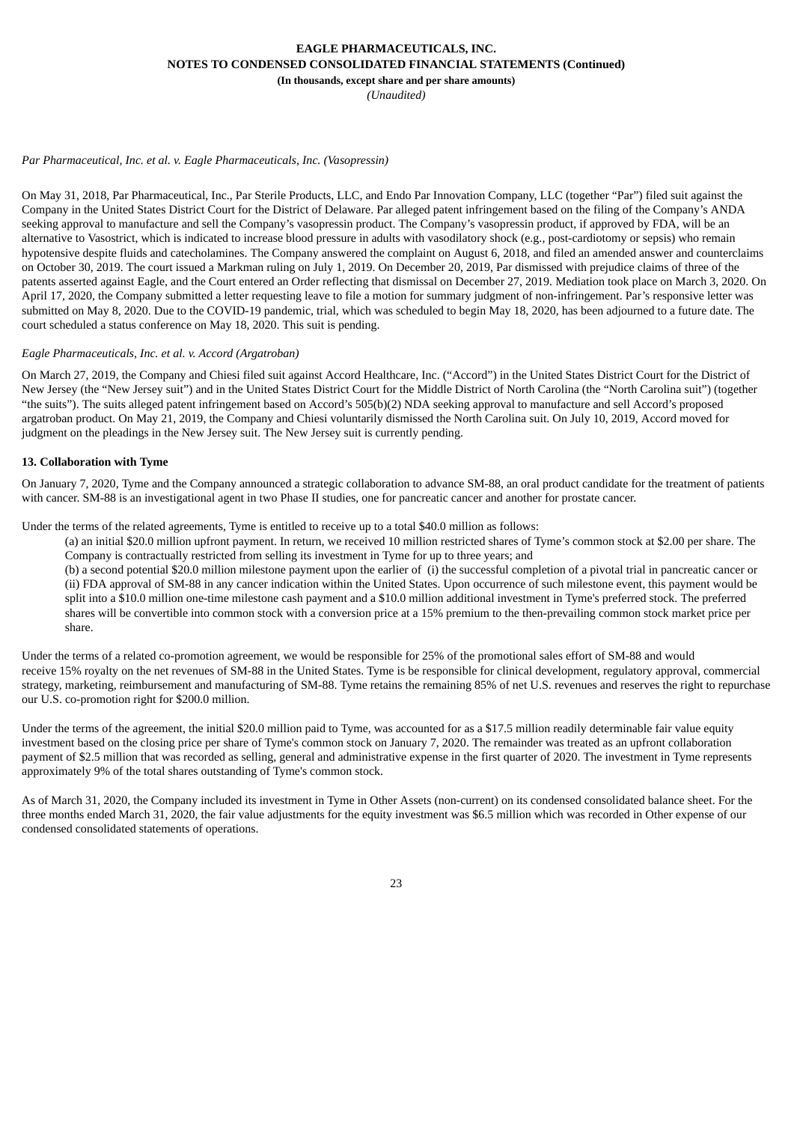**(In thousands, except share and per share amounts)**

*(Unaudited)*

*Par Pharmaceutical, Inc. et al. v. Eagle Pharmaceuticals, Inc. (Vasopressin)*

On May 31, 2018, Par Pharmaceutical, Inc., Par Sterile Products, LLC, and Endo Par Innovation Company, LLC (together "Par") filed suit against the Company in the United States District Court for the District of Delaware. Par alleged patent infringement based on the filing of the Company's ANDA seeking approval to manufacture and sell the Company's vasopressin product. The Company's vasopressin product, if approved by FDA, will be an alternative to Vasostrict, which is indicated to increase blood pressure in adults with vasodilatory shock (e.g., post-cardiotomy or sepsis) who remain hypotensive despite fluids and catecholamines. The Company answered the complaint on August 6, 2018, and filed an amended answer and counterclaims on October 30, 2019. The court issued a Markman ruling on July 1, 2019. On December 20, 2019, Par dismissed with prejudice claims of three of the patents asserted against Eagle, and the Court entered an Order reflecting that dismissal on December 27, 2019. Mediation took place on March 3, 2020. On April 17, 2020, the Company submitted a letter requesting leave to file a motion for summary judgment of non-infringement. Par's responsive letter was submitted on May 8, 2020. Due to the COVID-19 pandemic, trial, which was scheduled to begin May 18, 2020, has been adjourned to a future date. The court scheduled a status conference on May 18, 2020. This suit is pending.

### *Eagle Pharmaceuticals, Inc. et al. v. Accord (Argatroban)*

On March 27, 2019, the Company and Chiesi filed suit against Accord Healthcare, Inc. ("Accord") in the United States District Court for the District of New Jersey (the "New Jersey suit") and in the United States District Court for the Middle District of North Carolina (the "North Carolina suit") (together "the suits"). The suits alleged patent infringement based on Accord's 505(b)(2) NDA seeking approval to manufacture and sell Accord's proposed argatroban product. On May 21, 2019, the Company and Chiesi voluntarily dismissed the North Carolina suit. On July 10, 2019, Accord moved for judgment on the pleadings in the New Jersey suit. The New Jersey suit is currently pending.

### **13. Collaboration with Tyme**

On January 7, 2020, Tyme and the Company announced a strategic collaboration to advance SM-88, an oral product candidate for the treatment of patients with cancer. SM-88 is an investigational agent in two Phase II studies, one for pancreatic cancer and another for prostate cancer.

Under the terms of the related agreements, Tyme is entitled to receive up to a total \$40.0 million as follows:

(a) an initial \$20.0 million upfront payment. In return, we received 10 million restricted shares of Tyme's common stock at \$2.00 per share. The Company is contractually restricted from selling its investment in Tyme for up to three years; and

(b) a second potential \$20.0 million milestone payment upon the earlier of (i) the successful completion of a pivotal trial in pancreatic cancer or (ii) FDA approval of SM-88 in any cancer indication within the United States. Upon occurrence of such milestone event, this payment would be split into a \$10.0 million one-time milestone cash payment and a \$10.0 million additional investment in Tyme's preferred stock. The preferred shares will be convertible into common stock with a conversion price at a 15% premium to the then-prevailing common stock market price per share.

Under the terms of a related co-promotion agreement, we would be responsible for 25% of the promotional sales effort of SM-88 and would receive 15% royalty on the net revenues of SM-88 in the United States. Tyme is be responsible for clinical development, regulatory approval, commercial strategy, marketing, reimbursement and manufacturing of SM-88. Tyme retains the remaining 85% of net U.S. revenues and reserves the right to repurchase our U.S. co-promotion right for \$200.0 million.

Under the terms of the agreement, the initial \$20.0 million paid to Tyme, was accounted for as a \$17.5 million readily determinable fair value equity investment based on the closing price per share of Tyme's common stock on January 7, 2020. The remainder was treated as an upfront collaboration payment of \$2.5 million that was recorded as selling, general and administrative expense in the first quarter of 2020. The investment in Tyme represents approximately 9% of the total shares outstanding of Tyme's common stock.

As of March 31, 2020, the Company included its investment in Tyme in Other Assets (non-current) on its condensed consolidated balance sheet. For the three months ended March 31, 2020, the fair value adjustments for the equity investment was \$6.5 million which was recorded in Other expense of our condensed consolidated statements of operations.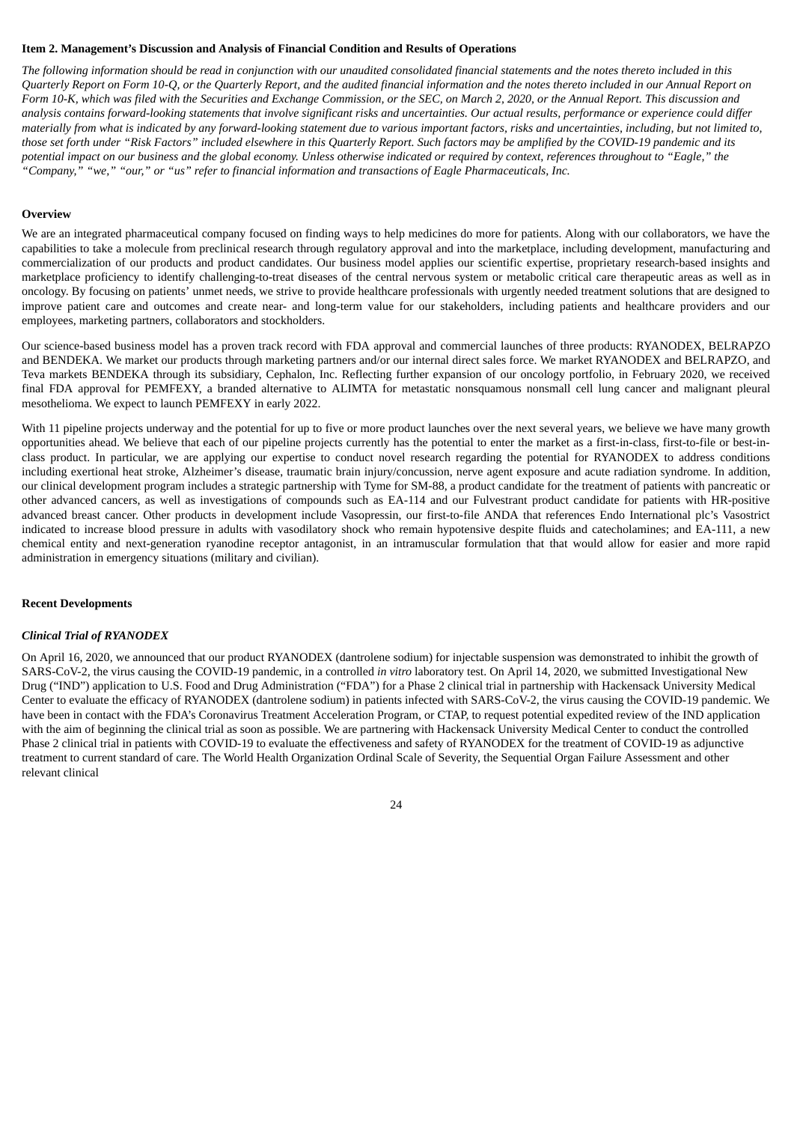#### <span id="page-27-0"></span>**Item 2. Management's Discussion and Analysis of Financial Condition and Results of Operations**

The following information should be read in conjunction with our unaudited consolidated financial statements and the notes thereto included in this Quarterly Report on Form 10-Q, or the Quarterly Report, and the audited financial information and the notes thereto included in our Annual Report on Form 10-K, which was filed with the Securities and Exchange Commission, or the SEC, on March 2, 2020, or the Annual Report. This discussion and analysis contains forward-looking statements that involve significant risks and uncertainties. Our actual results, performance or experience could differ materially from what is indicated by any forward-looking statement due to various important factors, risks and uncertainties, including, but not limited to, those set forth under "Risk Factors" included elsewhere in this Quarterly Report. Such factors may be amplified by the COVID-19 pandemic and its potential impact on our business and the global economy. Unless otherwise indicated or required by context, references throughout to "Eagle," the *"Company," "we," "our," or "us" refer to financial information and transactions of Eagle Pharmaceuticals, Inc.*

#### **Overview**

We are an integrated pharmaceutical company focused on finding ways to help medicines do more for patients. Along with our collaborators, we have the capabilities to take a molecule from preclinical research through regulatory approval and into the marketplace, including development, manufacturing and commercialization of our products and product candidates. Our business model applies our scientific expertise, proprietary research-based insights and marketplace proficiency to identify challenging-to-treat diseases of the central nervous system or metabolic critical care therapeutic areas as well as in oncology. By focusing on patients' unmet needs, we strive to provide healthcare professionals with urgently needed treatment solutions that are designed to improve patient care and outcomes and create near- and long-term value for our stakeholders, including patients and healthcare providers and our employees, marketing partners, collaborators and stockholders.

Our science-based business model has a proven track record with FDA approval and commercial launches of three products: RYANODEX, BELRAPZO and BENDEKA. We market our products through marketing partners and/or our internal direct sales force. We market RYANODEX and BELRAPZO, and Teva markets BENDEKA through its subsidiary, Cephalon, Inc. Reflecting further expansion of our oncology portfolio, in February 2020, we received final FDA approval for PEMFEXY, a branded alternative to ALIMTA for metastatic nonsquamous nonsmall cell lung cancer and malignant pleural mesothelioma. We expect to launch PEMFEXY in early 2022.

With 11 pipeline projects underway and the potential for up to five or more product launches over the next several years, we believe we have many growth opportunities ahead. We believe that each of our pipeline projects currently has the potential to enter the market as a first-in-class, first-to-file or best-inclass product. In particular, we are applying our expertise to conduct novel research regarding the potential for RYANODEX to address conditions including exertional heat stroke, Alzheimer's disease, traumatic brain injury/concussion, nerve agent exposure and acute radiation syndrome. In addition, our clinical development program includes a strategic partnership with Tyme for SM-88, a product candidate for the treatment of patients with pancreatic or other advanced cancers, as well as investigations of compounds such as EA-114 and our Fulvestrant product candidate for patients with HR-positive advanced breast cancer. Other products in development include Vasopressin, our first-to-file ANDA that references Endo International plc's Vasostrict indicated to increase blood pressure in adults with vasodilatory shock who remain hypotensive despite fluids and catecholamines; and EA-111, a new chemical entity and next-generation ryanodine receptor antagonist, in an intramuscular formulation that that would allow for easier and more rapid administration in emergency situations (military and civilian).

#### **Recent Developments**

#### *Clinical Trial of RYANODEX*

On April 16, 2020, we announced that our product RYANODEX (dantrolene sodium) for injectable suspension was demonstrated to inhibit the growth of SARS-CoV-2, the virus causing the COVID-19 pandemic, in a controlled *in vitro* laboratory test. On April 14, 2020, we submitted Investigational New Drug ("IND") application to U.S. Food and Drug Administration ("FDA") for a Phase 2 clinical trial in partnership with Hackensack University Medical Center to evaluate the efficacy of RYANODEX (dantrolene sodium) in patients infected with SARS-CoV-2, the virus causing the COVID-19 pandemic. We have been in contact with the FDA's Coronavirus Treatment Acceleration Program, or CTAP, to request potential expedited review of the IND application with the aim of beginning the clinical trial as soon as possible. We are partnering with Hackensack University Medical Center to conduct the controlled Phase 2 clinical trial in patients with COVID-19 to evaluate the effectiveness and safety of RYANODEX for the treatment of COVID-19 as adjunctive treatment to current standard of care. The World Health Organization Ordinal Scale of Severity, the Sequential Organ Failure Assessment and other relevant clinical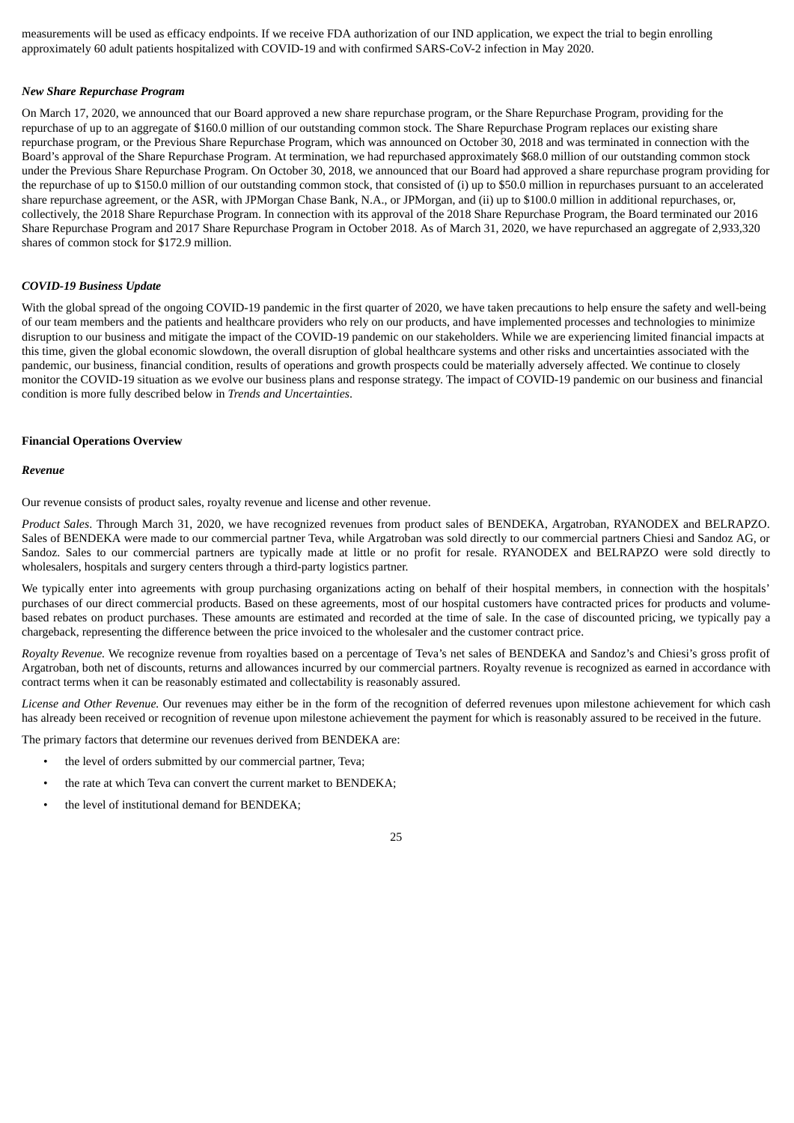measurements will be used as efficacy endpoints. If we receive FDA authorization of our IND application, we expect the trial to begin enrolling approximately 60 adult patients hospitalized with COVID-19 and with confirmed SARS-CoV-2 infection in May 2020.

#### *New Share Repurchase Program*

On March 17, 2020, we announced that our Board approved a new share repurchase program, or the Share Repurchase Program, providing for the repurchase of up to an aggregate of \$160.0 million of our outstanding common stock. The Share Repurchase Program replaces our existing share repurchase program, or the Previous Share Repurchase Program, which was announced on October 30, 2018 and was terminated in connection with the Board's approval of the Share Repurchase Program. At termination, we had repurchased approximately \$68.0 million of our outstanding common stock under the Previous Share Repurchase Program. On October 30, 2018, we announced that our Board had approved a share repurchase program providing for the repurchase of up to \$150.0 million of our outstanding common stock, that consisted of (i) up to \$50.0 million in repurchases pursuant to an accelerated share repurchase agreement, or the ASR, with JPMorgan Chase Bank, N.A., or JPMorgan, and (ii) up to \$100.0 million in additional repurchases, or, collectively, the 2018 Share Repurchase Program. In connection with its approval of the 2018 Share Repurchase Program, the Board terminated our 2016 Share Repurchase Program and 2017 Share Repurchase Program in October 2018. As of March 31, 2020, we have repurchased an aggregate of 2,933,320 shares of common stock for \$172.9 million.

#### *COVID-19 Business Update*

With the global spread of the ongoing COVID-19 pandemic in the first quarter of 2020, we have taken precautions to help ensure the safety and well-being of our team members and the patients and healthcare providers who rely on our products, and have implemented processes and technologies to minimize disruption to our business and mitigate the impact of the COVID-19 pandemic on our stakeholders. While we are experiencing limited financial impacts at this time, given the global economic slowdown, the overall disruption of global healthcare systems and other risks and uncertainties associated with the pandemic, our business, financial condition, results of operations and growth prospects could be materially adversely affected. We continue to closely monitor the COVID-19 situation as we evolve our business plans and response strategy. The impact of COVID-19 pandemic on our business and financial condition is more fully described below in *Trends and Uncertainties*.

#### **Financial Operations Overview**

#### *Revenue*

Our revenue consists of product sales, royalty revenue and license and other revenue.

*Product Sales*. Through March 31, 2020, we have recognized revenues from product sales of BENDEKA, Argatroban, RYANODEX and BELRAPZO. Sales of BENDEKA were made to our commercial partner Teva, while Argatroban was sold directly to our commercial partners Chiesi and Sandoz AG, or Sandoz. Sales to our commercial partners are typically made at little or no profit for resale. RYANODEX and BELRAPZO were sold directly to wholesalers, hospitals and surgery centers through a third-party logistics partner.

We typically enter into agreements with group purchasing organizations acting on behalf of their hospital members, in connection with the hospitals' purchases of our direct commercial products. Based on these agreements, most of our hospital customers have contracted prices for products and volumebased rebates on product purchases. These amounts are estimated and recorded at the time of sale. In the case of discounted pricing, we typically pay a chargeback, representing the difference between the price invoiced to the wholesaler and the customer contract price.

*Royalty Revenue.* We recognize revenue from royalties based on a percentage of Teva's net sales of BENDEKA and Sandoz's and Chiesi's gross profit of Argatroban, both net of discounts, returns and allowances incurred by our commercial partners. Royalty revenue is recognized as earned in accordance with contract terms when it can be reasonably estimated and collectability is reasonably assured.

*License and Other Revenue.* Our revenues may either be in the form of the recognition of deferred revenues upon milestone achievement for which cash has already been received or recognition of revenue upon milestone achievement the payment for which is reasonably assured to be received in the future.

The primary factors that determine our revenues derived from BENDEKA are:

- the level of orders submitted by our commercial partner, Teva;
- the rate at which Teva can convert the current market to BENDEKA;
- the level of institutional demand for BENDEKA;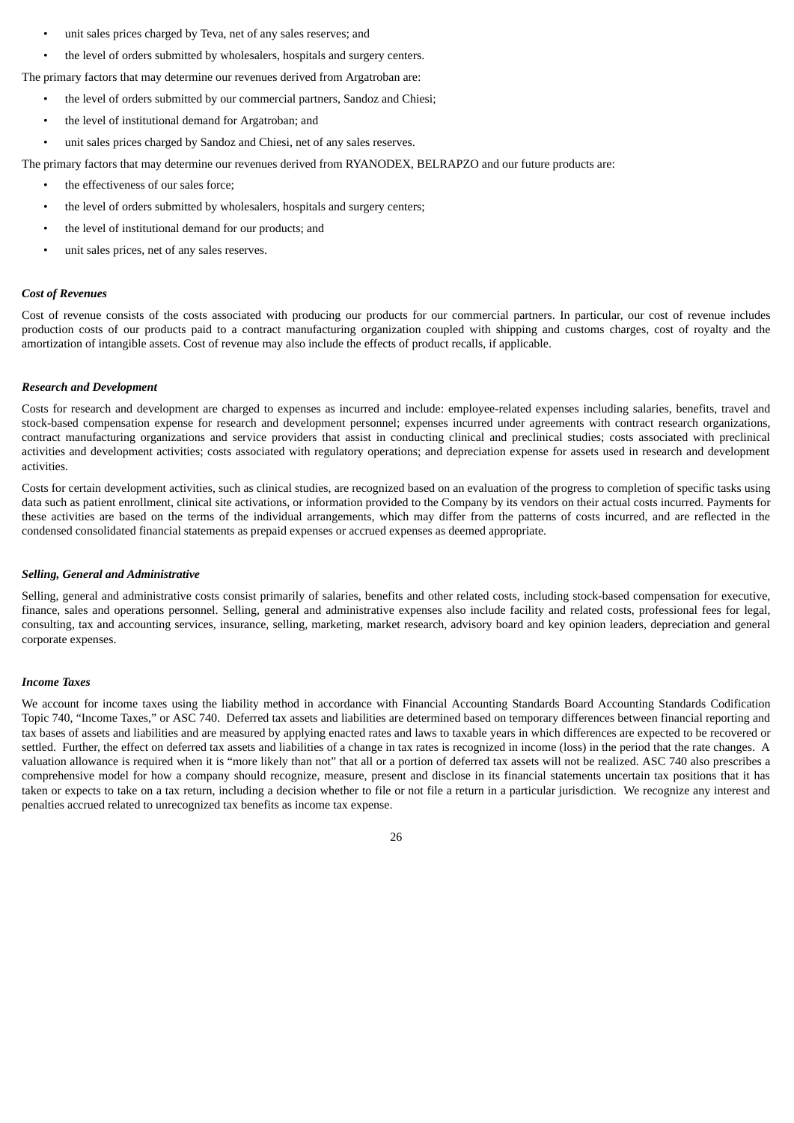- unit sales prices charged by Teva, net of any sales reserves; and
- the level of orders submitted by wholesalers, hospitals and surgery centers.

The primary factors that may determine our revenues derived from Argatroban are:

- the level of orders submitted by our commercial partners, Sandoz and Chiesi;
- the level of institutional demand for Argatroban; and
- unit sales prices charged by Sandoz and Chiesi, net of any sales reserves.

The primary factors that may determine our revenues derived from RYANODEX, BELRAPZO and our future products are:

- the effectiveness of our sales force;
- the level of orders submitted by wholesalers, hospitals and surgery centers;
- the level of institutional demand for our products; and
- unit sales prices, net of any sales reserves.

#### *Cost of Revenues*

Cost of revenue consists of the costs associated with producing our products for our commercial partners. In particular, our cost of revenue includes production costs of our products paid to a contract manufacturing organization coupled with shipping and customs charges, cost of royalty and the amortization of intangible assets. Cost of revenue may also include the effects of product recalls, if applicable.

#### *Research and Development*

Costs for research and development are charged to expenses as incurred and include: employee-related expenses including salaries, benefits, travel and stock-based compensation expense for research and development personnel; expenses incurred under agreements with contract research organizations, contract manufacturing organizations and service providers that assist in conducting clinical and preclinical studies; costs associated with preclinical activities and development activities; costs associated with regulatory operations; and depreciation expense for assets used in research and development activities.

Costs for certain development activities, such as clinical studies, are recognized based on an evaluation of the progress to completion of specific tasks using data such as patient enrollment, clinical site activations, or information provided to the Company by its vendors on their actual costs incurred. Payments for these activities are based on the terms of the individual arrangements, which may differ from the patterns of costs incurred, and are reflected in the condensed consolidated financial statements as prepaid expenses or accrued expenses as deemed appropriate.

#### *Selling, General and Administrative*

Selling, general and administrative costs consist primarily of salaries, benefits and other related costs, including stock-based compensation for executive, finance, sales and operations personnel. Selling, general and administrative expenses also include facility and related costs, professional fees for legal, consulting, tax and accounting services, insurance, selling, marketing, market research, advisory board and key opinion leaders, depreciation and general corporate expenses.

#### *Income Taxes*

We account for income taxes using the liability method in accordance with Financial Accounting Standards Board Accounting Standards Codification Topic 740, "Income Taxes," or ASC 740. Deferred tax assets and liabilities are determined based on temporary differences between financial reporting and tax bases of assets and liabilities and are measured by applying enacted rates and laws to taxable years in which differences are expected to be recovered or settled. Further, the effect on deferred tax assets and liabilities of a change in tax rates is recognized in income (loss) in the period that the rate changes. A valuation allowance is required when it is "more likely than not" that all or a portion of deferred tax assets will not be realized. ASC 740 also prescribes a comprehensive model for how a company should recognize, measure, present and disclose in its financial statements uncertain tax positions that it has taken or expects to take on a tax return, including a decision whether to file or not file a return in a particular jurisdiction. We recognize any interest and penalties accrued related to unrecognized tax benefits as income tax expense.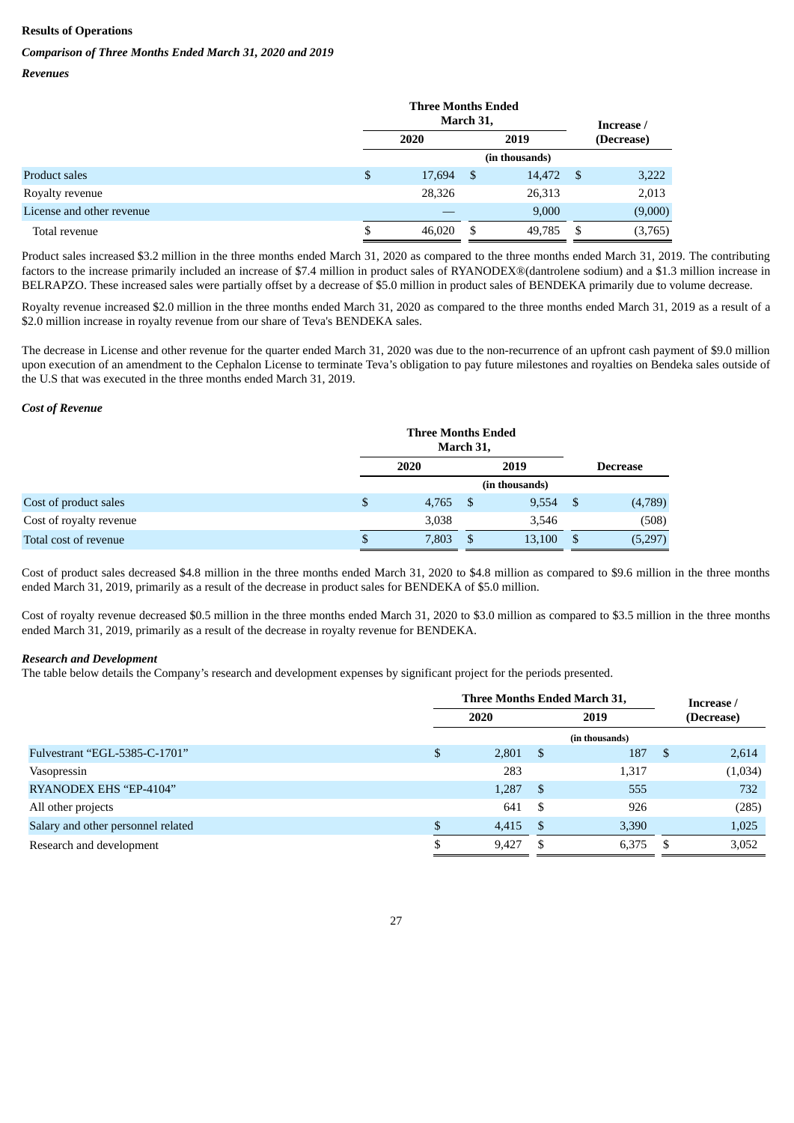### **Results of Operations**

### *Comparison of Three Months Ended March 31, 2020 and 2019*

#### *Revenues*

|                           |    | <b>Three Months Ended</b> | March 31, |                |      | Increase / |
|---------------------------|----|---------------------------|-----------|----------------|------|------------|
|                           |    | 2020                      |           | 2019           |      | (Decrease) |
|                           |    |                           |           | (in thousands) |      |            |
| Product sales             | \$ | 17,694                    | <b>S</b>  | 14,472         | - \$ | 3,222      |
| Royalty revenue           |    | 28,326                    |           | 26,313         |      | 2,013      |
| License and other revenue |    |                           |           | 9,000          |      | (9,000)    |
| Total revenue             | Φ  | 46,020                    | S         | 49,785         | S    | (3,765)    |

Product sales increased \$3.2 million in the three months ended March 31, 2020 as compared to the three months ended March 31, 2019. The contributing factors to the increase primarily included an increase of \$7.4 million in product sales of RYANODEX®(dantrolene sodium) and a \$1.3 million increase in BELRAPZO. These increased sales were partially offset by a decrease of \$5.0 million in product sales of BENDEKA primarily due to volume decrease.

Royalty revenue increased \$2.0 million in the three months ended March 31, 2020 as compared to the three months ended March 31, 2019 as a result of a \$2.0 million increase in royalty revenue from our share of Teva's BENDEKA sales.

The decrease in License and other revenue for the quarter ended March 31, 2020 was due to the non-recurrence of an upfront cash payment of \$9.0 million upon execution of an amendment to the Cephalon License to terminate Teva's obligation to pay future milestones and royalties on Bendeka sales outside of the U.S that was executed in the three months ended March 31, 2019.

### *Cost of Revenue*

|                         |      | <b>Three Months Ended</b> | March 31, |                |     |                 |
|-------------------------|------|---------------------------|-----------|----------------|-----|-----------------|
|                         | 2020 |                           |           | 2019           |     | <b>Decrease</b> |
|                         |      |                           |           | (in thousands) |     |                 |
| Cost of product sales   | \$   | 4,765                     | - \$      | 9,554          | - S | (4,789)         |
| Cost of royalty revenue |      | 3,038                     |           | 3,546          |     | (508)           |
| Total cost of revenue   | \$   | 7,803                     |           | 13,100         |     | (5,297)         |

Cost of product sales decreased \$4.8 million in the three months ended March 31, 2020 to \$4.8 million as compared to \$9.6 million in the three months ended March 31, 2019, primarily as a result of the decrease in product sales for BENDEKA of \$5.0 million.

Cost of royalty revenue decreased \$0.5 million in the three months ended March 31, 2020 to \$3.0 million as compared to \$3.5 million in the three months ended March 31, 2019, primarily as a result of the decrease in royalty revenue for BENDEKA.

#### *Research and Development*

The table below details the Company's research and development expenses by significant project for the periods presented.

|                                    | Three Months Ended March 31, |      |                |    | Increase / |  |
|------------------------------------|------------------------------|------|----------------|----|------------|--|
|                                    | 2020                         |      | 2019           |    | (Decrease) |  |
|                                    |                              |      | (in thousands) |    |            |  |
| Fulvestrant "EGL-5385-C-1701"      | \$<br>2,801                  | - \$ | 187            | -S | 2,614      |  |
| Vasopressin                        | 283                          |      | 1,317          |    | (1,034)    |  |
| RYANODEX EHS "EP-4104"             | 1,287                        | - \$ | 555            |    | 732        |  |
| All other projects                 | 641 \$                       |      | 926            |    | (285)      |  |
| Salary and other personnel related | $4,415$ \$                   |      | 3,390          |    | 1,025      |  |
| Research and development           | 9.427                        |      | 6.375          |    | 3,052      |  |
|                                    |                              |      |                |    |            |  |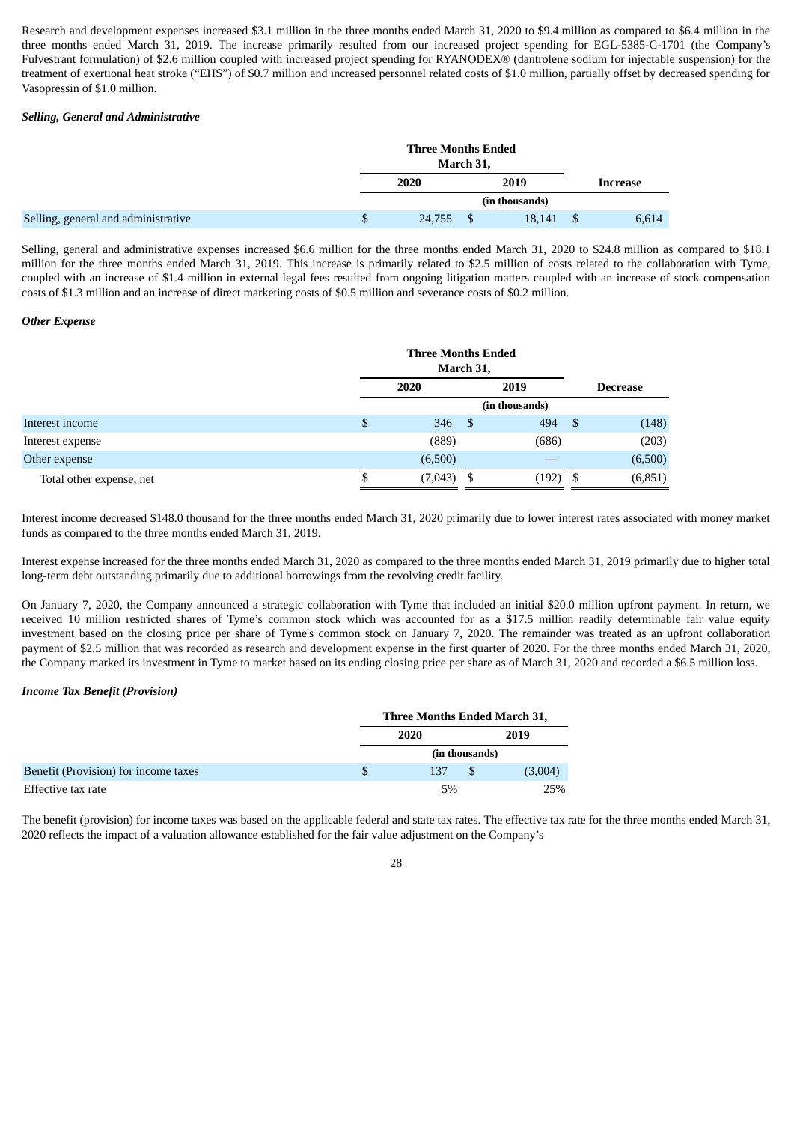Research and development expenses increased \$3.1 million in the three months ended March 31, 2020 to \$9.4 million as compared to \$6.4 million in the three months ended March 31, 2019. The increase primarily resulted from our increased project spending for EGL-5385-C-1701 (the Company's Fulvestrant formulation) of \$2.6 million coupled with increased project spending for RYANODEX® (dantrolene sodium for injectable suspension) for the treatment of exertional heat stroke ("EHS") of \$0.7 million and increased personnel related costs of \$1.0 million, partially offset by decreased spending for Vasopressin of \$1.0 million.

#### *Selling, General and Administrative*

|                                     | <b>Three Months Ended</b><br>March 31,<br>2020<br>2019 |      |                |  |          |
|-------------------------------------|--------------------------------------------------------|------|----------------|--|----------|
|                                     |                                                        |      |                |  | Increase |
|                                     |                                                        |      | (in thousands) |  |          |
| Selling, general and administrative | 24,755                                                 | - \$ | 18,141         |  | 6,614    |

Selling, general and administrative expenses increased \$6.6 million for the three months ended March 31, 2020 to \$24.8 million as compared to \$18.1 million for the three months ended March 31, 2019. This increase is primarily related to \$2.5 million of costs related to the collaboration with Tyme, coupled with an increase of \$1.4 million in external legal fees resulted from ongoing litigation matters coupled with an increase of stock compensation costs of \$1.3 million and an increase of direct marketing costs of \$0.5 million and severance costs of \$0.2 million.

#### *Other Expense*

|                          | <b>Three Months Ended</b><br>March 31, |      |                |      |                 |
|--------------------------|----------------------------------------|------|----------------|------|-----------------|
|                          | 2020                                   | 2019 |                |      | <b>Decrease</b> |
|                          |                                        |      | (in thousands) |      |                 |
| Interest income          | \$<br>346                              | - \$ | 494            | -\$  | (148)           |
| Interest expense         | (889)                                  |      | (686)          |      | (203)           |
| Other expense            | (6,500)                                |      |                |      | (6,500)         |
| Total other expense, net | \$<br>$(7,043)$ \$                     |      | (192)          | - \$ | (6, 851)        |

Interest income decreased \$148.0 thousand for the three months ended March 31, 2020 primarily due to lower interest rates associated with money market funds as compared to the three months ended March 31, 2019.

Interest expense increased for the three months ended March 31, 2020 as compared to the three months ended March 31, 2019 primarily due to higher total long-term debt outstanding primarily due to additional borrowings from the revolving credit facility.

On January 7, 2020, the Company announced a strategic collaboration with Tyme that included an initial \$20.0 million upfront payment. In return, we received 10 million restricted shares of Tyme's common stock which was accounted for as a \$17.5 million readily determinable fair value equity investment based on the closing price per share of Tyme's common stock on January 7, 2020. The remainder was treated as an upfront collaboration payment of \$2.5 million that was recorded as research and development expense in the first quarter of 2020. For the three months ended March 31, 2020, the Company marked its investment in Tyme to market based on its ending closing price per share as of March 31, 2020 and recorded a \$6.5 million loss.

### *Income Tax Benefit (Provision)*

|                                      |      |                | Three Months Ended March 31, |
|--------------------------------------|------|----------------|------------------------------|
|                                      | 2020 |                | 2019                         |
|                                      |      | (in thousands) |                              |
| Benefit (Provision) for income taxes | 137  |                | (3,004)                      |
| Effective tax rate                   | 5%   |                | 25%                          |

The benefit (provision) for income taxes was based on the applicable federal and state tax rates. The effective tax rate for the three months ended March 31, 2020 reflects the impact of a valuation allowance established for the fair value adjustment on the Company's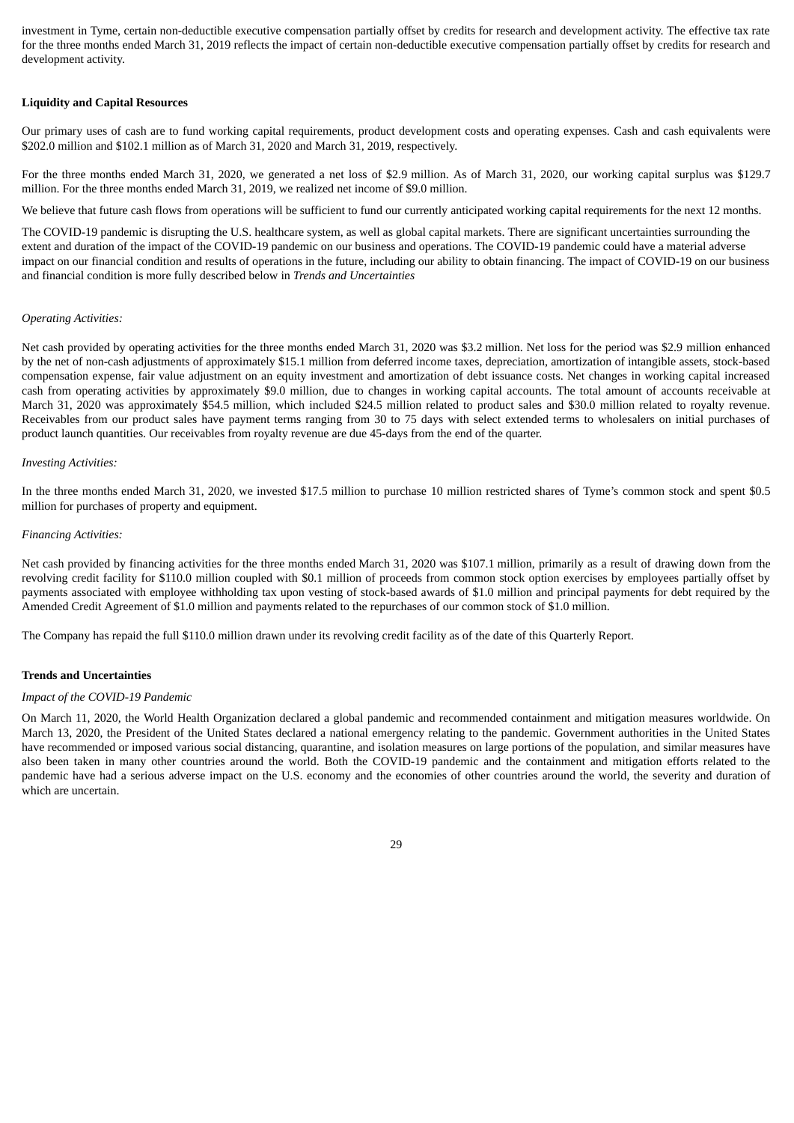investment in Tyme, certain non-deductible executive compensation partially offset by credits for research and development activity. The effective tax rate for the three months ended March 31, 2019 reflects the impact of certain non-deductible executive compensation partially offset by credits for research and development activity.

### **Liquidity and Capital Resources**

Our primary uses of cash are to fund working capital requirements, product development costs and operating expenses. Cash and cash equivalents were \$202.0 million and \$102.1 million as of March 31, 2020 and March 31, 2019, respectively.

For the three months ended March 31, 2020, we generated a net loss of \$2.9 million. As of March 31, 2020, our working capital surplus was \$129.7 million. For the three months ended March 31, 2019, we realized net income of \$9.0 million.

We believe that future cash flows from operations will be sufficient to fund our currently anticipated working capital requirements for the next 12 months.

The COVID-19 pandemic is disrupting the U.S. healthcare system, as well as global capital markets. There are significant uncertainties surrounding the extent and duration of the impact of the COVID-19 pandemic on our business and operations. The COVID-19 pandemic could have a material adverse impact on our financial condition and results of operations in the future, including our ability to obtain financing. The impact of COVID-19 on our business and financial condition is more fully described below in *Trends and Uncertainties*

### *Operating Activities:*

Net cash provided by operating activities for the three months ended March 31, 2020 was \$3.2 million. Net loss for the period was \$2.9 million enhanced by the net of non-cash adjustments of approximately \$15.1 million from deferred income taxes, depreciation, amortization of intangible assets, stock-based compensation expense, fair value adjustment on an equity investment and amortization of debt issuance costs. Net changes in working capital increased cash from operating activities by approximately \$9.0 million, due to changes in working capital accounts. The total amount of accounts receivable at March 31, 2020 was approximately \$54.5 million, which included \$24.5 million related to product sales and \$30.0 million related to royalty revenue. Receivables from our product sales have payment terms ranging from 30 to 75 days with select extended terms to wholesalers on initial purchases of product launch quantities. Our receivables from royalty revenue are due 45-days from the end of the quarter.

#### *Investing Activities:*

In the three months ended March 31, 2020, we invested \$17.5 million to purchase 10 million restricted shares of Tyme's common stock and spent \$0.5 million for purchases of property and equipment.

#### *Financing Activities:*

Net cash provided by financing activities for the three months ended March 31, 2020 was \$107.1 million, primarily as a result of drawing down from the revolving credit facility for \$110.0 million coupled with \$0.1 million of proceeds from common stock option exercises by employees partially offset by payments associated with employee withholding tax upon vesting of stock-based awards of \$1.0 million and principal payments for debt required by the Amended Credit Agreement of \$1.0 million and payments related to the repurchases of our common stock of \$1.0 million.

The Company has repaid the full \$110.0 million drawn under its revolving credit facility as of the date of this Quarterly Report.

### **Trends and Uncertainties**

#### *Impact of the COVID-19 Pandemic*

On March 11, 2020, the World Health Organization declared a global pandemic and recommended containment and mitigation measures worldwide. On March 13, 2020, the President of the United States declared a national emergency relating to the pandemic. Government authorities in the United States have recommended or imposed various social distancing, quarantine, and isolation measures on large portions of the population, and similar measures have also been taken in many other countries around the world. Both the COVID-19 pandemic and the containment and mitigation efforts related to the pandemic have had a serious adverse impact on the U.S. economy and the economies of other countries around the world, the severity and duration of which are uncertain.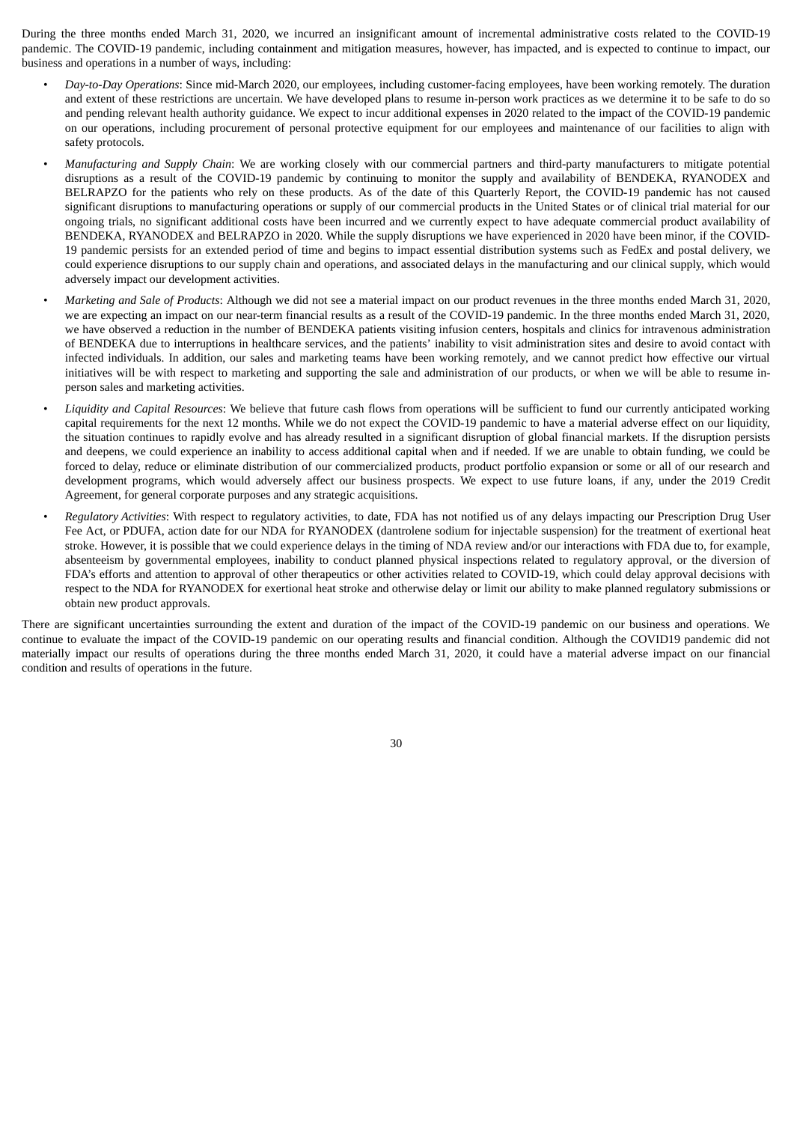During the three months ended March 31, 2020, we incurred an insignificant amount of incremental administrative costs related to the COVID-19 pandemic. The COVID-19 pandemic, including containment and mitigation measures, however, has impacted, and is expected to continue to impact, our business and operations in a number of ways, including:

- *Day-to-Day Operations*: Since mid-March 2020, our employees, including customer-facing employees, have been working remotely. The duration and extent of these restrictions are uncertain. We have developed plans to resume in-person work practices as we determine it to be safe to do so and pending relevant health authority guidance. We expect to incur additional expenses in 2020 related to the impact of the COVID-19 pandemic on our operations, including procurement of personal protective equipment for our employees and maintenance of our facilities to align with safety protocols.
- *Manufacturing and Supply Chain*: We are working closely with our commercial partners and third-party manufacturers to mitigate potential disruptions as a result of the COVID-19 pandemic by continuing to monitor the supply and availability of BENDEKA, RYANODEX and BELRAPZO for the patients who rely on these products. As of the date of this Quarterly Report, the COVID-19 pandemic has not caused significant disruptions to manufacturing operations or supply of our commercial products in the United States or of clinical trial material for our ongoing trials, no significant additional costs have been incurred and we currently expect to have adequate commercial product availability of BENDEKA, RYANODEX and BELRAPZO in 2020. While the supply disruptions we have experienced in 2020 have been minor, if the COVID-19 pandemic persists for an extended period of time and begins to impact essential distribution systems such as FedEx and postal delivery, we could experience disruptions to our supply chain and operations, and associated delays in the manufacturing and our clinical supply, which would adversely impact our development activities.
- *Marketing and Sale of Products*: Although we did not see a material impact on our product revenues in the three months ended March 31, 2020, we are expecting an impact on our near-term financial results as a result of the COVID-19 pandemic. In the three months ended March 31, 2020, we have observed a reduction in the number of BENDEKA patients visiting infusion centers, hospitals and clinics for intravenous administration of BENDEKA due to interruptions in healthcare services, and the patients' inability to visit administration sites and desire to avoid contact with infected individuals. In addition, our sales and marketing teams have been working remotely, and we cannot predict how effective our virtual initiatives will be with respect to marketing and supporting the sale and administration of our products, or when we will be able to resume inperson sales and marketing activities.
- *Liquidity and Capital Resources*: We believe that future cash flows from operations will be sufficient to fund our currently anticipated working capital requirements for the next 12 months. While we do not expect the COVID-19 pandemic to have a material adverse effect on our liquidity, the situation continues to rapidly evolve and has already resulted in a significant disruption of global financial markets. If the disruption persists and deepens, we could experience an inability to access additional capital when and if needed. If we are unable to obtain funding, we could be forced to delay, reduce or eliminate distribution of our commercialized products, product portfolio expansion or some or all of our research and development programs, which would adversely affect our business prospects. We expect to use future loans, if any, under the 2019 Credit Agreement, for general corporate purposes and any strategic acquisitions.
- *Regulatory Activities*: With respect to regulatory activities, to date, FDA has not notified us of any delays impacting our Prescription Drug User Fee Act, or PDUFA, action date for our NDA for RYANODEX (dantrolene sodium for injectable suspension) for the treatment of exertional heat stroke. However, it is possible that we could experience delays in the timing of NDA review and/or our interactions with FDA due to, for example, absenteeism by governmental employees, inability to conduct planned physical inspections related to regulatory approval, or the diversion of FDA's efforts and attention to approval of other therapeutics or other activities related to COVID-19, which could delay approval decisions with respect to the NDA for RYANODEX for exertional heat stroke and otherwise delay or limit our ability to make planned regulatory submissions or obtain new product approvals.

There are significant uncertainties surrounding the extent and duration of the impact of the COVID-19 pandemic on our business and operations. We continue to evaluate the impact of the COVID-19 pandemic on our operating results and financial condition. Although the COVID19 pandemic did not materially impact our results of operations during the three months ended March 31, 2020, it could have a material adverse impact on our financial condition and results of operations in the future.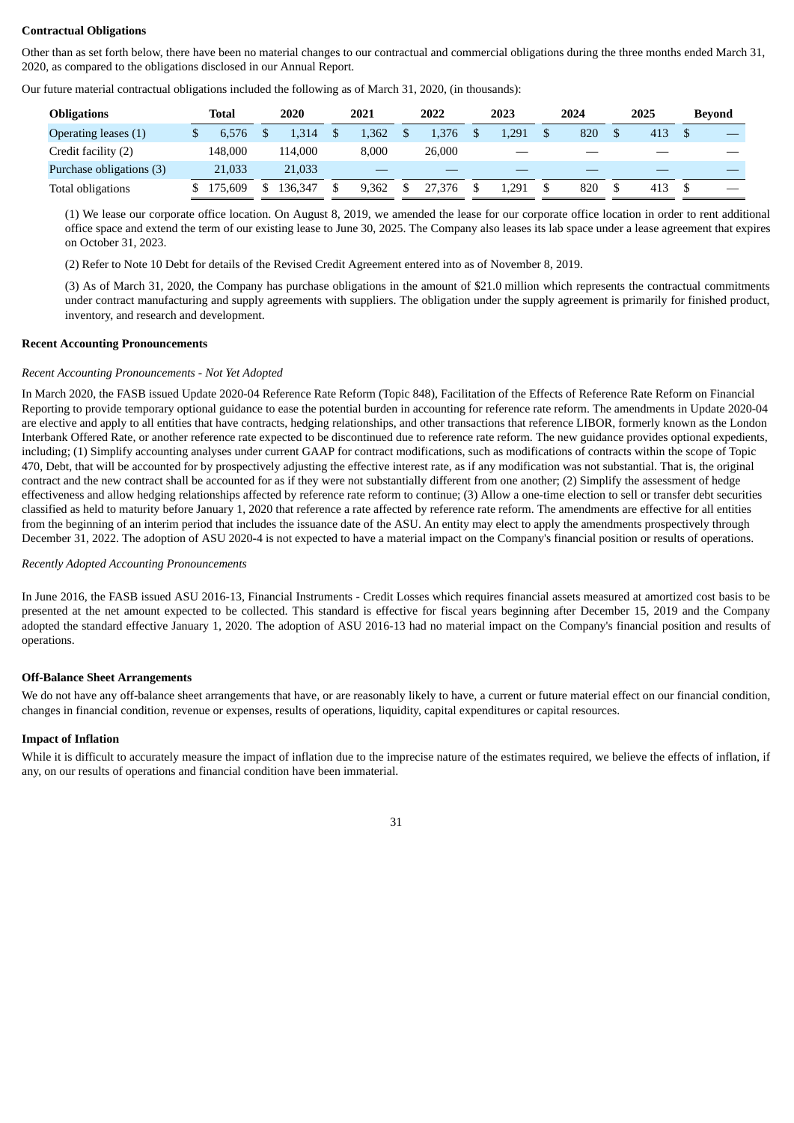### **Contractual Obligations**

Other than as set forth below, there have been no material changes to our contractual and commercial obligations during the three months ended March 31, 2020, as compared to the obligations disclosed in our Annual Report.

**Obligations Total 2020 2021 2022 2023 2024 2025 Beyond** Operating leases (1) \$ 6,576 \$ 1,314 \$ 1,362 \$ 1,376 \$ 1,291 \$ 820 \$ 413 \$ Credit facility (2) 148,000 114,000 8,000 26,000 Purchase obligations (3) <sup>21,033</sup> 21,033 Total obligations \$ 175,609 \$ 136,347 \$ 9,362 \$ 27,376 \$ 1,291 \$ 820 \$ 413 \$

Our future material contractual obligations included the following as of March 31, 2020, (in thousands):

(1) We lease our corporate office location. On August 8, 2019, we amended the lease for our corporate office location in order to rent additional office space and extend the term of our existing lease to June 30, 2025. The Company also leases its lab space under a lease agreement that expires on October 31, 2023.

(2) Refer to Note 10 Debt for details of the Revised Credit Agreement entered into as of November 8, 2019.

(3) As of March 31, 2020, the Company has purchase obligations in the amount of \$21.0 million which represents the contractual commitments under contract manufacturing and supply agreements with suppliers. The obligation under the supply agreement is primarily for finished product, inventory, and research and development.

#### **Recent Accounting Pronouncements**

#### *Recent Accounting Pronouncements - Not Yet Adopted*

In March 2020, the FASB issued Update 2020-04 Reference Rate Reform (Topic 848), Facilitation of the Effects of Reference Rate Reform on Financial Reporting to provide temporary optional guidance to ease the potential burden in accounting for reference rate reform. The amendments in Update 2020-04 are elective and apply to all entities that have contracts, hedging relationships, and other transactions that reference LIBOR, formerly known as the London Interbank Offered Rate, or another reference rate expected to be discontinued due to reference rate reform. The new guidance provides optional expedients, including; (1) Simplify accounting analyses under current GAAP for contract modifications, such as modifications of contracts within the scope of Topic 470, Debt, that will be accounted for by prospectively adjusting the effective interest rate, as if any modification was not substantial. That is, the original contract and the new contract shall be accounted for as if they were not substantially different from one another; (2) Simplify the assessment of hedge effectiveness and allow hedging relationships affected by reference rate reform to continue; (3) Allow a one-time election to sell or transfer debt securities classified as held to maturity before January 1, 2020 that reference a rate affected by reference rate reform. The amendments are effective for all entities from the beginning of an interim period that includes the issuance date of the ASU. An entity may elect to apply the amendments prospectively through December 31, 2022. The adoption of ASU 2020-4 is not expected to have a material impact on the Company's financial position or results of operations.

#### *Recently Adopted Accounting Pronouncements*

In June 2016, the FASB issued ASU 2016-13, Financial Instruments - Credit Losses which requires financial assets measured at amortized cost basis to be presented at the net amount expected to be collected. This standard is effective for fiscal years beginning after December 15, 2019 and the Company adopted the standard effective January 1, 2020. The adoption of ASU 2016-13 had no material impact on the Company's financial position and results of operations.

### **Off-Balance Sheet Arrangements**

We do not have any off-balance sheet arrangements that have, or are reasonably likely to have, a current or future material effect on our financial condition, changes in financial condition, revenue or expenses, results of operations, liquidity, capital expenditures or capital resources.

#### **Impact of Inflation**

<span id="page-34-0"></span>While it is difficult to accurately measure the impact of inflation due to the imprecise nature of the estimates required, we believe the effects of inflation, if any, on our results of operations and financial condition have been immaterial.

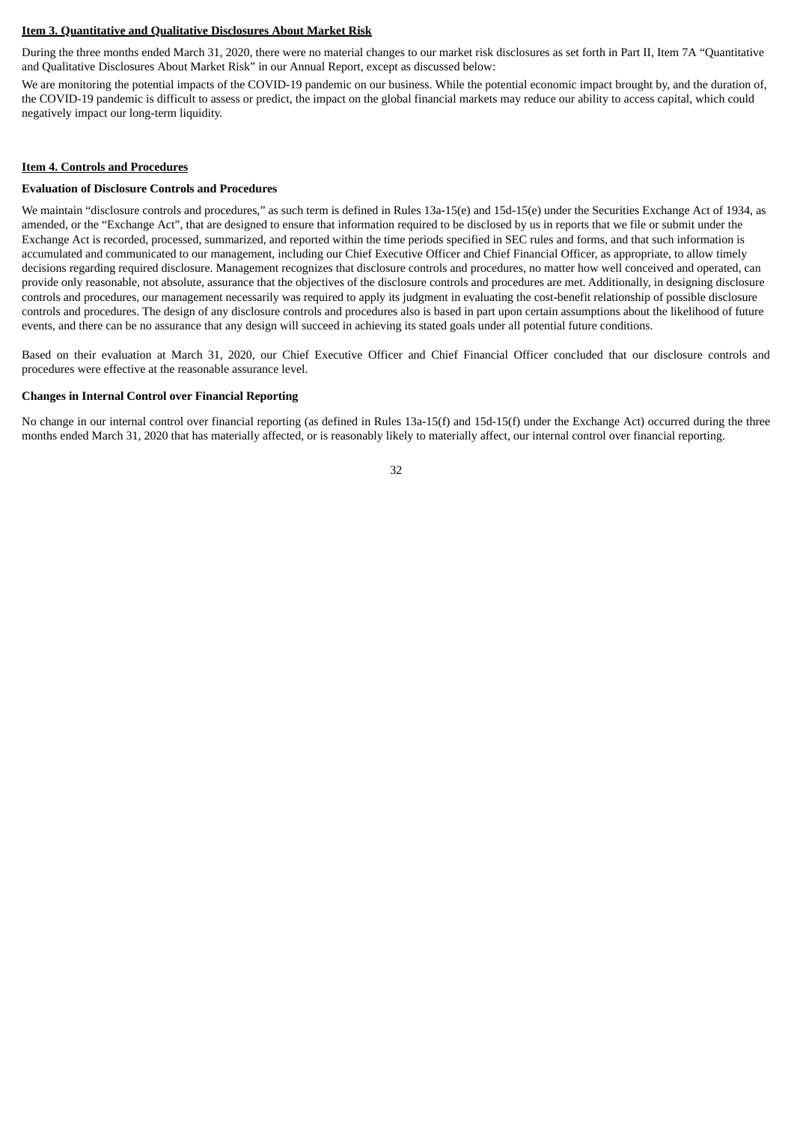### **Item 3. Quantitative and Qualitative Disclosures About Market Risk**

During the three months ended March 31, 2020, there were no material changes to our market risk disclosures as set forth in Part II, Item 7A "Quantitative and Qualitative Disclosures About Market Risk" in our Annual Report, except as discussed below:

We are monitoring the potential impacts of the COVID-19 pandemic on our business. While the potential economic impact brought by, and the duration of, the COVID-19 pandemic is difficult to assess or predict, the impact on the global financial markets may reduce our ability to access capital, which could negatively impact our long-term liquidity.

### <span id="page-35-0"></span>**Item 4. Controls and Procedures**

### **Evaluation of Disclosure Controls and Procedures**

We maintain "disclosure controls and procedures," as such term is defined in Rules 13a-15(e) and 15d-15(e) under the Securities Exchange Act of 1934, as amended, or the "Exchange Act", that are designed to ensure that information required to be disclosed by us in reports that we file or submit under the Exchange Act is recorded, processed, summarized, and reported within the time periods specified in SEC rules and forms, and that such information is accumulated and communicated to our management, including our Chief Executive Officer and Chief Financial Officer, as appropriate, to allow timely decisions regarding required disclosure. Management recognizes that disclosure controls and procedures, no matter how well conceived and operated, can provide only reasonable, not absolute, assurance that the objectives of the disclosure controls and procedures are met. Additionally, in designing disclosure controls and procedures, our management necessarily was required to apply its judgment in evaluating the cost-benefit relationship of possible disclosure controls and procedures. The design of any disclosure controls and procedures also is based in part upon certain assumptions about the likelihood of future events, and there can be no assurance that any design will succeed in achieving its stated goals under all potential future conditions.

Based on their evaluation at March 31, 2020, our Chief Executive Officer and Chief Financial Officer concluded that our disclosure controls and procedures were effective at the reasonable assurance level.

#### **Changes in Internal Control over Financial Reporting**

No change in our internal control over financial reporting (as defined in Rules 13a-15(f) and 15d-15(f) under the Exchange Act) occurred during the three months ended March 31, 2020 that has materially affected, or is reasonably likely to materially affect, our internal control over financial reporting.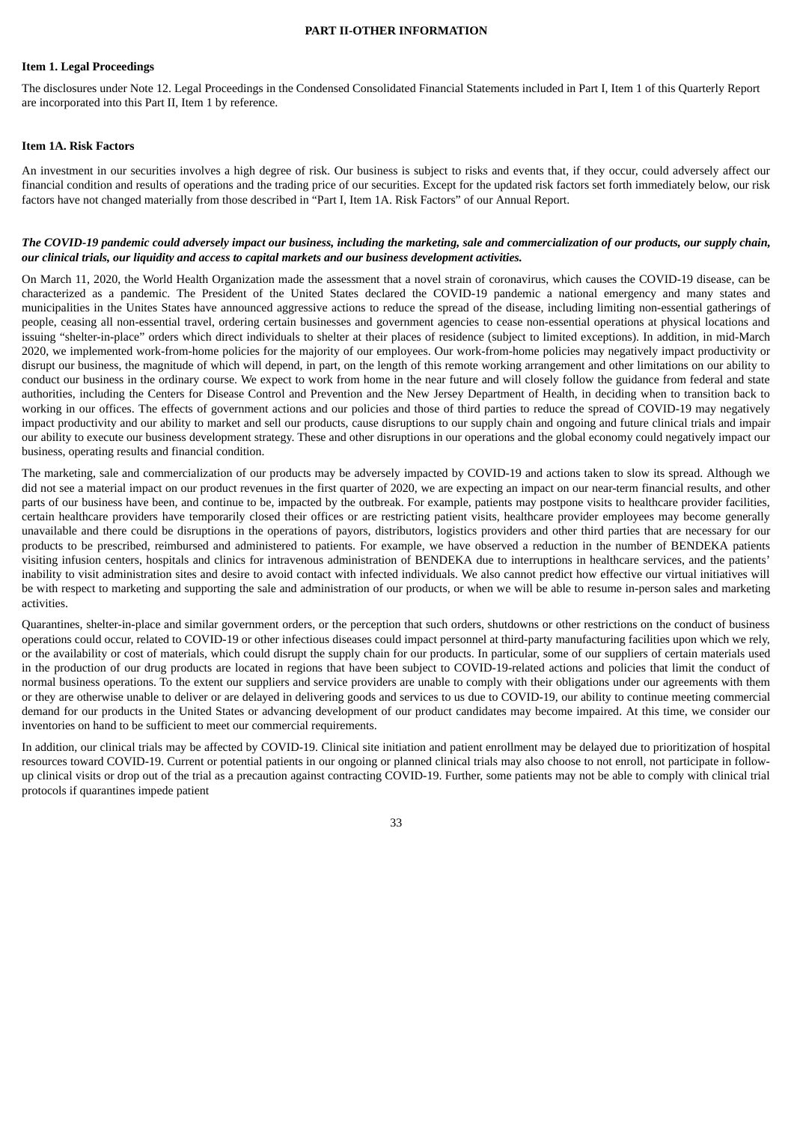#### <span id="page-36-0"></span>**Item 1. Legal Proceedings**

The disclosures under Note 12. Legal Proceedings in the Condensed Consolidated Financial Statements included in Part I, Item 1 of this Quarterly Report are incorporated into this Part II, Item 1 by reference.

### <span id="page-36-1"></span>**Item 1A. Risk Factors**

An investment in our securities involves a high degree of risk. Our business is subject to risks and events that, if they occur, could adversely affect our financial condition and results of operations and the trading price of our securities. Except for the updated risk factors set forth immediately below, our risk factors have not changed materially from those described in "Part I, Item 1A. Risk Factors" of our Annual Report.

### The COVID-19 pandemic could adversely impact our business, including the marketing, sale and commercialization of our products, our supply chain, *our clinical trials, our liquidity and access to capital markets and our business development activities.*

On March 11, 2020, the World Health Organization made the assessment that a novel strain of coronavirus, which causes the COVID-19 disease, can be characterized as a pandemic. The President of the United States declared the COVID-19 pandemic a national emergency and many states and municipalities in the Unites States have announced aggressive actions to reduce the spread of the disease, including limiting non-essential gatherings of people, ceasing all non-essential travel, ordering certain businesses and government agencies to cease non-essential operations at physical locations and issuing "shelter-in-place" orders which direct individuals to shelter at their places of residence (subject to limited exceptions). In addition, in mid-March 2020, we implemented work-from-home policies for the majority of our employees. Our work-from-home policies may negatively impact productivity or disrupt our business, the magnitude of which will depend, in part, on the length of this remote working arrangement and other limitations on our ability to conduct our business in the ordinary course. We expect to work from home in the near future and will closely follow the guidance from federal and state authorities, including the Centers for Disease Control and Prevention and the New Jersey Department of Health, in deciding when to transition back to working in our offices. The effects of government actions and our policies and those of third parties to reduce the spread of COVID-19 may negatively impact productivity and our ability to market and sell our products, cause disruptions to our supply chain and ongoing and future clinical trials and impair our ability to execute our business development strategy. These and other disruptions in our operations and the global economy could negatively impact our business, operating results and financial condition.

The marketing, sale and commercialization of our products may be adversely impacted by COVID-19 and actions taken to slow its spread. Although we did not see a material impact on our product revenues in the first quarter of 2020, we are expecting an impact on our near-term financial results, and other parts of our business have been, and continue to be, impacted by the outbreak. For example, patients may postpone visits to healthcare provider facilities, certain healthcare providers have temporarily closed their offices or are restricting patient visits, healthcare provider employees may become generally unavailable and there could be disruptions in the operations of payors, distributors, logistics providers and other third parties that are necessary for our products to be prescribed, reimbursed and administered to patients. For example, we have observed a reduction in the number of BENDEKA patients visiting infusion centers, hospitals and clinics for intravenous administration of BENDEKA due to interruptions in healthcare services, and the patients' inability to visit administration sites and desire to avoid contact with infected individuals. We also cannot predict how effective our virtual initiatives will be with respect to marketing and supporting the sale and administration of our products, or when we will be able to resume in-person sales and marketing activities.

Quarantines, shelter-in-place and similar government orders, or the perception that such orders, shutdowns or other restrictions on the conduct of business operations could occur, related to COVID-19 or other infectious diseases could impact personnel at third-party manufacturing facilities upon which we rely, or the availability or cost of materials, which could disrupt the supply chain for our products. In particular, some of our suppliers of certain materials used in the production of our drug products are located in regions that have been subject to COVID-19-related actions and policies that limit the conduct of normal business operations. To the extent our suppliers and service providers are unable to comply with their obligations under our agreements with them or they are otherwise unable to deliver or are delayed in delivering goods and services to us due to COVID-19, our ability to continue meeting commercial demand for our products in the United States or advancing development of our product candidates may become impaired. At this time, we consider our inventories on hand to be sufficient to meet our commercial requirements.

In addition, our clinical trials may be affected by COVID-19. Clinical site initiation and patient enrollment may be delayed due to prioritization of hospital resources toward COVID-19. Current or potential patients in our ongoing or planned clinical trials may also choose to not enroll, not participate in followup clinical visits or drop out of the trial as a precaution against contracting COVID-19. Further, some patients may not be able to comply with clinical trial protocols if quarantines impede patient

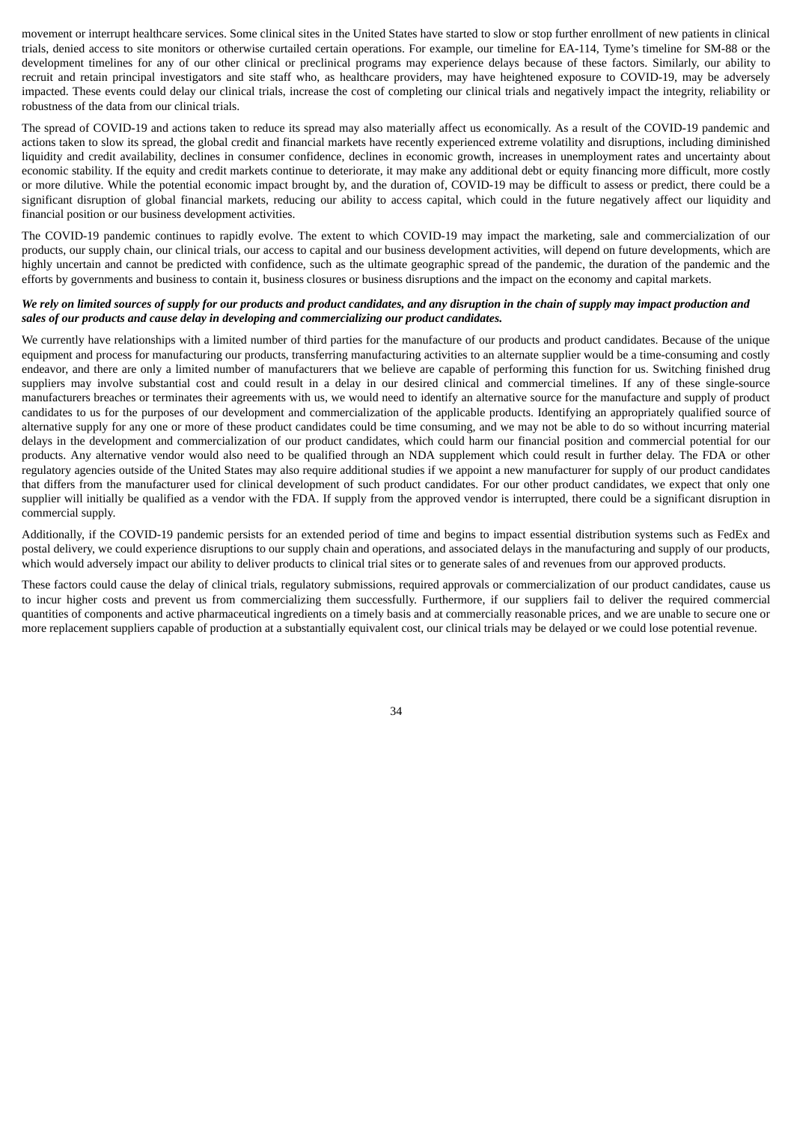movement or interrupt healthcare services. Some clinical sites in the United States have started to slow or stop further enrollment of new patients in clinical trials, denied access to site monitors or otherwise curtailed certain operations. For example, our timeline for EA-114, Tyme's timeline for SM-88 or the development timelines for any of our other clinical or preclinical programs may experience delays because of these factors. Similarly, our ability to recruit and retain principal investigators and site staff who, as healthcare providers, may have heightened exposure to COVID-19, may be adversely impacted. These events could delay our clinical trials, increase the cost of completing our clinical trials and negatively impact the integrity, reliability or robustness of the data from our clinical trials.

The spread of COVID-19 and actions taken to reduce its spread may also materially affect us economically. As a result of the COVID-19 pandemic and actions taken to slow its spread, the global credit and financial markets have recently experienced extreme volatility and disruptions, including diminished liquidity and credit availability, declines in consumer confidence, declines in economic growth, increases in unemployment rates and uncertainty about economic stability. If the equity and credit markets continue to deteriorate, it may make any additional debt or equity financing more difficult, more costly or more dilutive. While the potential economic impact brought by, and the duration of, COVID-19 may be difficult to assess or predict, there could be a significant disruption of global financial markets, reducing our ability to access capital, which could in the future negatively affect our liquidity and financial position or our business development activities.

The COVID-19 pandemic continues to rapidly evolve. The extent to which COVID-19 may impact the marketing, sale and commercialization of our products, our supply chain, our clinical trials, our access to capital and our business development activities, will depend on future developments, which are highly uncertain and cannot be predicted with confidence, such as the ultimate geographic spread of the pandemic, the duration of the pandemic and the efforts by governments and business to contain it, business closures or business disruptions and the impact on the economy and capital markets.

### We rely on limited sources of supply for our products and product candidates, and any disruption in the chain of supply may impact production and *sales of our products and cause delay in developing and commercializing our product candidates.*

We currently have relationships with a limited number of third parties for the manufacture of our products and product candidates. Because of the unique equipment and process for manufacturing our products, transferring manufacturing activities to an alternate supplier would be a time-consuming and costly endeavor, and there are only a limited number of manufacturers that we believe are capable of performing this function for us. Switching finished drug suppliers may involve substantial cost and could result in a delay in our desired clinical and commercial timelines. If any of these single-source manufacturers breaches or terminates their agreements with us, we would need to identify an alternative source for the manufacture and supply of product candidates to us for the purposes of our development and commercialization of the applicable products. Identifying an appropriately qualified source of alternative supply for any one or more of these product candidates could be time consuming, and we may not be able to do so without incurring material delays in the development and commercialization of our product candidates, which could harm our financial position and commercial potential for our products. Any alternative vendor would also need to be qualified through an NDA supplement which could result in further delay. The FDA or other regulatory agencies outside of the United States may also require additional studies if we appoint a new manufacturer for supply of our product candidates that differs from the manufacturer used for clinical development of such product candidates. For our other product candidates, we expect that only one supplier will initially be qualified as a vendor with the FDA. If supply from the approved vendor is interrupted, there could be a significant disruption in commercial supply.

Additionally, if the COVID-19 pandemic persists for an extended period of time and begins to impact essential distribution systems such as FedEx and postal delivery, we could experience disruptions to our supply chain and operations, and associated delays in the manufacturing and supply of our products, which would adversely impact our ability to deliver products to clinical trial sites or to generate sales of and revenues from our approved products.

<span id="page-37-0"></span>These factors could cause the delay of clinical trials, regulatory submissions, required approvals or commercialization of our product candidates, cause us to incur higher costs and prevent us from commercializing them successfully. Furthermore, if our suppliers fail to deliver the required commercial quantities of components and active pharmaceutical ingredients on a timely basis and at commercially reasonable prices, and we are unable to secure one or more replacement suppliers capable of production at a substantially equivalent cost, our clinical trials may be delayed or we could lose potential revenue.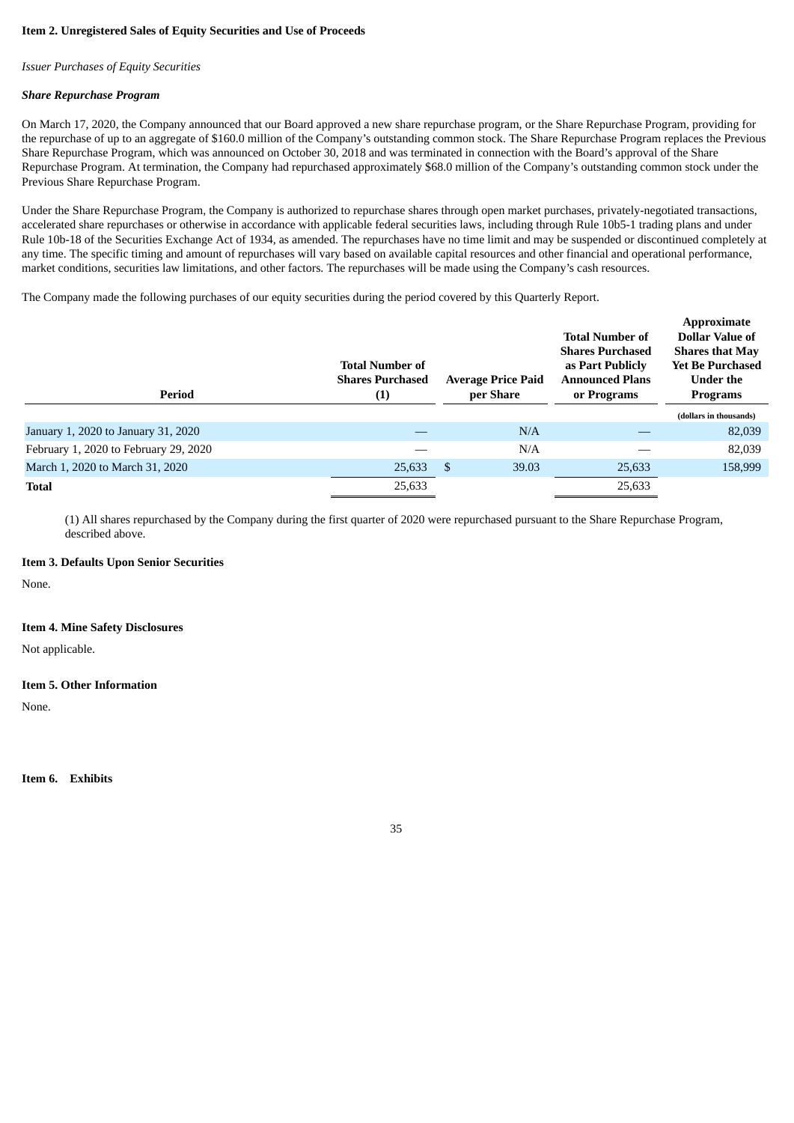### **Item 2. Unregistered Sales of Equity Securities and Use of Proceeds**

### *Issuer Purchases of Equity Securities*

### *Share Repurchase Program*

On March 17, 2020, the Company announced that our Board approved a new share repurchase program, or the Share Repurchase Program, providing for the repurchase of up to an aggregate of \$160.0 million of the Company's outstanding common stock. The Share Repurchase Program replaces the Previous Share Repurchase Program, which was announced on October 30, 2018 and was terminated in connection with the Board's approval of the Share Repurchase Program. At termination, the Company had repurchased approximately \$68.0 million of the Company's outstanding common stock under the Previous Share Repurchase Program.

Under the Share Repurchase Program, the Company is authorized to repurchase shares through open market purchases, privately-negotiated transactions, accelerated share repurchases or otherwise in accordance with applicable federal securities laws, including through Rule 10b5-1 trading plans and under Rule 10b-18 of the Securities Exchange Act of 1934, as amended. The repurchases have no time limit and may be suspended or discontinued completely at any time. The specific timing and amount of repurchases will vary based on available capital resources and other financial and operational performance, market conditions, securities law limitations, and other factors. The repurchases will be made using the Company's cash resources.

The Company made the following purchases of our equity securities during the period covered by this Quarterly Report.

| Period                                | <b>Total Number of</b><br><b>Shares Purchased</b><br>(1) | <b>Average Price Paid</b><br>per Share | <b>Total Number of</b><br><b>Shares Purchased</b><br>as Part Publicly<br><b>Announced Plans</b><br>or Programs | Approximate<br><b>Dollar Value of</b><br><b>Shares that May</b><br><b>Yet Be Purchased</b><br>Under the<br>Programs |
|---------------------------------------|----------------------------------------------------------|----------------------------------------|----------------------------------------------------------------------------------------------------------------|---------------------------------------------------------------------------------------------------------------------|
|                                       |                                                          |                                        |                                                                                                                | (dollars in thousands)                                                                                              |
| January 1, 2020 to January 31, 2020   |                                                          | N/A                                    |                                                                                                                | 82,039                                                                                                              |
| February 1, 2020 to February 29, 2020 |                                                          | N/A                                    |                                                                                                                | 82,039                                                                                                              |
| March 1, 2020 to March 31, 2020       | 25,633                                                   | 39.03<br>- \$                          | 25,633                                                                                                         | 158,999                                                                                                             |
| <b>Total</b>                          | 25,633                                                   |                                        | 25,633                                                                                                         |                                                                                                                     |

(1) All shares repurchased by the Company during the first quarter of 2020 were repurchased pursuant to the Share Repurchase Program, described above.

### <span id="page-38-0"></span>**Item 3. Defaults Upon Senior Securities**

None.

#### <span id="page-38-1"></span>**Item 4. Mine Safety Disclosures**

Not applicable.

#### <span id="page-38-2"></span>**Item 5. Other Information**

None.

**Item 6. Exhibits**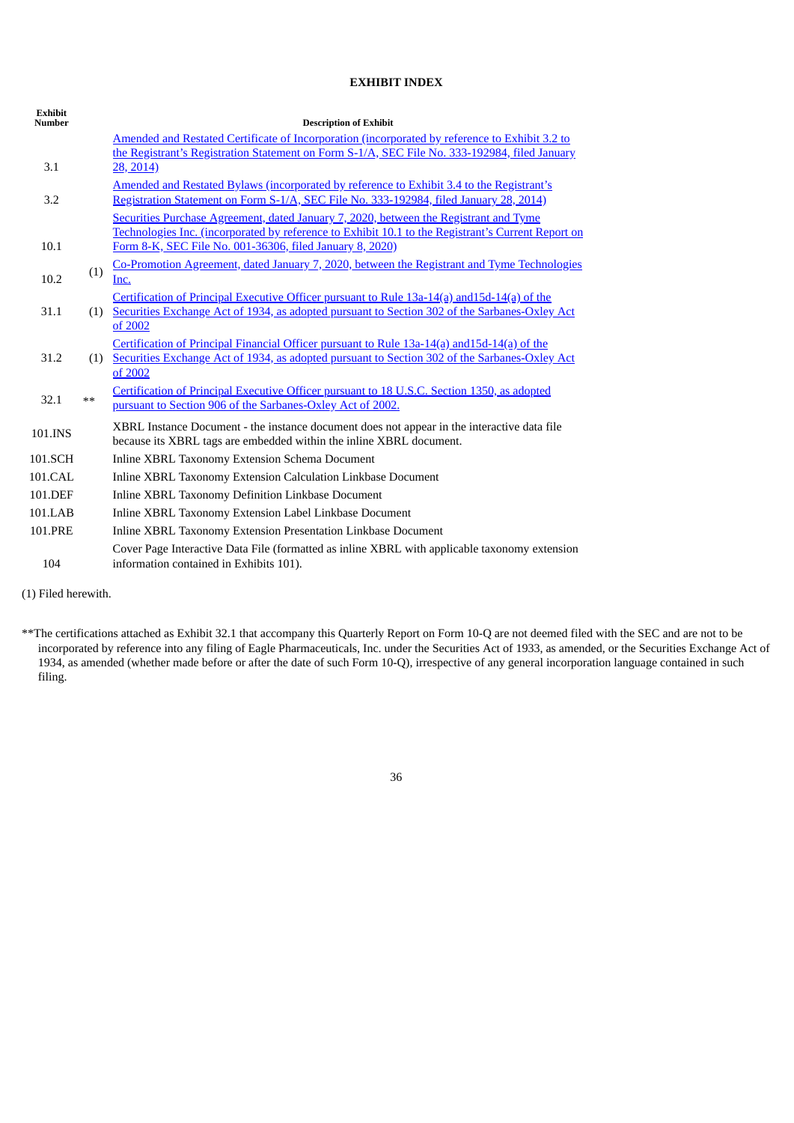# **EXHIBIT INDEX**

<span id="page-39-0"></span>

| <b>Exhibit</b><br>Number |       | <b>Description of Exhibit</b>                                                                                                                                                                                                                           |
|--------------------------|-------|---------------------------------------------------------------------------------------------------------------------------------------------------------------------------------------------------------------------------------------------------------|
|                          |       | Amended and Restated Certificate of Incorporation (incorporated by reference to Exhibit 3.2 to                                                                                                                                                          |
| 3.1                      |       | the Registrant's Registration Statement on Form S-1/A, SEC File No. 333-192984, filed January<br>28, 2014)                                                                                                                                              |
| 3.2                      |       | Amended and Restated Bylaws (incorporated by reference to Exhibit 3.4 to the Registrant's<br>Registration Statement on Form S-1/A, SEC File No. 333-192984, filed January 28, 2014).                                                                    |
| 10.1                     |       | Securities Purchase Agreement, dated January 7, 2020, between the Registrant and Tyme<br>Technologies Inc. (incorporated by reference to Exhibit 10.1 to the Registrant's Current Report on<br>Form 8-K, SEC File No. 001-36306, filed January 8, 2020) |
| 10.2                     | (1)   | Co-Promotion Agreement, dated January 7, 2020, between the Registrant and Tyme Technologies<br>Inc.                                                                                                                                                     |
| 31.1                     | (1)   | Certification of Principal Executive Officer pursuant to Rule 13a-14(a) and 15d-14(a) of the<br>Securities Exchange Act of 1934, as adopted pursuant to Section 302 of the Sarbanes-Oxley Act<br>of 2002                                                |
| 31.2                     | (1)   | Certification of Principal Financial Officer pursuant to Rule 13a-14(a) and 15d-14(a) of the<br>Securities Exchange Act of 1934, as adopted pursuant to Section 302 of the Sarbanes-Oxley Act<br>of 2002                                                |
| 32.1                     | $***$ | Certification of Principal Executive Officer pursuant to 18 U.S.C. Section 1350, as adopted<br>pursuant to Section 906 of the Sarbanes-Oxley Act of 2002.                                                                                               |
| 101.INS                  |       | XBRL Instance Document - the instance document does not appear in the interactive data file<br>because its XBRL tags are embedded within the inline XBRL document.                                                                                      |
| 101.SCH                  |       | Inline XBRL Taxonomy Extension Schema Document                                                                                                                                                                                                          |
| 101.CAL                  |       | Inline XBRL Taxonomy Extension Calculation Linkbase Document                                                                                                                                                                                            |
| 101.DEF                  |       | Inline XBRL Taxonomy Definition Linkbase Document                                                                                                                                                                                                       |
| 101.LAB                  |       | Inline XBRL Taxonomy Extension Label Linkbase Document                                                                                                                                                                                                  |
| 101.PRE                  |       | Inline XBRL Taxonomy Extension Presentation Linkbase Document                                                                                                                                                                                           |
| 104                      |       | Cover Page Interactive Data File (formatted as inline XBRL with applicable taxonomy extension<br>information contained in Exhibits 101).                                                                                                                |

(1) Filed herewith.

<sup>\*\*</sup>The certifications attached as Exhibit 32.1 that accompany this Quarterly Report on Form 10-Q are not deemed filed with the SEC and are not to be incorporated by reference into any filing of Eagle Pharmaceuticals, Inc. under the Securities Act of 1933, as amended, or the Securities Exchange Act of 1934, as amended (whether made before or after the date of such Form 10-Q), irrespective of any general incorporation language contained in such filing.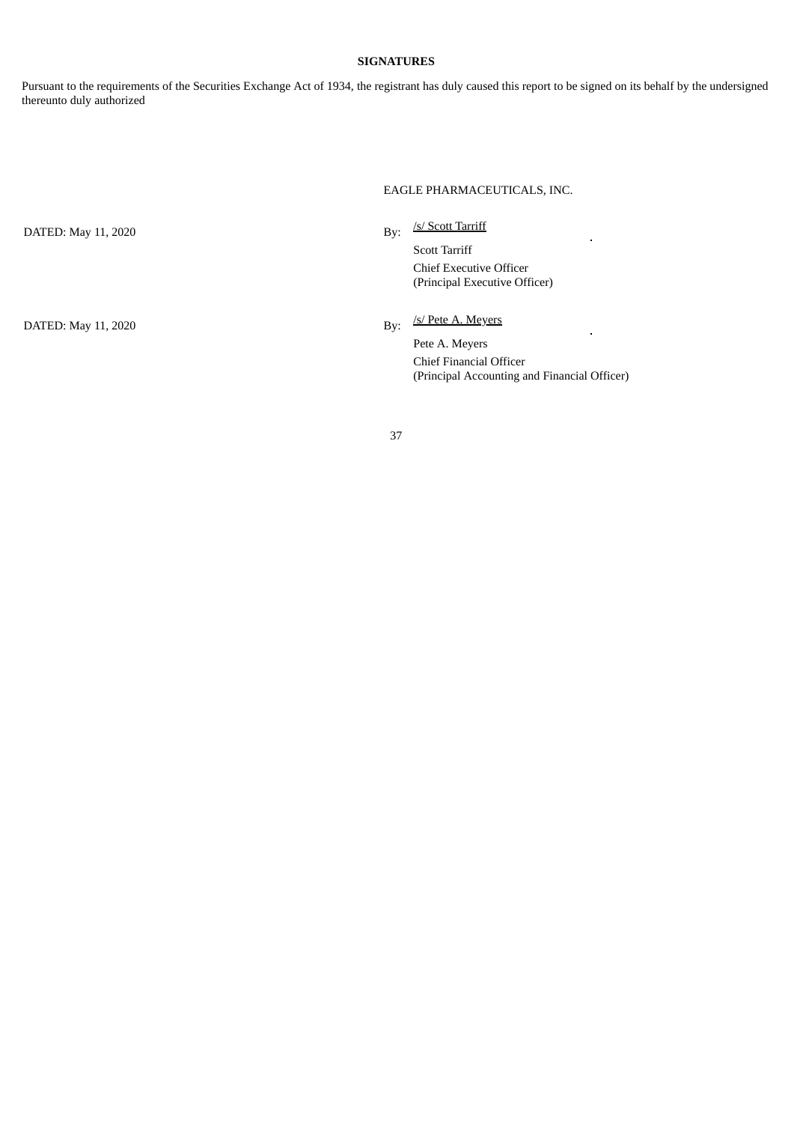### **SIGNATURES**

<span id="page-40-0"></span>Pursuant to the requirements of the Securities Exchange Act of 1934, the registrant has duly caused this report to be signed on its behalf by the undersigned thereunto duly authorized

# EAGLE PHARMACEUTICALS, INC.

By: /s/ Scott Tarriff DATED: May 11, 2020  $\frac{1}{2}$ Scott Tarriff Chief Executive Officer (Principal Executive Officer) /s/ Pete A. Meyers DATED: May 11, 2020 By:  $\mathbf{r}$ Pete A. Meyers Chief Financial Officer (Principal Accounting and Financial Officer)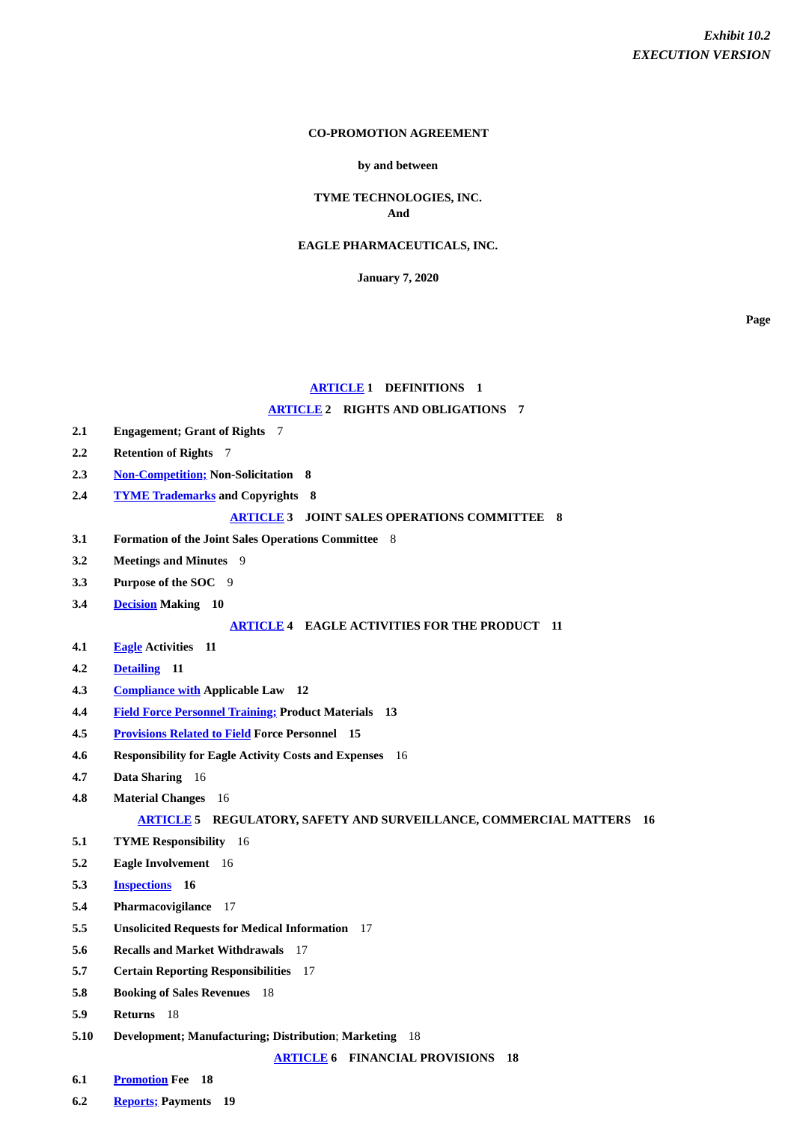# <span id="page-41-0"></span>**CO-PROMOTION AGREEMENT**

# **by and between**

# **TYME TECHNOLOGIES, INC. And**

# **EAGLE PHARMACEUTICALS, INC.**

### **January 7, 2020**

**Page**

# **ARTICLE 1 DEFINITIONS 1**

# **ARTICLE 2 RIGHTS AND OBLIGATIONS 7**

| 2.1  | <b>Engagement; Grant of Rights</b> 7                                              |
|------|-----------------------------------------------------------------------------------|
| 2.2  | <b>Retention of Rights</b><br>- 7                                                 |
| 2.3  | <b>Non-Competition; Non-Solicitation 8</b>                                        |
| 2.4  | <b>TYME Trademarks and Copyrights 8</b>                                           |
|      | <b>ARTICLE 3 JOINT SALES OPERATIONS COMMITTEE 8</b>                               |
| 3.1  | <b>Formation of the Joint Sales Operations Committee</b> 8                        |
| 3.2  | <b>Meetings and Minutes</b> 9                                                     |
| 3.3  | Purpose of the SOC 9                                                              |
| 3.4  | <b>Decision Making</b><br>- 10                                                    |
|      | <b>ARTICLE 4 EAGLE ACTIVITIES FOR THE PRODUCT 11</b>                              |
| 4.1  | <b>Eagle</b> Activities 11                                                        |
| 4.2  | <b>Detailing</b><br>- 11                                                          |
| 4.3  | <b>Compliance with Applicable Law 12</b>                                          |
| 4.4  | <b>Field Force Personnel Training; Product Materials 13</b>                       |
| 4.5  | <b>Provisions Related to Field Force Personnel</b> 15                             |
| 4.6  | <b>Responsibility for Eagle Activity Costs and Expenses</b> 16                    |
| 4.7  | Data Sharing<br>-16                                                               |
| 4.8  | <b>Material Changes</b><br>-16                                                    |
|      | <u>ARTICLE</u> 5    REGULATORY, SAFETY AND SURVEILLANCE, COMMERCIAL MATTERS    16 |
| 5.1  | <b>TYME Responsibility</b> 16                                                     |
| 5.2  | Eagle Involvement 16                                                              |
| 5.3  | Inspections 16                                                                    |
| 5.4  | Pharmacovigilance 17                                                              |
| 5.5  | <b>Unsolicited Requests for Medical Information</b> 17                            |
| 5.6  | <b>Recalls and Market Withdrawals</b><br>-17                                      |
| 5.7  | <b>Certain Reporting Responsibilities</b> 17                                      |
| 5.8  | <b>Booking of Sales Revenues</b> 18                                               |
| 5.9  | Returns 18                                                                        |
| 5.10 | Development; Manufacturing; Distribution; Marketing 18                            |
|      | <b>ARTICLE 6 FINANCIAL PROVISIONS</b><br>18                                       |
| 6.1  | <b>Promotion Fee</b><br>18                                                        |

**6.2 Reports; Payments 19**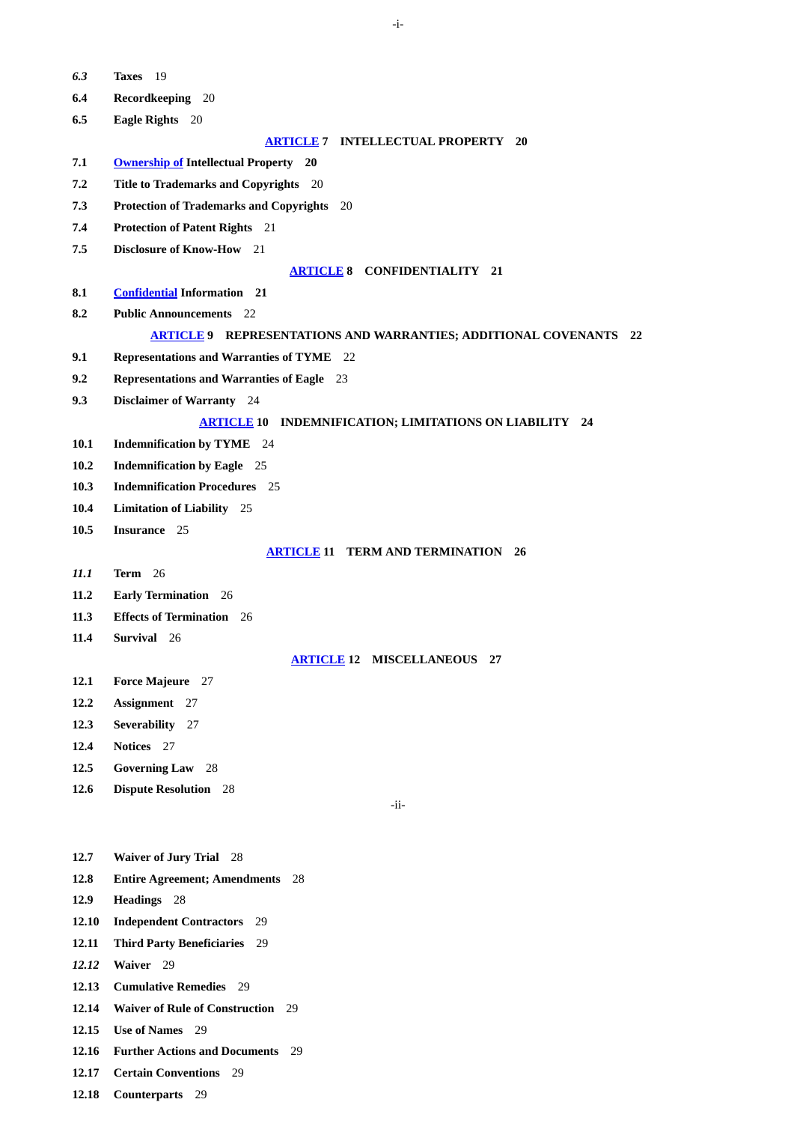| 6.3   | Taxes 19                                                                 |
|-------|--------------------------------------------------------------------------|
| 6.4   | Recordkeeping 20                                                         |
| 6.5   | Eagle Rights 20                                                          |
|       | <b>ARTICLE 7 INTELLECTUAL PROPERTY 20</b>                                |
| 7.1   | <b>Ownership of Intellectual Property</b> 20                             |
| 7.2   | Title to Trademarks and Copyrights 20                                    |
| 7.3   | <b>Protection of Trademarks and Copyrights</b> 20                        |
| 7.4   | <b>Protection of Patent Rights</b> 21                                    |
| 7.5   | <b>Disclosure of Know-How</b> 21                                         |
|       | <b>ARTICLE 8 CONFIDENTIALITY 21</b>                                      |
| 8.1   | <b>Confidential Information</b> 21                                       |
| 8.2   | <b>Public Announcements</b> 22                                           |
|       | <b>ARTICLE 9 REPRESENTATIONS AND WARRANTIES; ADDITIONAL COVENANTS 22</b> |
| 9.1   | Representations and Warranties of TYME 22                                |
| 9.2   | Representations and Warranties of Eagle 23                               |
| 9.3   | Disclaimer of Warranty 24                                                |
|       | <b>ARTICLE 10 INDEMNIFICATION; LIMITATIONS ON LIABILITY 24</b>           |
| 10.1  | <b>Indemnification by TYME</b> 24                                        |
| 10.2  | <b>Indemnification by Eagle</b> 25                                       |
| 10.3  | <b>Indemnification Procedures</b> 25                                     |
| 10.4  | <b>Limitation of Liability</b> 25                                        |
| 10.5  | <b>Insurance</b> 25                                                      |
|       | <b>ARTICLE 11 TERM AND TERMINATION 26</b>                                |
| 11.1  | Term 26                                                                  |
| 11.2  | <b>Early Termination</b> 26                                              |
| 11.3  | <b>Effects of Termination</b> 26                                         |
| 11.4  | Survival 26                                                              |
|       | <b>ARTICLE 12 MISCELLANEOUS</b><br>27                                    |
| 12.1  | Force Majeure 27                                                         |
| 12.2  | Assignment 27                                                            |
| 12.3  | Severability 27                                                          |
| 12.4  | Notices 27                                                               |
| 12.5  | <b>Governing Law</b> 28                                                  |
| 12.6  | <b>Dispute Resolution</b> 28                                             |
|       | -ii-                                                                     |
|       |                                                                          |
| 12.7  | <b>Waiver of Jury Trial</b> 28                                           |
| 12.8  | <b>Entire Agreement; Amendments</b> 28                                   |
| 12.9  | Headings 28                                                              |
| 12.10 | <b>Independent Contractors</b><br>29                                     |
| 12.11 | <b>Third Party Beneficiaries</b><br>29                                   |
| 12.12 | Waiver 29                                                                |

- **12.13 Cumulative Remedies** 29
- **12.14 Waiver of Rule of Construction** 29
- **12.15 Use of Names** 29
- **12.16 Further Actions and Documents** 29
- **12.17 Certain Conventions** 29
- **12.18 Counterparts** 29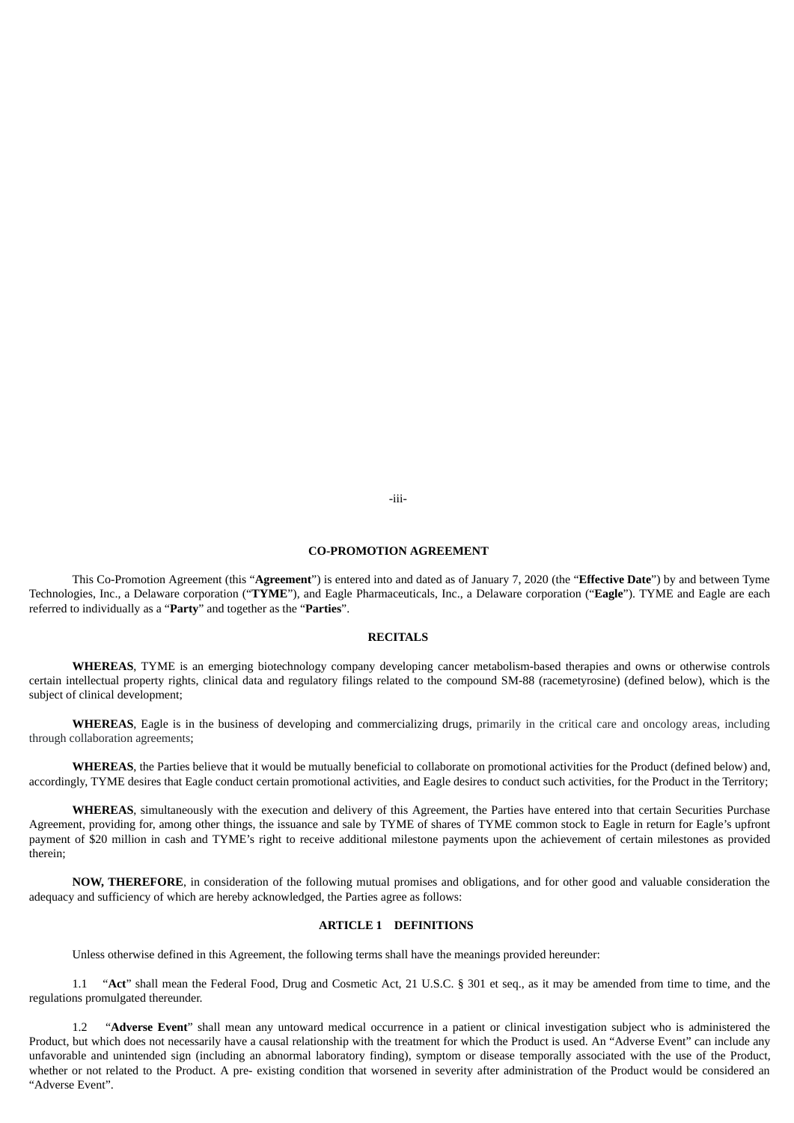-iii-

### **CO-PROMOTION AGREEMENT**

This Co-Promotion Agreement (this "**Agreement**") is entered into and dated as of January 7, 2020 (the "**Effective Date**") by and between Tyme Technologies, Inc., a Delaware corporation ("**TYME**"), and Eagle Pharmaceuticals, Inc., a Delaware corporation ("**Eagle**"). TYME and Eagle are each referred to individually as a "**Party**" and together as the "**Parties**".

#### **RECITALS**

**WHEREAS**, TYME is an emerging biotechnology company developing cancer metabolism-based therapies and owns or otherwise controls certain intellectual property rights, clinical data and regulatory filings related to the compound SM-88 (racemetyrosine) (defined below), which is the subject of clinical development;

**WHEREAS**, Eagle is in the business of developing and commercializing drugs, primarily in the critical care and oncology areas, including through collaboration agreements;

**WHEREAS**, the Parties believe that it would be mutually beneficial to collaborate on promotional activities for the Product (defined below) and, accordingly, TYME desires that Eagle conduct certain promotional activities, and Eagle desires to conduct such activities, for the Product in the Territory;

**WHEREAS**, simultaneously with the execution and delivery of this Agreement, the Parties have entered into that certain Securities Purchase Agreement, providing for, among other things, the issuance and sale by TYME of shares of TYME common stock to Eagle in return for Eagle's upfront payment of \$20 million in cash and TYME's right to receive additional milestone payments upon the achievement of certain milestones as provided therein;

**NOW, THEREFORE**, in consideration of the following mutual promises and obligations, and for other good and valuable consideration the adequacy and sufficiency of which are hereby acknowledged, the Parties agree as follows:

### **ARTICLE 1 DEFINITIONS**

Unless otherwise defined in this Agreement, the following terms shall have the meanings provided hereunder:

1.1 "**Act**" shall mean the Federal Food, Drug and Cosmetic Act, 21 U.S.C. § 301 et seq., as it may be amended from time to time, and the regulations promulgated thereunder.

1.2 "**Adverse Event**" shall mean any untoward medical occurrence in a patient or clinical investigation subject who is administered the Product, but which does not necessarily have a causal relationship with the treatment for which the Product is used. An "Adverse Event" can include any unfavorable and unintended sign (including an abnormal laboratory finding), symptom or disease temporally associated with the use of the Product, whether or not related to the Product. A pre- existing condition that worsened in severity after administration of the Product would be considered an "Adverse Event".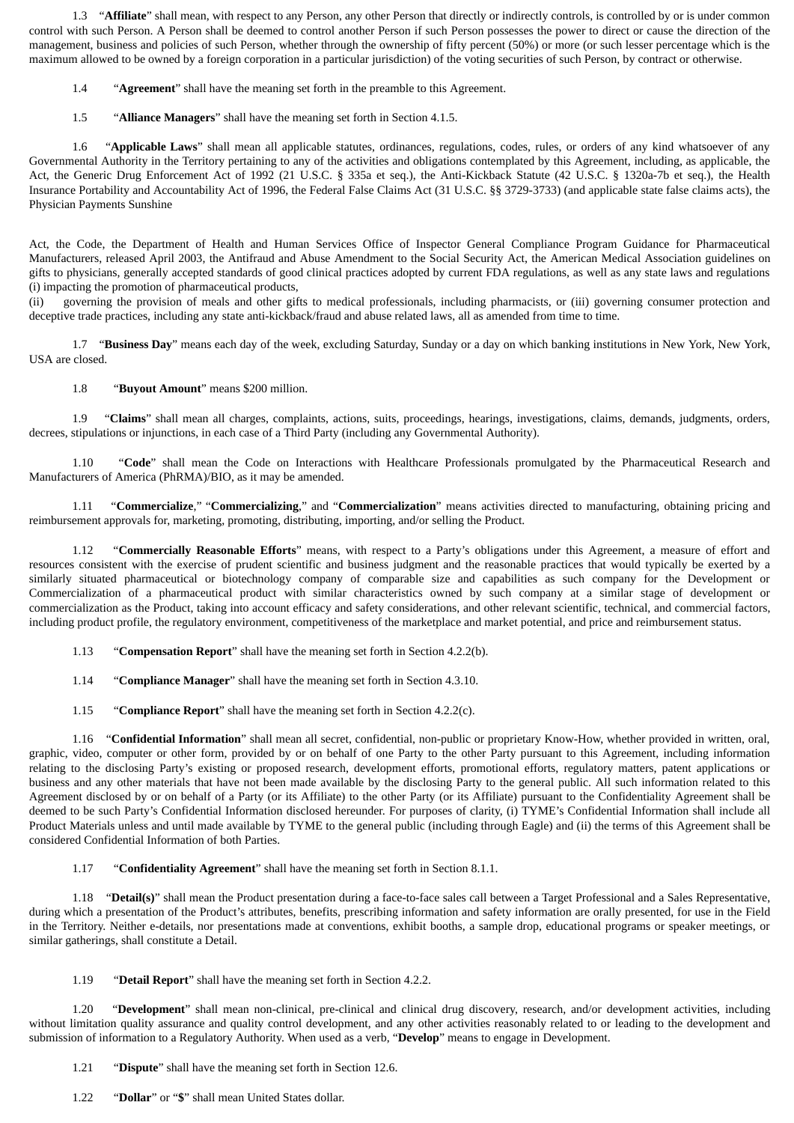1.3 "**Affiliate**" shall mean, with respect to any Person, any other Person that directly or indirectly controls, is controlled by or is under common control with such Person. A Person shall be deemed to control another Person if such Person possesses the power to direct or cause the direction of the management, business and policies of such Person, whether through the ownership of fifty percent (50%) or more (or such lesser percentage which is the maximum allowed to be owned by a foreign corporation in a particular jurisdiction) of the voting securities of such Person, by contract or otherwise.

- 1.4 "**Agreement**" shall have the meaning set forth in the preamble to this Agreement.
- 1.5 "**Alliance Managers**" shall have the meaning set forth in Section 4.1.5.

1.6 "**Applicable Laws**" shall mean all applicable statutes, ordinances, regulations, codes, rules, or orders of any kind whatsoever of any Governmental Authority in the Territory pertaining to any of the activities and obligations contemplated by this Agreement, including, as applicable, the Act, the Generic Drug Enforcement Act of 1992 (21 U.S.C. § 335a et seq.), the Anti-Kickback Statute (42 U.S.C. § 1320a-7b et seq.), the Health Insurance Portability and Accountability Act of 1996, the Federal False Claims Act (31 U.S.C. §§ 3729-3733) (and applicable state false claims acts), the Physician Payments Sunshine

Act, the Code, the Department of Health and Human Services Office of Inspector General Compliance Program Guidance for Pharmaceutical Manufacturers, released April 2003, the Antifraud and Abuse Amendment to the Social Security Act, the American Medical Association guidelines on gifts to physicians, generally accepted standards of good clinical practices adopted by current FDA regulations, as well as any state laws and regulations (i) impacting the promotion of pharmaceutical products,

(ii) governing the provision of meals and other gifts to medical professionals, including pharmacists, or (iii) governing consumer protection and deceptive trade practices, including any state anti-kickback/fraud and abuse related laws, all as amended from time to time.

1.7 "**Business Day**" means each day of the week, excluding Saturday, Sunday or a day on which banking institutions in New York, New York, USA are closed.

1.8 "**Buyout Amount**" means \$200 million.

1.9 "**Claims**" shall mean all charges, complaints, actions, suits, proceedings, hearings, investigations, claims, demands, judgments, orders, decrees, stipulations or injunctions, in each case of a Third Party (including any Governmental Authority).

1.10 "**Code**" shall mean the Code on Interactions with Healthcare Professionals promulgated by the Pharmaceutical Research and Manufacturers of America (PhRMA)/BIO, as it may be amended.

1.11 "**Commercialize**," "**Commercializing**," and "**Commercialization**" means activities directed to manufacturing, obtaining pricing and reimbursement approvals for, marketing, promoting, distributing, importing, and/or selling the Product.

1.12 "**Commercially Reasonable Efforts**" means, with respect to a Party's obligations under this Agreement, a measure of effort and resources consistent with the exercise of prudent scientific and business judgment and the reasonable practices that would typically be exerted by a similarly situated pharmaceutical or biotechnology company of comparable size and capabilities as such company for the Development or Commercialization of a pharmaceutical product with similar characteristics owned by such company at a similar stage of development or commercialization as the Product, taking into account efficacy and safety considerations, and other relevant scientific, technical, and commercial factors, including product profile, the regulatory environment, competitiveness of the marketplace and market potential, and price and reimbursement status.

- 1.13 "**Compensation Report**" shall have the meaning set forth in Section 4.2.2(b).
- 1.14 "**Compliance Manager**" shall have the meaning set forth in Section 4.3.10.
- 1.15 "**Compliance Report**" shall have the meaning set forth in Section 4.2.2(c).

1.16 "**Confidential Information**" shall mean all secret, confidential, non-public or proprietary Know-How, whether provided in written, oral, graphic, video, computer or other form, provided by or on behalf of one Party to the other Party pursuant to this Agreement, including information relating to the disclosing Party's existing or proposed research, development efforts, promotional efforts, regulatory matters, patent applications or business and any other materials that have not been made available by the disclosing Party to the general public. All such information related to this Agreement disclosed by or on behalf of a Party (or its Affiliate) to the other Party (or its Affiliate) pursuant to the Confidentiality Agreement shall be deemed to be such Party's Confidential Information disclosed hereunder. For purposes of clarity, (i) TYME's Confidential Information shall include all Product Materials unless and until made available by TYME to the general public (including through Eagle) and (ii) the terms of this Agreement shall be considered Confidential Information of both Parties.

1.17 "**Confidentiality Agreement**" shall have the meaning set forth in Section 8.1.1.

1.18 "**Detail(s)**" shall mean the Product presentation during a face-to-face sales call between a Target Professional and a Sales Representative, during which a presentation of the Product's attributes, benefits, prescribing information and safety information are orally presented, for use in the Field in the Territory. Neither e-details, nor presentations made at conventions, exhibit booths, a sample drop, educational programs or speaker meetings, or similar gatherings, shall constitute a Detail.

1.19 "**Detail Report**" shall have the meaning set forth in Section 4.2.2.

1.20 "**Development**" shall mean non-clinical, pre-clinical and clinical drug discovery, research, and/or development activities, including without limitation quality assurance and quality control development, and any other activities reasonably related to or leading to the development and submission of information to a Regulatory Authority. When used as a verb, "**Develop**" means to engage in Development.

- 1.21 "**Dispute**" shall have the meaning set forth in Section 12.6.
- 1.22 "**Dollar**" or "**\$**" shall mean United States dollar.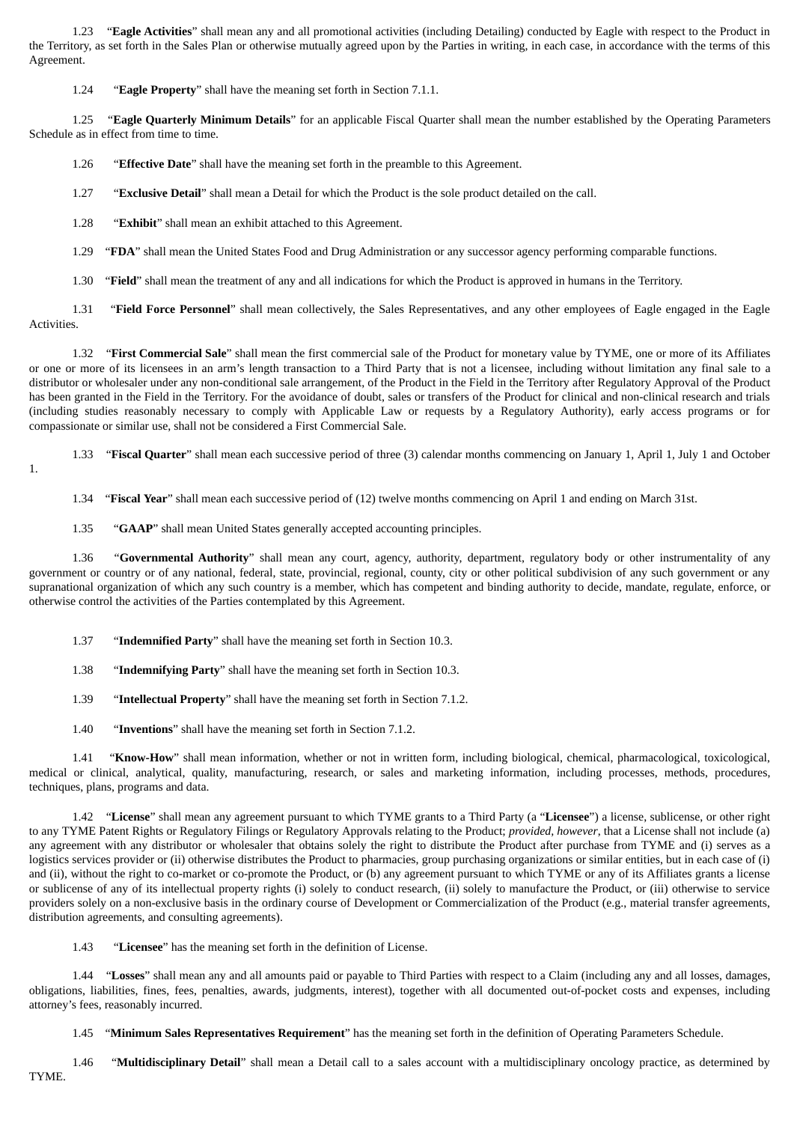1.23 "**Eagle Activities**" shall mean any and all promotional activities (including Detailing) conducted by Eagle with respect to the Product in the Territory, as set forth in the Sales Plan or otherwise mutually agreed upon by the Parties in writing, in each case, in accordance with the terms of this Agreement.

1.24 "**Eagle Property**" shall have the meaning set forth in Section 7.1.1.

1.25 "**Eagle Quarterly Minimum Details**" for an applicable Fiscal Quarter shall mean the number established by the Operating Parameters Schedule as in effect from time to time.

1.26 "**Effective Date**" shall have the meaning set forth in the preamble to this Agreement.

1.27 "**Exclusive Detail**" shall mean a Detail for which the Product is the sole product detailed on the call.

1.28 "**Exhibit**" shall mean an exhibit attached to this Agreement.

1.29 "**FDA**" shall mean the United States Food and Drug Administration or any successor agency performing comparable functions.

1.30 "**Field**" shall mean the treatment of any and all indications for which the Product is approved in humans in the Territory.

1.31 "**Field Force Personnel**" shall mean collectively, the Sales Representatives, and any other employees of Eagle engaged in the Eagle Activities.

1.32 "**First Commercial Sale**" shall mean the first commercial sale of the Product for monetary value by TYME, one or more of its Affiliates or one or more of its licensees in an arm's length transaction to a Third Party that is not a licensee, including without limitation any final sale to a distributor or wholesaler under any non-conditional sale arrangement, of the Product in the Field in the Territory after Regulatory Approval of the Product has been granted in the Field in the Territory. For the avoidance of doubt, sales or transfers of the Product for clinical and non-clinical research and trials (including studies reasonably necessary to comply with Applicable Law or requests by a Regulatory Authority), early access programs or for compassionate or similar use, shall not be considered a First Commercial Sale.

1.33 "**Fiscal Quarter**" shall mean each successive period of three (3) calendar months commencing on January 1, April 1, July 1 and October

1.

1.34 "**Fiscal Year**" shall mean each successive period of (12) twelve months commencing on April 1 and ending on March 31st.

1.35 "**GAAP**" shall mean United States generally accepted accounting principles.

1.36 "**Governmental Authority**" shall mean any court, agency, authority, department, regulatory body or other instrumentality of any government or country or of any national, federal, state, provincial, regional, county, city or other political subdivision of any such government or any supranational organization of which any such country is a member, which has competent and binding authority to decide, mandate, regulate, enforce, or otherwise control the activities of the Parties contemplated by this Agreement.

- 1.37 "**Indemnified Party**" shall have the meaning set forth in Section 10.3.
- 1.38 "**Indemnifying Party**" shall have the meaning set forth in Section 10.3.
- 1.39 "**Intellectual Property**" shall have the meaning set forth in Section 7.1.2.
- 1.40 "**Inventions**" shall have the meaning set forth in Section 7.1.2.

1.41 "**Know-How**" shall mean information, whether or not in written form, including biological, chemical, pharmacological, toxicological, medical or clinical, analytical, quality, manufacturing, research, or sales and marketing information, including processes, methods, procedures, techniques, plans, programs and data.

1.42 "**License**" shall mean any agreement pursuant to which TYME grants to a Third Party (a "**Licensee**") a license, sublicense, or other right to any TYME Patent Rights or Regulatory Filings or Regulatory Approvals relating to the Product; *provided, however*, that a License shall not include (a) any agreement with any distributor or wholesaler that obtains solely the right to distribute the Product after purchase from TYME and (i) serves as a logistics services provider or (ii) otherwise distributes the Product to pharmacies, group purchasing organizations or similar entities, but in each case of (i) and (ii), without the right to co-market or co-promote the Product, or (b) any agreement pursuant to which TYME or any of its Affiliates grants a license or sublicense of any of its intellectual property rights (i) solely to conduct research, (ii) solely to manufacture the Product, or (iii) otherwise to service providers solely on a non-exclusive basis in the ordinary course of Development or Commercialization of the Product (e.g., material transfer agreements, distribution agreements, and consulting agreements).

1.43 "**Licensee**" has the meaning set forth in the definition of License.

1.44 "**Losses**" shall mean any and all amounts paid or payable to Third Parties with respect to a Claim (including any and all losses, damages, obligations, liabilities, fines, fees, penalties, awards, judgments, interest), together with all documented out-of-pocket costs and expenses, including attorney's fees, reasonably incurred.

1.45 "**Minimum Sales Representatives Requirement**" has the meaning set forth in the definition of Operating Parameters Schedule.

1.46 "**Multidisciplinary Detail**" shall mean a Detail call to a sales account with a multidisciplinary oncology practice, as determined by TYME.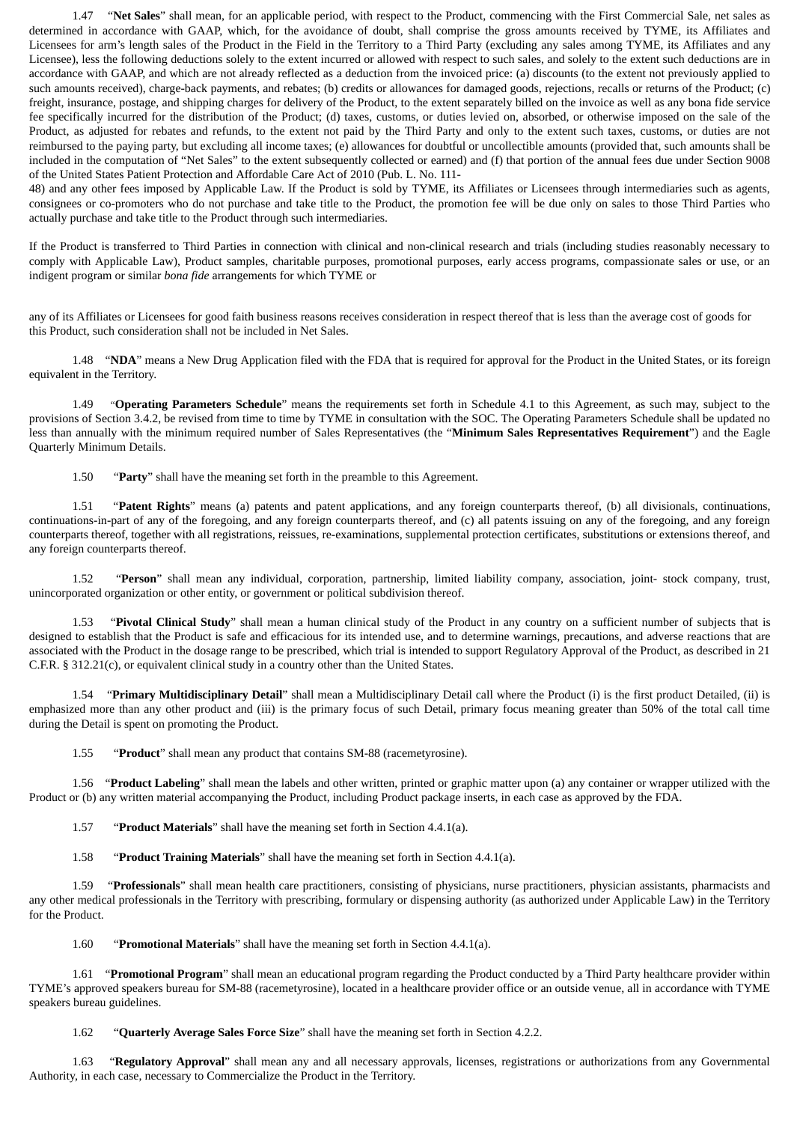1.47 "**Net Sales**" shall mean, for an applicable period, with respect to the Product, commencing with the First Commercial Sale, net sales as determined in accordance with GAAP, which, for the avoidance of doubt, shall comprise the gross amounts received by TYME, its Affiliates and Licensees for arm's length sales of the Product in the Field in the Territory to a Third Party (excluding any sales among TYME, its Affiliates and any Licensee), less the following deductions solely to the extent incurred or allowed with respect to such sales, and solely to the extent such deductions are in accordance with GAAP, and which are not already reflected as a deduction from the invoiced price: (a) discounts (to the extent not previously applied to such amounts received), charge-back payments, and rebates; (b) credits or allowances for damaged goods, rejections, recalls or returns of the Product; (c) freight, insurance, postage, and shipping charges for delivery of the Product, to the extent separately billed on the invoice as well as any bona fide service fee specifically incurred for the distribution of the Product; (d) taxes, customs, or duties levied on, absorbed, or otherwise imposed on the sale of the Product, as adjusted for rebates and refunds, to the extent not paid by the Third Party and only to the extent such taxes, customs, or duties are not reimbursed to the paying party, but excluding all income taxes; (e) allowances for doubtful or uncollectible amounts (provided that, such amounts shall be included in the computation of "Net Sales" to the extent subsequently collected or earned) and (f) that portion of the annual fees due under Section 9008 of the United States Patient Protection and Affordable Care Act of 2010 (Pub. L. No. 111-

48) and any other fees imposed by Applicable Law. If the Product is sold by TYME, its Affiliates or Licensees through intermediaries such as agents, consignees or co-promoters who do not purchase and take title to the Product, the promotion fee will be due only on sales to those Third Parties who actually purchase and take title to the Product through such intermediaries.

If the Product is transferred to Third Parties in connection with clinical and non-clinical research and trials (including studies reasonably necessary to comply with Applicable Law), Product samples, charitable purposes, promotional purposes, early access programs, compassionate sales or use, or an indigent program or similar *bona fide* arrangements for which TYME or

any of its Affiliates or Licensees for good faith business reasons receives consideration in respect thereof that is less than the average cost of goods for this Product, such consideration shall not be included in Net Sales.

1.48 "**NDA**" means a New Drug Application filed with the FDA that is required for approval for the Product in the United States, or its foreign equivalent in the Territory.

1.49 "**Operating Parameters Schedule**" means the requirements set forth in Schedule 4.1 to this Agreement, as such may, subject to the provisions of Section 3.4.2, be revised from time to time by TYME in consultation with the SOC. The Operating Parameters Schedule shall be updated no less than annually with the minimum required number of Sales Representatives (the "**Minimum Sales Representatives Requirement**") and the Eagle Quarterly Minimum Details.

1.50 "**Party**" shall have the meaning set forth in the preamble to this Agreement.

1.51 "**Patent Rights**" means (a) patents and patent applications, and any foreign counterparts thereof, (b) all divisionals, continuations, continuations-in-part of any of the foregoing, and any foreign counterparts thereof, and (c) all patents issuing on any of the foregoing, and any foreign counterparts thereof, together with all registrations, reissues, re-examinations, supplemental protection certificates, substitutions or extensions thereof, and any foreign counterparts thereof.

1.52 "**Person**" shall mean any individual, corporation, partnership, limited liability company, association, joint- stock company, trust, unincorporated organization or other entity, or government or political subdivision thereof.

1.53 "**Pivotal Clinical Study**" shall mean a human clinical study of the Product in any country on a sufficient number of subjects that is designed to establish that the Product is safe and efficacious for its intended use, and to determine warnings, precautions, and adverse reactions that are associated with the Product in the dosage range to be prescribed, which trial is intended to support Regulatory Approval of the Product, as described in 21 C.F.R. § 312.21(c), or equivalent clinical study in a country other than the United States.

1.54 "**Primary Multidisciplinary Detail**" shall mean a Multidisciplinary Detail call where the Product (i) is the first product Detailed, (ii) is emphasized more than any other product and (iii) is the primary focus of such Detail, primary focus meaning greater than 50% of the total call time during the Detail is spent on promoting the Product.

1.55 "**Product**" shall mean any product that contains SM-88 (racemetyrosine).

1.56 "**Product Labeling**" shall mean the labels and other written, printed or graphic matter upon (a) any container or wrapper utilized with the Product or (b) any written material accompanying the Product, including Product package inserts, in each case as approved by the FDA.

1.57 "**Product Materials**" shall have the meaning set forth in Section 4.4.1(a).

1.58 "**Product Training Materials**" shall have the meaning set forth in Section 4.4.1(a).

1.59 "**Professionals**" shall mean health care practitioners, consisting of physicians, nurse practitioners, physician assistants, pharmacists and any other medical professionals in the Territory with prescribing, formulary or dispensing authority (as authorized under Applicable Law) in the Territory for the Product.

1.60 "**Promotional Materials**" shall have the meaning set forth in Section 4.4.1(a).

1.61 "**Promotional Program**" shall mean an educational program regarding the Product conducted by a Third Party healthcare provider within TYME's approved speakers bureau for SM-88 (racemetyrosine), located in a healthcare provider office or an outside venue, all in accordance with TYME speakers bureau guidelines.

1.62 "**Quarterly Average Sales Force Size**" shall have the meaning set forth in Section 4.2.2.

1.63 "**Regulatory Approval**" shall mean any and all necessary approvals, licenses, registrations or authorizations from any Governmental Authority, in each case, necessary to Commercialize the Product in the Territory.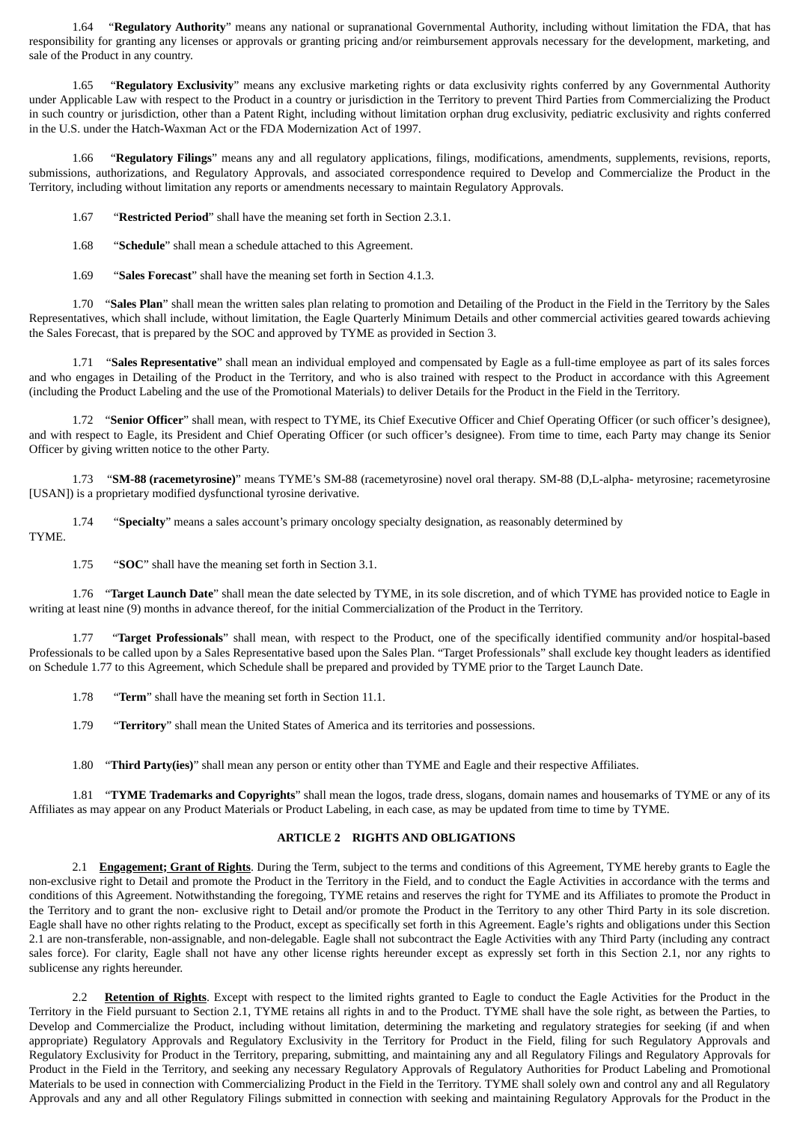1.64 "**Regulatory Authority**" means any national or supranational Governmental Authority, including without limitation the FDA, that has responsibility for granting any licenses or approvals or granting pricing and/or reimbursement approvals necessary for the development, marketing, and sale of the Product in any country.

1.65 "**Regulatory Exclusivity**" means any exclusive marketing rights or data exclusivity rights conferred by any Governmental Authority under Applicable Law with respect to the Product in a country or jurisdiction in the Territory to prevent Third Parties from Commercializing the Product in such country or jurisdiction, other than a Patent Right, including without limitation orphan drug exclusivity, pediatric exclusivity and rights conferred in the U.S. under the Hatch-Waxman Act or the FDA Modernization Act of 1997.

1.66 "**Regulatory Filings**" means any and all regulatory applications, filings, modifications, amendments, supplements, revisions, reports, submissions, authorizations, and Regulatory Approvals, and associated correspondence required to Develop and Commercialize the Product in the Territory, including without limitation any reports or amendments necessary to maintain Regulatory Approvals.

1.67 "**Restricted Period**" shall have the meaning set forth in Section 2.3.1.

1.68 "**Schedule**" shall mean a schedule attached to this Agreement.

1.69 "**Sales Forecast**" shall have the meaning set forth in Section 4.1.3.

1.70 "**Sales Plan**" shall mean the written sales plan relating to promotion and Detailing of the Product in the Field in the Territory by the Sales Representatives, which shall include, without limitation, the Eagle Quarterly Minimum Details and other commercial activities geared towards achieving the Sales Forecast, that is prepared by the SOC and approved by TYME as provided in Section 3.

1.71 "**Sales Representative**" shall mean an individual employed and compensated by Eagle as a full-time employee as part of its sales forces and who engages in Detailing of the Product in the Territory, and who is also trained with respect to the Product in accordance with this Agreement (including the Product Labeling and the use of the Promotional Materials) to deliver Details for the Product in the Field in the Territory.

1.72 "**Senior Officer**" shall mean, with respect to TYME, its Chief Executive Officer and Chief Operating Officer (or such officer's designee), and with respect to Eagle, its President and Chief Operating Officer (or such officer's designee). From time to time, each Party may change its Senior Officer by giving written notice to the other Party.

1.73 "**SM-88 (racemetyrosine)**" means TYME's SM-88 (racemetyrosine) novel oral therapy. SM-88 (D,L-alpha- metyrosine; racemetyrosine [USAN]) is a proprietary modified dysfunctional tyrosine derivative.

1.74 "**Specialty**" means a sales account's primary oncology specialty designation, as reasonably determined by TYME.

1.75 "**SOC**" shall have the meaning set forth in Section 3.1.

1.76 "**Target Launch Date**" shall mean the date selected by TYME, in its sole discretion, and of which TYME has provided notice to Eagle in writing at least nine (9) months in advance thereof, for the initial Commercialization of the Product in the Territory.

1.77 "**Target Professionals**" shall mean, with respect to the Product, one of the specifically identified community and/or hospital-based Professionals to be called upon by a Sales Representative based upon the Sales Plan. "Target Professionals" shall exclude key thought leaders as identified on Schedule 1.77 to this Agreement, which Schedule shall be prepared and provided by TYME prior to the Target Launch Date.

1.78 "**Term**" shall have the meaning set forth in Section 11.1.

1.79 "**Territory**" shall mean the United States of America and its territories and possessions.

1.80 "**Third Party(ies)**" shall mean any person or entity other than TYME and Eagle and their respective Affiliates.

1.81 "**TYME Trademarks and Copyrights**" shall mean the logos, trade dress, slogans, domain names and housemarks of TYME or any of its Affiliates as may appear on any Product Materials or Product Labeling, in each case, as may be updated from time to time by TYME.

### **ARTICLE 2 RIGHTS AND OBLIGATIONS**

2.1 **Engagement; Grant of Rights**. During the Term, subject to the terms and conditions of this Agreement, TYME hereby grants to Eagle the non-exclusive right to Detail and promote the Product in the Territory in the Field, and to conduct the Eagle Activities in accordance with the terms and conditions of this Agreement. Notwithstanding the foregoing, TYME retains and reserves the right for TYME and its Affiliates to promote the Product in the Territory and to grant the non- exclusive right to Detail and/or promote the Product in the Territory to any other Third Party in its sole discretion. Eagle shall have no other rights relating to the Product, except as specifically set forth in this Agreement. Eagle's rights and obligations under this Section 2.1 are non-transferable, non-assignable, and non-delegable. Eagle shall not subcontract the Eagle Activities with any Third Party (including any contract sales force). For clarity, Eagle shall not have any other license rights hereunder except as expressly set forth in this Section 2.1, nor any rights to sublicense any rights hereunder.

2.2 **Retention of Rights**. Except with respect to the limited rights granted to Eagle to conduct the Eagle Activities for the Product in the Territory in the Field pursuant to Section 2.1, TYME retains all rights in and to the Product. TYME shall have the sole right, as between the Parties, to Develop and Commercialize the Product, including without limitation, determining the marketing and regulatory strategies for seeking (if and when appropriate) Regulatory Approvals and Regulatory Exclusivity in the Territory for Product in the Field, filing for such Regulatory Approvals and Regulatory Exclusivity for Product in the Territory, preparing, submitting, and maintaining any and all Regulatory Filings and Regulatory Approvals for Product in the Field in the Territory, and seeking any necessary Regulatory Approvals of Regulatory Authorities for Product Labeling and Promotional Materials to be used in connection with Commercializing Product in the Field in the Territory. TYME shall solely own and control any and all Regulatory Approvals and any and all other Regulatory Filings submitted in connection with seeking and maintaining Regulatory Approvals for the Product in the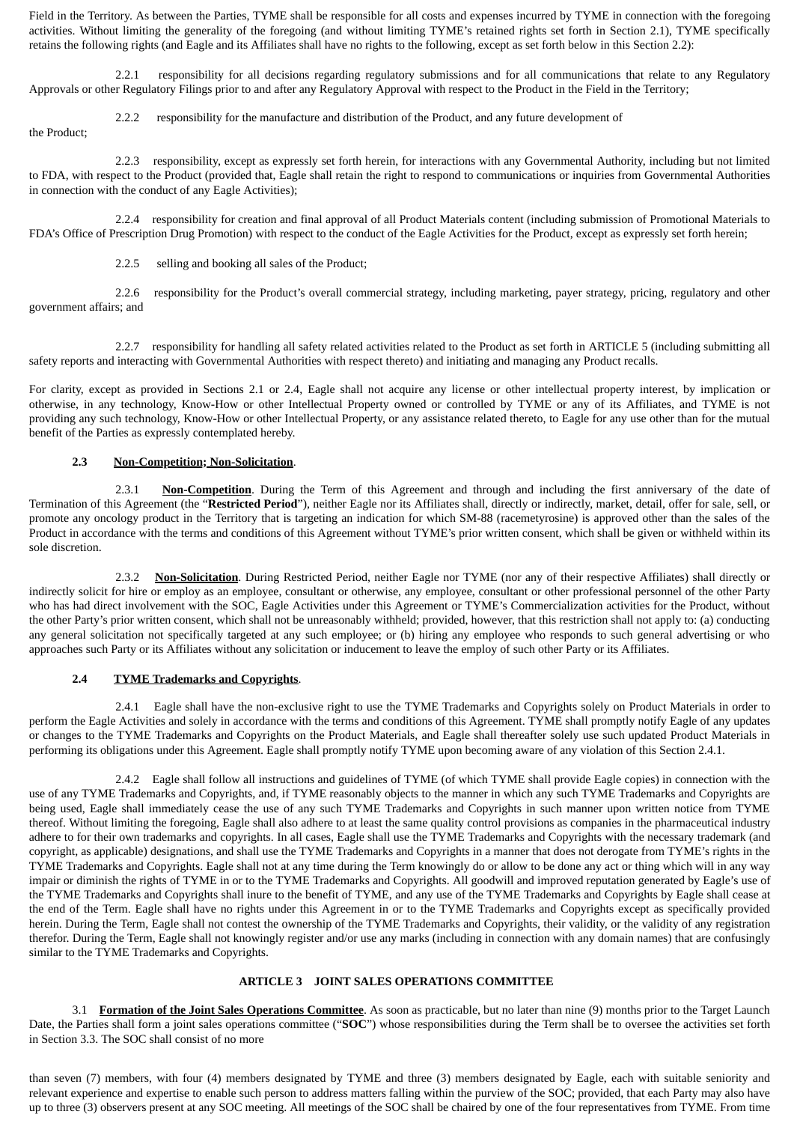Field in the Territory. As between the Parties, TYME shall be responsible for all costs and expenses incurred by TYME in connection with the foregoing activities. Without limiting the generality of the foregoing (and without limiting TYME's retained rights set forth in Section 2.1), TYME specifically retains the following rights (and Eagle and its Affiliates shall have no rights to the following, except as set forth below in this Section 2.2):

2.2.1 responsibility for all decisions regarding regulatory submissions and for all communications that relate to any Regulatory Approvals or other Regulatory Filings prior to and after any Regulatory Approval with respect to the Product in the Field in the Territory;

2.2.2 responsibility for the manufacture and distribution of the Product, and any future development of

the Product;

2.2.3 responsibility, except as expressly set forth herein, for interactions with any Governmental Authority, including but not limited to FDA, with respect to the Product (provided that, Eagle shall retain the right to respond to communications or inquiries from Governmental Authorities in connection with the conduct of any Eagle Activities);

2.2.4 responsibility for creation and final approval of all Product Materials content (including submission of Promotional Materials to FDA's Office of Prescription Drug Promotion) with respect to the conduct of the Eagle Activities for the Product, except as expressly set forth herein;

2.2.5 selling and booking all sales of the Product;

2.2.6 responsibility for the Product's overall commercial strategy, including marketing, payer strategy, pricing, regulatory and other government affairs; and

2.2.7 responsibility for handling all safety related activities related to the Product as set forth in ARTICLE 5 (including submitting all safety reports and interacting with Governmental Authorities with respect thereto) and initiating and managing any Product recalls.

For clarity, except as provided in Sections 2.1 or 2.4, Eagle shall not acquire any license or other intellectual property interest, by implication or otherwise, in any technology, Know-How or other Intellectual Property owned or controlled by TYME or any of its Affiliates, and TYME is not providing any such technology, Know-How or other Intellectual Property, or any assistance related thereto, to Eagle for any use other than for the mutual benefit of the Parties as expressly contemplated hereby.

### **2.3 Non-Competition; Non-Solicitation**.

2.3.1 **Non-Competition**. During the Term of this Agreement and through and including the first anniversary of the date of Termination of this Agreement (the "**Restricted Period**"), neither Eagle nor its Affiliates shall, directly or indirectly, market, detail, offer for sale, sell, or promote any oncology product in the Territory that is targeting an indication for which SM-88 (racemetyrosine) is approved other than the sales of the Product in accordance with the terms and conditions of this Agreement without TYME's prior written consent, which shall be given or withheld within its sole discretion.

2.3.2 **Non-Solicitation**. During Restricted Period, neither Eagle nor TYME (nor any of their respective Affiliates) shall directly or indirectly solicit for hire or employ as an employee, consultant or otherwise, any employee, consultant or other professional personnel of the other Party who has had direct involvement with the SOC, Eagle Activities under this Agreement or TYME's Commercialization activities for the Product, without the other Party's prior written consent, which shall not be unreasonably withheld; provided, however, that this restriction shall not apply to: (a) conducting any general solicitation not specifically targeted at any such employee; or (b) hiring any employee who responds to such general advertising or who approaches such Party or its Affiliates without any solicitation or inducement to leave the employ of such other Party or its Affiliates.

### **2.4 TYME Trademarks and Copyrights**.

2.4.1 Eagle shall have the non-exclusive right to use the TYME Trademarks and Copyrights solely on Product Materials in order to perform the Eagle Activities and solely in accordance with the terms and conditions of this Agreement. TYME shall promptly notify Eagle of any updates or changes to the TYME Trademarks and Copyrights on the Product Materials, and Eagle shall thereafter solely use such updated Product Materials in performing its obligations under this Agreement. Eagle shall promptly notify TYME upon becoming aware of any violation of this Section 2.4.1.

2.4.2 Eagle shall follow all instructions and guidelines of TYME (of which TYME shall provide Eagle copies) in connection with the use of any TYME Trademarks and Copyrights, and, if TYME reasonably objects to the manner in which any such TYME Trademarks and Copyrights are being used, Eagle shall immediately cease the use of any such TYME Trademarks and Copyrights in such manner upon written notice from TYME thereof. Without limiting the foregoing, Eagle shall also adhere to at least the same quality control provisions as companies in the pharmaceutical industry adhere to for their own trademarks and copyrights. In all cases, Eagle shall use the TYME Trademarks and Copyrights with the necessary trademark (and copyright, as applicable) designations, and shall use the TYME Trademarks and Copyrights in a manner that does not derogate from TYME's rights in the TYME Trademarks and Copyrights. Eagle shall not at any time during the Term knowingly do or allow to be done any act or thing which will in any way impair or diminish the rights of TYME in or to the TYME Trademarks and Copyrights. All goodwill and improved reputation generated by Eagle's use of the TYME Trademarks and Copyrights shall inure to the benefit of TYME, and any use of the TYME Trademarks and Copyrights by Eagle shall cease at the end of the Term. Eagle shall have no rights under this Agreement in or to the TYME Trademarks and Copyrights except as specifically provided herein. During the Term, Eagle shall not contest the ownership of the TYME Trademarks and Copyrights, their validity, or the validity of any registration therefor. During the Term, Eagle shall not knowingly register and/or use any marks (including in connection with any domain names) that are confusingly similar to the TYME Trademarks and Copyrights.

### **ARTICLE 3 JOINT SALES OPERATIONS COMMITTEE**

3.1 **Formation of the Joint Sales Operations Committee**. As soon as practicable, but no later than nine (9) months prior to the Target Launch Date, the Parties shall form a joint sales operations committee ("**SOC**") whose responsibilities during the Term shall be to oversee the activities set forth in Section 3.3. The SOC shall consist of no more

than seven (7) members, with four (4) members designated by TYME and three (3) members designated by Eagle, each with suitable seniority and relevant experience and expertise to enable such person to address matters falling within the purview of the SOC; provided, that each Party may also have up to three (3) observers present at any SOC meeting. All meetings of the SOC shall be chaired by one of the four representatives from TYME. From time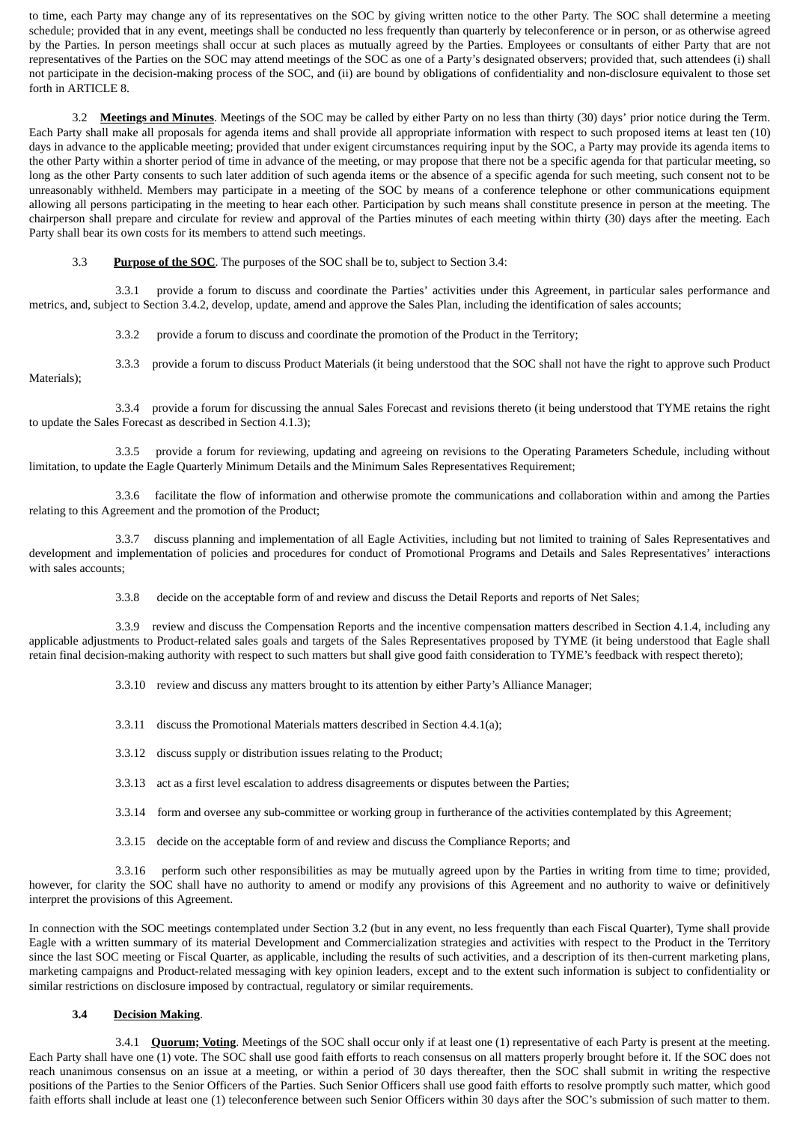to time, each Party may change any of its representatives on the SOC by giving written notice to the other Party. The SOC shall determine a meeting schedule; provided that in any event, meetings shall be conducted no less frequently than quarterly by teleconference or in person, or as otherwise agreed by the Parties. In person meetings shall occur at such places as mutually agreed by the Parties. Employees or consultants of either Party that are not representatives of the Parties on the SOC may attend meetings of the SOC as one of a Party's designated observers; provided that, such attendees (i) shall not participate in the decision-making process of the SOC, and (ii) are bound by obligations of confidentiality and non-disclosure equivalent to those set forth in ARTICLE 8.

3.2 **Meetings and Minutes**. Meetings of the SOC may be called by either Party on no less than thirty (30) days' prior notice during the Term. Each Party shall make all proposals for agenda items and shall provide all appropriate information with respect to such proposed items at least ten (10) days in advance to the applicable meeting; provided that under exigent circumstances requiring input by the SOC, a Party may provide its agenda items to the other Party within a shorter period of time in advance of the meeting, or may propose that there not be a specific agenda for that particular meeting, so long as the other Party consents to such later addition of such agenda items or the absence of a specific agenda for such meeting, such consent not to be unreasonably withheld. Members may participate in a meeting of the SOC by means of a conference telephone or other communications equipment allowing all persons participating in the meeting to hear each other. Participation by such means shall constitute presence in person at the meeting. The chairperson shall prepare and circulate for review and approval of the Parties minutes of each meeting within thirty (30) days after the meeting. Each Party shall bear its own costs for its members to attend such meetings.

3.3 **Purpose of the SOC**. The purposes of the SOC shall be to, subject to Section 3.4:

3.3.1 provide a forum to discuss and coordinate the Parties' activities under this Agreement, in particular sales performance and metrics, and, subject to Section 3.4.2, develop, update, amend and approve the Sales Plan, including the identification of sales accounts;

3.3.2 provide a forum to discuss and coordinate the promotion of the Product in the Territory;

3.3.3 provide a forum to discuss Product Materials (it being understood that the SOC shall not have the right to approve such Product Materials);

3.3.4 provide a forum for discussing the annual Sales Forecast and revisions thereto (it being understood that TYME retains the right to update the Sales Forecast as described in Section 4.1.3);

3.3.5 provide a forum for reviewing, updating and agreeing on revisions to the Operating Parameters Schedule, including without limitation, to update the Eagle Quarterly Minimum Details and the Minimum Sales Representatives Requirement;

3.3.6 facilitate the flow of information and otherwise promote the communications and collaboration within and among the Parties relating to this Agreement and the promotion of the Product;

3.3.7 discuss planning and implementation of all Eagle Activities, including but not limited to training of Sales Representatives and development and implementation of policies and procedures for conduct of Promotional Programs and Details and Sales Representatives' interactions with sales accounts;

3.3.8 decide on the acceptable form of and review and discuss the Detail Reports and reports of Net Sales;

3.3.9 review and discuss the Compensation Reports and the incentive compensation matters described in Section 4.1.4, including any applicable adjustments to Product-related sales goals and targets of the Sales Representatives proposed by TYME (it being understood that Eagle shall retain final decision-making authority with respect to such matters but shall give good faith consideration to TYME's feedback with respect thereto);

3.3.10 review and discuss any matters brought to its attention by either Party's Alliance Manager;

- 3.3.11 discuss the Promotional Materials matters described in Section 4.4.1(a);
- 3.3.12 discuss supply or distribution issues relating to the Product;
- 3.3.13 act as a first level escalation to address disagreements or disputes between the Parties;
- 3.3.14 form and oversee any sub-committee or working group in furtherance of the activities contemplated by this Agreement;
- 3.3.15 decide on the acceptable form of and review and discuss the Compliance Reports; and

3.3.16 perform such other responsibilities as may be mutually agreed upon by the Parties in writing from time to time; provided, however, for clarity the SOC shall have no authority to amend or modify any provisions of this Agreement and no authority to waive or definitively interpret the provisions of this Agreement.

In connection with the SOC meetings contemplated under Section 3.2 (but in any event, no less frequently than each Fiscal Quarter), Tyme shall provide Eagle with a written summary of its material Development and Commercialization strategies and activities with respect to the Product in the Territory since the last SOC meeting or Fiscal Quarter, as applicable, including the results of such activities, and a description of its then-current marketing plans, marketing campaigns and Product-related messaging with key opinion leaders, except and to the extent such information is subject to confidentiality or similar restrictions on disclosure imposed by contractual, regulatory or similar requirements.

### **3.4 Decision Making**.

3.4.1 **Quorum; Voting**. Meetings of the SOC shall occur only if at least one (1) representative of each Party is present at the meeting. Each Party shall have one (1) vote. The SOC shall use good faith efforts to reach consensus on all matters properly brought before it. If the SOC does not reach unanimous consensus on an issue at a meeting, or within a period of 30 days thereafter, then the SOC shall submit in writing the respective positions of the Parties to the Senior Officers of the Parties. Such Senior Officers shall use good faith efforts to resolve promptly such matter, which good faith efforts shall include at least one (1) teleconference between such Senior Officers within 30 days after the SOC's submission of such matter to them.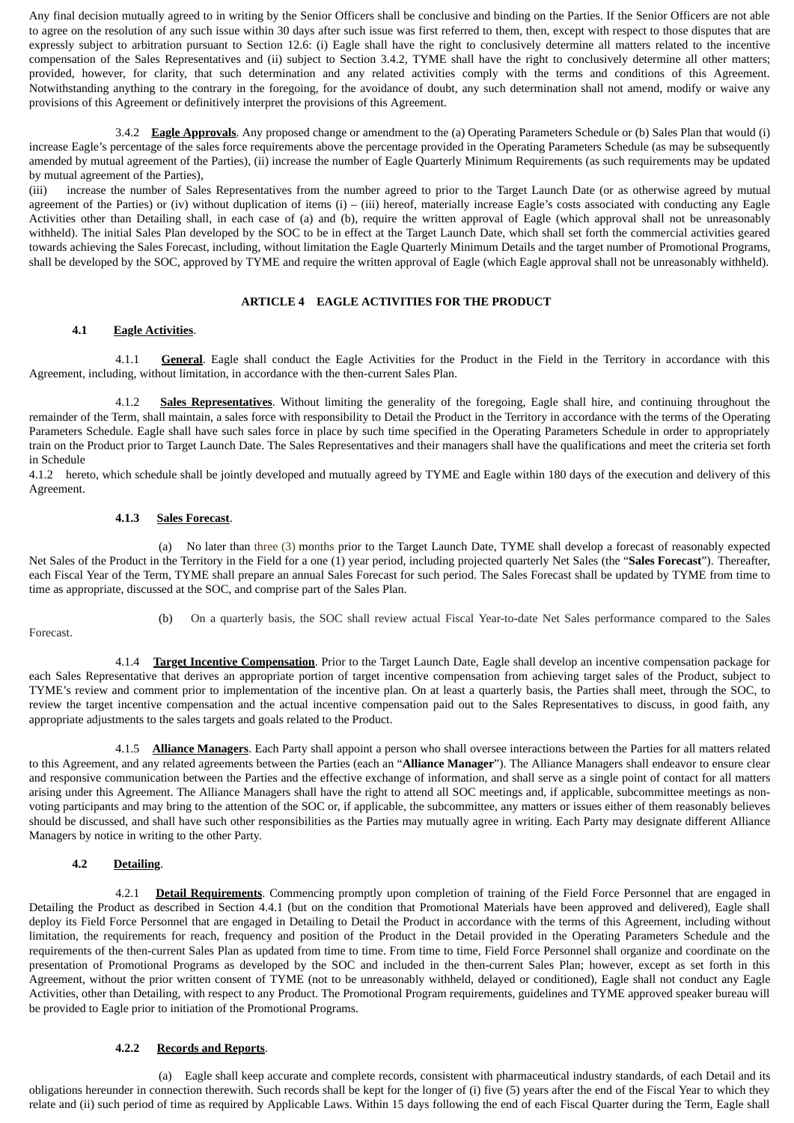Any final decision mutually agreed to in writing by the Senior Officers shall be conclusive and binding on the Parties. If the Senior Officers are not able to agree on the resolution of any such issue within 30 days after such issue was first referred to them, then, except with respect to those disputes that are expressly subject to arbitration pursuant to Section 12.6: (i) Eagle shall have the right to conclusively determine all matters related to the incentive compensation of the Sales Representatives and (ii) subject to Section 3.4.2, TYME shall have the right to conclusively determine all other matters; provided, however, for clarity, that such determination and any related activities comply with the terms and conditions of this Agreement. Notwithstanding anything to the contrary in the foregoing, for the avoidance of doubt, any such determination shall not amend, modify or waive any provisions of this Agreement or definitively interpret the provisions of this Agreement.

3.4.2 **Eagle Approvals**. Any proposed change or amendment to the (a) Operating Parameters Schedule or (b) Sales Plan that would (i) increase Eagle's percentage of the sales force requirements above the percentage provided in the Operating Parameters Schedule (as may be subsequently amended by mutual agreement of the Parties), (ii) increase the number of Eagle Quarterly Minimum Requirements (as such requirements may be updated by mutual agreement of the Parties),

(iii) increase the number of Sales Representatives from the number agreed to prior to the Target Launch Date (or as otherwise agreed by mutual agreement of the Parties) or (iv) without duplication of items  $(i) - (iii)$  hereof, materially increase Eagle's costs associated with conducting any Eagle Activities other than Detailing shall, in each case of (a) and (b), require the written approval of Eagle (which approval shall not be unreasonably withheld). The initial Sales Plan developed by the SOC to be in effect at the Target Launch Date, which shall set forth the commercial activities geared towards achieving the Sales Forecast, including, without limitation the Eagle Quarterly Minimum Details and the target number of Promotional Programs, shall be developed by the SOC, approved by TYME and require the written approval of Eagle (which Eagle approval shall not be unreasonably withheld).

### **ARTICLE 4 EAGLE ACTIVITIES FOR THE PRODUCT**

#### **4.1 Eagle Activities**.

4.1.1 **General**. Eagle shall conduct the Eagle Activities for the Product in the Field in the Territory in accordance with this Agreement, including, without limitation, in accordance with the then-current Sales Plan.

4.1.2 **Sales Representatives**. Without limiting the generality of the foregoing, Eagle shall hire, and continuing throughout the remainder of the Term, shall maintain, a sales force with responsibility to Detail the Product in the Territory in accordance with the terms of the Operating Parameters Schedule. Eagle shall have such sales force in place by such time specified in the Operating Parameters Schedule in order to appropriately train on the Product prior to Target Launch Date. The Sales Representatives and their managers shall have the qualifications and meet the criteria set forth in Schedule

4.1.2 hereto, which schedule shall be jointly developed and mutually agreed by TYME and Eagle within 180 days of the execution and delivery of this Agreement.

#### **4.1.3 Sales Forecast**.

(a) No later than three (3) months prior to the Target Launch Date, TYME shall develop a forecast of reasonably expected Net Sales of the Product in the Territory in the Field for a one (1) year period, including projected quarterly Net Sales (the "**Sales Forecast**"). Thereafter, each Fiscal Year of the Term, TYME shall prepare an annual Sales Forecast for such period. The Sales Forecast shall be updated by TYME from time to time as appropriate, discussed at the SOC, and comprise part of the Sales Plan.

Forecast.

(b) On a quarterly basis, the SOC shall review actual Fiscal Year-to-date Net Sales performance compared to the Sales

4.1.4 **Target Incentive Compensation**. Prior to the Target Launch Date, Eagle shall develop an incentive compensation package for each Sales Representative that derives an appropriate portion of target incentive compensation from achieving target sales of the Product, subject to TYME's review and comment prior to implementation of the incentive plan. On at least a quarterly basis, the Parties shall meet, through the SOC, to review the target incentive compensation and the actual incentive compensation paid out to the Sales Representatives to discuss, in good faith, any appropriate adjustments to the sales targets and goals related to the Product.

4.1.5 **Alliance Managers**. Each Party shall appoint a person who shall oversee interactions between the Parties for all matters related to this Agreement, and any related agreements between the Parties (each an "**Alliance Manager**"). The Alliance Managers shall endeavor to ensure clear and responsive communication between the Parties and the effective exchange of information, and shall serve as a single point of contact for all matters arising under this Agreement. The Alliance Managers shall have the right to attend all SOC meetings and, if applicable, subcommittee meetings as nonvoting participants and may bring to the attention of the SOC or, if applicable, the subcommittee, any matters or issues either of them reasonably believes should be discussed, and shall have such other responsibilities as the Parties may mutually agree in writing. Each Party may designate different Alliance Managers by notice in writing to the other Party.

### **4.2 Detailing**.

4.2.1 **Detail Requirements**. Commencing promptly upon completion of training of the Field Force Personnel that are engaged in Detailing the Product as described in Section 4.4.1 (but on the condition that Promotional Materials have been approved and delivered), Eagle shall deploy its Field Force Personnel that are engaged in Detailing to Detail the Product in accordance with the terms of this Agreement, including without limitation, the requirements for reach, frequency and position of the Product in the Detail provided in the Operating Parameters Schedule and the requirements of the then-current Sales Plan as updated from time to time. From time to time, Field Force Personnel shall organize and coordinate on the presentation of Promotional Programs as developed by the SOC and included in the then-current Sales Plan; however, except as set forth in this Agreement, without the prior written consent of TYME (not to be unreasonably withheld, delayed or conditioned), Eagle shall not conduct any Eagle Activities, other than Detailing, with respect to any Product. The Promotional Program requirements, guidelines and TYME approved speaker bureau will be provided to Eagle prior to initiation of the Promotional Programs.

### **4.2.2 Records and Reports**.

(a) Eagle shall keep accurate and complete records, consistent with pharmaceutical industry standards, of each Detail and its obligations hereunder in connection therewith. Such records shall be kept for the longer of (i) five (5) years after the end of the Fiscal Year to which they relate and (ii) such period of time as required by Applicable Laws. Within 15 days following the end of each Fiscal Quarter during the Term, Eagle shall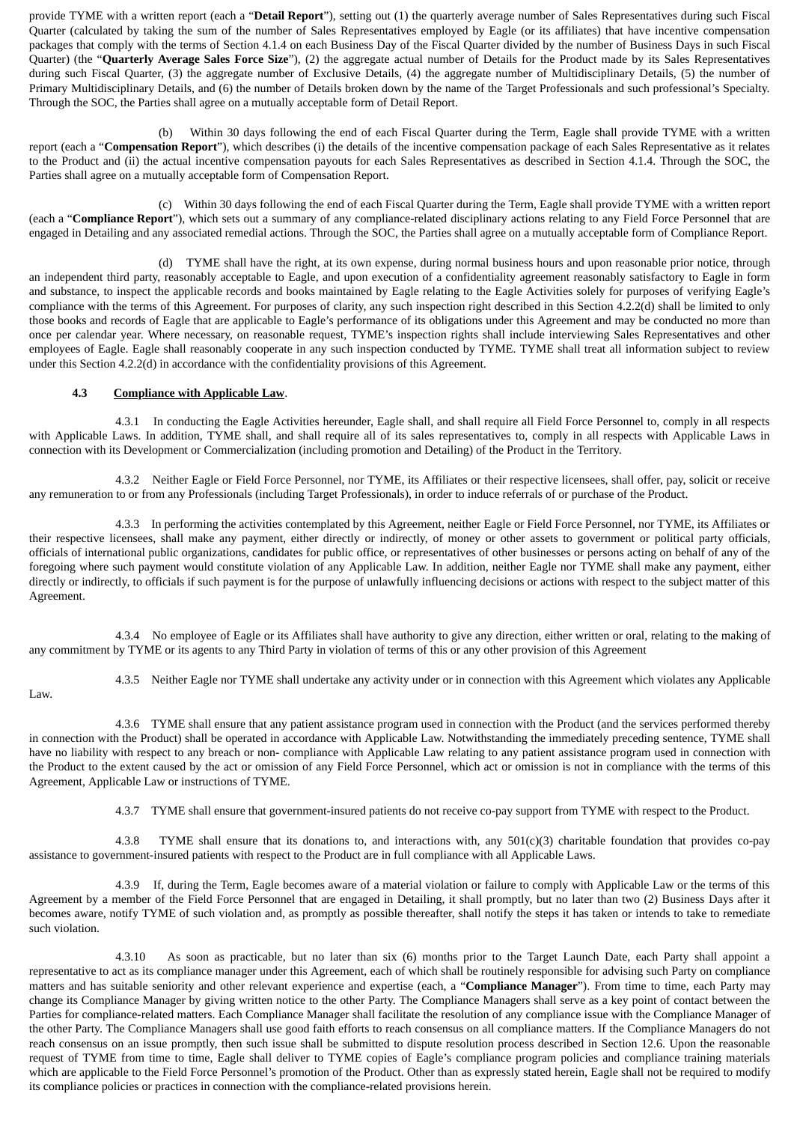provide TYME with a written report (each a "**Detail Report**"), setting out (1) the quarterly average number of Sales Representatives during such Fiscal Quarter (calculated by taking the sum of the number of Sales Representatives employed by Eagle (or its affiliates) that have incentive compensation packages that comply with the terms of Section 4.1.4 on each Business Day of the Fiscal Quarter divided by the number of Business Days in such Fiscal Quarter) (the "**Quarterly Average Sales Force Size**"), (2) the aggregate actual number of Details for the Product made by its Sales Representatives during such Fiscal Quarter, (3) the aggregate number of Exclusive Details, (4) the aggregate number of Multidisciplinary Details, (5) the number of Primary Multidisciplinary Details, and (6) the number of Details broken down by the name of the Target Professionals and such professional's Specialty. Through the SOC, the Parties shall agree on a mutually acceptable form of Detail Report.

(b) Within 30 days following the end of each Fiscal Quarter during the Term, Eagle shall provide TYME with a written report (each a "**Compensation Report**"), which describes (i) the details of the incentive compensation package of each Sales Representative as it relates to the Product and (ii) the actual incentive compensation payouts for each Sales Representatives as described in Section 4.1.4. Through the SOC, the Parties shall agree on a mutually acceptable form of Compensation Report.

(c) Within 30 days following the end of each Fiscal Quarter during the Term, Eagle shall provide TYME with a written report (each a "**Compliance Report**"), which sets out a summary of any compliance-related disciplinary actions relating to any Field Force Personnel that are engaged in Detailing and any associated remedial actions. Through the SOC, the Parties shall agree on a mutually acceptable form of Compliance Report.

(d) TYME shall have the right, at its own expense, during normal business hours and upon reasonable prior notice, through an independent third party, reasonably acceptable to Eagle, and upon execution of a confidentiality agreement reasonably satisfactory to Eagle in form and substance, to inspect the applicable records and books maintained by Eagle relating to the Eagle Activities solely for purposes of verifying Eagle's compliance with the terms of this Agreement. For purposes of clarity, any such inspection right described in this Section 4.2.2(d) shall be limited to only those books and records of Eagle that are applicable to Eagle's performance of its obligations under this Agreement and may be conducted no more than once per calendar year. Where necessary, on reasonable request, TYME's inspection rights shall include interviewing Sales Representatives and other employees of Eagle. Eagle shall reasonably cooperate in any such inspection conducted by TYME. TYME shall treat all information subject to review under this Section 4.2.2(d) in accordance with the confidentiality provisions of this Agreement.

### **4.3 Compliance with Applicable Law**.

4.3.1 In conducting the Eagle Activities hereunder, Eagle shall, and shall require all Field Force Personnel to, comply in all respects with Applicable Laws. In addition, TYME shall, and shall require all of its sales representatives to, comply in all respects with Applicable Laws in connection with its Development or Commercialization (including promotion and Detailing) of the Product in the Territory.

4.3.2 Neither Eagle or Field Force Personnel, nor TYME, its Affiliates or their respective licensees, shall offer, pay, solicit or receive any remuneration to or from any Professionals (including Target Professionals), in order to induce referrals of or purchase of the Product.

4.3.3 In performing the activities contemplated by this Agreement, neither Eagle or Field Force Personnel, nor TYME, its Affiliates or their respective licensees, shall make any payment, either directly or indirectly, of money or other assets to government or political party officials, officials of international public organizations, candidates for public office, or representatives of other businesses or persons acting on behalf of any of the foregoing where such payment would constitute violation of any Applicable Law. In addition, neither Eagle nor TYME shall make any payment, either directly or indirectly, to officials if such payment is for the purpose of unlawfully influencing decisions or actions with respect to the subject matter of this Agreement.

4.3.4 No employee of Eagle or its Affiliates shall have authority to give any direction, either written or oral, relating to the making of any commitment by TYME or its agents to any Third Party in violation of terms of this or any other provision of this Agreement

Law.

4.3.5 Neither Eagle nor TYME shall undertake any activity under or in connection with this Agreement which violates any Applicable

4.3.6 TYME shall ensure that any patient assistance program used in connection with the Product (and the services performed thereby in connection with the Product) shall be operated in accordance with Applicable Law. Notwithstanding the immediately preceding sentence, TYME shall have no liability with respect to any breach or non- compliance with Applicable Law relating to any patient assistance program used in connection with the Product to the extent caused by the act or omission of any Field Force Personnel, which act or omission is not in compliance with the terms of this Agreement, Applicable Law or instructions of TYME.

4.3.7 TYME shall ensure that government-insured patients do not receive co-pay support from TYME with respect to the Product.

4.3.8 TYME shall ensure that its donations to, and interactions with, any 501(c)(3) charitable foundation that provides co-pay assistance to government-insured patients with respect to the Product are in full compliance with all Applicable Laws.

4.3.9 If, during the Term, Eagle becomes aware of a material violation or failure to comply with Applicable Law or the terms of this Agreement by a member of the Field Force Personnel that are engaged in Detailing, it shall promptly, but no later than two (2) Business Days after it becomes aware, notify TYME of such violation and, as promptly as possible thereafter, shall notify the steps it has taken or intends to take to remediate such violation.

4.3.10 As soon as practicable, but no later than six (6) months prior to the Target Launch Date, each Party shall appoint a representative to act as its compliance manager under this Agreement, each of which shall be routinely responsible for advising such Party on compliance matters and has suitable seniority and other relevant experience and expertise (each, a "**Compliance Manager**"). From time to time, each Party may change its Compliance Manager by giving written notice to the other Party. The Compliance Managers shall serve as a key point of contact between the Parties for compliance-related matters. Each Compliance Manager shall facilitate the resolution of any compliance issue with the Compliance Manager of the other Party. The Compliance Managers shall use good faith efforts to reach consensus on all compliance matters. If the Compliance Managers do not reach consensus on an issue promptly, then such issue shall be submitted to dispute resolution process described in Section 12.6. Upon the reasonable request of TYME from time to time, Eagle shall deliver to TYME copies of Eagle's compliance program policies and compliance training materials which are applicable to the Field Force Personnel's promotion of the Product. Other than as expressly stated herein, Eagle shall not be required to modify its compliance policies or practices in connection with the compliance-related provisions herein.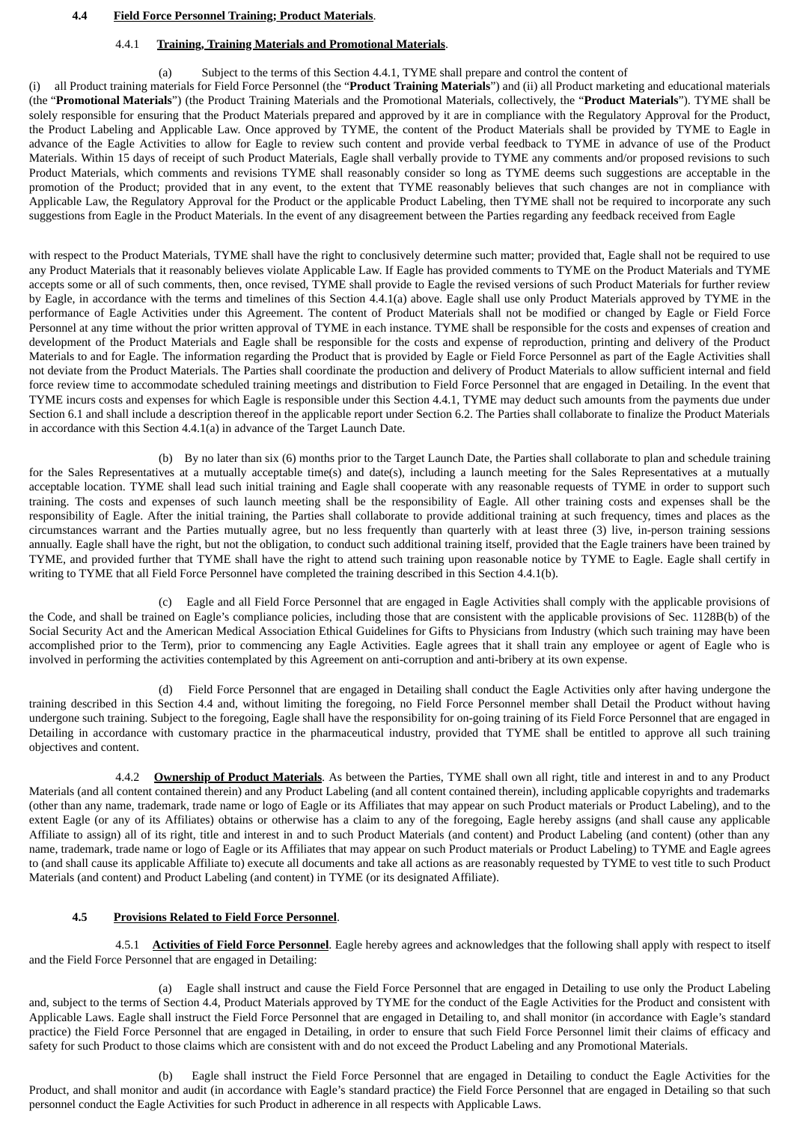### **4.4 Field Force Personnel Training; Product Materials**.

#### 4.4.1 **Training, Training Materials and Promotional Materials**.

(a) Subject to the terms of this Section 4.4.1, TYME shall prepare and control the content of (i) all Product training materials for Field Force Personnel (the "**Product Training Materials**") and (ii) all Product marketing and educational materials (the "**Promotional Materials**") (the Product Training Materials and the Promotional Materials, collectively, the "**Product Materials**"). TYME shall be solely responsible for ensuring that the Product Materials prepared and approved by it are in compliance with the Regulatory Approval for the Product, the Product Labeling and Applicable Law. Once approved by TYME, the content of the Product Materials shall be provided by TYME to Eagle in advance of the Eagle Activities to allow for Eagle to review such content and provide verbal feedback to TYME in advance of use of the Product Materials. Within 15 days of receipt of such Product Materials, Eagle shall verbally provide to TYME any comments and/or proposed revisions to such Product Materials, which comments and revisions TYME shall reasonably consider so long as TYME deems such suggestions are acceptable in the promotion of the Product; provided that in any event, to the extent that TYME reasonably believes that such changes are not in compliance with Applicable Law, the Regulatory Approval for the Product or the applicable Product Labeling, then TYME shall not be required to incorporate any such suggestions from Eagle in the Product Materials. In the event of any disagreement between the Parties regarding any feedback received from Eagle

with respect to the Product Materials, TYME shall have the right to conclusively determine such matter; provided that, Eagle shall not be required to use any Product Materials that it reasonably believes violate Applicable Law. If Eagle has provided comments to TYME on the Product Materials and TYME accepts some or all of such comments, then, once revised, TYME shall provide to Eagle the revised versions of such Product Materials for further review by Eagle, in accordance with the terms and timelines of this Section 4.4.1(a) above. Eagle shall use only Product Materials approved by TYME in the performance of Eagle Activities under this Agreement. The content of Product Materials shall not be modified or changed by Eagle or Field Force Personnel at any time without the prior written approval of TYME in each instance. TYME shall be responsible for the costs and expenses of creation and development of the Product Materials and Eagle shall be responsible for the costs and expense of reproduction, printing and delivery of the Product Materials to and for Eagle. The information regarding the Product that is provided by Eagle or Field Force Personnel as part of the Eagle Activities shall not deviate from the Product Materials. The Parties shall coordinate the production and delivery of Product Materials to allow sufficient internal and field force review time to accommodate scheduled training meetings and distribution to Field Force Personnel that are engaged in Detailing. In the event that TYME incurs costs and expenses for which Eagle is responsible under this Section 4.4.1, TYME may deduct such amounts from the payments due under Section 6.1 and shall include a description thereof in the applicable report under Section 6.2. The Parties shall collaborate to finalize the Product Materials in accordance with this Section 4.4.1(a) in advance of the Target Launch Date.

(b) By no later than six (6) months prior to the Target Launch Date, the Parties shall collaborate to plan and schedule training for the Sales Representatives at a mutually acceptable time(s) and date(s), including a launch meeting for the Sales Representatives at a mutually acceptable location. TYME shall lead such initial training and Eagle shall cooperate with any reasonable requests of TYME in order to support such training. The costs and expenses of such launch meeting shall be the responsibility of Eagle. All other training costs and expenses shall be the responsibility of Eagle. After the initial training, the Parties shall collaborate to provide additional training at such frequency, times and places as the circumstances warrant and the Parties mutually agree, but no less frequently than quarterly with at least three (3) live, in-person training sessions annually. Eagle shall have the right, but not the obligation, to conduct such additional training itself, provided that the Eagle trainers have been trained by TYME, and provided further that TYME shall have the right to attend such training upon reasonable notice by TYME to Eagle. Eagle shall certify in writing to TYME that all Field Force Personnel have completed the training described in this Section 4.4.1(b).

(c) Eagle and all Field Force Personnel that are engaged in Eagle Activities shall comply with the applicable provisions of the Code, and shall be trained on Eagle's compliance policies, including those that are consistent with the applicable provisions of Sec. 1128B(b) of the Social Security Act and the American Medical Association Ethical Guidelines for Gifts to Physicians from Industry (which such training may have been accomplished prior to the Term), prior to commencing any Eagle Activities. Eagle agrees that it shall train any employee or agent of Eagle who is involved in performing the activities contemplated by this Agreement on anti-corruption and anti-bribery at its own expense.

(d) Field Force Personnel that are engaged in Detailing shall conduct the Eagle Activities only after having undergone the training described in this Section 4.4 and, without limiting the foregoing, no Field Force Personnel member shall Detail the Product without having undergone such training. Subject to the foregoing, Eagle shall have the responsibility for on-going training of its Field Force Personnel that are engaged in Detailing in accordance with customary practice in the pharmaceutical industry, provided that TYME shall be entitled to approve all such training objectives and content.

4.4.2 **Ownership of Product Materials**. As between the Parties, TYME shall own all right, title and interest in and to any Product Materials (and all content contained therein) and any Product Labeling (and all content contained therein), including applicable copyrights and trademarks (other than any name, trademark, trade name or logo of Eagle or its Affiliates that may appear on such Product materials or Product Labeling), and to the extent Eagle (or any of its Affiliates) obtains or otherwise has a claim to any of the foregoing, Eagle hereby assigns (and shall cause any applicable Affiliate to assign) all of its right, title and interest in and to such Product Materials (and content) and Product Labeling (and content) (other than any name, trademark, trade name or logo of Eagle or its Affiliates that may appear on such Product materials or Product Labeling) to TYME and Eagle agrees to (and shall cause its applicable Affiliate to) execute all documents and take all actions as are reasonably requested by TYME to vest title to such Product Materials (and content) and Product Labeling (and content) in TYME (or its designated Affiliate).

### **4.5 Provisions Related to Field Force Personnel**.

4.5.1 **Activities of Field Force Personnel**. Eagle hereby agrees and acknowledges that the following shall apply with respect to itself and the Field Force Personnel that are engaged in Detailing:

(a) Eagle shall instruct and cause the Field Force Personnel that are engaged in Detailing to use only the Product Labeling and, subject to the terms of Section 4.4, Product Materials approved by TYME for the conduct of the Eagle Activities for the Product and consistent with Applicable Laws. Eagle shall instruct the Field Force Personnel that are engaged in Detailing to, and shall monitor (in accordance with Eagle's standard practice) the Field Force Personnel that are engaged in Detailing, in order to ensure that such Field Force Personnel limit their claims of efficacy and safety for such Product to those claims which are consistent with and do not exceed the Product Labeling and any Promotional Materials.

(b) Eagle shall instruct the Field Force Personnel that are engaged in Detailing to conduct the Eagle Activities for the Product, and shall monitor and audit (in accordance with Eagle's standard practice) the Field Force Personnel that are engaged in Detailing so that such personnel conduct the Eagle Activities for such Product in adherence in all respects with Applicable Laws.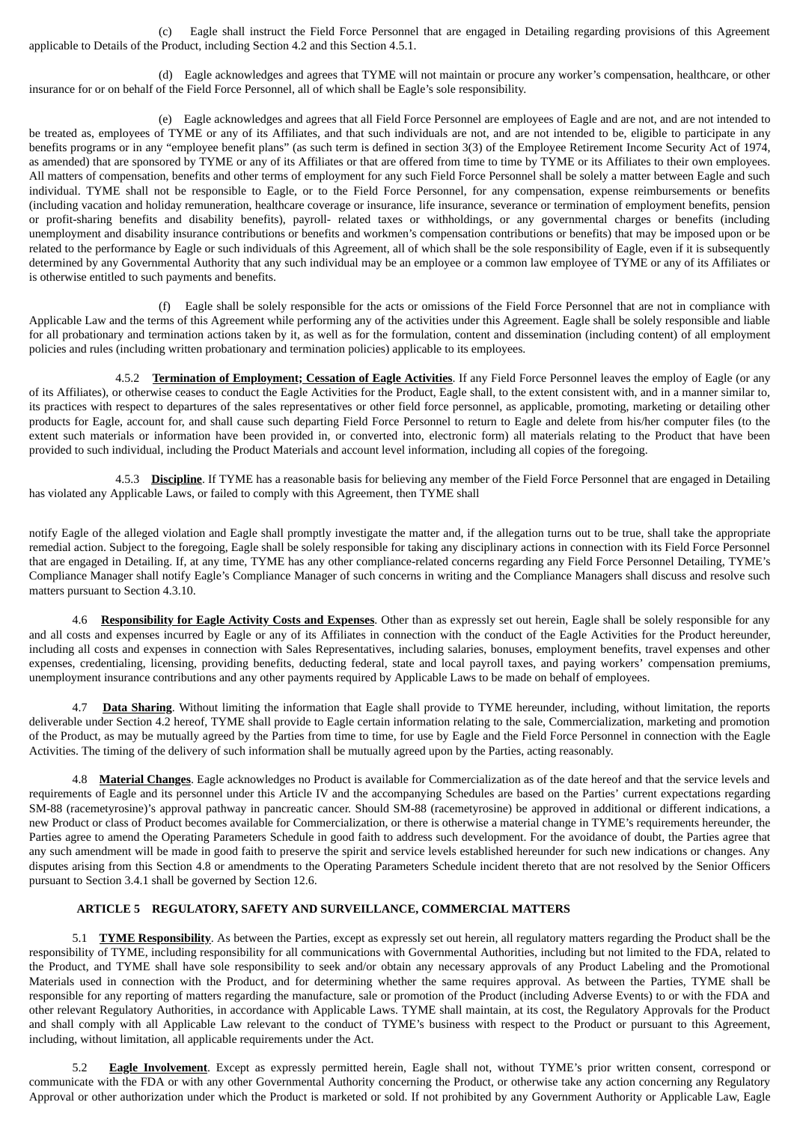(c) Eagle shall instruct the Field Force Personnel that are engaged in Detailing regarding provisions of this Agreement applicable to Details of the Product, including Section 4.2 and this Section 4.5.1.

(d) Eagle acknowledges and agrees that TYME will not maintain or procure any worker's compensation, healthcare, or other insurance for or on behalf of the Field Force Personnel, all of which shall be Eagle's sole responsibility.

(e) Eagle acknowledges and agrees that all Field Force Personnel are employees of Eagle and are not, and are not intended to be treated as, employees of TYME or any of its Affiliates, and that such individuals are not, and are not intended to be, eligible to participate in any benefits programs or in any "employee benefit plans" (as such term is defined in section 3(3) of the Employee Retirement Income Security Act of 1974, as amended) that are sponsored by TYME or any of its Affiliates or that are offered from time to time by TYME or its Affiliates to their own employees. All matters of compensation, benefits and other terms of employment for any such Field Force Personnel shall be solely a matter between Eagle and such individual. TYME shall not be responsible to Eagle, or to the Field Force Personnel, for any compensation, expense reimbursements or benefits (including vacation and holiday remuneration, healthcare coverage or insurance, life insurance, severance or termination of employment benefits, pension or profit-sharing benefits and disability benefits), payroll- related taxes or withholdings, or any governmental charges or benefits (including unemployment and disability insurance contributions or benefits and workmen's compensation contributions or benefits) that may be imposed upon or be related to the performance by Eagle or such individuals of this Agreement, all of which shall be the sole responsibility of Eagle, even if it is subsequently determined by any Governmental Authority that any such individual may be an employee or a common law employee of TYME or any of its Affiliates or is otherwise entitled to such payments and benefits.

(f) Eagle shall be solely responsible for the acts or omissions of the Field Force Personnel that are not in compliance with Applicable Law and the terms of this Agreement while performing any of the activities under this Agreement. Eagle shall be solely responsible and liable for all probationary and termination actions taken by it, as well as for the formulation, content and dissemination (including content) of all employment policies and rules (including written probationary and termination policies) applicable to its employees.

4.5.2 **Termination of Employment; Cessation of Eagle Activities**. If any Field Force Personnel leaves the employ of Eagle (or any of its Affiliates), or otherwise ceases to conduct the Eagle Activities for the Product, Eagle shall, to the extent consistent with, and in a manner similar to, its practices with respect to departures of the sales representatives or other field force personnel, as applicable, promoting, marketing or detailing other products for Eagle, account for, and shall cause such departing Field Force Personnel to return to Eagle and delete from his/her computer files (to the extent such materials or information have been provided in, or converted into, electronic form) all materials relating to the Product that have been provided to such individual, including the Product Materials and account level information, including all copies of the foregoing.

4.5.3 **Discipline**. If TYME has a reasonable basis for believing any member of the Field Force Personnel that are engaged in Detailing has violated any Applicable Laws, or failed to comply with this Agreement, then TYME shall

notify Eagle of the alleged violation and Eagle shall promptly investigate the matter and, if the allegation turns out to be true, shall take the appropriate remedial action. Subject to the foregoing, Eagle shall be solely responsible for taking any disciplinary actions in connection with its Field Force Personnel that are engaged in Detailing. If, at any time, TYME has any other compliance-related concerns regarding any Field Force Personnel Detailing, TYME's Compliance Manager shall notify Eagle's Compliance Manager of such concerns in writing and the Compliance Managers shall discuss and resolve such matters pursuant to Section 4.3.10.

4.6 **Responsibility for Eagle Activity Costs and Expenses**. Other than as expressly set out herein, Eagle shall be solely responsible for any and all costs and expenses incurred by Eagle or any of its Affiliates in connection with the conduct of the Eagle Activities for the Product hereunder, including all costs and expenses in connection with Sales Representatives, including salaries, bonuses, employment benefits, travel expenses and other expenses, credentialing, licensing, providing benefits, deducting federal, state and local payroll taxes, and paying workers' compensation premiums, unemployment insurance contributions and any other payments required by Applicable Laws to be made on behalf of employees.

4.7 **Data Sharing**. Without limiting the information that Eagle shall provide to TYME hereunder, including, without limitation, the reports deliverable under Section 4.2 hereof, TYME shall provide to Eagle certain information relating to the sale, Commercialization, marketing and promotion of the Product, as may be mutually agreed by the Parties from time to time, for use by Eagle and the Field Force Personnel in connection with the Eagle Activities. The timing of the delivery of such information shall be mutually agreed upon by the Parties, acting reasonably.

4.8 **Material Changes**. Eagle acknowledges no Product is available for Commercialization as of the date hereof and that the service levels and requirements of Eagle and its personnel under this Article IV and the accompanying Schedules are based on the Parties' current expectations regarding SM-88 (racemetyrosine)'s approval pathway in pancreatic cancer. Should SM-88 (racemetyrosine) be approved in additional or different indications, a new Product or class of Product becomes available for Commercialization, or there is otherwise a material change in TYME's requirements hereunder, the Parties agree to amend the Operating Parameters Schedule in good faith to address such development. For the avoidance of doubt, the Parties agree that any such amendment will be made in good faith to preserve the spirit and service levels established hereunder for such new indications or changes. Any disputes arising from this Section 4.8 or amendments to the Operating Parameters Schedule incident thereto that are not resolved by the Senior Officers pursuant to Section 3.4.1 shall be governed by Section 12.6.

### **ARTICLE 5 REGULATORY, SAFETY AND SURVEILLANCE, COMMERCIAL MATTERS**

5.1 **TYME Responsibility**. As between the Parties, except as expressly set out herein, all regulatory matters regarding the Product shall be the responsibility of TYME, including responsibility for all communications with Governmental Authorities, including but not limited to the FDA, related to the Product, and TYME shall have sole responsibility to seek and/or obtain any necessary approvals of any Product Labeling and the Promotional Materials used in connection with the Product, and for determining whether the same requires approval. As between the Parties, TYME shall be responsible for any reporting of matters regarding the manufacture, sale or promotion of the Product (including Adverse Events) to or with the FDA and other relevant Regulatory Authorities, in accordance with Applicable Laws. TYME shall maintain, at its cost, the Regulatory Approvals for the Product and shall comply with all Applicable Law relevant to the conduct of TYME's business with respect to the Product or pursuant to this Agreement, including, without limitation, all applicable requirements under the Act.

5.2 **Eagle Involvement**. Except as expressly permitted herein, Eagle shall not, without TYME's prior written consent, correspond or communicate with the FDA or with any other Governmental Authority concerning the Product, or otherwise take any action concerning any Regulatory Approval or other authorization under which the Product is marketed or sold. If not prohibited by any Government Authority or Applicable Law, Eagle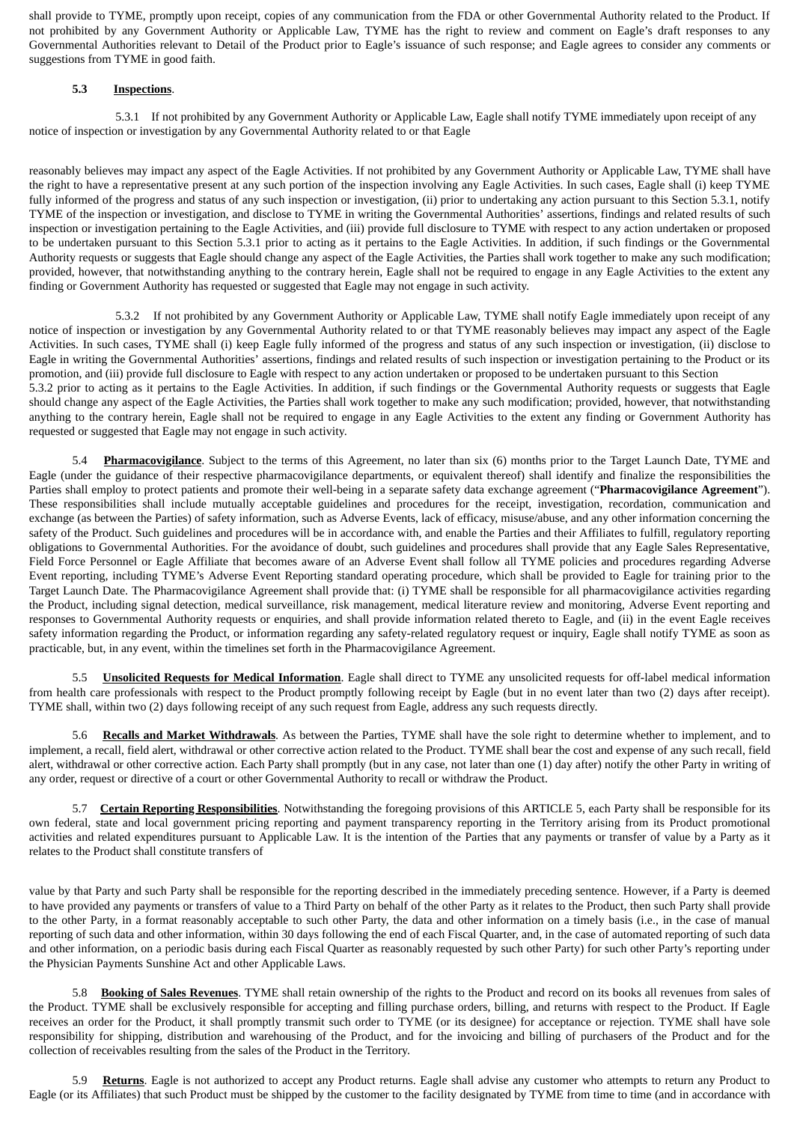shall provide to TYME, promptly upon receipt, copies of any communication from the FDA or other Governmental Authority related to the Product. If not prohibited by any Government Authority or Applicable Law, TYME has the right to review and comment on Eagle's draft responses to any Governmental Authorities relevant to Detail of the Product prior to Eagle's issuance of such response; and Eagle agrees to consider any comments or suggestions from TYME in good faith.

### **5.3 Inspections**.

5.3.1 If not prohibited by any Government Authority or Applicable Law, Eagle shall notify TYME immediately upon receipt of any notice of inspection or investigation by any Governmental Authority related to or that Eagle

reasonably believes may impact any aspect of the Eagle Activities. If not prohibited by any Government Authority or Applicable Law, TYME shall have the right to have a representative present at any such portion of the inspection involving any Eagle Activities. In such cases, Eagle shall (i) keep TYME fully informed of the progress and status of any such inspection or investigation, (ii) prior to undertaking any action pursuant to this Section 5.3.1, notify TYME of the inspection or investigation, and disclose to TYME in writing the Governmental Authorities' assertions, findings and related results of such inspection or investigation pertaining to the Eagle Activities, and (iii) provide full disclosure to TYME with respect to any action undertaken or proposed to be undertaken pursuant to this Section 5.3.1 prior to acting as it pertains to the Eagle Activities. In addition, if such findings or the Governmental Authority requests or suggests that Eagle should change any aspect of the Eagle Activities, the Parties shall work together to make any such modification; provided, however, that notwithstanding anything to the contrary herein, Eagle shall not be required to engage in any Eagle Activities to the extent any finding or Government Authority has requested or suggested that Eagle may not engage in such activity.

5.3.2 If not prohibited by any Government Authority or Applicable Law, TYME shall notify Eagle immediately upon receipt of any notice of inspection or investigation by any Governmental Authority related to or that TYME reasonably believes may impact any aspect of the Eagle Activities. In such cases, TYME shall (i) keep Eagle fully informed of the progress and status of any such inspection or investigation, (ii) disclose to Eagle in writing the Governmental Authorities' assertions, findings and related results of such inspection or investigation pertaining to the Product or its promotion, and (iii) provide full disclosure to Eagle with respect to any action undertaken or proposed to be undertaken pursuant to this Section 5.3.2 prior to acting as it pertains to the Eagle Activities. In addition, if such findings or the Governmental Authority requests or suggests that Eagle should change any aspect of the Eagle Activities, the Parties shall work together to make any such modification; provided, however, that notwithstanding anything to the contrary herein, Eagle shall not be required to engage in any Eagle Activities to the extent any finding or Government Authority has requested or suggested that Eagle may not engage in such activity.

5.4 **Pharmacovigilance**. Subject to the terms of this Agreement, no later than six (6) months prior to the Target Launch Date, TYME and Eagle (under the guidance of their respective pharmacovigilance departments, or equivalent thereof) shall identify and finalize the responsibilities the Parties shall employ to protect patients and promote their well-being in a separate safety data exchange agreement ("**Pharmacovigilance Agreement**"). These responsibilities shall include mutually acceptable guidelines and procedures for the receipt, investigation, recordation, communication and exchange (as between the Parties) of safety information, such as Adverse Events, lack of efficacy, misuse/abuse, and any other information concerning the safety of the Product. Such guidelines and procedures will be in accordance with, and enable the Parties and their Affiliates to fulfill, regulatory reporting obligations to Governmental Authorities. For the avoidance of doubt, such guidelines and procedures shall provide that any Eagle Sales Representative, Field Force Personnel or Eagle Affiliate that becomes aware of an Adverse Event shall follow all TYME policies and procedures regarding Adverse Event reporting, including TYME's Adverse Event Reporting standard operating procedure, which shall be provided to Eagle for training prior to the Target Launch Date. The Pharmacovigilance Agreement shall provide that: (i) TYME shall be responsible for all pharmacovigilance activities regarding the Product, including signal detection, medical surveillance, risk management, medical literature review and monitoring, Adverse Event reporting and responses to Governmental Authority requests or enquiries, and shall provide information related thereto to Eagle, and (ii) in the event Eagle receives safety information regarding the Product, or information regarding any safety-related regulatory request or inquiry, Eagle shall notify TYME as soon as practicable, but, in any event, within the timelines set forth in the Pharmacovigilance Agreement.

5.5 **Unsolicited Requests for Medical Information**. Eagle shall direct to TYME any unsolicited requests for off-label medical information from health care professionals with respect to the Product promptly following receipt by Eagle (but in no event later than two (2) days after receipt). TYME shall, within two (2) days following receipt of any such request from Eagle, address any such requests directly.

5.6 **Recalls and Market Withdrawals**. As between the Parties, TYME shall have the sole right to determine whether to implement, and to implement, a recall, field alert, withdrawal or other corrective action related to the Product. TYME shall bear the cost and expense of any such recall, field alert, withdrawal or other corrective action. Each Party shall promptly (but in any case, not later than one (1) day after) notify the other Party in writing of any order, request or directive of a court or other Governmental Authority to recall or withdraw the Product.

5.7 **Certain Reporting Responsibilities**. Notwithstanding the foregoing provisions of this ARTICLE 5, each Party shall be responsible for its own federal, state and local government pricing reporting and payment transparency reporting in the Territory arising from its Product promotional activities and related expenditures pursuant to Applicable Law. It is the intention of the Parties that any payments or transfer of value by a Party as it relates to the Product shall constitute transfers of

value by that Party and such Party shall be responsible for the reporting described in the immediately preceding sentence. However, if a Party is deemed to have provided any payments or transfers of value to a Third Party on behalf of the other Party as it relates to the Product, then such Party shall provide to the other Party, in a format reasonably acceptable to such other Party, the data and other information on a timely basis (i.e., in the case of manual reporting of such data and other information, within 30 days following the end of each Fiscal Quarter, and, in the case of automated reporting of such data and other information, on a periodic basis during each Fiscal Quarter as reasonably requested by such other Party) for such other Party's reporting under the Physician Payments Sunshine Act and other Applicable Laws.

5.8 **Booking of Sales Revenues**. TYME shall retain ownership of the rights to the Product and record on its books all revenues from sales of the Product. TYME shall be exclusively responsible for accepting and filling purchase orders, billing, and returns with respect to the Product. If Eagle receives an order for the Product, it shall promptly transmit such order to TYME (or its designee) for acceptance or rejection. TYME shall have sole responsibility for shipping, distribution and warehousing of the Product, and for the invoicing and billing of purchasers of the Product and for the collection of receivables resulting from the sales of the Product in the Territory.

5.9 **Returns**. Eagle is not authorized to accept any Product returns. Eagle shall advise any customer who attempts to return any Product to Eagle (or its Affiliates) that such Product must be shipped by the customer to the facility designated by TYME from time to time (and in accordance with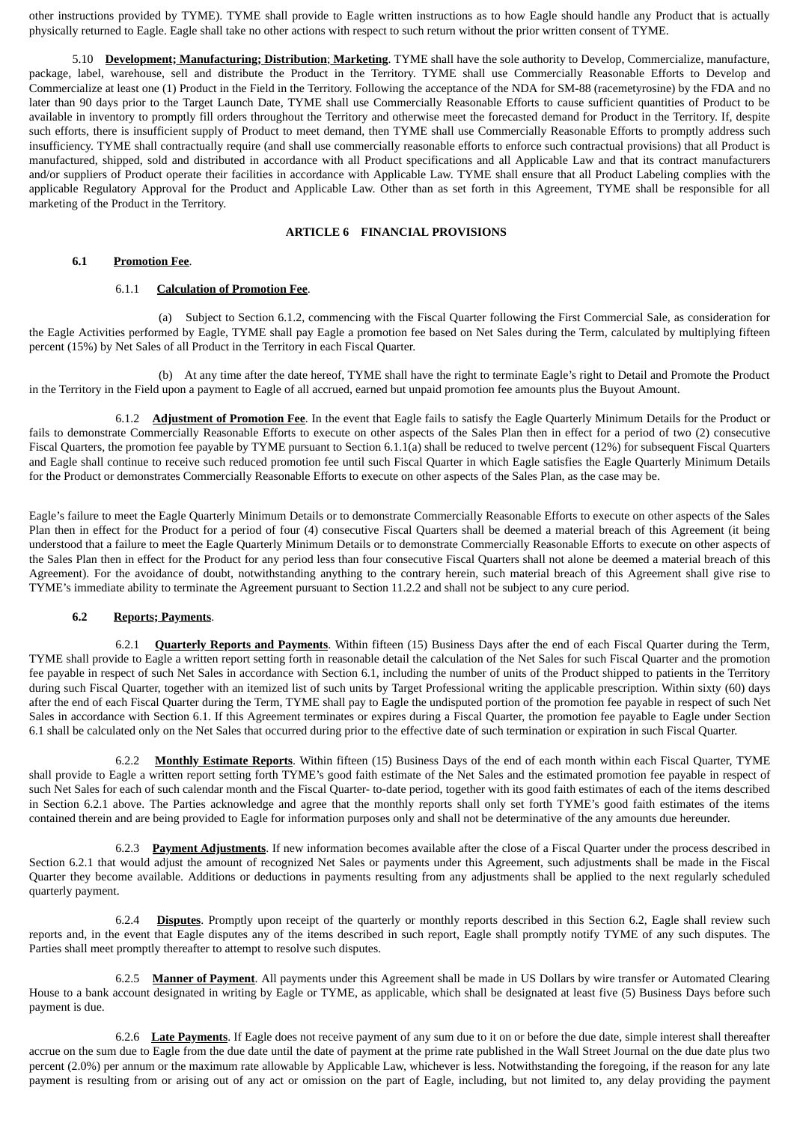other instructions provided by TYME). TYME shall provide to Eagle written instructions as to how Eagle should handle any Product that is actually physically returned to Eagle. Eagle shall take no other actions with respect to such return without the prior written consent of TYME.

5.10 **Development; Manufacturing; Distribution**; **Marketing**. TYME shall have the sole authority to Develop, Commercialize, manufacture, package, label, warehouse, sell and distribute the Product in the Territory. TYME shall use Commercially Reasonable Efforts to Develop and Commercialize at least one (1) Product in the Field in the Territory. Following the acceptance of the NDA for SM-88 (racemetyrosine) by the FDA and no later than 90 days prior to the Target Launch Date, TYME shall use Commercially Reasonable Efforts to cause sufficient quantities of Product to be available in inventory to promptly fill orders throughout the Territory and otherwise meet the forecasted demand for Product in the Territory. If, despite such efforts, there is insufficient supply of Product to meet demand, then TYME shall use Commercially Reasonable Efforts to promptly address such insufficiency. TYME shall contractually require (and shall use commercially reasonable efforts to enforce such contractual provisions) that all Product is manufactured, shipped, sold and distributed in accordance with all Product specifications and all Applicable Law and that its contract manufacturers and/or suppliers of Product operate their facilities in accordance with Applicable Law. TYME shall ensure that all Product Labeling complies with the applicable Regulatory Approval for the Product and Applicable Law. Other than as set forth in this Agreement, TYME shall be responsible for all marketing of the Product in the Territory.

### **ARTICLE 6 FINANCIAL PROVISIONS**

### **6.1 Promotion Fee**.

### 6.1.1 **Calculation of Promotion Fee**.

(a) Subject to Section 6.1.2, commencing with the Fiscal Quarter following the First Commercial Sale, as consideration for the Eagle Activities performed by Eagle, TYME shall pay Eagle a promotion fee based on Net Sales during the Term, calculated by multiplying fifteen percent (15%) by Net Sales of all Product in the Territory in each Fiscal Quarter.

(b) At any time after the date hereof, TYME shall have the right to terminate Eagle's right to Detail and Promote the Product in the Territory in the Field upon a payment to Eagle of all accrued, earned but unpaid promotion fee amounts plus the Buyout Amount.

6.1.2 **Adjustment of Promotion Fee**. In the event that Eagle fails to satisfy the Eagle Quarterly Minimum Details for the Product or fails to demonstrate Commercially Reasonable Efforts to execute on other aspects of the Sales Plan then in effect for a period of two (2) consecutive Fiscal Quarters, the promotion fee payable by TYME pursuant to Section 6.1.1(a) shall be reduced to twelve percent (12%) for subsequent Fiscal Quarters and Eagle shall continue to receive such reduced promotion fee until such Fiscal Quarter in which Eagle satisfies the Eagle Quarterly Minimum Details for the Product or demonstrates Commercially Reasonable Efforts to execute on other aspects of the Sales Plan, as the case may be.

Eagle's failure to meet the Eagle Quarterly Minimum Details or to demonstrate Commercially Reasonable Efforts to execute on other aspects of the Sales Plan then in effect for the Product for a period of four (4) consecutive Fiscal Quarters shall be deemed a material breach of this Agreement (it being understood that a failure to meet the Eagle Quarterly Minimum Details or to demonstrate Commercially Reasonable Efforts to execute on other aspects of the Sales Plan then in effect for the Product for any period less than four consecutive Fiscal Quarters shall not alone be deemed a material breach of this Agreement). For the avoidance of doubt, notwithstanding anything to the contrary herein, such material breach of this Agreement shall give rise to TYME's immediate ability to terminate the Agreement pursuant to Section 11.2.2 and shall not be subject to any cure period.

### **6.2 Reports; Payments**.

6.2.1 **Quarterly Reports and Payments**. Within fifteen (15) Business Days after the end of each Fiscal Quarter during the Term, TYME shall provide to Eagle a written report setting forth in reasonable detail the calculation of the Net Sales for such Fiscal Quarter and the promotion fee payable in respect of such Net Sales in accordance with Section 6.1, including the number of units of the Product shipped to patients in the Territory during such Fiscal Quarter, together with an itemized list of such units by Target Professional writing the applicable prescription. Within sixty (60) days after the end of each Fiscal Quarter during the Term, TYME shall pay to Eagle the undisputed portion of the promotion fee payable in respect of such Net Sales in accordance with Section 6.1. If this Agreement terminates or expires during a Fiscal Quarter, the promotion fee payable to Eagle under Section 6.1 shall be calculated only on the Net Sales that occurred during prior to the effective date of such termination or expiration in such Fiscal Quarter.

6.2.2 **Monthly Estimate Reports**. Within fifteen (15) Business Days of the end of each month within each Fiscal Quarter, TYME shall provide to Eagle a written report setting forth TYME's good faith estimate of the Net Sales and the estimated promotion fee payable in respect of such Net Sales for each of such calendar month and the Fiscal Quarter- to-date period, together with its good faith estimates of each of the items described in Section 6.2.1 above. The Parties acknowledge and agree that the monthly reports shall only set forth TYME's good faith estimates of the items contained therein and are being provided to Eagle for information purposes only and shall not be determinative of the any amounts due hereunder.

6.2.3 **Payment Adjustments**. If new information becomes available after the close of a Fiscal Quarter under the process described in Section 6.2.1 that would adjust the amount of recognized Net Sales or payments under this Agreement, such adjustments shall be made in the Fiscal Quarter they become available. Additions or deductions in payments resulting from any adjustments shall be applied to the next regularly scheduled quarterly payment.

6.2.4 **Disputes**. Promptly upon receipt of the quarterly or monthly reports described in this Section 6.2, Eagle shall review such reports and, in the event that Eagle disputes any of the items described in such report, Eagle shall promptly notify TYME of any such disputes. The Parties shall meet promptly thereafter to attempt to resolve such disputes.

6.2.5 **Manner of Payment**. All payments under this Agreement shall be made in US Dollars by wire transfer or Automated Clearing House to a bank account designated in writing by Eagle or TYME, as applicable, which shall be designated at least five (5) Business Days before such payment is due.

6.2.6 **Late Payments**. If Eagle does not receive payment of any sum due to it on or before the due date, simple interest shall thereafter accrue on the sum due to Eagle from the due date until the date of payment at the prime rate published in the Wall Street Journal on the due date plus two percent (2.0%) per annum or the maximum rate allowable by Applicable Law, whichever is less. Notwithstanding the foregoing, if the reason for any late payment is resulting from or arising out of any act or omission on the part of Eagle, including, but not limited to, any delay providing the payment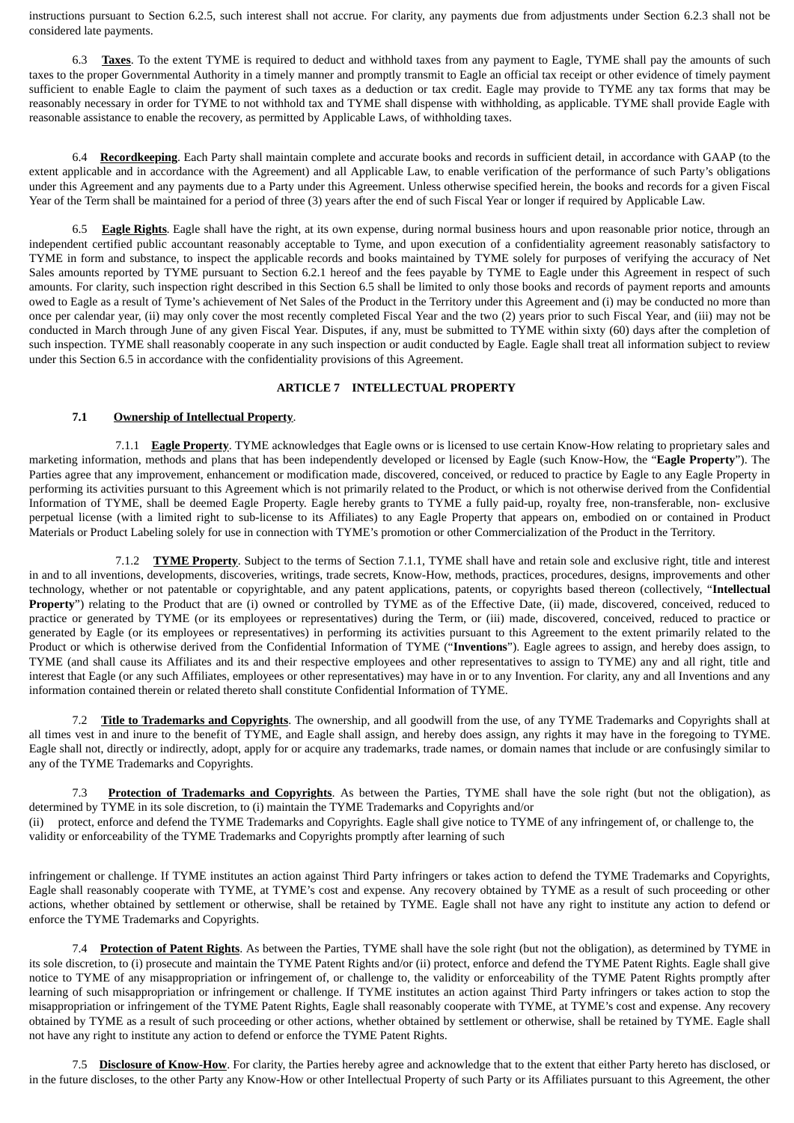instructions pursuant to Section 6.2.5, such interest shall not accrue. For clarity, any payments due from adjustments under Section 6.2.3 shall not be considered late payments.

6.3 **Taxes**. To the extent TYME is required to deduct and withhold taxes from any payment to Eagle, TYME shall pay the amounts of such taxes to the proper Governmental Authority in a timely manner and promptly transmit to Eagle an official tax receipt or other evidence of timely payment sufficient to enable Eagle to claim the payment of such taxes as a deduction or tax credit. Eagle may provide to TYME any tax forms that may be reasonably necessary in order for TYME to not withhold tax and TYME shall dispense with withholding, as applicable. TYME shall provide Eagle with reasonable assistance to enable the recovery, as permitted by Applicable Laws, of withholding taxes.

6.4 **Recordkeeping**. Each Party shall maintain complete and accurate books and records in sufficient detail, in accordance with GAAP (to the extent applicable and in accordance with the Agreement) and all Applicable Law, to enable verification of the performance of such Party's obligations under this Agreement and any payments due to a Party under this Agreement. Unless otherwise specified herein, the books and records for a given Fiscal Year of the Term shall be maintained for a period of three (3) years after the end of such Fiscal Year or longer if required by Applicable Law.

6.5 **Eagle Rights***.* Eagle shall have the right, at its own expense, during normal business hours and upon reasonable prior notice, through an independent certified public accountant reasonably acceptable to Tyme, and upon execution of a confidentiality agreement reasonably satisfactory to TYME in form and substance, to inspect the applicable records and books maintained by TYME solely for purposes of verifying the accuracy of Net Sales amounts reported by TYME pursuant to Section 6.2.1 hereof and the fees payable by TYME to Eagle under this Agreement in respect of such amounts. For clarity, such inspection right described in this Section 6.5 shall be limited to only those books and records of payment reports and amounts owed to Eagle as a result of Tyme's achievement of Net Sales of the Product in the Territory under this Agreement and (i) may be conducted no more than once per calendar year, (ii) may only cover the most recently completed Fiscal Year and the two (2) years prior to such Fiscal Year, and (iii) may not be conducted in March through June of any given Fiscal Year. Disputes, if any, must be submitted to TYME within sixty (60) days after the completion of such inspection. TYME shall reasonably cooperate in any such inspection or audit conducted by Eagle. Eagle shall treat all information subject to review under this Section 6.5 in accordance with the confidentiality provisions of this Agreement.

### **ARTICLE 7 INTELLECTUAL PROPERTY**

### **7.1 Ownership of Intellectual Property**.

7.1.1 **Eagle Property**. TYME acknowledges that Eagle owns or is licensed to use certain Know-How relating to proprietary sales and marketing information, methods and plans that has been independently developed or licensed by Eagle (such Know-How, the "**Eagle Property**"). The Parties agree that any improvement, enhancement or modification made, discovered, conceived, or reduced to practice by Eagle to any Eagle Property in performing its activities pursuant to this Agreement which is not primarily related to the Product, or which is not otherwise derived from the Confidential Information of TYME, shall be deemed Eagle Property. Eagle hereby grants to TYME a fully paid-up, royalty free, non-transferable, non- exclusive perpetual license (with a limited right to sub-license to its Affiliates) to any Eagle Property that appears on, embodied on or contained in Product Materials or Product Labeling solely for use in connection with TYME's promotion or other Commercialization of the Product in the Territory.

7.1.2 **TYME Property**. Subject to the terms of Section 7.1.1, TYME shall have and retain sole and exclusive right, title and interest in and to all inventions, developments, discoveries, writings, trade secrets, Know-How, methods, practices, procedures, designs, improvements and other technology, whether or not patentable or copyrightable, and any patent applications, patents, or copyrights based thereon (collectively, "**Intellectual** Property") relating to the Product that are (i) owned or controlled by TYME as of the Effective Date, (ii) made, discovered, conceived, reduced to practice or generated by TYME (or its employees or representatives) during the Term, or (iii) made, discovered, conceived, reduced to practice or generated by Eagle (or its employees or representatives) in performing its activities pursuant to this Agreement to the extent primarily related to the Product or which is otherwise derived from the Confidential Information of TYME ("**Inventions**"). Eagle agrees to assign, and hereby does assign, to TYME (and shall cause its Affiliates and its and their respective employees and other representatives to assign to TYME) any and all right, title and interest that Eagle (or any such Affiliates, employees or other representatives) may have in or to any Invention. For clarity, any and all Inventions and any information contained therein or related thereto shall constitute Confidential Information of TYME.

7.2 **Title to Trademarks and Copyrights**. The ownership, and all goodwill from the use, of any TYME Trademarks and Copyrights shall at all times vest in and inure to the benefit of TYME, and Eagle shall assign, and hereby does assign, any rights it may have in the foregoing to TYME. Eagle shall not, directly or indirectly, adopt, apply for or acquire any trademarks, trade names, or domain names that include or are confusingly similar to any of the TYME Trademarks and Copyrights.

**Protection of Trademarks and Copyrights**. As between the Parties, TYME shall have the sole right (but not the obligation), as determined by TYME in its sole discretion, to (i) maintain the TYME Trademarks and Copyrights and/or (ii) protect, enforce and defend the TYME Trademarks and Copyrights. Eagle shall give notice to TYME of any infringement of, or challenge to, the

validity or enforceability of the TYME Trademarks and Copyrights promptly after learning of such

infringement or challenge. If TYME institutes an action against Third Party infringers or takes action to defend the TYME Trademarks and Copyrights, Eagle shall reasonably cooperate with TYME, at TYME's cost and expense. Any recovery obtained by TYME as a result of such proceeding or other actions, whether obtained by settlement or otherwise, shall be retained by TYME. Eagle shall not have any right to institute any action to defend or enforce the TYME Trademarks and Copyrights.

7.4 **Protection of Patent Rights**. As between the Parties, TYME shall have the sole right (but not the obligation), as determined by TYME in its sole discretion, to (i) prosecute and maintain the TYME Patent Rights and/or (ii) protect, enforce and defend the TYME Patent Rights. Eagle shall give notice to TYME of any misappropriation or infringement of, or challenge to, the validity or enforceability of the TYME Patent Rights promptly after learning of such misappropriation or infringement or challenge. If TYME institutes an action against Third Party infringers or takes action to stop the misappropriation or infringement of the TYME Patent Rights, Eagle shall reasonably cooperate with TYME, at TYME's cost and expense. Any recovery obtained by TYME as a result of such proceeding or other actions, whether obtained by settlement or otherwise, shall be retained by TYME. Eagle shall not have any right to institute any action to defend or enforce the TYME Patent Rights.

7.5 **Disclosure of Know-How**. For clarity, the Parties hereby agree and acknowledge that to the extent that either Party hereto has disclosed, or in the future discloses, to the other Party any Know-How or other Intellectual Property of such Party or its Affiliates pursuant to this Agreement, the other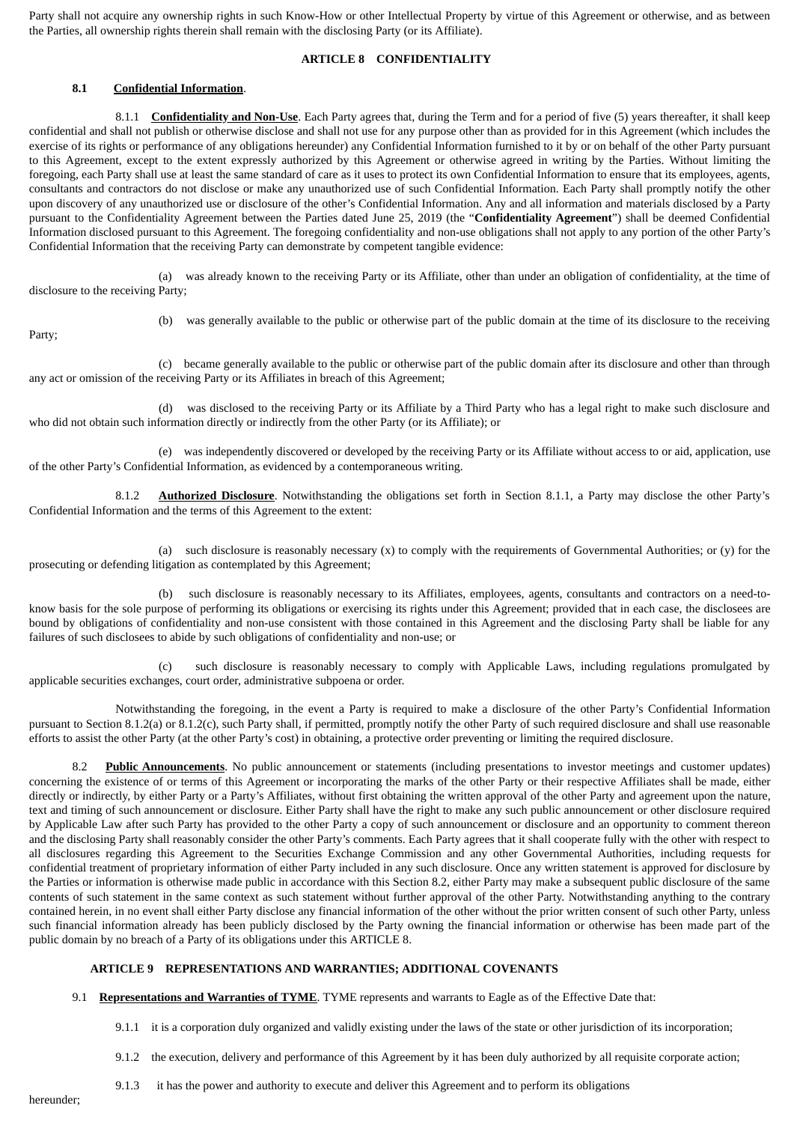Party shall not acquire any ownership rights in such Know-How or other Intellectual Property by virtue of this Agreement or otherwise, and as between the Parties, all ownership rights therein shall remain with the disclosing Party (or its Affiliate).

### **ARTICLE 8 CONFIDENTIALITY**

### **8.1 Confidential Information**.

8.1.1 **Confidentiality and Non-Use**. Each Party agrees that, during the Term and for a period of five (5) years thereafter, it shall keep confidential and shall not publish or otherwise disclose and shall not use for any purpose other than as provided for in this Agreement (which includes the exercise of its rights or performance of any obligations hereunder) any Confidential Information furnished to it by or on behalf of the other Party pursuant to this Agreement, except to the extent expressly authorized by this Agreement or otherwise agreed in writing by the Parties. Without limiting the foregoing, each Party shall use at least the same standard of care as it uses to protect its own Confidential Information to ensure that its employees, agents, consultants and contractors do not disclose or make any unauthorized use of such Confidential Information. Each Party shall promptly notify the other upon discovery of any unauthorized use or disclosure of the other's Confidential Information. Any and all information and materials disclosed by a Party pursuant to the Confidentiality Agreement between the Parties dated June 25, 2019 (the "**Confidentiality Agreement**") shall be deemed Confidential Information disclosed pursuant to this Agreement. The foregoing confidentiality and non-use obligations shall not apply to any portion of the other Party's Confidential Information that the receiving Party can demonstrate by competent tangible evidence:

(a) was already known to the receiving Party or its Affiliate, other than under an obligation of confidentiality, at the time of disclosure to the receiving Party;

(b) was generally available to the public or otherwise part of the public domain at the time of its disclosure to the receiving

Party;

(c) became generally available to the public or otherwise part of the public domain after its disclosure and other than through

any act or omission of the receiving Party or its Affiliates in breach of this Agreement;

(d) was disclosed to the receiving Party or its Affiliate by a Third Party who has a legal right to make such disclosure and who did not obtain such information directly or indirectly from the other Party (or its Affiliate); or

(e) was independently discovered or developed by the receiving Party or its Affiliate without access to or aid, application, use of the other Party's Confidential Information, as evidenced by a contemporaneous writing.

8.1.2 **Authorized Disclosure**. Notwithstanding the obligations set forth in Section 8.1.1, a Party may disclose the other Party's Confidential Information and the terms of this Agreement to the extent:

(a) such disclosure is reasonably necessary  $(x)$  to comply with the requirements of Governmental Authorities; or  $(y)$  for the prosecuting or defending litigation as contemplated by this Agreement;

(b) such disclosure is reasonably necessary to its Affiliates, employees, agents, consultants and contractors on a need-toknow basis for the sole purpose of performing its obligations or exercising its rights under this Agreement; provided that in each case, the disclosees are bound by obligations of confidentiality and non-use consistent with those contained in this Agreement and the disclosing Party shall be liable for any failures of such disclosees to abide by such obligations of confidentiality and non-use; or

(c) such disclosure is reasonably necessary to comply with Applicable Laws, including regulations promulgated by applicable securities exchanges, court order, administrative subpoena or order.

Notwithstanding the foregoing, in the event a Party is required to make a disclosure of the other Party's Confidential Information pursuant to Section 8.1.2(a) or 8.1.2(c), such Party shall, if permitted, promptly notify the other Party of such required disclosure and shall use reasonable efforts to assist the other Party (at the other Party's cost) in obtaining, a protective order preventing or limiting the required disclosure.

8.2 **Public Announcements**. No public announcement or statements (including presentations to investor meetings and customer updates) concerning the existence of or terms of this Agreement or incorporating the marks of the other Party or their respective Affiliates shall be made, either directly or indirectly, by either Party or a Party's Affiliates, without first obtaining the written approval of the other Party and agreement upon the nature, text and timing of such announcement or disclosure. Either Party shall have the right to make any such public announcement or other disclosure required by Applicable Law after such Party has provided to the other Party a copy of such announcement or disclosure and an opportunity to comment thereon and the disclosing Party shall reasonably consider the other Party's comments. Each Party agrees that it shall cooperate fully with the other with respect to all disclosures regarding this Agreement to the Securities Exchange Commission and any other Governmental Authorities, including requests for confidential treatment of proprietary information of either Party included in any such disclosure. Once any written statement is approved for disclosure by the Parties or information is otherwise made public in accordance with this Section 8.2, either Party may make a subsequent public disclosure of the same contents of such statement in the same context as such statement without further approval of the other Party. Notwithstanding anything to the contrary contained herein, in no event shall either Party disclose any financial information of the other without the prior written consent of such other Party, unless such financial information already has been publicly disclosed by the Party owning the financial information or otherwise has been made part of the public domain by no breach of a Party of its obligations under this ARTICLE 8.

### **ARTICLE 9 REPRESENTATIONS AND WARRANTIES; ADDITIONAL COVENANTS**

9.1 **Representations and Warranties of TYME**. TYME represents and warrants to Eagle as of the Effective Date that:

- 9.1.1 it is a corporation duly organized and validly existing under the laws of the state or other jurisdiction of its incorporation;
- 9.1.2 the execution, delivery and performance of this Agreement by it has been duly authorized by all requisite corporate action;
- 9.1.3 it has the power and authority to execute and deliver this Agreement and to perform its obligations

hereunder;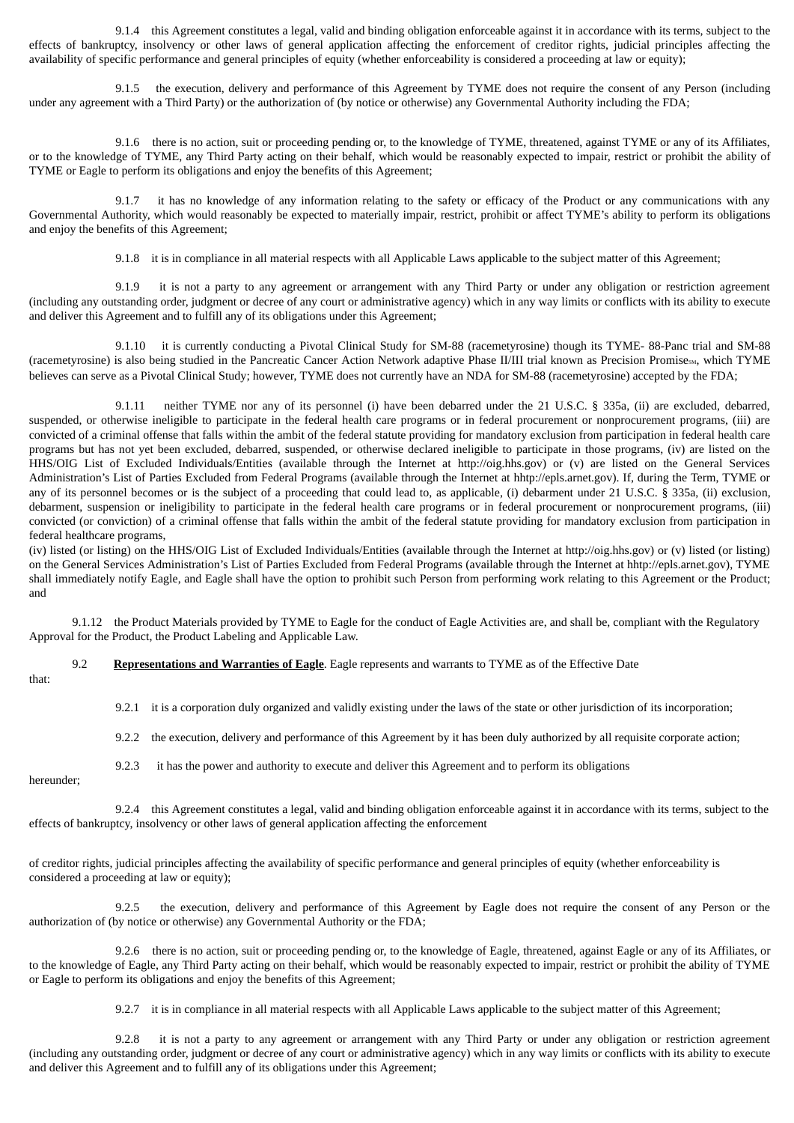9.1.4 this Agreement constitutes a legal, valid and binding obligation enforceable against it in accordance with its terms, subject to the effects of bankruptcy, insolvency or other laws of general application affecting the enforcement of creditor rights, judicial principles affecting the availability of specific performance and general principles of equity (whether enforceability is considered a proceeding at law or equity);

9.1.5 the execution, delivery and performance of this Agreement by TYME does not require the consent of any Person (including under any agreement with a Third Party) or the authorization of (by notice or otherwise) any Governmental Authority including the FDA;

9.1.6 there is no action, suit or proceeding pending or, to the knowledge of TYME, threatened, against TYME or any of its Affiliates, or to the knowledge of TYME, any Third Party acting on their behalf, which would be reasonably expected to impair, restrict or prohibit the ability of TYME or Eagle to perform its obligations and enjoy the benefits of this Agreement;

9.1.7 it has no knowledge of any information relating to the safety or efficacy of the Product or any communications with any Governmental Authority, which would reasonably be expected to materially impair, restrict, prohibit or affect TYME's ability to perform its obligations and enjoy the benefits of this Agreement;

9.1.8 it is in compliance in all material respects with all Applicable Laws applicable to the subject matter of this Agreement;

9.1.9 it is not a party to any agreement or arrangement with any Third Party or under any obligation or restriction agreement (including any outstanding order, judgment or decree of any court or administrative agency) which in any way limits or conflicts with its ability to execute and deliver this Agreement and to fulfill any of its obligations under this Agreement;

9.1.10 it is currently conducting a Pivotal Clinical Study for SM-88 (racemetyrosine) though its TYME- 88-Panc trial and SM-88 (racemetyrosine) is also being studied in the Pancreatic Cancer Action Network adaptive Phase II/III trial known as Precision Promise<sub>SM</sub>, which TYME believes can serve as a Pivotal Clinical Study; however, TYME does not currently have an NDA for SM-88 (racemetyrosine) accepted by the FDA;

9.1.11 neither TYME nor any of its personnel (i) have been debarred under the 21 U.S.C. § 335a, (ii) are excluded, debarred, suspended, or otherwise ineligible to participate in the federal health care programs or in federal procurement or nonprocurement programs, (iii) are convicted of a criminal offense that falls within the ambit of the federal statute providing for mandatory exclusion from participation in federal health care programs but has not yet been excluded, debarred, suspended, or otherwise declared ineligible to participate in those programs, (iv) are listed on the HHS/OIG List of Excluded Individuals/Entities (available through the Internet at http://oig.hhs.gov) or (v) are listed on the General Services Administration's List of Parties Excluded from Federal Programs (available through the Internet at hhtp://epls.arnet.gov). If, during the Term, TYME or any of its personnel becomes or is the subject of a proceeding that could lead to, as applicable, (i) debarment under 21 U.S.C. § 335a, (ii) exclusion, debarment, suspension or ineligibility to participate in the federal health care programs or in federal procurement or nonprocurement programs, (iii) convicted (or conviction) of a criminal offense that falls within the ambit of the federal statute providing for mandatory exclusion from participation in federal healthcare programs,

(iv) listed (or listing) on the HHS/OIG List of Excluded Individuals/Entities (available through the Internet at http://oig.hhs.gov) or (v) listed (or listing) on the General Services Administration's List of Parties Excluded from Federal Programs (available through the Internet at hhtp://epls.arnet.gov), TYME shall immediately notify Eagle, and Eagle shall have the option to prohibit such Person from performing work relating to this Agreement or the Product; and

9.1.12 the Product Materials provided by TYME to Eagle for the conduct of Eagle Activities are, and shall be, compliant with the Regulatory Approval for the Product, the Product Labeling and Applicable Law.

### 9.2 **Representations and Warranties of Eagle**. Eagle represents and warrants to TYME as of the Effective Date

that:

9.2.1 it is a corporation duly organized and validly existing under the laws of the state or other jurisdiction of its incorporation;

9.2.2 the execution, delivery and performance of this Agreement by it has been duly authorized by all requisite corporate action;

9.2.3 it has the power and authority to execute and deliver this Agreement and to perform its obligations

hereunder;

9.2.4 this Agreement constitutes a legal, valid and binding obligation enforceable against it in accordance with its terms, subject to the effects of bankruptcy, insolvency or other laws of general application affecting the enforcement

of creditor rights, judicial principles affecting the availability of specific performance and general principles of equity (whether enforceability is considered a proceeding at law or equity);

9.2.5 the execution, delivery and performance of this Agreement by Eagle does not require the consent of any Person or the authorization of (by notice or otherwise) any Governmental Authority or the FDA;

9.2.6 there is no action, suit or proceeding pending or, to the knowledge of Eagle, threatened, against Eagle or any of its Affiliates, or to the knowledge of Eagle, any Third Party acting on their behalf, which would be reasonably expected to impair, restrict or prohibit the ability of TYME or Eagle to perform its obligations and enjoy the benefits of this Agreement;

9.2.7 it is in compliance in all material respects with all Applicable Laws applicable to the subject matter of this Agreement;

9.2.8 it is not a party to any agreement or arrangement with any Third Party or under any obligation or restriction agreement (including any outstanding order, judgment or decree of any court or administrative agency) which in any way limits or conflicts with its ability to execute and deliver this Agreement and to fulfill any of its obligations under this Agreement;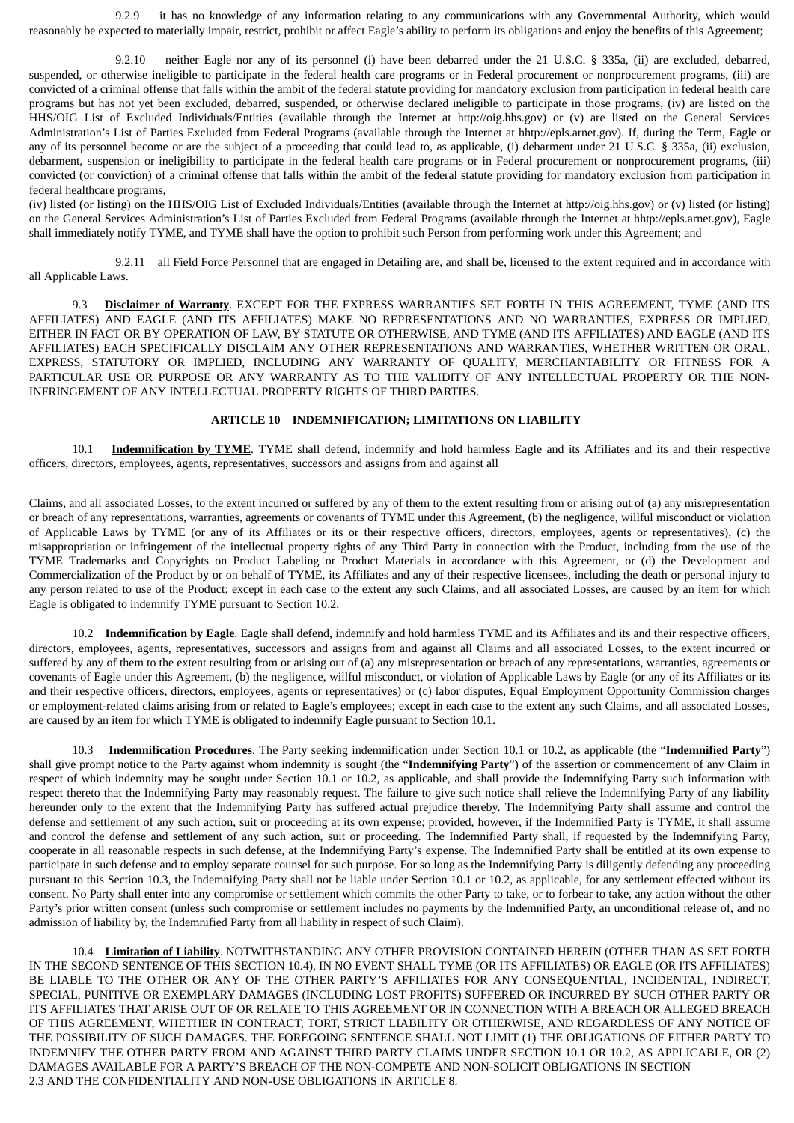9.2.9 it has no knowledge of any information relating to any communications with any Governmental Authority, which would reasonably be expected to materially impair, restrict, prohibit or affect Eagle's ability to perform its obligations and enjoy the benefits of this Agreement;

9.2.10 neither Eagle nor any of its personnel (i) have been debarred under the 21 U.S.C. § 335a, (ii) are excluded, debarred, suspended, or otherwise ineligible to participate in the federal health care programs or in Federal procurement or nonprocurement programs, (iii) are convicted of a criminal offense that falls within the ambit of the federal statute providing for mandatory exclusion from participation in federal health care programs but has not yet been excluded, debarred, suspended, or otherwise declared ineligible to participate in those programs, (iv) are listed on the HHS/OIG List of Excluded Individuals/Entities (available through the Internet at http://oig.hhs.gov) or (v) are listed on the General Services Administration's List of Parties Excluded from Federal Programs (available through the Internet at hhtp://epls.arnet.gov). If, during the Term, Eagle or any of its personnel become or are the subject of a proceeding that could lead to, as applicable, (i) debarment under 21 U.S.C. § 335a, (ii) exclusion, debarment, suspension or ineligibility to participate in the federal health care programs or in Federal procurement or nonprocurement programs, (iii) convicted (or conviction) of a criminal offense that falls within the ambit of the federal statute providing for mandatory exclusion from participation in federal healthcare programs,

(iv) listed (or listing) on the HHS/OIG List of Excluded Individuals/Entities (available through the Internet at http://oig.hhs.gov) or (v) listed (or listing) on the General Services Administration's List of Parties Excluded from Federal Programs (available through the Internet at hhtp://epls.arnet.gov), Eagle shall immediately notify TYME, and TYME shall have the option to prohibit such Person from performing work under this Agreement; and

9.2.11 all Field Force Personnel that are engaged in Detailing are, and shall be, licensed to the extent required and in accordance with all Applicable Laws.

9.3 **Disclaimer of Warranty**. EXCEPT FOR THE EXPRESS WARRANTIES SET FORTH IN THIS AGREEMENT, TYME (AND ITS AFFILIATES) AND EAGLE (AND ITS AFFILIATES) MAKE NO REPRESENTATIONS AND NO WARRANTIES, EXPRESS OR IMPLIED, EITHER IN FACT OR BY OPERATION OF LAW, BY STATUTE OR OTHERWISE, AND TYME (AND ITS AFFILIATES) AND EAGLE (AND ITS AFFILIATES) EACH SPECIFICALLY DISCLAIM ANY OTHER REPRESENTATIONS AND WARRANTIES, WHETHER WRITTEN OR ORAL, EXPRESS, STATUTORY OR IMPLIED, INCLUDING ANY WARRANTY OF QUALITY, MERCHANTABILITY OR FITNESS FOR A PARTICULAR USE OR PURPOSE OR ANY WARRANTY AS TO THE VALIDITY OF ANY INTELLECTUAL PROPERTY OR THE NON-INFRINGEMENT OF ANY INTELLECTUAL PROPERTY RIGHTS OF THIRD PARTIES.

### **ARTICLE 10 INDEMNIFICATION; LIMITATIONS ON LIABILITY**

10.1 **Indemnification by TYME**. TYME shall defend, indemnify and hold harmless Eagle and its Affiliates and its and their respective officers, directors, employees, agents, representatives, successors and assigns from and against all

Claims, and all associated Losses, to the extent incurred or suffered by any of them to the extent resulting from or arising out of (a) any misrepresentation or breach of any representations, warranties, agreements or covenants of TYME under this Agreement, (b) the negligence, willful misconduct or violation of Applicable Laws by TYME (or any of its Affiliates or its or their respective officers, directors, employees, agents or representatives), (c) the misappropriation or infringement of the intellectual property rights of any Third Party in connection with the Product, including from the use of the TYME Trademarks and Copyrights on Product Labeling or Product Materials in accordance with this Agreement, or (d) the Development and Commercialization of the Product by or on behalf of TYME, its Affiliates and any of their respective licensees, including the death or personal injury to any person related to use of the Product; except in each case to the extent any such Claims, and all associated Losses, are caused by an item for which Eagle is obligated to indemnify TYME pursuant to Section 10.2.

10.2 **Indemnification by Eagle**. Eagle shall defend, indemnify and hold harmless TYME and its Affiliates and its and their respective officers, directors, employees, agents, representatives, successors and assigns from and against all Claims and all associated Losses, to the extent incurred or suffered by any of them to the extent resulting from or arising out of (a) any misrepresentation or breach of any representations, warranties, agreements or covenants of Eagle under this Agreement, (b) the negligence, willful misconduct, or violation of Applicable Laws by Eagle (or any of its Affiliates or its and their respective officers, directors, employees, agents or representatives) or (c) labor disputes, Equal Employment Opportunity Commission charges or employment-related claims arising from or related to Eagle's employees; except in each case to the extent any such Claims, and all associated Losses, are caused by an item for which TYME is obligated to indemnify Eagle pursuant to Section 10.1.

10.3 **Indemnification Procedures**. The Party seeking indemnification under Section 10.1 or 10.2, as applicable (the "**Indemnified Party**") shall give prompt notice to the Party against whom indemnity is sought (the "**Indemnifying Party**") of the assertion or commencement of any Claim in respect of which indemnity may be sought under Section 10.1 or 10.2, as applicable, and shall provide the Indemnifying Party such information with respect thereto that the Indemnifying Party may reasonably request. The failure to give such notice shall relieve the Indemnifying Party of any liability hereunder only to the extent that the Indemnifying Party has suffered actual prejudice thereby. The Indemnifying Party shall assume and control the defense and settlement of any such action, suit or proceeding at its own expense; provided, however, if the Indemnified Party is TYME, it shall assume and control the defense and settlement of any such action, suit or proceeding. The Indemnified Party shall, if requested by the Indemnifying Party, cooperate in all reasonable respects in such defense, at the Indemnifying Party's expense. The Indemnified Party shall be entitled at its own expense to participate in such defense and to employ separate counsel for such purpose. For so long as the Indemnifying Party is diligently defending any proceeding pursuant to this Section 10.3, the Indemnifying Party shall not be liable under Section 10.1 or 10.2, as applicable, for any settlement effected without its consent. No Party shall enter into any compromise or settlement which commits the other Party to take, or to forbear to take, any action without the other Party's prior written consent (unless such compromise or settlement includes no payments by the Indemnified Party, an unconditional release of, and no admission of liability by, the Indemnified Party from all liability in respect of such Claim).

10.4 **Limitation of Liability**. NOTWITHSTANDING ANY OTHER PROVISION CONTAINED HEREIN (OTHER THAN AS SET FORTH IN THE SECOND SENTENCE OF THIS SECTION 10.4), IN NO EVENT SHALL TYME (OR ITS AFFILIATES) OR EAGLE (OR ITS AFFILIATES) BE LIABLE TO THE OTHER OR ANY OF THE OTHER PARTY'S AFFILIATES FOR ANY CONSEQUENTIAL, INCIDENTAL, INDIRECT, SPECIAL, PUNITIVE OR EXEMPLARY DAMAGES (INCLUDING LOST PROFITS) SUFFERED OR INCURRED BY SUCH OTHER PARTY OR ITS AFFILIATES THAT ARISE OUT OF OR RELATE TO THIS AGREEMENT OR IN CONNECTION WITH A BREACH OR ALLEGED BREACH OF THIS AGREEMENT, WHETHER IN CONTRACT, TORT, STRICT LIABILITY OR OTHERWISE, AND REGARDLESS OF ANY NOTICE OF THE POSSIBILITY OF SUCH DAMAGES. THE FOREGOING SENTENCE SHALL NOT LIMIT (1) THE OBLIGATIONS OF EITHER PARTY TO INDEMNIFY THE OTHER PARTY FROM AND AGAINST THIRD PARTY CLAIMS UNDER SECTION 10.1 OR 10.2, AS APPLICABLE, OR (2) DAMAGES AVAILABLE FOR A PARTY'S BREACH OF THE NON-COMPETE AND NON-SOLICIT OBLIGATIONS IN SECTION 2.3 AND THE CONFIDENTIALITY AND NON-USE OBLIGATIONS IN ARTICLE 8.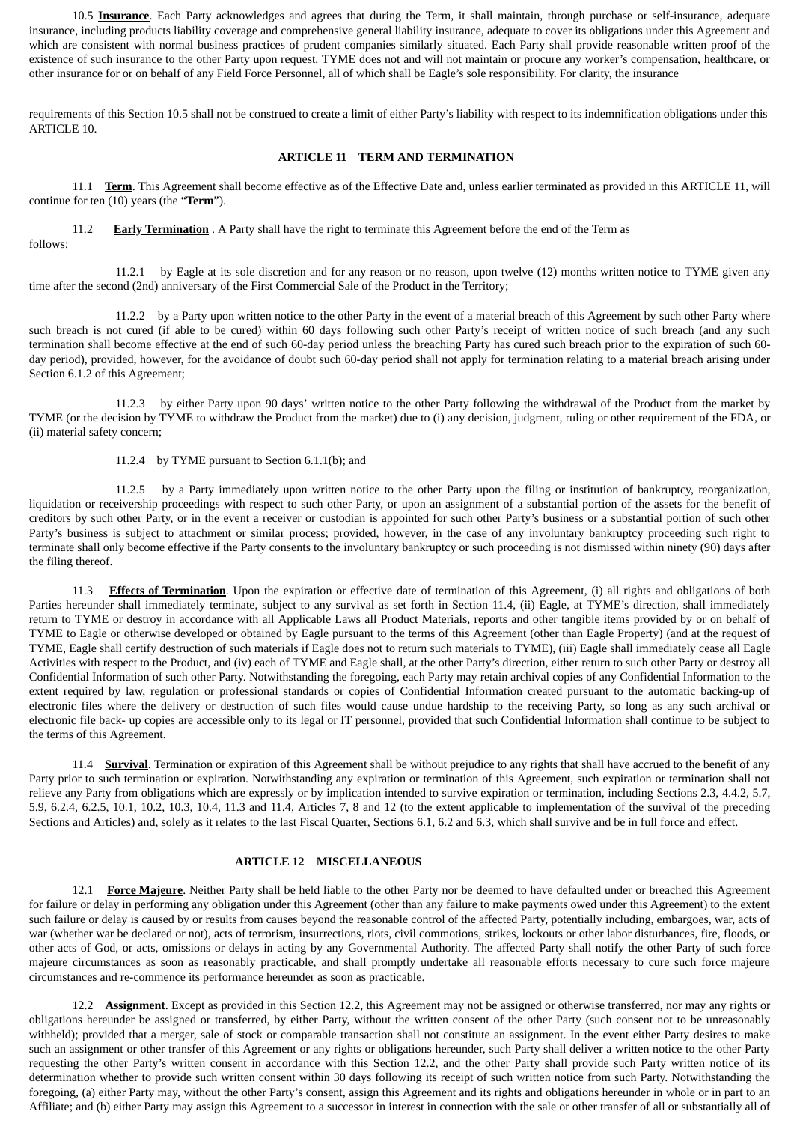10.5 **Insurance**. Each Party acknowledges and agrees that during the Term, it shall maintain, through purchase or self-insurance, adequate insurance, including products liability coverage and comprehensive general liability insurance, adequate to cover its obligations under this Agreement and which are consistent with normal business practices of prudent companies similarly situated. Each Party shall provide reasonable written proof of the existence of such insurance to the other Party upon request. TYME does not and will not maintain or procure any worker's compensation, healthcare, or other insurance for or on behalf of any Field Force Personnel, all of which shall be Eagle's sole responsibility. For clarity, the insurance

requirements of this Section 10.5 shall not be construed to create a limit of either Party's liability with respect to its indemnification obligations under this ARTICLE 10.

#### **ARTICLE 11 TERM AND TERMINATION**

11.1 **Term**. This Agreement shall become effective as of the Effective Date and, unless earlier terminated as provided in this ARTICLE 11, will continue for ten (10) years (the "**Term**").

11.2 **Early Termination** . A Party shall have the right to terminate this Agreement before the end of the Term as follows:

11.2.1 by Eagle at its sole discretion and for any reason or no reason, upon twelve (12) months written notice to TYME given any time after the second (2nd) anniversary of the First Commercial Sale of the Product in the Territory;

11.2.2 by a Party upon written notice to the other Party in the event of a material breach of this Agreement by such other Party where such breach is not cured (if able to be cured) within 60 days following such other Party's receipt of written notice of such breach (and any such termination shall become effective at the end of such 60-day period unless the breaching Party has cured such breach prior to the expiration of such 60 day period), provided, however, for the avoidance of doubt such 60-day period shall not apply for termination relating to a material breach arising under Section 6.1.2 of this Agreement;

11.2.3 by either Party upon 90 days' written notice to the other Party following the withdrawal of the Product from the market by TYME (or the decision by TYME to withdraw the Product from the market) due to (i) any decision, judgment, ruling or other requirement of the FDA, or (ii) material safety concern;

11.2.4 by TYME pursuant to Section 6.1.1(b); and

11.2.5 by a Party immediately upon written notice to the other Party upon the filing or institution of bankruptcy, reorganization, liquidation or receivership proceedings with respect to such other Party, or upon an assignment of a substantial portion of the assets for the benefit of creditors by such other Party, or in the event a receiver or custodian is appointed for such other Party's business or a substantial portion of such other Party's business is subject to attachment or similar process; provided, however, in the case of any involuntary bankruptcy proceeding such right to terminate shall only become effective if the Party consents to the involuntary bankruptcy or such proceeding is not dismissed within ninety (90) days after the filing thereof.

11.3 **Effects of Termination**. Upon the expiration or effective date of termination of this Agreement, (i) all rights and obligations of both Parties hereunder shall immediately terminate, subject to any survival as set forth in Section 11.4, (ii) Eagle, at TYME's direction, shall immediately return to TYME or destroy in accordance with all Applicable Laws all Product Materials, reports and other tangible items provided by or on behalf of TYME to Eagle or otherwise developed or obtained by Eagle pursuant to the terms of this Agreement (other than Eagle Property) (and at the request of TYME, Eagle shall certify destruction of such materials if Eagle does not to return such materials to TYME), (iii) Eagle shall immediately cease all Eagle Activities with respect to the Product, and (iv) each of TYME and Eagle shall, at the other Party's direction, either return to such other Party or destroy all Confidential Information of such other Party. Notwithstanding the foregoing, each Party may retain archival copies of any Confidential Information to the extent required by law, regulation or professional standards or copies of Confidential Information created pursuant to the automatic backing-up of electronic files where the delivery or destruction of such files would cause undue hardship to the receiving Party, so long as any such archival or electronic file back- up copies are accessible only to its legal or IT personnel, provided that such Confidential Information shall continue to be subject to the terms of this Agreement.

11.4 **Survival**. Termination or expiration of this Agreement shall be without prejudice to any rights that shall have accrued to the benefit of any Party prior to such termination or expiration. Notwithstanding any expiration or termination of this Agreement, such expiration or termination shall not relieve any Party from obligations which are expressly or by implication intended to survive expiration or termination, including Sections 2.3, 4.4.2, 5.7, 5.9, 6.2.4, 6.2.5, 10.1, 10.2, 10.3, 10.4, 11.3 and 11.4, Articles 7, 8 and 12 (to the extent applicable to implementation of the survival of the preceding Sections and Articles) and, solely as it relates to the last Fiscal Quarter, Sections 6.1, 6.2 and 6.3, which shall survive and be in full force and effect.

### **ARTICLE 12 MISCELLANEOUS**

12.1 **Force Majeure**. Neither Party shall be held liable to the other Party nor be deemed to have defaulted under or breached this Agreement for failure or delay in performing any obligation under this Agreement (other than any failure to make payments owed under this Agreement) to the extent such failure or delay is caused by or results from causes beyond the reasonable control of the affected Party, potentially including, embargoes, war, acts of war (whether war be declared or not), acts of terrorism, insurrections, riots, civil commotions, strikes, lockouts or other labor disturbances, fire, floods, or other acts of God, or acts, omissions or delays in acting by any Governmental Authority. The affected Party shall notify the other Party of such force majeure circumstances as soon as reasonably practicable, and shall promptly undertake all reasonable efforts necessary to cure such force majeure circumstances and re-commence its performance hereunder as soon as practicable.

12.2 **Assignment**. Except as provided in this Section 12.2, this Agreement may not be assigned or otherwise transferred, nor may any rights or obligations hereunder be assigned or transferred, by either Party, without the written consent of the other Party (such consent not to be unreasonably withheld); provided that a merger, sale of stock or comparable transaction shall not constitute an assignment. In the event either Party desires to make such an assignment or other transfer of this Agreement or any rights or obligations hereunder, such Party shall deliver a written notice to the other Party requesting the other Party's written consent in accordance with this Section 12.2, and the other Party shall provide such Party written notice of its determination whether to provide such written consent within 30 days following its receipt of such written notice from such Party. Notwithstanding the foregoing, (a) either Party may, without the other Party's consent, assign this Agreement and its rights and obligations hereunder in whole or in part to an Affiliate; and (b) either Party may assign this Agreement to a successor in interest in connection with the sale or other transfer of all or substantially all of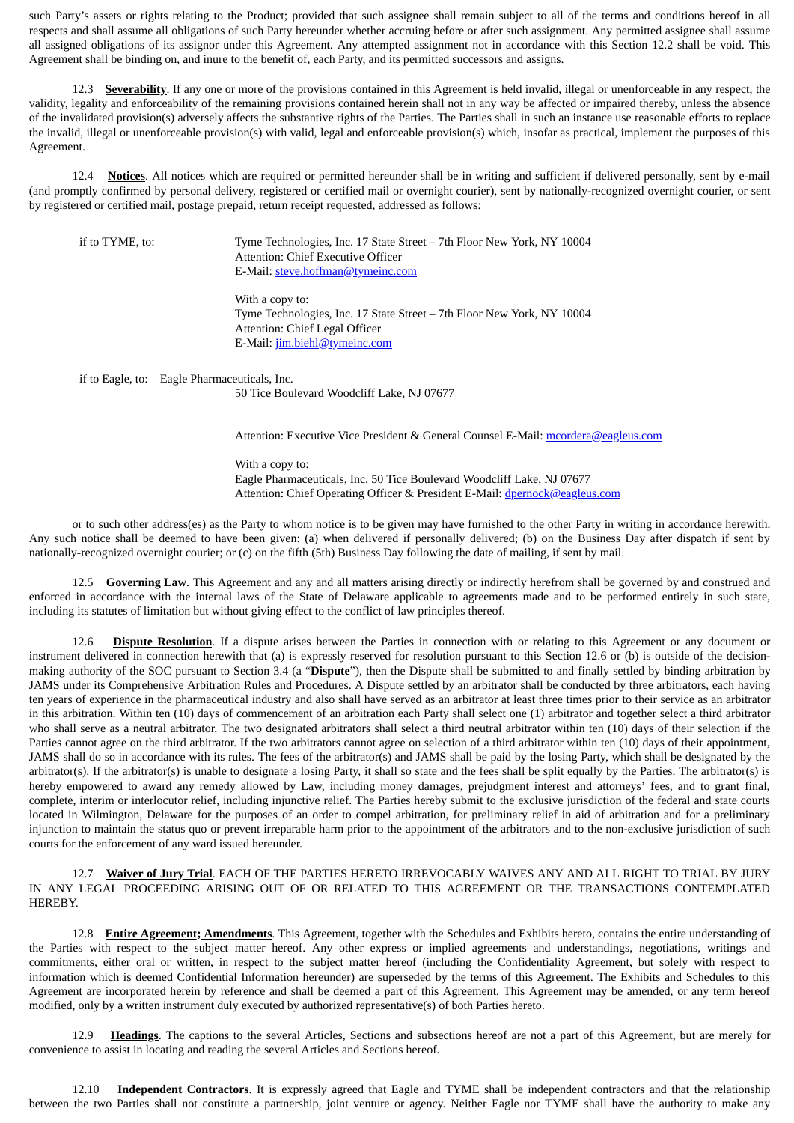such Party's assets or rights relating to the Product; provided that such assignee shall remain subject to all of the terms and conditions hereof in all respects and shall assume all obligations of such Party hereunder whether accruing before or after such assignment. Any permitted assignee shall assume all assigned obligations of its assignor under this Agreement. Any attempted assignment not in accordance with this Section 12.2 shall be void. This Agreement shall be binding on, and inure to the benefit of, each Party, and its permitted successors and assigns.

12.3 **Severability**. If any one or more of the provisions contained in this Agreement is held invalid, illegal or unenforceable in any respect, the validity, legality and enforceability of the remaining provisions contained herein shall not in any way be affected or impaired thereby, unless the absence of the invalidated provision(s) adversely affects the substantive rights of the Parties. The Parties shall in such an instance use reasonable efforts to replace the invalid, illegal or unenforceable provision(s) with valid, legal and enforceable provision(s) which, insofar as practical, implement the purposes of this Agreement.

12.4 **Notices**. All notices which are required or permitted hereunder shall be in writing and sufficient if delivered personally, sent by e-mail (and promptly confirmed by personal delivery, registered or certified mail or overnight courier), sent by nationally-recognized overnight courier, or sent by registered or certified mail, postage prepaid, return receipt requested, addressed as follows:

if to TYME, to: Tyme Technologies, Inc. 17 State Street – 7th Floor New York, NY 10004 Attention: Chief Executive Officer E-Mail: steve.hoffman@tymeinc.com

> With a copy to: Tyme Technologies, Inc. 17 State Street – 7th Floor New York, NY 10004 Attention: Chief Legal Officer E-Mail: jim.biehl@tymeinc.com

if to Eagle, to: Eagle Pharmaceuticals, Inc. 50 Tice Boulevard Woodcliff Lake, NJ 07677

Attention: Executive Vice President & General Counsel E-Mail: mcordera@eagleus.com

With a copy to: Eagle Pharmaceuticals, Inc. 50 Tice Boulevard Woodcliff Lake, NJ 07677 Attention: Chief Operating Officer & President E-Mail: dpernock@eagleus.com

or to such other address(es) as the Party to whom notice is to be given may have furnished to the other Party in writing in accordance herewith. Any such notice shall be deemed to have been given: (a) when delivered if personally delivered; (b) on the Business Day after dispatch if sent by nationally-recognized overnight courier; or (c) on the fifth (5th) Business Day following the date of mailing, if sent by mail.

12.5 **Governing Law**. This Agreement and any and all matters arising directly or indirectly herefrom shall be governed by and construed and enforced in accordance with the internal laws of the State of Delaware applicable to agreements made and to be performed entirely in such state, including its statutes of limitation but without giving effect to the conflict of law principles thereof.

12.6 **Dispute Resolution**. If a dispute arises between the Parties in connection with or relating to this Agreement or any document or instrument delivered in connection herewith that (a) is expressly reserved for resolution pursuant to this Section 12.6 or (b) is outside of the decisionmaking authority of the SOC pursuant to Section 3.4 (a "**Dispute**"), then the Dispute shall be submitted to and finally settled by binding arbitration by JAMS under its Comprehensive Arbitration Rules and Procedures. A Dispute settled by an arbitrator shall be conducted by three arbitrators, each having ten years of experience in the pharmaceutical industry and also shall have served as an arbitrator at least three times prior to their service as an arbitrator in this arbitration. Within ten (10) days of commencement of an arbitration each Party shall select one (1) arbitrator and together select a third arbitrator who shall serve as a neutral arbitrator. The two designated arbitrators shall select a third neutral arbitrator within ten (10) days of their selection if the Parties cannot agree on the third arbitrator. If the two arbitrators cannot agree on selection of a third arbitrator within ten (10) days of their appointment, JAMS shall do so in accordance with its rules. The fees of the arbitrator(s) and JAMS shall be paid by the losing Party, which shall be designated by the arbitrator(s). If the arbitrator(s) is unable to designate a losing Party, it shall so state and the fees shall be split equally by the Parties. The arbitrator(s) is hereby empowered to award any remedy allowed by Law, including money damages, prejudgment interest and attorneys' fees, and to grant final, complete, interim or interlocutor relief, including injunctive relief. The Parties hereby submit to the exclusive jurisdiction of the federal and state courts located in Wilmington, Delaware for the purposes of an order to compel arbitration, for preliminary relief in aid of arbitration and for a preliminary injunction to maintain the status quo or prevent irreparable harm prior to the appointment of the arbitrators and to the non-exclusive jurisdiction of such courts for the enforcement of any ward issued hereunder.

12.7 **Waiver of Jury Trial**. EACH OF THE PARTIES HERETO IRREVOCABLY WAIVES ANY AND ALL RIGHT TO TRIAL BY JURY IN ANY LEGAL PROCEEDING ARISING OUT OF OR RELATED TO THIS AGREEMENT OR THE TRANSACTIONS CONTEMPLATED HEREBY.

12.8 **Entire Agreement; Amendments**. This Agreement, together with the Schedules and Exhibits hereto, contains the entire understanding of the Parties with respect to the subject matter hereof. Any other express or implied agreements and understandings, negotiations, writings and commitments, either oral or written, in respect to the subject matter hereof (including the Confidentiality Agreement, but solely with respect to information which is deemed Confidential Information hereunder) are superseded by the terms of this Agreement. The Exhibits and Schedules to this Agreement are incorporated herein by reference and shall be deemed a part of this Agreement. This Agreement may be amended, or any term hereof modified, only by a written instrument duly executed by authorized representative(s) of both Parties hereto.

12.9 **Headings**. The captions to the several Articles, Sections and subsections hereof are not a part of this Agreement, but are merely for convenience to assist in locating and reading the several Articles and Sections hereof.

12.10 **Independent Contractors**. It is expressly agreed that Eagle and TYME shall be independent contractors and that the relationship between the two Parties shall not constitute a partnership, joint venture or agency. Neither Eagle nor TYME shall have the authority to make any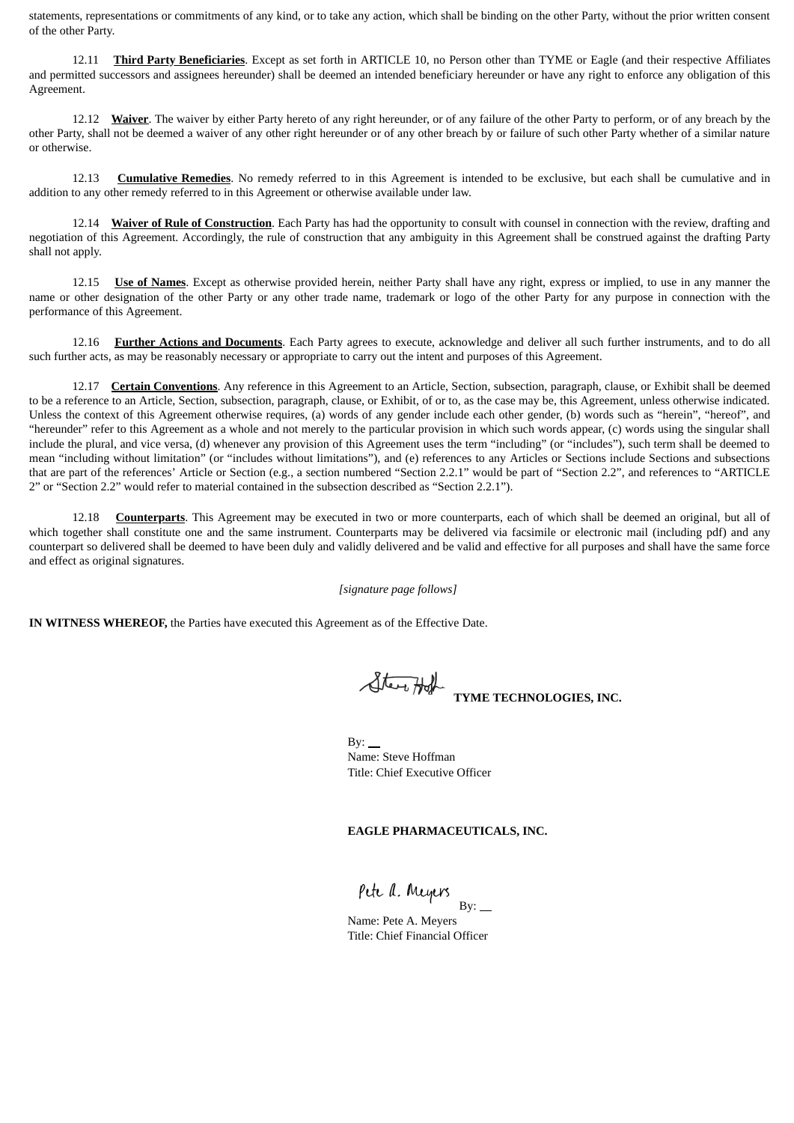statements, representations or commitments of any kind, or to take any action, which shall be binding on the other Party, without the prior written consent of the other Party.

12.11 **Third Party Beneficiaries**. Except as set forth in ARTICLE 10, no Person other than TYME or Eagle (and their respective Affiliates and permitted successors and assignees hereunder) shall be deemed an intended beneficiary hereunder or have any right to enforce any obligation of this Agreement.

12.12 **Waiver**. The waiver by either Party hereto of any right hereunder, or of any failure of the other Party to perform, or of any breach by the other Party, shall not be deemed a waiver of any other right hereunder or of any other breach by or failure of such other Party whether of a similar nature or otherwise.

12.13 **Cumulative Remedies**. No remedy referred to in this Agreement is intended to be exclusive, but each shall be cumulative and in addition to any other remedy referred to in this Agreement or otherwise available under law.

12.14 **Waiver of Rule of Construction**. Each Party has had the opportunity to consult with counsel in connection with the review, drafting and negotiation of this Agreement. Accordingly, the rule of construction that any ambiguity in this Agreement shall be construed against the drafting Party shall not apply.

12.15 **Use of Names**. Except as otherwise provided herein, neither Party shall have any right, express or implied, to use in any manner the name or other designation of the other Party or any other trade name, trademark or logo of the other Party for any purpose in connection with the performance of this Agreement.

12.16 **Further Actions and Documents**. Each Party agrees to execute, acknowledge and deliver all such further instruments, and to do all such further acts, as may be reasonably necessary or appropriate to carry out the intent and purposes of this Agreement.

12.17 **Certain Conventions**. Any reference in this Agreement to an Article, Section, subsection, paragraph, clause, or Exhibit shall be deemed to be a reference to an Article, Section, subsection, paragraph, clause, or Exhibit, of or to, as the case may be, this Agreement, unless otherwise indicated. Unless the context of this Agreement otherwise requires, (a) words of any gender include each other gender, (b) words such as "herein", "hereof", and "hereunder" refer to this Agreement as a whole and not merely to the particular provision in which such words appear, (c) words using the singular shall include the plural, and vice versa, (d) whenever any provision of this Agreement uses the term "including" (or "includes"), such term shall be deemed to mean "including without limitation" (or "includes without limitations"), and (e) references to any Articles or Sections include Sections and subsections that are part of the references' Article or Section (e.g., a section numbered "Section 2.2.1" would be part of "Section 2.2", and references to "ARTICLE 2" or "Section 2.2" would refer to material contained in the subsection described as "Section 2.2.1").

12.18 **Counterparts**. This Agreement may be executed in two or more counterparts, each of which shall be deemed an original, but all of which together shall constitute one and the same instrument. Counterparts may be delivered via facsimile or electronic mail (including pdf) and any counterpart so delivered shall be deemed to have been duly and validly delivered and be valid and effective for all purposes and shall have the same force and effect as original signatures.

*[signature page follows]*

**IN WITNESS WHEREOF,** the Parties have executed this Agreement as of the Effective Date.

**TYME TECHNOLOGIES, INC.**

By: Name: Steve Hoffman Title: Chief Executive Officer

### **EAGLE PHARMACEUTICALS, INC.**

Pete a. Meyers  $By:$ 

Name: Pete A. Meyers Title: Chief Financial Officer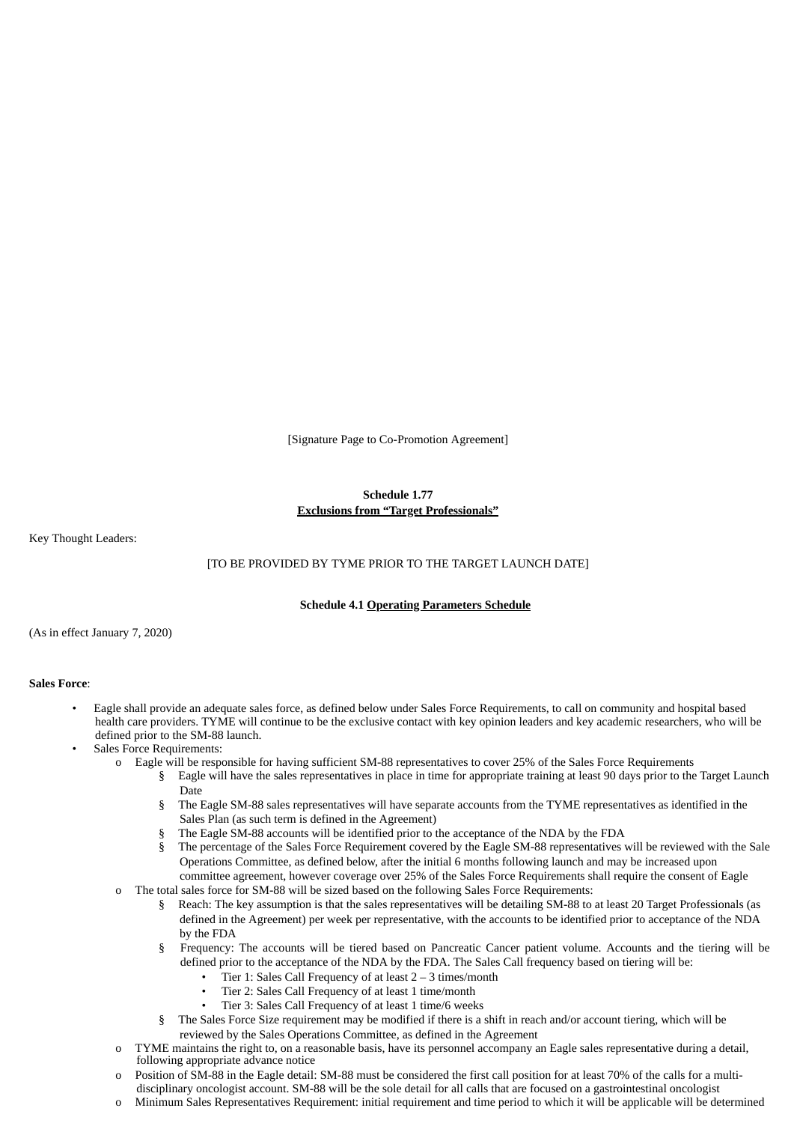[Signature Page to Co-Promotion Agreement]

### **Schedule 1.77 Exclusions from "Target Professionals"**

Key Thought Leaders:

# [TO BE PROVIDED BY TYME PRIOR TO THE TARGET LAUNCH DATE]

### **Schedule 4.1 Operating Parameters Schedule**

(As in effect January 7, 2020)

### **Sales Force**:

- Eagle shall provide an adequate sales force, as defined below under Sales Force Requirements, to call on community and hospital based health care providers. TYME will continue to be the exclusive contact with key opinion leaders and key academic researchers, who will be defined prior to the SM-88 launch.
- Sales Force Requirements:
	- o Eagle will be responsible for having sufficient SM-88 representatives to cover 25% of the Sales Force Requirements
		- § Eagle will have the sales representatives in place in time for appropriate training at least 90 days prior to the Target Launch Date
		- § The Eagle SM-88 sales representatives will have separate accounts from the TYME representatives as identified in the Sales Plan (as such term is defined in the Agreement)
		- The Eagle SM-88 accounts will be identified prior to the acceptance of the NDA by the FDA
		- § The percentage of the Sales Force Requirement covered by the Eagle SM-88 representatives will be reviewed with the Sale Operations Committee, as defined below, after the initial 6 months following launch and may be increased upon committee agreement, however coverage over 25% of the Sales Force Requirements shall require the consent of Eagle
	- The total sales force for SM-88 will be sized based on the following Sales Force Requirements:
		- § Reach: The key assumption is that the sales representatives will be detailing SM-88 to at least 20 Target Professionals (as defined in the Agreement) per week per representative, with the accounts to be identified prior to acceptance of the NDA by the FDA
		- § Frequency: The accounts will be tiered based on Pancreatic Cancer patient volume. Accounts and the tiering will be defined prior to the acceptance of the NDA by the FDA. The Sales Call frequency based on tiering will be:
			- Tier 1: Sales Call Frequency of at least  $2 3$  times/month<br>• Tier 2: Sales Call Frequency of at least 1 time/month
				- Tier 2: Sales Call Frequency of at least 1 time/month
			- Tier 3: Sales Call Frequency of at least 1 time/6 weeks
		- § The Sales Force Size requirement may be modified if there is a shift in reach and/or account tiering, which will be reviewed by the Sales Operations Committee, as defined in the Agreement
	- o TYME maintains the right to, on a reasonable basis, have its personnel accompany an Eagle sales representative during a detail, following appropriate advance notice
	- o Position of SM-88 in the Eagle detail: SM-88 must be considered the first call position for at least 70% of the calls for a multidisciplinary oncologist account. SM-88 will be the sole detail for all calls that are focused on a gastrointestinal oncologist
	- o Minimum Sales Representatives Requirement: initial requirement and time period to which it will be applicable will be determined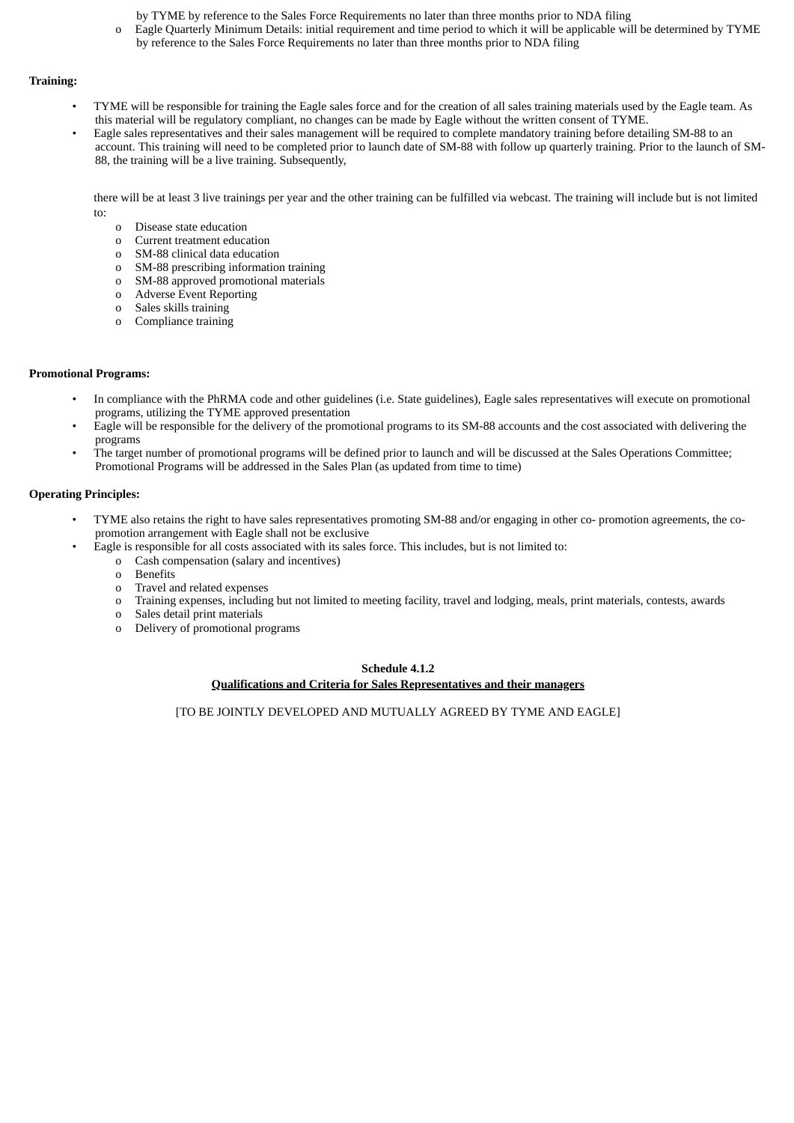by TYME by reference to the Sales Force Requirements no later than three months prior to NDA filing

o Eagle Quarterly Minimum Details: initial requirement and time period to which it will be applicable will be determined by TYME by reference to the Sales Force Requirements no later than three months prior to NDA filing

#### **Training:**

- TYME will be responsible for training the Eagle sales force and for the creation of all sales training materials used by the Eagle team. As this material will be regulatory compliant, no changes can be made by Eagle without the written consent of TYME.
- Eagle sales representatives and their sales management will be required to complete mandatory training before detailing SM-88 to an account. This training will need to be completed prior to launch date of SM-88 with follow up quarterly training. Prior to the launch of SM-88, the training will be a live training. Subsequently,

there will be at least 3 live trainings per year and the other training can be fulfilled via webcast. The training will include but is not limited to:

- o Disease state education
- o Current treatment education
- o SM-88 clinical data education
- o SM-88 prescribing information training
- o SM-88 approved promotional materials
- o Adverse Event Reporting
- o Sales skills training
- o Compliance training

### **Promotional Programs:**

- In compliance with the PhRMA code and other guidelines (i.e. State guidelines), Eagle sales representatives will execute on promotional programs, utilizing the TYME approved presentation
- Eagle will be responsible for the delivery of the promotional programs to its SM-88 accounts and the cost associated with delivering the programs
- The target number of promotional programs will be defined prior to launch and will be discussed at the Sales Operations Committee; Promotional Programs will be addressed in the Sales Plan (as updated from time to time)

### **Operating Principles:**

- TYME also retains the right to have sales representatives promoting SM-88 and/or engaging in other co- promotion agreements, the copromotion arrangement with Eagle shall not be exclusive
- Eagle is responsible for all costs associated with its sales force. This includes, but is not limited to:
	- o Cash compensation (salary and incentives)
	- o Benefits
	- o Travel and related expenses
	- o Training expenses, including but not limited to meeting facility, travel and lodging, meals, print materials, contests, awards
	- o Sales detail print materials
	- o Delivery of promotional programs

### **Schedule 4.1.2**

### **Qualifications and Criteria for Sales Representatives and their managers**

[TO BE JOINTLY DEVELOPED AND MUTUALLY AGREED BY TYME AND EAGLE]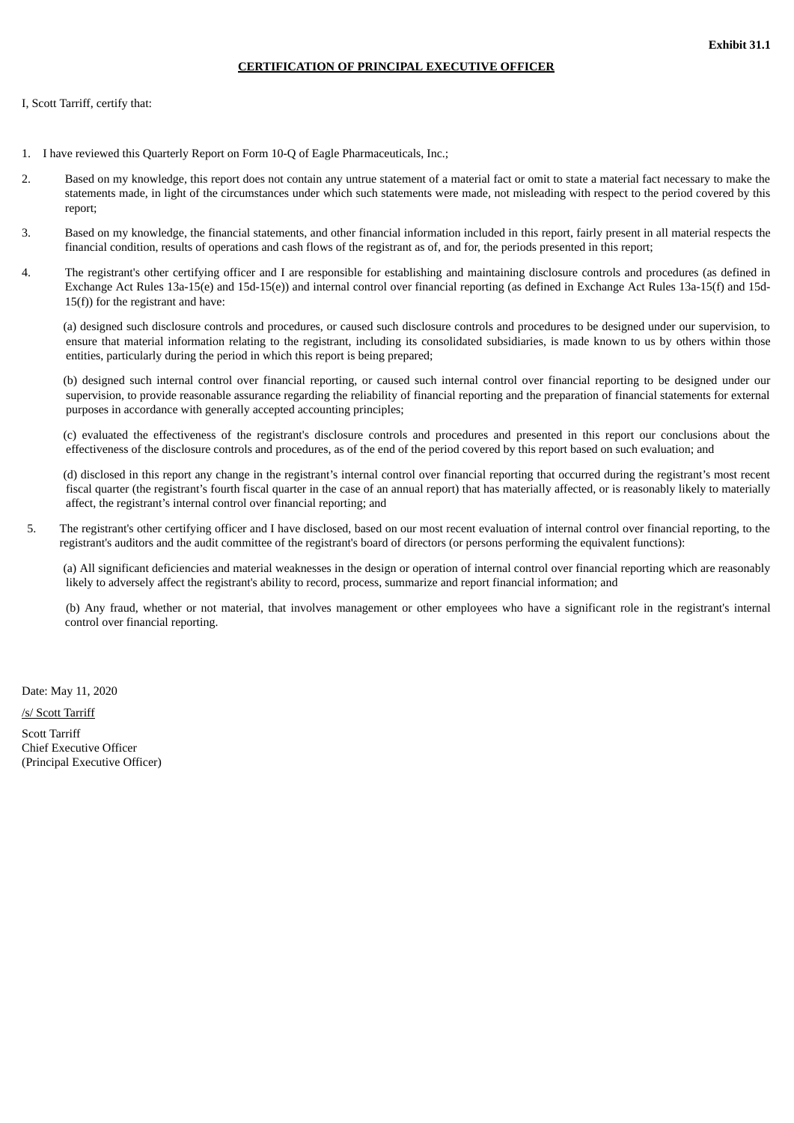### **CERTIFICATION OF PRINCIPAL EXECUTIVE OFFICER**

<span id="page-65-0"></span>I, Scott Tarriff, certify that:

- 1. I have reviewed this Quarterly Report on Form 10-Q of Eagle Pharmaceuticals, Inc.;
- 2. Based on my knowledge, this report does not contain any untrue statement of a material fact or omit to state a material fact necessary to make the statements made, in light of the circumstances under which such statements were made, not misleading with respect to the period covered by this report;
- 3. Based on my knowledge, the financial statements, and other financial information included in this report, fairly present in all material respects the financial condition, results of operations and cash flows of the registrant as of, and for, the periods presented in this report;
- 4. The registrant's other certifying officer and I are responsible for establishing and maintaining disclosure controls and procedures (as defined in Exchange Act Rules 13a-15(e) and 15d-15(e)) and internal control over financial reporting (as defined in Exchange Act Rules 13a-15(f) and 15d- $15(f)$ ) for the registrant and have:

(a) designed such disclosure controls and procedures, or caused such disclosure controls and procedures to be designed under our supervision, to ensure that material information relating to the registrant, including its consolidated subsidiaries, is made known to us by others within those entities, particularly during the period in which this report is being prepared;

(b) designed such internal control over financial reporting, or caused such internal control over financial reporting to be designed under our supervision, to provide reasonable assurance regarding the reliability of financial reporting and the preparation of financial statements for external purposes in accordance with generally accepted accounting principles;

(c) evaluated the effectiveness of the registrant's disclosure controls and procedures and presented in this report our conclusions about the effectiveness of the disclosure controls and procedures, as of the end of the period covered by this report based on such evaluation; and

(d) disclosed in this report any change in the registrant's internal control over financial reporting that occurred during the registrant's most recent fiscal quarter (the registrant's fourth fiscal quarter in the case of an annual report) that has materially affected, or is reasonably likely to materially affect, the registrant's internal control over financial reporting; and

5. The registrant's other certifying officer and I have disclosed, based on our most recent evaluation of internal control over financial reporting, to the registrant's auditors and the audit committee of the registrant's board of directors (or persons performing the equivalent functions):

(a) All significant deficiencies and material weaknesses in the design or operation of internal control over financial reporting which are reasonably likely to adversely affect the registrant's ability to record, process, summarize and report financial information; and

(b) Any fraud, whether or not material, that involves management or other employees who have a significant role in the registrant's internal control over financial reporting.

Date: May 11, 2020

/s/ Scott Tarriff

Scott Tarriff Chief Executive Officer (Principal Executive Officer)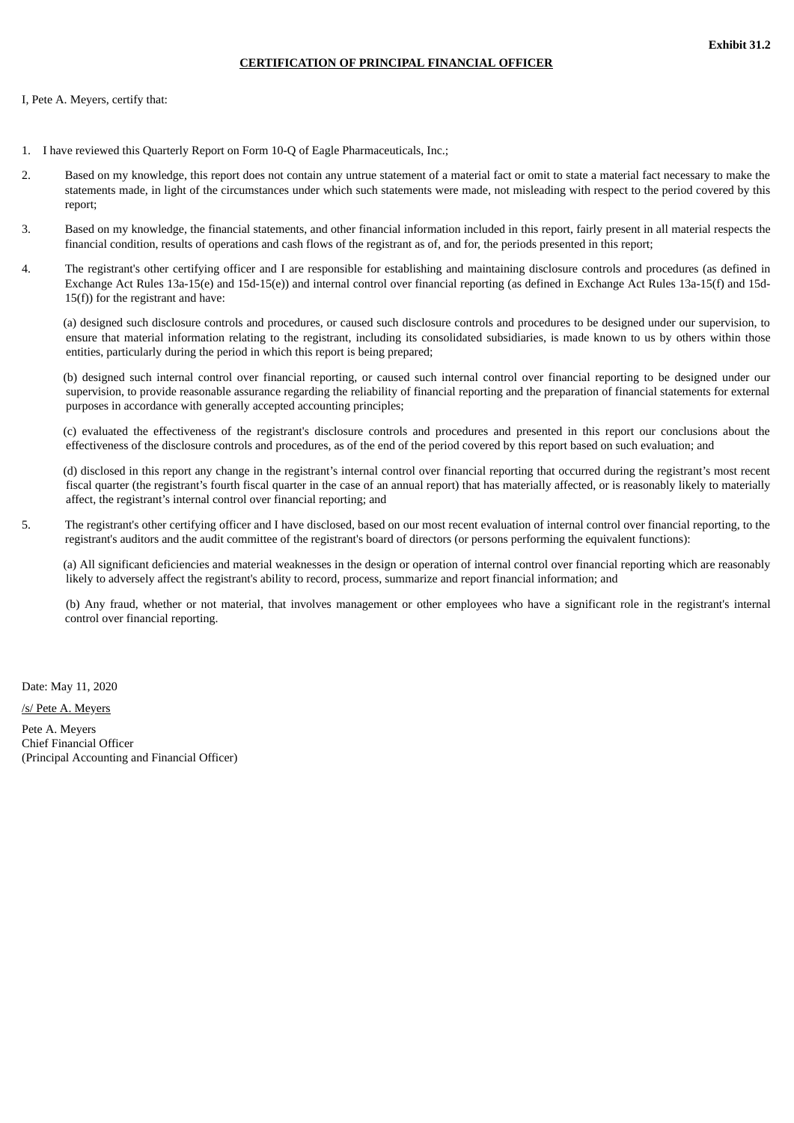### **CERTIFICATION OF PRINCIPAL FINANCIAL OFFICER**

<span id="page-66-0"></span>I, Pete A. Meyers, certify that:

- 1. I have reviewed this Quarterly Report on Form 10-Q of Eagle Pharmaceuticals, Inc.;
- 2. Based on my knowledge, this report does not contain any untrue statement of a material fact or omit to state a material fact necessary to make the statements made, in light of the circumstances under which such statements were made, not misleading with respect to the period covered by this report;
- 3. Based on my knowledge, the financial statements, and other financial information included in this report, fairly present in all material respects the financial condition, results of operations and cash flows of the registrant as of, and for, the periods presented in this report;
- 4. The registrant's other certifying officer and I are responsible for establishing and maintaining disclosure controls and procedures (as defined in Exchange Act Rules 13a-15(e) and 15d-15(e)) and internal control over financial reporting (as defined in Exchange Act Rules 13a-15(f) and 15d- $15(f)$ ) for the registrant and have:

(a) designed such disclosure controls and procedures, or caused such disclosure controls and procedures to be designed under our supervision, to ensure that material information relating to the registrant, including its consolidated subsidiaries, is made known to us by others within those entities, particularly during the period in which this report is being prepared;

(b) designed such internal control over financial reporting, or caused such internal control over financial reporting to be designed under our supervision, to provide reasonable assurance regarding the reliability of financial reporting and the preparation of financial statements for external purposes in accordance with generally accepted accounting principles;

(c) evaluated the effectiveness of the registrant's disclosure controls and procedures and presented in this report our conclusions about the effectiveness of the disclosure controls and procedures, as of the end of the period covered by this report based on such evaluation; and

(d) disclosed in this report any change in the registrant's internal control over financial reporting that occurred during the registrant's most recent fiscal quarter (the registrant's fourth fiscal quarter in the case of an annual report) that has materially affected, or is reasonably likely to materially affect, the registrant's internal control over financial reporting; and

5. The registrant's other certifying officer and I have disclosed, based on our most recent evaluation of internal control over financial reporting, to the registrant's auditors and the audit committee of the registrant's board of directors (or persons performing the equivalent functions):

(a) All significant deficiencies and material weaknesses in the design or operation of internal control over financial reporting which are reasonably likely to adversely affect the registrant's ability to record, process, summarize and report financial information; and

(b) Any fraud, whether or not material, that involves management or other employees who have a significant role in the registrant's internal control over financial reporting.

Date: May 11, 2020

/s/ Pete A. Meyers

Pete A. Meyers Chief Financial Officer (Principal Accounting and Financial Officer)